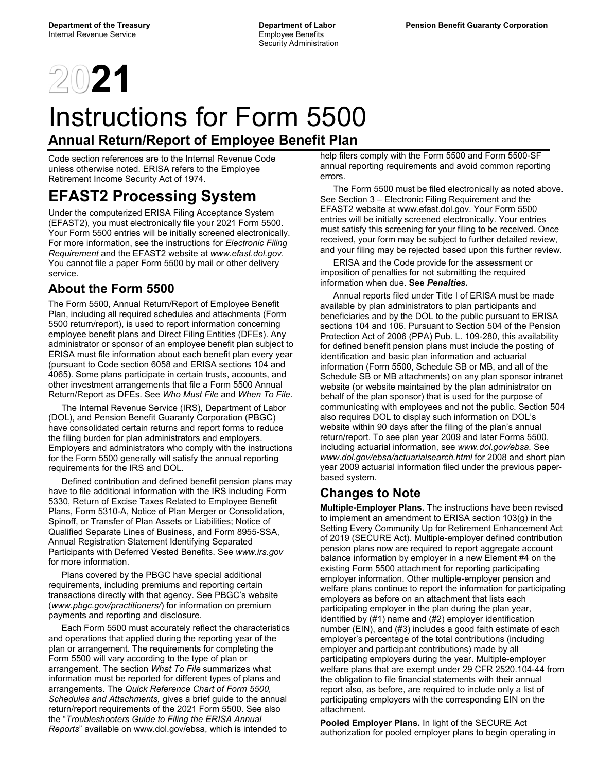

# Instructions for Form 5500 **Annual Return/Report of Employee Benefit Plan**

Code section references are to the Internal Revenue Code unless otherwise noted. ERISA refers to the Employee Retirement Income Security Act of 1974.

# **EFAST2 Processing System**

Under the computerized ERISA Filing Acceptance System (EFAST2), you must electronically file your 2021 Form 5500. Your Form 5500 entries will be initially screened electronically. For more information, see the instructions for *Electronic Filing Requirement* and the EFAST2 website at *www.efast.dol.gov*. You cannot file a paper Form 5500 by mail or other delivery service.

## **About the Form 5500**

The Form 5500, Annual Return/Report of Employee Benefit Plan, including all required schedules and attachments (Form 5500 return/report), is used to report information concerning employee benefit plans and Direct Filing Entities (DFEs). Any administrator or sponsor of an employee benefit plan subject to ERISA must file information about each benefit plan every year (pursuant to Code section 6058 and ERISA sections 104 and 4065). Some plans participate in certain trusts, accounts, and other investment arrangements that file a Form 5500 Annual Return/Report as DFEs. See *Who Must File* and *When To File*.

 The Internal Revenue Service (IRS), Department of Labor (DOL), and Pension Benefit Guaranty Corporation (PBGC) have consolidated certain returns and report forms to reduce the filing burden for plan administrators and employers. Employers and administrators who comply with the instructions for the Form 5500 generally will satisfy the annual reporting requirements for the IRS and DOL.

 Defined contribution and defined benefit pension plans may have to file additional information with the IRS including Form 5330, Return of Excise Taxes Related to Employee Benefit Plans, Form 5310-A, Notice of Plan Merger or Consolidation, Spinoff, or Transfer of Plan Assets or Liabilities; Notice of Qualified Separate Lines of Business, and Form 8955-SSA, Annual Registration Statement Identifying Separated Participants with Deferred Vested Benefits. See *www.irs.gov* for more information.

 Plans covered by the PBGC have special additional requirements, including premiums and reporting certain transactions directly with that agency. See PBGC's website (*www.pbgc.gov/practitioners/*) for information on premium payments and reporting and disclosure.

 Each Form 5500 must accurately reflect the characteristics and operations that applied during the reporting year of the plan or arrangement. The requirements for completing the Form 5500 will vary according to the type of plan or arrangement. The section *What To File* summarizes what information must be reported for different types of plans and arrangements. The *Quick Reference Chart of Form 5500, Schedules and Attachments,* gives a brief guide to the annual return/report requirements of the 2021 Form 5500. See also the "*Troubleshooters Guide to Filing the ERISA Annual Reports*" available on www.dol.gov/ebsa, which is intended to

help filers comply with the Form 5500 and Form 5500-SF annual reporting requirements and avoid common reporting errors.

 The Form 5500 must be filed electronically as noted above. See Section 3 – Electronic Filing Requirement and the EFAST2 website at www.efast.dol.gov. Your Form 5500 entries will be initially screened electronically. Your entries must satisfy this screening for your filing to be received. Once received, your form may be subject to further detailed review, and your filing may be rejected based upon this further review.

 ERISA and the Code provide for the assessment or imposition of penalties for not submitting the required information when due. **See** *Penalties***.**

 Annual reports filed under Title I of ERISA must be made available by plan administrators to plan participants and beneficiaries and by the DOL to the public pursuant to ERISA sections 104 and 106. Pursuant to Section 504 of the Pension Protection Act of 2006 (PPA) Pub. L. 109-280, this availability for defined benefit pension plans must include the posting of identification and basic plan information and actuarial information (Form 5500, Schedule SB or MB, and all of the Schedule SB or MB attachments) on any plan sponsor intranet website (or website maintained by the plan administrator on behalf of the plan sponsor) that is used for the purpose of communicating with employees and not the public. Section 504 also requires DOL to display such information on DOL's website within 90 days after the filing of the plan's annual return/report. To see plan year 2009 and later Forms 5500, including actuarial information, see *www.dol.gov/ebsa.* See *www.dol.gov/ebsa/actuarialsearch.html* for 2008 and short plan year 2009 actuarial information filed under the previous paperbased system.

## **Changes to Note**

**Multiple-Employer Plans.** The instructions have been revised to implement an amendment to ERISA section 103(g) in the Setting Every Community Up for Retirement Enhancement Act of 2019 (SECURE Act). Multiple-employer defined contribution pension plans now are required to report aggregate account balance information by employer in a new Element #4 on the existing Form 5500 attachment for reporting participating employer information. Other multiple-employer pension and welfare plans continue to report the information for participating employers as before on an attachment that lists each participating employer in the plan during the plan year, identified by (#1) name and (#2) employer identification number (EIN), and (#3) includes a good faith estimate of each employer's percentage of the total contributions (including employer and participant contributions) made by all participating employers during the year. Multiple-employer welfare plans that are exempt under 29 CFR 2520.104-44 from the obligation to file financial statements with their annual report also, as before, are required to include only a list of participating employers with the corresponding EIN on the attachment.

**Pooled Employer Plans.** In light of the SECURE Act authorization for pooled employer plans to begin operating in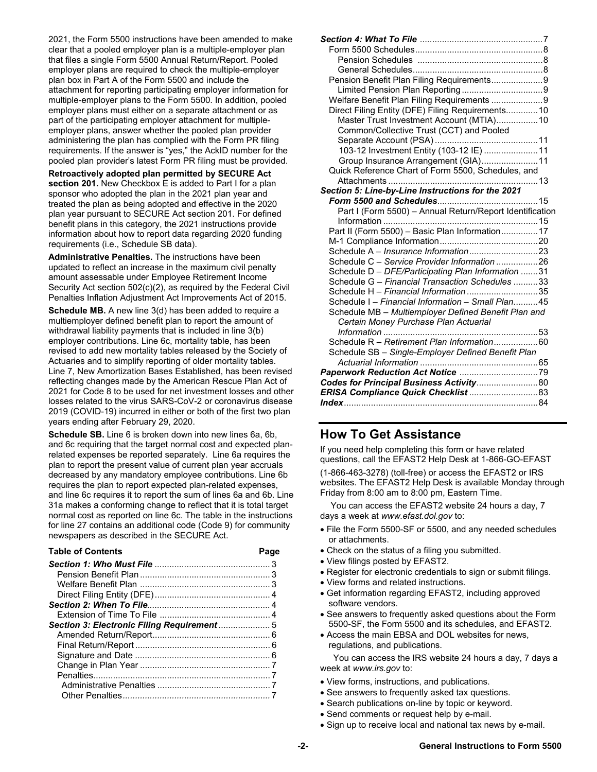2021, the Form 5500 instructions have been amended to make clear that a pooled employer plan is a multiple-employer plan that files a single Form 5500 Annual Return/Report. Pooled employer plans are required to check the multiple-employer plan box in Part A of the Form 5500 and include the attachment for reporting participating employer information for multiple-employer plans to the Form 5500. In addition, pooled employer plans must either on a separate attachment or as part of the participating employer attachment for multipleemployer plans, answer whether the pooled plan provider administering the plan has complied with the Form PR filing requirements. If the answer is "yes," the AckID number for the pooled plan provider's latest Form PR filing must be provided.

**Retroactively adopted plan permitted by SECURE Act section 201.** New Checkbox E is added to Part I for a plan sponsor who adopted the plan in the 2021 plan year and treated the plan as being adopted and effective in the 2020 plan year pursuant to SECURE Act section 201. For defined benefit plans in this category, the 2021 instructions provide information about how to report data regarding 2020 funding requirements (i.e., Schedule SB data).

**Administrative Penalties.** The instructions have been updated to reflect an increase in the maximum civil penalty amount assessable under Employee Retirement Income Security Act section 502(c)(2), as required by the Federal Civil Penalties Inflation Adjustment Act Improvements Act of 2015.

**Schedule MB.** A new line 3(d) has been added to require a multiemployer defined benefit plan to report the amount of withdrawal liability payments that is included in line 3(b) employer contributions. Line 6c, mortality table, has been revised to add new mortality tables released by the Society of Actuaries and to simplify reporting of older mortality tables. Line 7, New Amortization Bases Established, has been revised reflecting changes made by the American Rescue Plan Act of 2021 for Code 8 to be used for net investment losses and other losses related to the virus SARS-CoV-2 or coronavirus disease 2019 (COVID-19) incurred in either or both of the first two plan years ending after February 29, 2020.

**Schedule SB.** Line 6 is broken down into new lines 6a, 6b, and 6c requiring that the target normal cost and expected planrelated expenses be reported separately. Line 6a requires the plan to report the present value of current plan year accruals decreased by any mandatory employee contributions. Line 6b requires the plan to report expected plan-related expenses, and line 6c requires it to report the sum of lines 6a and 6b. Line 31a makes a conforming change to reflect that it is total target normal cost as reported on line 6c. The table in the instructions for line 27 contains an additional code (Code 9) for community newspapers as described in the SECURE Act.

| <b>Table of Contents</b> | Page |
|--------------------------|------|
|                          |      |
|                          |      |
|                          |      |
|                          |      |
|                          |      |
|                          |      |
|                          |      |
|                          |      |
|                          |      |
|                          |      |
|                          |      |
|                          |      |
|                          |      |
|                          |      |

| Pension Benefit Plan Filing Requirements9                |      |
|----------------------------------------------------------|------|
|                                                          |      |
| Welfare Benefit Plan Filing Requirements 9               |      |
| Direct Filing Entity (DFE) Filing Requirements 10        |      |
| Master Trust Investment Account (MTIA) 10                |      |
| Common/Collective Trust (CCT) and Pooled                 |      |
|                                                          |      |
| 103-12 Investment Entity (103-12 IE)  11                 |      |
| Group Insurance Arrangement (GIA)11                      |      |
| Quick Reference Chart of Form 5500, Schedules, and       |      |
| Attachments<br>                                          | . 13 |
| Section 5: Line-by-Line Instructions for the 2021        |      |
|                                                          |      |
| Part I (Form 5500) - Annual Return/Report Identification |      |
|                                                          |      |
| Part II (Form 5500) - Basic Plan Information 17          |      |
|                                                          |      |
|                                                          |      |
| Schedule C - Service Provider Information 26             |      |
| Schedule D - DFE/Participating Plan Information 31       |      |
| Schedule G - Financial Transaction Schedules 33          |      |
| Schedule H - Financial Information 35                    |      |
| Schedule I - Financial Information - Small Plan45        |      |
| Schedule MB - Multiemployer Defined Benefit Plan and     |      |
| Certain Money Purchase Plan Actuarial                    |      |
|                                                          |      |
| Schedule R - Retirement Plan Information60               |      |
| Schedule SB - Single-Employer Defined Benefit Plan       |      |
|                                                          |      |
|                                                          |      |
| Codes for Principal Business Activity 80                 |      |
| ERISA Compliance Quick Checklist  83                     |      |
|                                                          |      |

## **How To Get Assistance**

If you need help completing this form or have related questions, call the EFAST2 Help Desk at 1-866-GO-EFAST

(1-866-463-3278) (toll-free) or access the EFAST2 or IRS websites. The EFAST2 Help Desk is available Monday through Friday from 8:00 am to 8:00 pm, Eastern Time.

You can access the EFAST2 website 24 hours a day, 7 days a week at *www.efast.dol.gov* to:

- File the Form 5500-SF or 5500, and any needed schedules or attachments.
- Check on the status of a filing you submitted.
- View filings posted by EFAST2.
- Register for electronic credentials to sign or submit filings.
- View forms and related instructions.
- Get information regarding EFAST2, including approved software vendors.
- See answers to frequently asked questions about the Form 5500-SF, the Form 5500 and its schedules, and EFAST2.
- Access the main EBSA and DOL websites for news, regulations, and publications.

 You can access the IRS website 24 hours a day, 7 days a week at *www.irs.gov* to:

- View forms, instructions, and publications.
- See answers to frequently asked tax questions.
- Search publications on-line by topic or keyword.
- Send comments or request help by e-mail.
- Sign up to receive local and national tax news by e-mail.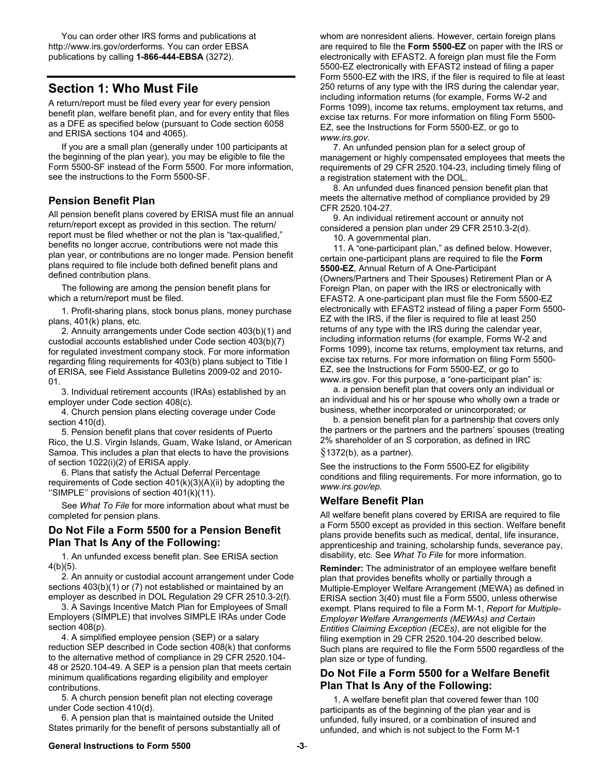You can order other IRS forms and publications at http://www.irs.gov/orderforms. You can order EBSA publications by calling **1-866-444-EBSA** (3272).

## **Section 1: Who Must File**

A return/report must be filed every year for every pension benefit plan, welfare benefit plan, and for every entity that files as a DFE as specified below (pursuant to Code section 6058 and ERISA sections 104 and 4065).

 If you are a small plan (generally under 100 participants at the beginning of the plan year), you may be eligible to file the Form 5500-SF instead of the Form 5500. For more information, see the instructions to the Form 5500-SF.

### **Pension Benefit Plan**

All pension benefit plans covered by ERISA must file an annual return/report except as provided in this section. The return/ report must be filed whether or not the plan is "tax-qualified," benefits no longer accrue, contributions were not made this plan year, or contributions are no longer made. Pension benefit plans required to file include both defined benefit plans and defined contribution plans.

 The following are among the pension benefit plans for which a return/report must be filed.

 1. Profit-sharing plans, stock bonus plans, money purchase plans, 401(k) plans, etc.

 2. Annuity arrangements under Code section 403(b)(1) and custodial accounts established under Code section 403(b)(7) for regulated investment company stock. For more information regarding filing requirements for 403(b) plans subject to Title I of ERISA, see Field Assistance Bulletins 2009-02 and 2010- 01.

 3. Individual retirement accounts (IRAs) established by an employer under Code section 408(c).

 4. Church pension plans electing coverage under Code section 410(d).

 5. Pension benefit plans that cover residents of Puerto Rico, the U.S. Virgin Islands, Guam, Wake Island, or American Samoa. This includes a plan that elects to have the provisions of section 1022(i)(2) of ERISA apply.

 6. Plans that satisfy the Actual Deferral Percentage requirements of Code section 401(k)(3)(A)(ii) by adopting the ''SIMPLE'' provisions of section 401(k)(11).

 See *What To File* for more information about what must be completed for pension plans.

#### **Do Not File a Form 5500 for a Pension Benefit Plan That Is Any of the Following:**

 1. An unfunded excess benefit plan. See ERISA section 4(b)(5).

 2. An annuity or custodial account arrangement under Code sections 403(b)(1) or (7) not established or maintained by an employer as described in DOL Regulation 29 CFR 2510.3-2(f).

 3. A Savings Incentive Match Plan for Employees of Small Employers (SIMPLE) that involves SIMPLE IRAs under Code section 408(p).

 4. A simplified employee pension (SEP) or a salary reduction SEP described in Code section 408(k) that conforms to the alternative method of compliance in 29 CFR 2520.104- 48 or 2520.104-49. A SEP is a pension plan that meets certain minimum qualifications regarding eligibility and employer contributions.

 5. A church pension benefit plan not electing coverage under Code section 410(d).

 6. A pension plan that is maintained outside the United States primarily for the benefit of persons substantially all of

whom are nonresident aliens. However, certain foreign plans are required to file the **Form 5500-EZ** on paper with the IRS or electronically with EFAST2. A foreign plan must file the Form 5500-EZ electronically with EFAST2 instead of filing a paper Form 5500-EZ with the IRS, if the filer is required to file at least 250 returns of any type with the IRS during the calendar year, including information returns (for example, Forms W-2 and Forms 1099), income tax returns, employment tax returns, and excise tax returns. For more information on filing Form 5500- EZ, see the Instructions for Form 5500-EZ, or go to *www.irs.gov.*

 7. An unfunded pension plan for a select group of management or highly compensated employees that meets the requirements of 29 CFR 2520.104-23, including timely filing of a registration statement with the DOL.

 8. An unfunded dues financed pension benefit plan that meets the alternative method of compliance provided by 29 CFR 2520.104-27.

 9. An individual retirement account or annuity not considered a pension plan under 29 CFR 2510.3-2(d).

10. A governmental plan.

 11. A "one-participant plan," as defined below. However, certain one-participant plans are required to file the **Form 5500-EZ**, Annual Return of A One-Participant (Owners/Partners and Their Spouses) Retirement Plan or A Foreign Plan, on paper with the IRS or electronically with EFAST2. A one-participant plan must file the Form 5500-EZ electronically with EFAST2 instead of filing a paper Form 5500- EZ with the IRS, if the filer is required to file at least 250 returns of any type with the IRS during the calendar year, including information returns (for example, Forms W-2 and Forms 1099), income tax returns, employment tax returns, and excise tax returns. For more information on filing Form 5500- EZ, see the Instructions for Form 5500-EZ, or go to www.irs.gov. For this purpose, a "one-participant plan" is:

 a. a pension benefit plan that covers only an individual or an individual and his or her spouse who wholly own a trade or business, whether incorporated or unincorporated; or

 b. a pension benefit plan for a partnership that covers only the partners or the partners and the partners' spouses (treating 2% shareholder of an S corporation, as defined in IRC

#### §1372(b), as a partner).

See the instructions to the Form 5500-EZ for eligibility conditions and filing requirements. For more information, go to *www.irs.gov/ep*.

#### **Welfare Benefit Plan**

All welfare benefit plans covered by ERISA are required to file a Form 5500 except as provided in this section. Welfare benefit plans provide benefits such as medical, dental, life insurance, apprenticeship and training, scholarship funds, severance pay, disability, etc. See *What To File* for more information.

**Reminder:** The administrator of an employee welfare benefit plan that provides benefits wholly or partially through a Multiple-Employer Welfare Arrangement (MEWA) as defined in ERISA section 3(40) must file a Form 5500, unless otherwise exempt. Plans required to file a Form M-1, *Report for Multiple-Employer Welfare Arrangements (MEWAs) and Certain Entities Claiming Exception (ECEs)*, are not eligible for the filing exemption in 29 CFR 2520.104-20 described below. Such plans are required to file the Form 5500 regardless of the plan size or type of funding.

### **Do Not File a Form 5500 for a Welfare Benefit Plan That Is Any of the Following:**

 1. A welfare benefit plan that covered fewer than 100 participants as of the beginning of the plan year and is unfunded, fully insured, or a combination of insured and unfunded, and which is not subject to the Form M-1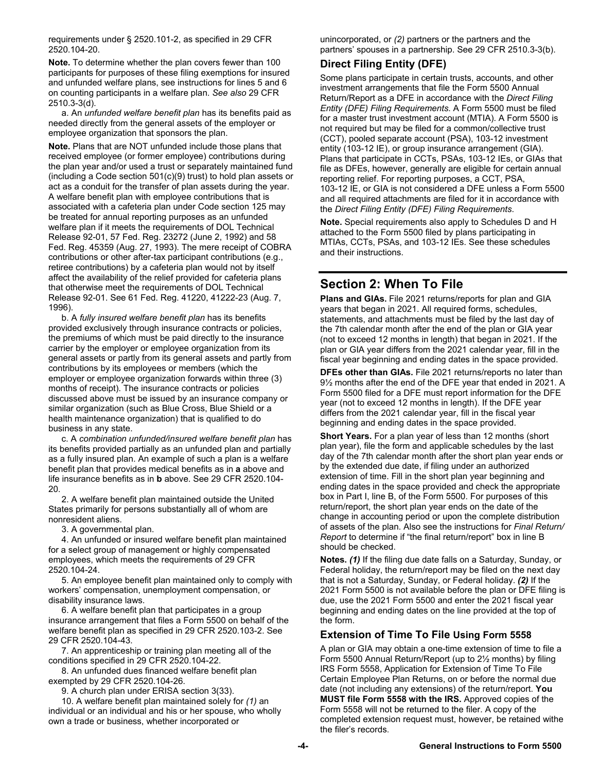requirements under § 2520.101-2, as specified in 29 CFR 2520.104-20.

**Note.** To determine whether the plan covers fewer than 100 participants for purposes of these filing exemptions for insured and unfunded welfare plans, see instructions for lines 5 and 6 on counting participants in a welfare plan. *See also* 29 CFR 2510.3-3(d).

 a. An *unfunded welfare benefit plan* has its benefits paid as needed directly from the general assets of the employer or employee organization that sponsors the plan.

**Note.** Plans that are NOT unfunded include those plans that received employee (or former employee) contributions during the plan year and/or used a trust or separately maintained fund (including a Code section 501(c)(9) trust) to hold plan assets or act as a conduit for the transfer of plan assets during the year. A welfare benefit plan with employee contributions that is associated with a cafeteria plan under Code section 125 may be treated for annual reporting purposes as an unfunded welfare plan if it meets the requirements of DOL Technical Release 92-01, 57 Fed. Reg. 23272 (June 2, 1992) and 58 Fed. Reg. 45359 (Aug. 27, 1993). The mere receipt of COBRA contributions or other after-tax participant contributions (e.g., retiree contributions) by a cafeteria plan would not by itself affect the availability of the relief provided for cafeteria plans that otherwise meet the requirements of DOL Technical Release 92-01. See 61 Fed. Reg. 41220, 41222-23 (Aug. 7, 1996).

 b. A *fully insured welfare benefit plan* has its benefits provided exclusively through insurance contracts or policies, the premiums of which must be paid directly to the insurance carrier by the employer or employee organization from its general assets or partly from its general assets and partly from contributions by its employees or members (which the employer or employee organization forwards within three (3) months of receipt). The insurance contracts or policies discussed above must be issued by an insurance company or similar organization (such as Blue Cross, Blue Shield or a health maintenance organization) that is qualified to do business in any state.

 c. A *combination unfunded/insured welfare benefit plan* has its benefits provided partially as an unfunded plan and partially as a fully insured plan. An example of such a plan is a welfare benefit plan that provides medical benefits as in **a** above and life insurance benefits as in **b** above. See 29 CFR 2520.104- 20.

 2. A welfare benefit plan maintained outside the United States primarily for persons substantially all of whom are nonresident aliens.

3. A governmental plan.

 4. An unfunded or insured welfare benefit plan maintained for a select group of management or highly compensated employees, which meets the requirements of 29 CFR 2520.104-24.

 5. An employee benefit plan maintained only to comply with workers' compensation, unemployment compensation, or disability insurance laws.

 6. A welfare benefit plan that participates in a group insurance arrangement that files a Form 5500 on behalf of the welfare benefit plan as specified in 29 CFR 2520.103-2. See 29 CFR 2520.104-43.

 7. An apprenticeship or training plan meeting all of the conditions specified in 29 CFR 2520.104-22.

 8. An unfunded dues financed welfare benefit plan exempted by 29 CFR 2520.104-26.

9. A church plan under ERISA section 3(33).

 10. A welfare benefit plan maintained solely for *(1)* an individual or an individual and his or her spouse, who wholly own a trade or business, whether incorporated or

unincorporated, or *(2)* partners or the partners and the partners' spouses in a partnership. See 29 CFR 2510.3-3(b).

## **Direct Filing Entity (DFE)**

Some plans participate in certain trusts, accounts, and other investment arrangements that file the Form 5500 Annual Return/Report as a DFE in accordance with the *Direct Filing Entity (DFE) Filing Requirements*. A Form 5500 must be filed for a master trust investment account (MTIA). A Form 5500 is not required but may be filed for a common/collective trust (CCT), pooled separate account (PSA), 103-12 investment entity (103-12 IE), or group insurance arrangement (GIA). Plans that participate in CCTs, PSAs, 103-12 IEs, or GIAs that file as DFEs, however, generally are eligible for certain annual reporting relief. For reporting purposes, a CCT, PSA, 103-12 IE, or GIA is not considered a DFE unless a Form 5500 and all required attachments are filed for it in accordance with the *Direct Filing Entity (DFE) Filing Requirements*.

**Note.** Special requirements also apply to Schedules D and H attached to the Form 5500 filed by plans participating in MTIAs, CCTs, PSAs, and 103-12 IEs. See these schedules and their instructions.

## **Section 2: When To File**

**Plans and GIAs.** File 2021 returns/reports for plan and GIA years that began in 2021. All required forms, schedules, statements, and attachments must be filed by the last day of the 7th calendar month after the end of the plan or GIA year (not to exceed 12 months in length) that began in 2021. If the plan or GIA year differs from the 2021 calendar year, fill in the fiscal year beginning and ending dates in the space provided.

**DFEs other than GIAs.** File 2021 returns/reports no later than 9½ months after the end of the DFE year that ended in 2021. A Form 5500 filed for a DFE must report information for the DFE year (not to exceed 12 months in length). If the DFE year differs from the 2021 calendar year, fill in the fiscal year beginning and ending dates in the space provided.

**Short Years.** For a plan year of less than 12 months (short plan year), file the form and applicable schedules by the last day of the 7th calendar month after the short plan year ends or by the extended due date, if filing under an authorized extension of time. Fill in the short plan year beginning and ending dates in the space provided and check the appropriate box in Part I, line B, of the Form 5500. For purposes of this return/report, the short plan year ends on the date of the change in accounting period or upon the complete distribution of assets of the plan. Also see the instructions for *Final Return/ Report* to determine if "the final return/report" box in line B should be checked.

**Notes.** *(1)* If the filing due date falls on a Saturday, Sunday, or Federal holiday, the return/report may be filed on the next day that is not a Saturday, Sunday, or Federal holiday. *(2)* If the 2021 Form 5500 is not available before the plan or DFE filing is due, use the 2021 Form 5500 and enter the 2021 fiscal year beginning and ending dates on the line provided at the top of the form.

## **Extension of Time To File Using Form 5558**

A plan or GIA may obtain a one-time extension of time to file a Form 5500 Annual Return/Report (up to 2½ months) by filing IRS Form 5558, Application for Extension of Time To File Certain Employee Plan Returns, on or before the normal due date (not including any extensions) of the return/report. **You MUST file Form 5558 with the IRS.** Approved copies of the Form 5558 will not be returned to the filer. A copy of the completed extension request must, however, be retained withe the filer's records.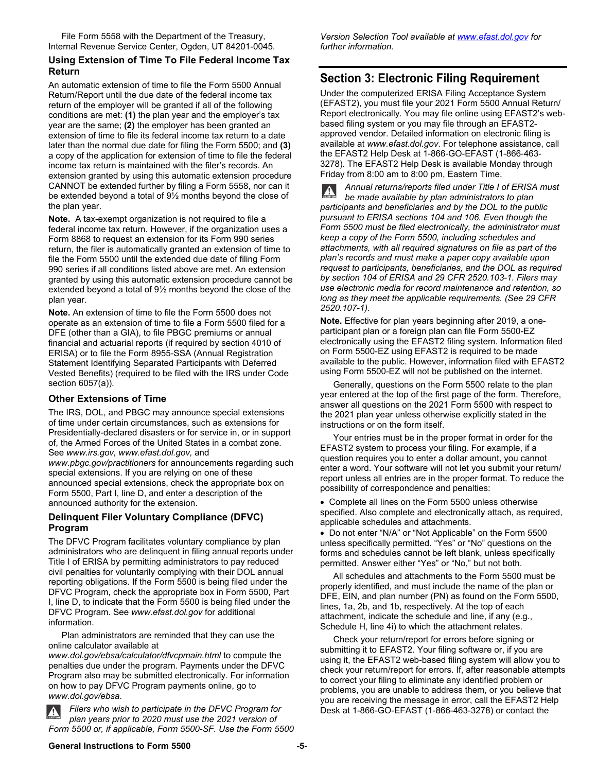File Form 5558 with the Department of the Treasury, Internal Revenue Service Center, Ogden, UT 84201-0045.

#### **Using Extension of Time To File Federal Income Tax Return**

An automatic extension of time to file the Form 5500 Annual Return/Report until the due date of the federal income tax return of the employer will be granted if all of the following conditions are met: **(1)** the plan year and the employer's tax year are the same; **(2)** the employer has been granted an extension of time to file its federal income tax return to a date later than the normal due date for filing the Form 5500; and **(3)** a copy of the application for extension of time to file the federal income tax return is maintained with the filer's records. An extension granted by using this automatic extension procedure CANNOT be extended further by filing a Form 5558, nor can it be extended beyond a total of 9½ months beyond the close of the plan year.

**Note.** A tax-exempt organization is not required to file a federal income tax return. However, if the organization uses a Form 8868 to request an extension for its Form 990 series return, the filer is automatically granted an extension of time to file the Form 5500 until the extended due date of filing Form 990 series if all conditions listed above are met. An extension granted by using this automatic extension procedure cannot be extended beyond a total of 9½ months beyond the close of the plan year.

**Note.** An extension of time to file the Form 5500 does not operate as an extension of time to file a Form 5500 filed for a DFE (other than a GIA), to file PBGC premiums or annual financial and actuarial reports (if required by section 4010 of ERISA) or to file the Form 8955-SSA (Annual Registration Statement Identifying Separated Participants with Deferred Vested Benefits) (required to be filed with the IRS under Code section 6057(a)).

#### **Other Extensions of Time**

The IRS, DOL, and PBGC may announce special extensions of time under certain circumstances, such as extensions for Presidentially-declared disasters or for service in, or in support of, the Armed Forces of the United States in a combat zone. See *www.irs.gov, www.efast.dol.gov,* and

*www.pbgc.gov/practitioners* for announcements regarding such special extensions. If you are relying on one of these announced special extensions, check the appropriate box on Form 5500, Part I, line D, and enter a description of the announced authority for the extension.

### **Delinquent Filer Voluntary Compliance (DFVC) Program**

The DFVC Program facilitates voluntary compliance by plan administrators who are delinquent in filing annual reports under Title I of ERISA by permitting administrators to pay reduced civil penalties for voluntarily complying with their DOL annual reporting obligations. If the Form 5500 is being filed under the DFVC Program, check the appropriate box in Form 5500, Part I, line D, to indicate that the Form 5500 is being filed under the DFVC Program. See *www.efast.dol.gov* for additional information.

 Plan administrators are reminded that they can use the online calculator available at

*www.dol.gov/ebsa/calculator/dfvcpmain.html* to compute the penalties due under the program. Payments under the DFVC Program also may be submitted electronically. For information on how to pay DFVC Program payments online, go to *www.dol.gov/ebsa*.

*Filers who wish to participate in the DFVC Program for plan years prior to 2020 must use the 2021 version of Form 5500 or, if applicable, Form 5500-SF. Use the Form 5500*  *Version Selection Tool available at www.efast.dol.gov for further information.* 

## **Section 3: Electronic Filing Requirement**

Under the computerized ERISA Filing Acceptance System (EFAST2), you must file your 2021 Form 5500 Annual Return/ Report electronically. You may file online using EFAST2's webbased filing system or you may file through an EFAST2 approved vendor. Detailed information on electronic filing is available at *www.efast.dol.gov*. For telephone assistance, call the EFAST2 Help Desk at 1-866-GO-EFAST (1-866-463- 3278). The EFAST2 Help Desk is available Monday through Friday from 8:00 am to 8:00 pm, Eastern Time.

*Annual returns/reports filed under Title I of ERISA must be made available by plan administrators to plan participants and beneficiaries and by the DOL to the public pursuant to ERISA sections 104 and 106. Even though the Form 5500 must be filed electronically, the administrator must keep a copy of the Form 5500, including schedules and attachments, with all required signatures on file as part of the plan's records and must make a paper copy available upon request to participants, beneficiaries, and the DOL as required by section 104 of ERISA and 29 CFR 2520.103-1. Filers may use electronic media for record maintenance and retention, so long as they meet the applicable requirements. (See 29 CFR 2520.107-1).* 

**Note.** Effective for plan years beginning after 2019, a oneparticipant plan or a foreign plan can file Form 5500-EZ electronically using the EFAST2 filing system. Information filed on Form 5500-EZ using EFAST2 is required to be made available to the public. However, information filed with EFAST2 using Form 5500-EZ will not be published on the internet.

 Generally, questions on the Form 5500 relate to the plan year entered at the top of the first page of the form. Therefore, answer all questions on the 2021 Form 5500 with respect to the 2021 plan year unless otherwise explicitly stated in the instructions or on the form itself.

 Your entries must be in the proper format in order for the EFAST2 system to process your filing. For example, if a question requires you to enter a dollar amount, you cannot enter a word. Your software will not let you submit your return/ report unless all entries are in the proper format. To reduce the possibility of correspondence and penalties:

 Complete all lines on the Form 5500 unless otherwise specified. Also complete and electronically attach, as required, applicable schedules and attachments.

 Do not enter "N/A" or "Not Applicable" on the Form 5500 unless specifically permitted. "Yes" or "No" questions on the forms and schedules cannot be left blank, unless specifically permitted. Answer either "Yes" or "No," but not both.

 All schedules and attachments to the Form 5500 must be properly identified, and must include the name of the plan or DFE, EIN, and plan number (PN) as found on the Form 5500, lines, 1a, 2b, and 1b, respectively. At the top of each attachment, indicate the schedule and line, if any (e.g., Schedule H, line 4i) to which the attachment relates.

 Check your return/report for errors before signing or submitting it to EFAST2. Your filing software or, if you are using it, the EFAST2 web-based filing system will allow you to check your return/report for errors. If, after reasonable attempts to correct your filing to eliminate any identified problem or problems, you are unable to address them, or you believe that you are receiving the message in error, call the EFAST2 Help Desk at 1-866-GO-EFAST (1-866-463-3278) or contact the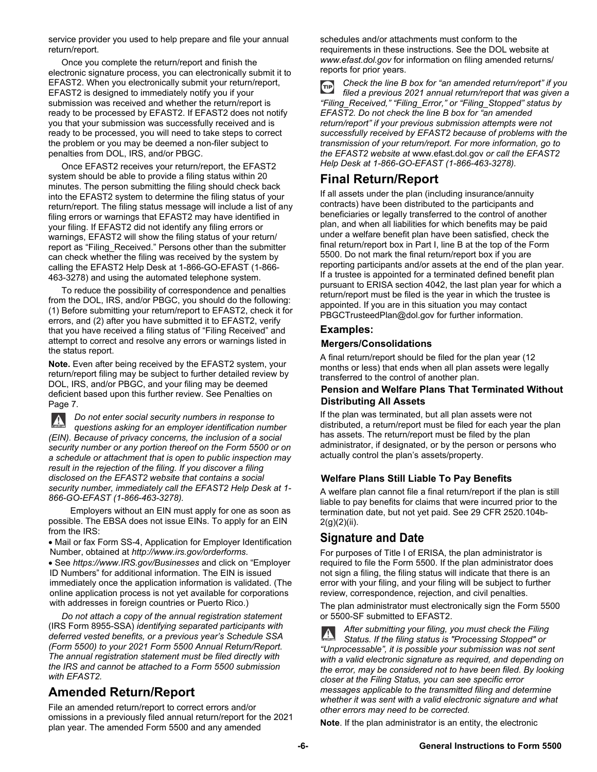service provider you used to help prepare and file your annual return/report.

 Once you complete the return/report and finish the electronic signature process, you can electronically submit it to EFAST2. When you electronically submit your return/report, EFAST2 is designed to immediately notify you if your submission was received and whether the return/report is ready to be processed by EFAST2. If EFAST2 does not notify you that your submission was successfully received and is ready to be processed, you will need to take steps to correct the problem or you may be deemed a non-filer subject to penalties from DOL, IRS, and/or PBGC.

 Once EFAST2 receives your return/report, the EFAST2 system should be able to provide a filing status within 20 minutes. The person submitting the filing should check back into the EFAST2 system to determine the filing status of your return/report. The filing status message will include a list of any filing errors or warnings that EFAST2 may have identified in your filing. If EFAST2 did not identify any filing errors or warnings, EFAST2 will show the filing status of your return/ report as "Filing\_Received." Persons other than the submitter can check whether the filing was received by the system by calling the EFAST2 Help Desk at 1-866-GO-EFAST (1-866- 463-3278) and using the automated telephone system.

 To reduce the possibility of correspondence and penalties from the DOL, IRS, and/or PBGC, you should do the following: (1) Before submitting your return/report to EFAST2, check it for errors, and (2) after you have submitted it to EFAST2, verify that you have received a filing status of "Filing Received" and attempt to correct and resolve any errors or warnings listed in the status report.

**Note.** Even after being received by the EFAST2 system, your return/report filing may be subject to further detailed review by DOL, IRS, and/or PBGC, and your filing may be deemed deficient based upon this further review. See Penalties on Page 7.

*Do not enter social security numbers in response to*   $\mathbf{A}$ *questions asking for an employer identification number (EIN). Because of privacy concerns, the inclusion of a social security number or any portion thereof on the Form 5500 or on a schedule or attachment that is open to public inspection may result in the rejection of the filing. If you discover a filing disclosed on the EFAST2 website that contains a social security number, immediately call the EFAST2 Help Desk at 1- 866-GO-EFAST (1-866-463-3278).*

 Employers without an EIN must apply for one as soon as possible. The EBSA does not issue EINs. To apply for an EIN from the IRS:

 Mail or fax Form SS-4, Application for Employer Identification Number, obtained at *http://www.irs.gov/orderforms*.

 See *https://www.IRS.gov/Businesses* and click on "Employer ID Numbers" for additional information. The EIN is issued immediately once the application information is validated. (The online application process is not yet available for corporations with addresses in foreign countries or Puerto Rico.)

 *Do not attach a copy of the annual registration statement* (IRS Form 8955-SSA) *identifying separated participants with deferred vested benefits, or a previous year's Schedule SSA (Form 5500) to your 2021 Form 5500 Annual Return/Report. The annual registration statement must be filed directly with the IRS and cannot be attached to a Form 5500 submission with EFAST2.*

## **Amended Return/Report**

File an amended return/report to correct errors and/or omissions in a previously filed annual return/report for the 2021 plan year. The amended Form 5500 and any amended

schedules and/or attachments must conform to the requirements in these instructions. See the DOL website at *www.efast.dol.gov* for information on filing amended returns/ reports for prior years.

*Check the line B box for "an amended return/report" if you*   $(TIP)$ *filed a previous 2021 annual return/report that was given a "Filing\_Received," "Filing\_Error," or "Filing\_Stopped" status by EFAST2. Do not check the line B box for "an amended return/report" if your previous submission attempts were not successfully received by EFAST2 because of problems with the transmission of your return/report. For more information, go to the EFAST2 website at* www.efast.dol.gov *or call the EFAST2 Help Desk at 1-866-GO-EFAST (1-866-463-3278).* 

## **Final Return/Report**

If all assets under the plan (including insurance/annuity contracts) have been distributed to the participants and beneficiaries or legally transferred to the control of another plan, and when all liabilities for which benefits may be paid under a welfare benefit plan have been satisfied, check the final return/report box in Part I, line B at the top of the Form 5500. Do not mark the final return/report box if you are reporting participants and/or assets at the end of the plan year. If a trustee is appointed for a terminated defined benefit plan pursuant to ERISA section 4042, the last plan year for which a return/report must be filed is the year in which the trustee is appointed. If you are in this situation you may contact PBGCTrusteedPlan@dol.gov for further information.

### **Examples:**

### **Mergers/Consolidations**

A final return/report should be filed for the plan year (12 months or less) that ends when all plan assets were legally transferred to the control of another plan.

#### **Pension and Welfare Plans That Terminated Without Distributing All Assets**

If the plan was terminated, but all plan assets were not distributed, a return/report must be filed for each year the plan has assets. The return/report must be filed by the plan administrator, if designated, or by the person or persons who actually control the plan's assets/property.

### **Welfare Plans Still Liable To Pay Benefits**

A welfare plan cannot file a final return/report if the plan is still liable to pay benefits for claims that were incurred prior to the termination date, but not yet paid. See 29 CFR 2520.104b-2(g)(2)(ii).

## **Signature and Date**

For purposes of Title I of ERISA, the plan administrator is required to file the Form 5500. If the plan administrator does not sign a filing, the filing status will indicate that there is an error with your filing, and your filing will be subject to further review, correspondence, rejection, and civil penalties.

The plan administrator must electronically sign the Form 5500 or 5500-SF submitted to EFAST2.

*After submitting your filing, you must check the Filing Status. If the filing status is "Processing Stopped" or "Unprocessable", it is possible your submission was not sent with a valid electronic signature as required, and depending on the error, may be considered not to have been filed. By looking closer at the Filing Status, you can see specific error messages applicable to the transmitted filing and determine whether it was sent with a valid electronic signature and what other errors may need to be corrected.* 

**Note**. If the plan administrator is an entity, the electronic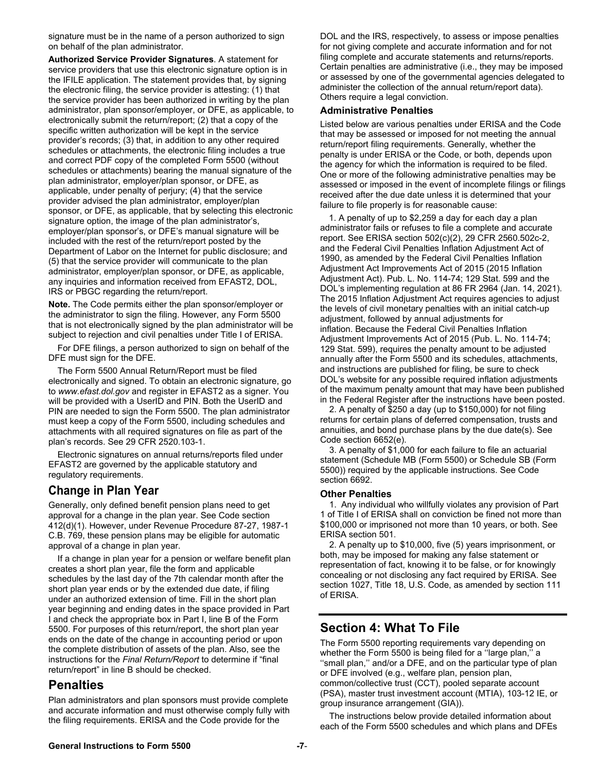signature must be in the name of a person authorized to sign on behalf of the plan administrator.

**Authorized Service Provider Signatures**. A statement for service providers that use this electronic signature option is in the IFILE application. The statement provides that, by signing the electronic filing, the service provider is attesting: (1) that the service provider has been authorized in writing by the plan administrator, plan sponsor/employer, or DFE, as applicable, to electronically submit the return/report; (2) that a copy of the specific written authorization will be kept in the service provider's records; (3) that, in addition to any other required schedules or attachments, the electronic filing includes a true and correct PDF copy of the completed Form 5500 (without schedules or attachments) bearing the manual signature of the plan administrator, employer/plan sponsor, or DFE, as applicable, under penalty of perjury; (4) that the service provider advised the plan administrator, employer/plan sponsor, or DFE, as applicable, that by selecting this electronic signature option, the image of the plan administrator's, employer/plan sponsor's, or DFE's manual signature will be included with the rest of the return/report posted by the Department of Labor on the Internet for public disclosure; and (5) that the service provider will communicate to the plan administrator, employer/plan sponsor, or DFE, as applicable, any inquiries and information received from EFAST2, DOL, IRS or PBGC regarding the return/report.

**Note.** The Code permits either the plan sponsor/employer or the administrator to sign the filing. However, any Form 5500 that is not electronically signed by the plan administrator will be subject to rejection and civil penalties under Title I of ERISA.

For DFE filings, a person authorized to sign on behalf of the DFE must sign for the DFE.

The Form 5500 Annual Return/Report must be filed electronically and signed. To obtain an electronic signature, go to *www.efast.dol.gov* and register in EFAST2 as a signer. You will be provided with a UserID and PIN. Both the UserID and PIN are needed to sign the Form 5500. The plan administrator must keep a copy of the Form 5500, including schedules and attachments with all required signatures on file as part of the plan's records. See 29 CFR 2520.103-1.

Electronic signatures on annual returns/reports filed under EFAST2 are governed by the applicable statutory and regulatory requirements.

## **Change in Plan Year**

Generally, only defined benefit pension plans need to get approval for a change in the plan year. See Code section 412(d)(1). However, under Revenue Procedure 87-27, 1987-1 C.B. 769, these pension plans may be eligible for automatic approval of a change in plan year.

If a change in plan year for a pension or welfare benefit plan creates a short plan year, file the form and applicable schedules by the last day of the 7th calendar month after the short plan year ends or by the extended due date, if filing under an authorized extension of time. Fill in the short plan year beginning and ending dates in the space provided in Part I and check the appropriate box in Part I, line B of the Form 5500. For purposes of this return/report, the short plan year ends on the date of the change in accounting period or upon the complete distribution of assets of the plan. Also, see the instructions for the *Final Return/Report* to determine if "final return/report" in line B should be checked.

## **Penalties**

Plan administrators and plan sponsors must provide complete and accurate information and must otherwise comply fully with the filing requirements. ERISA and the Code provide for the

DOL and the IRS, respectively, to assess or impose penalties for not giving complete and accurate information and for not filing complete and accurate statements and returns/reports. Certain penalties are administrative (i.e., they may be imposed or assessed by one of the governmental agencies delegated to administer the collection of the annual return/report data). Others require a legal conviction.

#### **Administrative Penalties**

Listed below are various penalties under ERISA and the Code that may be assessed or imposed for not meeting the annual return/report filing requirements. Generally, whether the penalty is under ERISA or the Code, or both, depends upon the agency for which the information is required to be filed. One or more of the following administrative penalties may be assessed or imposed in the event of incomplete filings or filings received after the due date unless it is determined that your failure to file properly is for reasonable cause:

1. A penalty of up to \$2,259 a day for each day a plan administrator fails or refuses to file a complete and accurate report. See ERISA section 502(c)(2), 29 CFR 2560.502c-2, and the Federal Civil Penalties Inflation Adjustment Act of 1990, as amended by the Federal Civil Penalties Inflation Adjustment Act Improvements Act of 2015 (2015 Inflation Adjustment Act). Pub. L. No. 114-74; 129 Stat. 599 and the DOL's implementing regulation at 86 FR 2964 (Jan. 14, 2021). The 2015 Inflation Adjustment Act requires agencies to adjust the levels of civil monetary penalties with an initial catch-up adjustment, followed by annual adjustments for inflation. Because the Federal Civil Penalties Inflation Adjustment Improvements Act of 2015 (Pub. L. No. 114-74; 129 Stat. 599), requires the penalty amount to be adjusted annually after the Form 5500 and its schedules, attachments, and instructions are published for filing, be sure to check DOL's website for any possible required inflation adjustments of the maximum penalty amount that may have been published in the Federal Register after the instructions have been posted.

2. A penalty of \$250 a day (up to \$150,000) for not filing returns for certain plans of deferred compensation, trusts and annuities, and bond purchase plans by the due date(s). See Code section 6652(e).

3. A penalty of \$1,000 for each failure to file an actuarial statement (Schedule MB (Form 5500) or Schedule SB (Form 5500)) required by the applicable instructions. See Code section 6692.

#### **Other Penalties**

1. Any individual who willfully violates any provision of Part 1 of Title I of ERISA shall on conviction be fined not more than \$100,000 or imprisoned not more than 10 years, or both. See ERISA section 501.

2. A penalty up to \$10,000, five (5) years imprisonment, or both, may be imposed for making any false statement or representation of fact, knowing it to be false, or for knowingly concealing or not disclosing any fact required by ERISA. See section 1027, Title 18, U.S. Code, as amended by section 111 of ERISA.

## **Section 4: What To File**

The Form 5500 reporting requirements vary depending on whether the Form 5500 is being filed for a "large plan," a "small plan," and/or a DFE, and on the particular type of plan or DFE involved (e.g., welfare plan, pension plan, common/collective trust (CCT), pooled separate account (PSA), master trust investment account (MTIA), 103-12 IE, or group insurance arrangement (GIA)).

The instructions below provide detailed information about each of the Form 5500 schedules and which plans and DFEs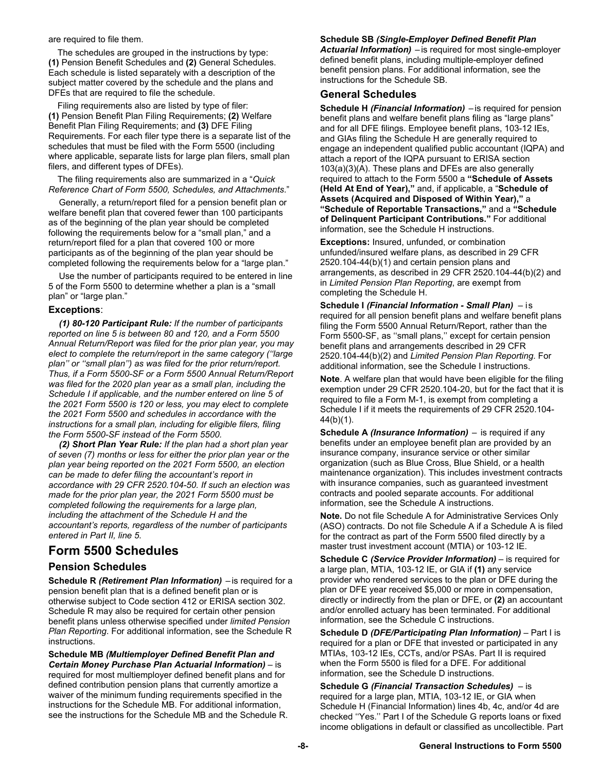are required to file them.

The schedules are grouped in the instructions by type: **(1)** Pension Benefit Schedules and **(2)** General Schedules. Each schedule is listed separately with a description of the subject matter covered by the schedule and the plans and DFEs that are required to file the schedule.

Filing requirements also are listed by type of filer: **(1)** Pension Benefit Plan Filing Requirements; **(2)** Welfare Benefit Plan Filing Requirements; and **(3)** DFE Filing Requirements. For each filer type there is a separate list of the schedules that must be filed with the Form 5500 (including where applicable, separate lists for large plan filers, small plan filers, and different types of DFEs).

The filing requirements also are summarized in a "*Quick Reference Chart of Form 5500, Schedules, and Attachments*."

Generally, a return/report filed for a pension benefit plan or welfare benefit plan that covered fewer than 100 participants as of the beginning of the plan year should be completed following the requirements below for a "small plan," and a return/report filed for a plan that covered 100 or more participants as of the beginning of the plan year should be completed following the requirements below for a "large plan."

Use the number of participants required to be entered in line 5 of the Form 5500 to determine whether a plan is a "small plan" or "large plan."

#### **Exceptions**:

*(1) 80-120 Participant Rule: If the number of participants reported on line 5 is between 80 and 120, and a Form 5500 Annual Return/Report was filed for the prior plan year, you may elect to complete the return/report in the same category (''large plan'' or ''small plan'') as was filed for the prior return/report. Thus, if a Form 5500-SF or a Form 5500 Annual Return/Report was filed for the 2020 plan year as a small plan, including the Schedule I if applicable, and the number entered on line 5 of the 2021 Form 5500 is 120 or less, you may elect to complete the 2021 Form 5500 and schedules in accordance with the instructions for a small plan, including for eligible filers, filing the Form 5500-SF instead of the Form 5500.* 

*(2) Short Plan Year Rule: If the plan had a short plan year of seven (7) months or less for either the prior plan year or the plan year being reported on the 2021 Form 5500, an election can be made to defer filing the accountant's report in accordance with 29 CFR 2520.104-50. If such an election was made for the prior plan year, the 2021 Form 5500 must be completed following the requirements for a large plan, including the attachment of the Schedule H and the accountant's reports, regardless of the number of participants entered in Part II, line 5*.

## **Form 5500 Schedules**

### **Pension Schedules**

**Schedule R** *(Retirement Plan Information)* – is required for a pension benefit plan that is a defined benefit plan or is otherwise subject to Code section 412 or ERISA section 302. Schedule R may also be required for certain other pension benefit plans unless otherwise specified under *limited Pension Plan Reporting*. For additional information, see the Schedule R instructions.

**Schedule MB** *(Multiemployer Defined Benefit Plan and Certain Money Purchase Plan Actuarial Information)* – is required for most multiemployer defined benefit plans and for defined contribution pension plans that currently amortize a waiver of the minimum funding requirements specified in the instructions for the Schedule MB. For additional information, see the instructions for the Schedule MB and the Schedule R.

#### **Schedule SB** *(Single-Employer Defined Benefit Plan Actuarial Information)* – is required for most single-employer defined benefit plans, including multiple-employer defined benefit pension plans. For additional information, see the

## **General Schedules**

instructions for the Schedule SB.

**Schedule H** *(Financial Information)* – is required for pension benefit plans and welfare benefit plans filing as "large plans" and for all DFE filings. Employee benefit plans, 103-12 IEs, and GIAs filing the Schedule H are generally required to engage an independent qualified public accountant (IQPA) and attach a report of the IQPA pursuant to ERISA section 103(a)(3)(A). These plans and DFEs are also generally required to attach to the Form 5500 a **"Schedule of Assets (Held At End of Year),"** and, if applicable, a "**Schedule of Assets (Acquired and Disposed of Within Year),"** a **"Schedule of Reportable Transactions,"** and a **"Schedule of Delinquent Participant Contributions."** For additional information, see the Schedule H instructions.

**Exceptions:** Insured, unfunded, or combination unfunded/insured welfare plans, as described in 29 CFR 2520.104-44(b)(1) and certain pension plans and arrangements, as described in 29 CFR 2520.104-44(b)(2) and in *Limited Pension Plan Reporting*, are exempt from completing the Schedule H.

**Schedule I** *(Financial Information - Small Plan)* – is required for all pension benefit plans and welfare benefit plans filing the Form 5500 Annual Return/Report, rather than the Form 5500-SF, as ''small plans,'' except for certain pension benefit plans and arrangements described in 29 CFR 2520.104-44(b)(2) and *Limited Pension Plan Reporting*. For additional information, see the Schedule I instructions.

**Note**. A welfare plan that would have been eligible for the filing exemption under 29 CFR 2520.104-20, but for the fact that it is required to file a Form M-1, is exempt from completing a Schedule I if it meets the requirements of 29 CFR 2520.104- 44(b)(1).

**Schedule A** *(Insurance Information)* – is required if any benefits under an employee benefit plan are provided by an insurance company, insurance service or other similar organization (such as Blue Cross, Blue Shield, or a health maintenance organization). This includes investment contracts with insurance companies, such as guaranteed investment contracts and pooled separate accounts. For additional information, see the Schedule A instructions.

**Note.** Do not file Schedule A for Administrative Services Only (ASO) contracts. Do not file Schedule A if a Schedule A is filed for the contract as part of the Form 5500 filed directly by a master trust investment account (MTIA) or 103-12 IE.

**Schedule C** *(Service Provider Information)* – is required for a large plan, MTIA, 103-12 IE, or GIA if **(1)** any service provider who rendered services to the plan or DFE during the plan or DFE year received \$5,000 or more in compensation, directly or indirectly from the plan or DFE, or **(2)** an accountant and/or enrolled actuary has been terminated. For additional information, see the Schedule C instructions.

**Schedule D** *(DFE/Participating Plan Information)* – Part I is required for a plan or DFE that invested or participated in any MTIAs, 103-12 IEs, CCTs, and/or PSAs. Part II is required when the Form 5500 is filed for a DFE. For additional information, see the Schedule D instructions.

**Schedule G** *(Financial Transaction Schedules)* – is required for a large plan, MTIA, 103-12 IE, or GIA when Schedule H (Financial Information) lines 4b, 4c, and/or 4d are checked ''Yes.'' Part I of the Schedule G reports loans or fixed income obligations in default or classified as uncollectible. Part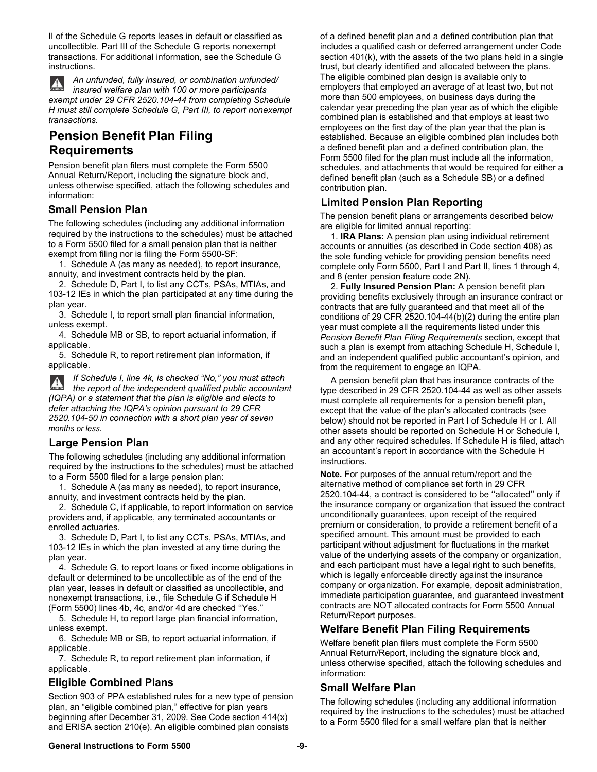II of the Schedule G reports leases in default or classified as uncollectible. Part III of the Schedule G reports nonexempt transactions. For additional information, see the Schedule G instructions.

*An unfunded, fully insured, or combination unfunded/ insured welfare plan with 100 or more participants exempt under 29 CFR 2520.104-44 from completing Schedule H must still complete Schedule G, Part III, to report nonexempt transactions.* 

## **Pension Benefit Plan Filing Requirements**

Pension benefit plan filers must complete the Form 5500 Annual Return/Report, including the signature block and, unless otherwise specified, attach the following schedules and information:

### **Small Pension Plan**

The following schedules (including any additional information required by the instructions to the schedules) must be attached to a Form 5500 filed for a small pension plan that is neither exempt from filing nor is filing the Form 5500-SF:

1. Schedule A (as many as needed), to report insurance, annuity, and investment contracts held by the plan.

2. Schedule D, Part I, to list any CCTs, PSAs, MTIAs, and 103-12 IEs in which the plan participated at any time during the plan year.

3. Schedule I, to report small plan financial information, unless exempt.

4. Schedule MB or SB, to report actuarial information, if applicable.

5. Schedule R, to report retirement plan information, if applicable.

*If Schedule I, line 4k, is checked "No," you must attach*   $\mathbf{A}$ *the report of the independent qualified public accountant (IQPA) or a statement that the plan is eligible and elects to defer attaching the IQPA's opinion pursuant to 29 CFR 2520.104-50 in connection with a short plan year of seven months or less.*

### **Large Pension Plan**

The following schedules (including any additional information required by the instructions to the schedules) must be attached to a Form 5500 filed for a large pension plan:

1. Schedule A (as many as needed), to report insurance, annuity, and investment contracts held by the plan.

2. Schedule C, if applicable, to report information on service providers and, if applicable, any terminated accountants or enrolled actuaries.

3. Schedule D, Part I, to list any CCTs, PSAs, MTIAs, and 103-12 IEs in which the plan invested at any time during the plan year.

4. Schedule G, to report loans or fixed income obligations in default or determined to be uncollectible as of the end of the plan year, leases in default or classified as uncollectible, and nonexempt transactions, i.e., file Schedule G if Schedule H (Form 5500) lines 4b, 4c, and/or 4d are checked ''Yes.''

5. Schedule H, to report large plan financial information, unless exempt.

6. Schedule MB or SB, to report actuarial information, if applicable.

7. Schedule R, to report retirement plan information, if applicable.

## **Eligible Combined Plans**

Section 903 of PPA established rules for a new type of pension plan, an "eligible combined plan," effective for plan years beginning after December 31, 2009. See Code section 414(x) and ERISA section 210(e). An eligible combined plan consists

of a defined benefit plan and a defined contribution plan that includes a qualified cash or deferred arrangement under Code section 401(k), with the assets of the two plans held in a single trust, but clearly identified and allocated between the plans. The eligible combined plan design is available only to employers that employed an average of at least two, but not more than 500 employees, on business days during the calendar year preceding the plan year as of which the eligible combined plan is established and that employs at least two employees on the first day of the plan year that the plan is established. Because an eligible combined plan includes both a defined benefit plan and a defined contribution plan, the Form 5500 filed for the plan must include all the information, schedules, and attachments that would be required for either a defined benefit plan (such as a Schedule SB) or a defined contribution plan.

## **Limited Pension Plan Reporting**

The pension benefit plans or arrangements described below are eligible for limited annual reporting:

1. **IRA Plans:** A pension plan using individual retirement accounts or annuities (as described in Code section 408) as the sole funding vehicle for providing pension benefits need complete only Form 5500, Part I and Part II, lines 1 through 4, and 8 (enter pension feature code 2N).

2. **Fully Insured Pension Plan:** A pension benefit plan providing benefits exclusively through an insurance contract or contracts that are fully guaranteed and that meet all of the conditions of 29 CFR 2520.104-44(b)(2) during the entire plan year must complete all the requirements listed under this *Pension Benefit Plan Filing Requirements* section, except that such a plan is exempt from attaching Schedule H, Schedule I, and an independent qualified public accountant's opinion, and from the requirement to engage an IQPA.

A pension benefit plan that has insurance contracts of the type described in 29 CFR 2520.104-44 as well as other assets must complete all requirements for a pension benefit plan, except that the value of the plan's allocated contracts (see below) should not be reported in Part I of Schedule H or I. All other assets should be reported on Schedule H or Schedule I, and any other required schedules. If Schedule H is filed, attach an accountant's report in accordance with the Schedule H instructions.

**Note.** For purposes of the annual return/report and the alternative method of compliance set forth in 29 CFR 2520.104-44, a contract is considered to be ''allocated'' only if the insurance company or organization that issued the contract unconditionally guarantees, upon receipt of the required premium or consideration, to provide a retirement benefit of a specified amount. This amount must be provided to each participant without adjustment for fluctuations in the market value of the underlying assets of the company or organization, and each participant must have a legal right to such benefits, which is legally enforceable directly against the insurance company or organization. For example, deposit administration, immediate participation guarantee, and guaranteed investment contracts are NOT allocated contracts for Form 5500 Annual Return/Report purposes.

### **Welfare Benefit Plan Filing Requirements**

Welfare benefit plan filers must complete the Form 5500 Annual Return/Report, including the signature block and, unless otherwise specified, attach the following schedules and information:

### **Small Welfare Plan**

The following schedules (including any additional information required by the instructions to the schedules) must be attached to a Form 5500 filed for a small welfare plan that is neither

#### **General Instructions to Form 5500 -9**-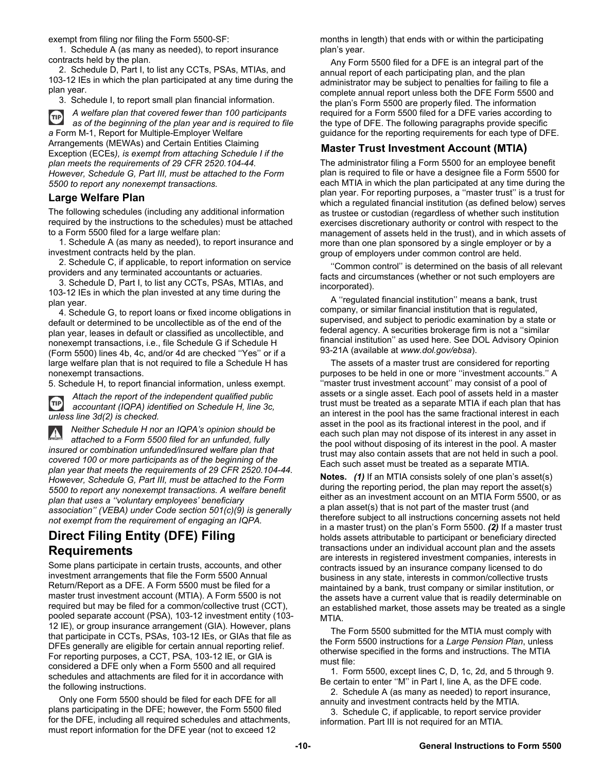exempt from filing nor filing the Form 5500-SF:

1. Schedule A (as many as needed), to report insurance contracts held by the plan.

2. Schedule D, Part I, to list any CCTs, PSAs, MTIAs, and 103-12 IEs in which the plan participated at any time during the plan year.

3. Schedule I, to report small plan financial information.

*A welfare plan that covered fewer than 100 participants*   $(TIP)$ *as of the beginning of the plan year and is required to file a* Form M-1, Report for Multiple-Employer Welfare Arrangements (MEWAs) and Certain Entities Claiming

Exception (ECEs*), is exempt from attaching Schedule I if the plan meets the requirements of 29 CFR 2520.104-44. However, Schedule G, Part III, must be attached to the Form 5500 to report any nonexempt transactions.* 

### **Large Welfare Plan**

The following schedules (including any additional information required by the instructions to the schedules) must be attached to a Form 5500 filed for a large welfare plan:

1. Schedule A (as many as needed), to report insurance and investment contracts held by the plan.

2. Schedule C, if applicable, to report information on service providers and any terminated accountants or actuaries.

3. Schedule D, Part I, to list any CCTs, PSAs, MTIAs, and 103-12 IEs in which the plan invested at any time during the plan year.

4. Schedule G, to report loans or fixed income obligations in default or determined to be uncollectible as of the end of the plan year, leases in default or classified as uncollectible, and nonexempt transactions, i.e., file Schedule G if Schedule H (Form 5500) lines 4b, 4c, and/or 4d are checked ''Yes'' or if a large welfare plan that is not required to file a Schedule H has nonexempt transactions.

5. Schedule H, to report financial information, unless exempt.



*Attach the report of the independent qualified public accountant (IQPA) identified on Schedule H, line 3c, unless line 3d(2) is checked.* 

*Neither Schedule H nor an IQPA's opinion should be*   $\blacktriangle$ *attached to a Form 5500 filed for an unfunded, fully insured or combination unfunded/insured welfare plan that covered 100 or more participants as of the beginning of the plan year that meets the requirements of 29 CFR 2520.104-44. However, Schedule G, Part III, must be attached to the Form 5500 to report any nonexempt transactions. A welfare benefit plan that uses a ''voluntary employees' beneficiary association'' (VEBA) under Code section 501(c)(9) is generally not exempt from the requirement of engaging an IQPA.*

## **Direct Filing Entity (DFE) Filing Requirements**

Some plans participate in certain trusts, accounts, and other investment arrangements that file the Form 5500 Annual Return/Report as a DFE. A Form 5500 must be filed for a master trust investment account (MTIA). A Form 5500 is not required but may be filed for a common/collective trust (CCT), pooled separate account (PSA), 103-12 investment entity (103- 12 IE), or group insurance arrangement (GIA). However, plans that participate in CCTs, PSAs, 103-12 IEs, or GIAs that file as DFEs generally are eligible for certain annual reporting relief. For reporting purposes, a CCT, PSA, 103-12 IE, or GIA is considered a DFE only when a Form 5500 and all required schedules and attachments are filed for it in accordance with the following instructions.

Only one Form 5500 should be filed for each DFE for all plans participating in the DFE; however, the Form 5500 filed for the DFE, including all required schedules and attachments, must report information for the DFE year (not to exceed 12

months in length) that ends with or within the participating plan's year.

Any Form 5500 filed for a DFE is an integral part of the annual report of each participating plan, and the plan administrator may be subject to penalties for failing to file a complete annual report unless both the DFE Form 5500 and the plan's Form 5500 are properly filed. The information required for a Form 5500 filed for a DFE varies according to the type of DFE. The following paragraphs provide specific guidance for the reporting requirements for each type of DFE.

## **Master Trust Investment Account (MTIA)**

The administrator filing a Form 5500 for an employee benefit plan is required to file or have a designee file a Form 5500 for each MTIA in which the plan participated at any time during the plan year. For reporting purposes, a ''master trust'' is a trust for which a regulated financial institution (as defined below) serves as trustee or custodian (regardless of whether such institution exercises discretionary authority or control with respect to the management of assets held in the trust), and in which assets of more than one plan sponsored by a single employer or by a group of employers under common control are held.

"Common control" is determined on the basis of all relevant facts and circumstances (whether or not such employers are incorporated).

A ''regulated financial institution'' means a bank, trust company, or similar financial institution that is regulated, supervised, and subject to periodic examination by a state or federal agency. A securities brokerage firm is not a ''similar financial institution'' as used here. See DOL Advisory Opinion 93-21A (available at *www.dol.gov/ebsa*).

The assets of a master trust are considered for reporting purposes to be held in one or more ''investment accounts.'' A ''master trust investment account'' may consist of a pool of assets or a single asset. Each pool of assets held in a master trust must be treated as a separate MTIA if each plan that has an interest in the pool has the same fractional interest in each asset in the pool as its fractional interest in the pool, and if each such plan may not dispose of its interest in any asset in the pool without disposing of its interest in the pool. A master trust may also contain assets that are not held in such a pool. Each such asset must be treated as a separate MTIA.

**Notes.** *(1)* If an MTIA consists solely of one plan's asset(s) during the reporting period, the plan may report the asset(s) either as an investment account on an MTIA Form 5500, or as a plan asset(s) that is not part of the master trust (and therefore subject to all instructions concerning assets not held in a master trust) on the plan's Form 5500. *(2)* If a master trust holds assets attributable to participant or beneficiary directed transactions under an individual account plan and the assets are interests in registered investment companies, interests in contracts issued by an insurance company licensed to do business in any state, interests in common/collective trusts maintained by a bank, trust company or similar institution, or the assets have a current value that is readily determinable on an established market, those assets may be treated as a single MTIA.

The Form 5500 submitted for the MTIA must comply with the Form 5500 instructions for a *Large Pension Plan*, unless otherwise specified in the forms and instructions. The MTIA must file:

1. Form 5500, except lines C, D, 1c, 2d, and 5 through 9. Be certain to enter ''M'' in Part I, line A, as the DFE code.

2. Schedule A (as many as needed) to report insurance, annuity and investment contracts held by the MTIA.

3. Schedule C, if applicable, to report service provider information. Part III is not required for an MTIA.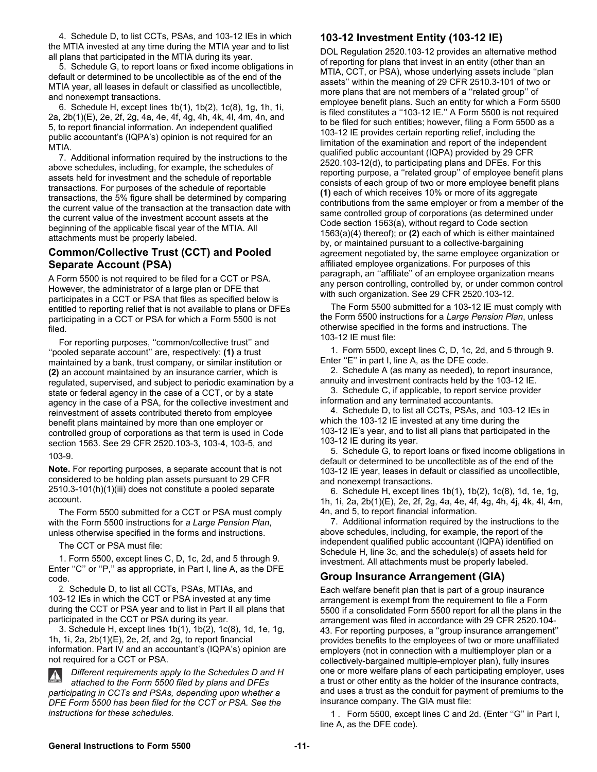4. Schedule D, to list CCTs, PSAs, and 103-12 IEs in which the MTIA invested at any time during the MTIA year and to list all plans that participated in the MTIA during its year.

5. Schedule G, to report loans or fixed income obligations in default or determined to be uncollectible as of the end of the MTIA year, all leases in default or classified as uncollectible, and nonexempt transactions.

6. Schedule H, except lines 1b(1), 1b(2), 1c(8), 1g, 1h, 1i, 2a, 2b(1)(E), 2e, 2f, 2g, 4a, 4e, 4f, 4g, 4h, 4k, 4l, 4m, 4n, and 5, to report financial information. An independent qualified public accountant's (IQPA's) opinion is not required for an MTIA.

7. Additional information required by the instructions to the above schedules, including, for example, the schedules of assets held for investment and the schedule of reportable transactions. For purposes of the schedule of reportable transactions, the 5% figure shall be determined by comparing the current value of the transaction at the transaction date with the current value of the investment account assets at the beginning of the applicable fiscal year of the MTIA. All attachments must be properly labeled.

### **Common/Collective Trust (CCT) and Pooled Separate Account (PSA)**

A Form 5500 is not required to be filed for a CCT or PSA. However, the administrator of a large plan or DFE that participates in a CCT or PSA that files as specified below is entitled to reporting relief that is not available to plans or DFEs participating in a CCT or PSA for which a Form 5500 is not filed.

For reporting purposes, ''common/collective trust'' and ''pooled separate account'' are, respectively: **(1)** a trust maintained by a bank, trust company, or similar institution or **(2)** an account maintained by an insurance carrier, which is regulated, supervised, and subject to periodic examination by a state or federal agency in the case of a CCT, or by a state agency in the case of a PSA, for the collective investment and reinvestment of assets contributed thereto from employee benefit plans maintained by more than one employer or controlled group of corporations as that term is used in Code section 1563. See 29 CFR 2520.103-3, 103-4, 103-5, and 103-9.

**Note.** For reporting purposes, a separate account that is not considered to be holding plan assets pursuant to 29 CFR 2510.3-101(h)(1)(iii) does not constitute a pooled separate account.

The Form 5500 submitted for a CCT or PSA must comply with the Form 5500 instructions for *a Large Pension Plan*, unless otherwise specified in the forms and instructions.

The CCT or PSA must file:

1. Form 5500, except lines C, D, 1c, 2d, and 5 through 9. Enter "C" or "P," as appropriate, in Part I, line A, as the DFE code.

2. Schedule D, to list all CCTs, PSAs, MTIAs, and 103-12 IEs in which the CCT or PSA invested at any time during the CCT or PSA year and to list in Part II all plans that participated in the CCT or PSA during its year.

3. Schedule H, except lines 1b(1), 1b(2), 1c(8), 1d, 1e, 1g, 1h, 1i, 2a, 2b(1)(E), 2e, 2f, and 2g, to report financial information. Part IV and an accountant's (IQPA's) opinion are not required for a CCT or PSA.

*Different requirements apply to the Schedules D and H attached to the Form 5500 filed by plans and DFEs participating in CCTs and PSAs, depending upon whether a DFE Form 5500 has been filed for the CCT or PSA. See the instructions for these schedules.* 

## **103-12 Investment Entity (103-12 IE)**

DOL Regulation 2520.103-12 provides an alternative method of reporting for plans that invest in an entity (other than an MTIA, CCT, or PSA), whose underlying assets include ''plan assets'' within the meaning of 29 CFR 2510.3-101 of two or more plans that are not members of a ''related group'' of employee benefit plans. Such an entity for which a Form 5500 is filed constitutes a ''103-12 IE.'' A Form 5500 is not required to be filed for such entities; however, filing a Form 5500 as a 103-12 IE provides certain reporting relief, including the limitation of the examination and report of the independent qualified public accountant (IQPA) provided by 29 CFR 2520.103-12(d), to participating plans and DFEs. For this reporting purpose, a ''related group'' of employee benefit plans consists of each group of two or more employee benefit plans **(1)** each of which receives 10% or more of its aggregate contributions from the same employer or from a member of the same controlled group of corporations (as determined under Code section 1563(a), without regard to Code section 1563(a)(4) thereof); or **(2)** each of which is either maintained by, or maintained pursuant to a collective-bargaining agreement negotiated by, the same employee organization or affiliated employee organizations. For purposes of this paragraph, an ''affiliate'' of an employee organization means any person controlling, controlled by, or under common control with such organization. See 29 CFR 2520.103-12.

The Form 5500 submitted for a 103-12 IE must comply with the Form 5500 instructions for a *Large Pension Plan*, unless otherwise specified in the forms and instructions. The 103-12 IE must file:

1. Form 5500, except lines C, D, 1c, 2d, and 5 through 9. Enter "E" in part I, line A, as the DFE code.

2. Schedule A (as many as needed), to report insurance, annuity and investment contracts held by the 103-12 IE.

3. Schedule C, if applicable, to report service provider information and any terminated accountants.

4. Schedule D, to list all CCTs, PSAs, and 103-12 IEs in which the 103-12 IE invested at any time during the 103-12 IE's year, and to list all plans that participated in the 103-12 IE during its year.

5. Schedule G, to report loans or fixed income obligations in default or determined to be uncollectible as of the end of the 103-12 IE year, leases in default or classified as uncollectible, and nonexempt transactions.

6. Schedule H, except lines 1b(1), 1b(2), 1c(8), 1d, 1e, 1g, 1h, 1i, 2a, 2b(1)(E), 2e, 2f, 2g, 4a, 4e, 4f, 4g, 4h, 4j, 4k, 4l, 4m, 4n, and 5, to report financial information.

7. Additional information required by the instructions to the above schedules, including, for example, the report of the independent qualified public accountant (IQPA) identified on Schedule H, line 3c, and the schedule(s) of assets held for investment. All attachments must be properly labeled.

### **Group Insurance Arrangement (GIA)**

Each welfare benefit plan that is part of a group insurance arrangement is exempt from the requirement to file a Form 5500 if a consolidated Form 5500 report for all the plans in the arrangement was filed in accordance with 29 CFR 2520.104- 43. For reporting purposes, a ''group insurance arrangement'' provides benefits to the employees of two or more unaffiliated employers (not in connection with a multiemployer plan or a collectively-bargained multiple-employer plan), fully insures one or more welfare plans of each participating employer, uses a trust or other entity as the holder of the insurance contracts, and uses a trust as the conduit for payment of premiums to the insurance company. The GIA must file:

1 . Form 5500, except lines C and 2d. (Enter ''G'' in Part I, line A, as the DFE code).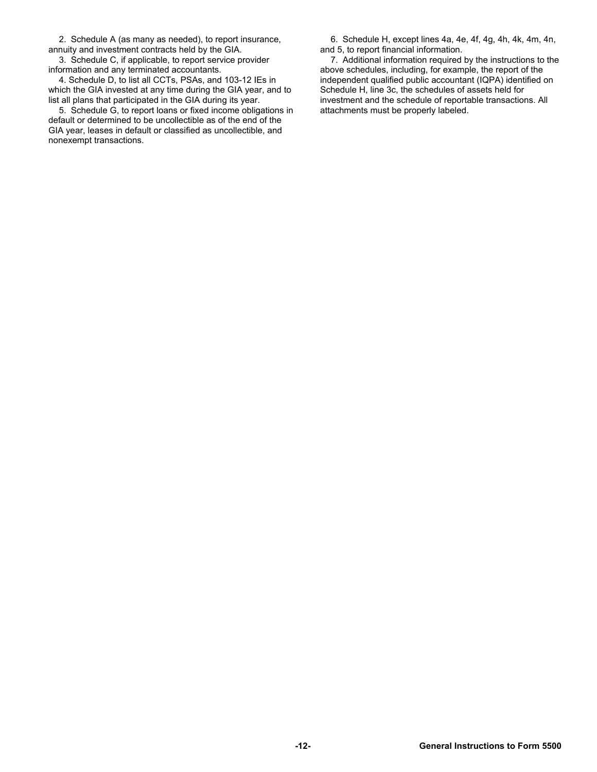2. Schedule A (as many as needed), to report insurance, annuity and investment contracts held by the GIA.

3. Schedule C, if applicable, to report service provider information and any terminated accountants.

4. Schedule D, to list all CCTs, PSAs, and 103-12 IEs in which the GIA invested at any time during the GIA year, and to list all plans that participated in the GIA during its year.

5. Schedule G, to report loans or fixed income obligations in default or determined to be uncollectible as of the end of the GIA year, leases in default or classified as uncollectible, and nonexempt transactions.

6. Schedule H, except lines 4a, 4e, 4f, 4g, 4h, 4k, 4m, 4n, and 5, to report financial information.

7. Additional information required by the instructions to the above schedules, including, for example, the report of the independent qualified public accountant (IQPA) identified on Schedule H, line 3c, the schedules of assets held for investment and the schedule of reportable transactions. All attachments must be properly labeled.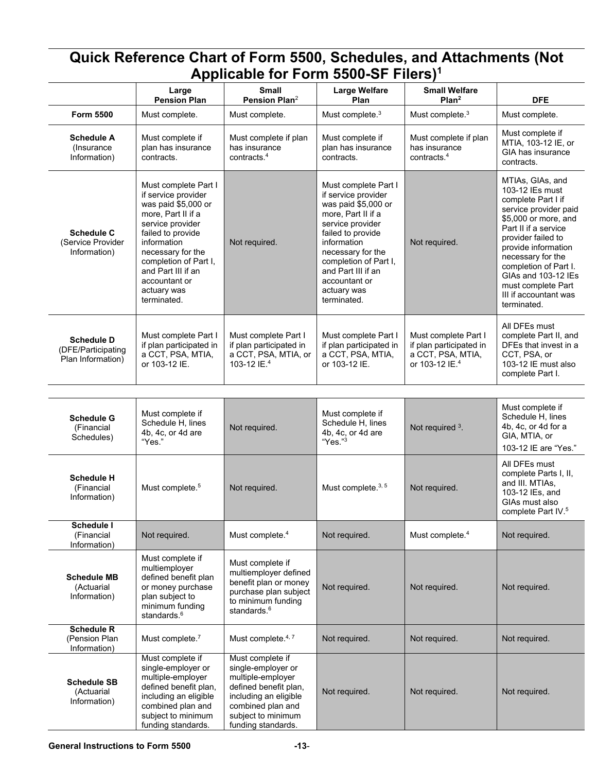| Quick Reference Chart of Form 5500, Schedules, and Attachments (Not<br>Applicable for Form 5500-SF Filers) <sup>1</sup> |                                                                                                                                                                                                                                                                     |                                                                                                                                                                                |                                                                                                                                                                                                                                                                     |                                                                                                    |                                                                                                                                                                                                                                                                                                                    |
|-------------------------------------------------------------------------------------------------------------------------|---------------------------------------------------------------------------------------------------------------------------------------------------------------------------------------------------------------------------------------------------------------------|--------------------------------------------------------------------------------------------------------------------------------------------------------------------------------|---------------------------------------------------------------------------------------------------------------------------------------------------------------------------------------------------------------------------------------------------------------------|----------------------------------------------------------------------------------------------------|--------------------------------------------------------------------------------------------------------------------------------------------------------------------------------------------------------------------------------------------------------------------------------------------------------------------|
|                                                                                                                         | Large                                                                                                                                                                                                                                                               | <b>Small</b>                                                                                                                                                                   | <b>Large Welfare</b>                                                                                                                                                                                                                                                | <b>Small Welfare</b>                                                                               |                                                                                                                                                                                                                                                                                                                    |
|                                                                                                                         | <b>Pension Plan</b>                                                                                                                                                                                                                                                 | Pension Plan <sup>2</sup>                                                                                                                                                      | Plan                                                                                                                                                                                                                                                                | Plan <sup>2</sup>                                                                                  | <b>DFE</b>                                                                                                                                                                                                                                                                                                         |
| Form 5500<br><b>Schedule A</b><br>(Insurance)<br>Information)                                                           | Must complete.<br>Must complete if<br>plan has insurance<br>contracts.                                                                                                                                                                                              | Must complete.<br>Must complete if plan<br>has insurance<br>contracts. $4$                                                                                                     | Must complete. <sup>3</sup><br>Must complete if<br>plan has insurance<br>contracts.                                                                                                                                                                                 | Must complete. <sup>3</sup><br>Must complete if plan<br>has insurance<br>contracts. <sup>4</sup>   | Must complete.<br>Must complete if<br>MTIA, 103-12 IE, or<br>GIA has insurance<br>contracts.                                                                                                                                                                                                                       |
| <b>Schedule C</b><br>(Service Provider<br>Information)                                                                  | Must complete Part I<br>if service provider<br>was paid \$5,000 or<br>more, Part II if a<br>service provider<br>failed to provide<br>information<br>necessary for the<br>completion of Part I,<br>and Part III if an<br>accountant or<br>actuary was<br>terminated. | Not required.                                                                                                                                                                  | Must complete Part I<br>if service provider<br>was paid \$5,000 or<br>more, Part II if a<br>service provider<br>failed to provide<br>information<br>necessary for the<br>completion of Part I,<br>and Part III if an<br>accountant or<br>actuary was<br>terminated. | Not required.                                                                                      | MTIAs, GIAs, and<br>103-12 IEs must<br>complete Part I if<br>service provider paid<br>\$5,000 or more, and<br>Part II if a service<br>provider failed to<br>provide information<br>necessary for the<br>completion of Part I.<br>GIAs and 103-12 IEs<br>must complete Part<br>III if accountant was<br>terminated. |
| <b>Schedule D</b><br>(DFE/Participating<br>Plan Information)                                                            | Must complete Part I<br>if plan participated in<br>a CCT, PSA, MTIA,<br>or 103-12 IE.                                                                                                                                                                               | Must complete Part I<br>if plan participated in<br>a CCT, PSA, MTIA, or<br>103-12 IE. <sup>4</sup>                                                                             | Must complete Part I<br>if plan participated in<br>a CCT, PSA, MTIA,<br>or 103-12 IE.                                                                                                                                                                               | Must complete Part I<br>if plan participated in<br>a CCT, PSA, MTIA,<br>or 103-12 IE. <sup>4</sup> | All DFEs must<br>complete Part II, and<br>DFEs that invest in a<br>CCT, PSA, or<br>103-12 IE must also<br>complete Part I.                                                                                                                                                                                         |
|                                                                                                                         |                                                                                                                                                                                                                                                                     |                                                                                                                                                                                |                                                                                                                                                                                                                                                                     |                                                                                                    |                                                                                                                                                                                                                                                                                                                    |
| <b>Schedule G</b><br>(Financial<br>Schedules)                                                                           | Must complete if<br>Schedule H, lines<br>4b, 4c, or 4d are<br>"Yes."                                                                                                                                                                                                | Not required.                                                                                                                                                                  | Must complete if<br>Schedule H, lines<br>4b, 4c, or 4d are<br>"Yes."3                                                                                                                                                                                               | Not required 3.                                                                                    | Must complete if<br>Schedule H, lines<br>4b, 4c, or 4d for a<br>GIA, MTIA, or<br>103-12 IE are "Yes."                                                                                                                                                                                                              |
| <b>Schedule H</b><br>(Financial<br>Information)                                                                         | Must complete. <sup>5</sup>                                                                                                                                                                                                                                         | Not required.                                                                                                                                                                  | Must complete. <sup>3, 5</sup>                                                                                                                                                                                                                                      | Not required.                                                                                      | All DFEs must<br>complete Parts I, II,<br>and III. MTIAs,<br>103-12 IEs, and<br>GIAs must also<br>complete Part IV. <sup>5</sup>                                                                                                                                                                                   |
| Schedule I<br>(Financial<br>Information)                                                                                | Not required.                                                                                                                                                                                                                                                       | Must complete. <sup>4</sup>                                                                                                                                                    | Not required.                                                                                                                                                                                                                                                       | Must complete. <sup>4</sup>                                                                        | Not required.                                                                                                                                                                                                                                                                                                      |
| <b>Schedule MB</b><br>(Actuarial<br>Information)                                                                        | Must complete if<br>multiemployer<br>defined benefit plan<br>or money purchase<br>plan subject to<br>minimum funding<br>standards. <sup>6</sup>                                                                                                                     | Must complete if<br>multiemployer defined<br>benefit plan or money<br>purchase plan subject<br>to minimum funding<br>standards. <sup>6</sup>                                   | Not required.                                                                                                                                                                                                                                                       | Not required.                                                                                      | Not required.                                                                                                                                                                                                                                                                                                      |
| <b>Schedule R</b><br>(Pension Plan<br>Information)                                                                      | Must complete. <sup>7</sup>                                                                                                                                                                                                                                         | Must complete. <sup>4,7</sup>                                                                                                                                                  | Not required.                                                                                                                                                                                                                                                       | Not required.                                                                                      | Not required.                                                                                                                                                                                                                                                                                                      |
| <b>Schedule SB</b><br>(Actuarial<br>Information)                                                                        | Must complete if<br>single-employer or<br>multiple-employer<br>defined benefit plan,<br>including an eligible<br>combined plan and<br>subject to minimum<br>funding standards.                                                                                      | Must complete if<br>single-employer or<br>multiple-employer<br>defined benefit plan,<br>including an eligible<br>combined plan and<br>subject to minimum<br>funding standards. | Not required.                                                                                                                                                                                                                                                       | Not required.                                                                                      | Not required.                                                                                                                                                                                                                                                                                                      |

#### **General Instructions to Form 5500 -13**-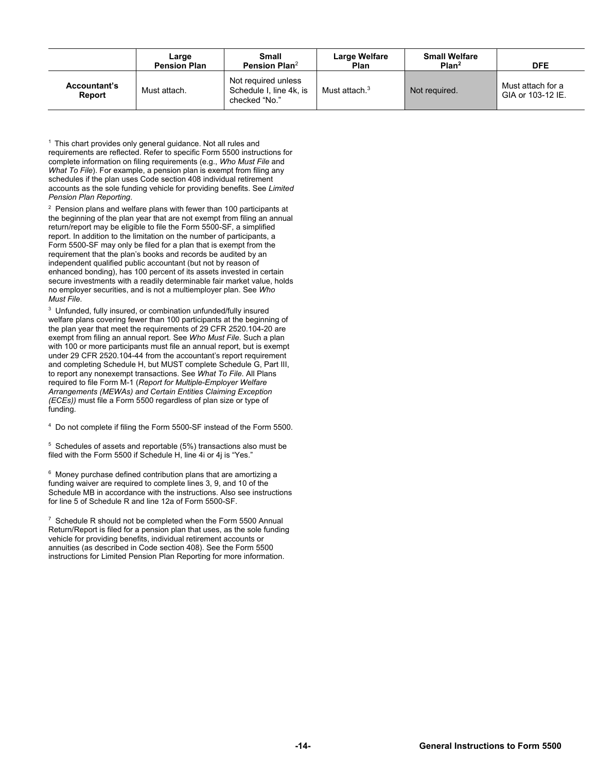|                               | Large<br><b>Pension Plan</b> | Small<br>Pension Plan <sup>2</sup>                              | Large Welfare<br>Plan     | <b>Small Welfare</b><br>Plan <sup>2</sup> | <b>DFE</b>                             |
|-------------------------------|------------------------------|-----------------------------------------------------------------|---------------------------|-------------------------------------------|----------------------------------------|
| <b>Accountant's</b><br>Report | Must attach.                 | Not required unless<br>Schedule I, line 4k, is<br>checked "No." | Must attach. <sup>3</sup> | Not required.                             | Must attach for a<br>GIA or 103-12 IE. |

 $1$  This chart provides only general guidance. Not all rules and requirements are reflected. Refer to specific Form 5500 instructions for complete information on filing requirements (e.g., *Who Must File* and *What To File*). For example, a pension plan is exempt from filing any schedules if the plan uses Code section 408 individual retirement accounts as the sole funding vehicle for providing benefits. See *Limited Pension Plan Reporting*.

 $2$  Pension plans and welfare plans with fewer than 100 participants at the beginning of the plan year that are not exempt from filing an annual return/report may be eligible to file the Form 5500-SF, a simplified report. In addition to the limitation on the number of participants, a Form 5500-SF may only be filed for a plan that is exempt from the requirement that the plan's books and records be audited by an independent qualified public accountant (but not by reason of enhanced bonding), has 100 percent of its assets invested in certain secure investments with a readily determinable fair market value, holds no employer securities, and is not a multiemployer plan. See *Who Must File*.

<sup>3</sup> Unfunded, fully insured, or combination unfunded/fully insured welfare plans covering fewer than 100 participants at the beginning of the plan year that meet the requirements of 29 CFR 2520.104-20 are exempt from filing an annual report. See *Who Must File*. Such a plan with 100 or more participants must file an annual report, but is exempt under 29 CFR 2520.104-44 from the accountant's report requirement and completing Schedule H, but MUST complete Schedule G, Part III, to report any nonexempt transactions. See *What To File*. All Plans required to file Form M-1 (*Report for Multiple-Employer Welfare Arrangements (MEWAs) and Certain Entities Claiming Exception (ECEs))* must file a Form 5500 regardless of plan size or type of funding.

<sup>4</sup> Do not complete if filing the Form 5500-SF instead of the Form 5500.

5 Schedules of assets and reportable (5%) transactions also must be filed with the Form 5500 if Schedule H, line 4i or 4j is "Yes."

<sup>6</sup> Money purchase defined contribution plans that are amortizing a funding waiver are required to complete lines 3, 9, and 10 of the Schedule MB in accordance with the instructions. Also see instructions for line 5 of Schedule R and line 12a of Form 5500-SF.

 $7$  Schedule R should not be completed when the Form 5500 Annual Return/Report is filed for a pension plan that uses, as the sole funding vehicle for providing benefits, individual retirement accounts or annuities (as described in Code section 408). See the Form 5500 instructions for Limited Pension Plan Reporting for more information.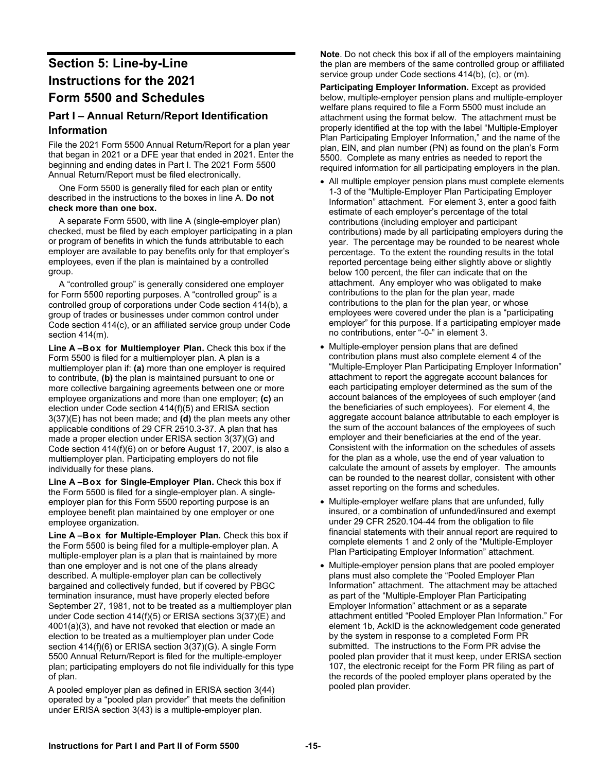## **Section 5: Line-by-Line Instructions for the 2021 Form 5500 and Schedules**

## **Part I – Annual Return/Report Identification Information**

File the 2021 Form 5500 Annual Return/Report for a plan year that began in 2021 or a DFE year that ended in 2021. Enter the beginning and ending dates in Part I. The 2021 Form 5500 Annual Return/Report must be filed electronically.

One Form 5500 is generally filed for each plan or entity described in the instructions to the boxes in line A. **Do not check more than one box.** 

A separate Form 5500, with line A (single-employer plan) checked, must be filed by each employer participating in a plan or program of benefits in which the funds attributable to each employer are available to pay benefits only for that employer's employees, even if the plan is maintained by a controlled group.

A "controlled group" is generally considered one employer for Form 5500 reporting purposes. A "controlled group" is a controlled group of corporations under Code section 414(b), a group of trades or businesses under common control under Code section 414(c), or an affiliated service group under Code section 414(m).

Line A-Box for Multiemployer Plan. Check this box if the Form 5500 is filed for a multiemployer plan. A plan is a multiemployer plan if: **(a)** more than one employer is required to contribute, **(b)** the plan is maintained pursuant to one or more collective bargaining agreements between one or more employee organizations and more than one employer; **(c)** an election under Code section 414(f)(5) and ERISA section 3(37)(E) has not been made; and **(d)** the plan meets any other applicable conditions of 29 CFR 2510.3-37. A plan that has made a proper election under ERISA section 3(37)(G) and Code section 414(f)(6) on or before August 17, 2007, is also a multiemployer plan. Participating employers do not file individually for these plans.

Line A-Box for Single-Employer Plan. Check this box if the Form 5500 is filed for a single-employer plan. A singleemployer plan for this Form 5500 reporting purpose is an employee benefit plan maintained by one employer or one employee organization.

Line A-Box for Multiple-Employer Plan. Check this box if the Form 5500 is being filed for a multiple-employer plan. A multiple-employer plan is a plan that is maintained by more than one employer and is not one of the plans already described. A multiple-employer plan can be collectively bargained and collectively funded, but if covered by PBGC termination insurance, must have properly elected before September 27, 1981, not to be treated as a multiemployer plan under Code section 414(f)(5) or ERISA sections 3(37)(E) and 4001(a)(3), and have not revoked that election or made an election to be treated as a multiemployer plan under Code section 414(f)(6) or ERISA section 3(37)(G). A single Form 5500 Annual Return/Report is filed for the multiple-employer plan; participating employers do not file individually for this type of plan.

A pooled employer plan as defined in ERISA section 3(44) operated by a "pooled plan provider" that meets the definition under ERISA section 3(43) is a multiple-employer plan.

**Note**. Do not check this box if all of the employers maintaining the plan are members of the same controlled group or affiliated service group under Code sections 414(b), (c), or (m).

**Participating Employer Information.** Except as provided below, multiple-employer pension plans and multiple-employer welfare plans required to file a Form 5500 must include an attachment using the format below. The attachment must be properly identified at the top with the label "Multiple-Employer Plan Participating Employer Information," and the name of the plan, EIN, and plan number (PN) as found on the plan's Form 5500. Complete as many entries as needed to report the required information for all participating employers in the plan.

- All multiple employer pension plans must complete elements 1-3 of the "Multiple-Employer Plan Participating Employer Information" attachment. For element 3, enter a good faith estimate of each employer's percentage of the total contributions (including employer and participant contributions) made by all participating employers during the year. The percentage may be rounded to be nearest whole percentage. To the extent the rounding results in the total reported percentage being either slightly above or slightly below 100 percent, the filer can indicate that on the attachment. Any employer who was obligated to make contributions to the plan for the plan year, made contributions to the plan for the plan year, or whose employees were covered under the plan is a "participating employer" for this purpose. If a participating employer made no contributions, enter "-0-" in element 3.
- Multiple-employer pension plans that are defined contribution plans must also complete element 4 of the "Multiple-Employer Plan Participating Employer Information" attachment to report the aggregate account balances for each participating employer determined as the sum of the account balances of the employees of such employer (and the beneficiaries of such employees). For element 4, the aggregate account balance attributable to each employer is the sum of the account balances of the employees of such employer and their beneficiaries at the end of the year. Consistent with the information on the schedules of assets for the plan as a whole, use the end of year valuation to calculate the amount of assets by employer. The amounts can be rounded to the nearest dollar, consistent with other asset reporting on the forms and schedules.
- Multiple-employer welfare plans that are unfunded, fully insured, or a combination of unfunded/insured and exempt under 29 CFR 2520.104-44 from the obligation to file financial statements with their annual report are required to complete elements 1 and 2 only of the "Multiple-Employer Plan Participating Employer Information" attachment.
- Multiple-employer pension plans that are pooled employer plans must also complete the "Pooled Employer Plan Information" attachment. The attachment may be attached as part of the "Multiple-Employer Plan Participating Employer Information" attachment or as a separate attachment entitled "Pooled Employer Plan Information." For element 1b, AckID is the acknowledgement code generated by the system in response to a completed Form PR submitted. The instructions to the Form PR advise the pooled plan provider that it must keep, under ERISA section 107, the electronic receipt for the Form PR filing as part of the records of the pooled employer plans operated by the pooled plan provider.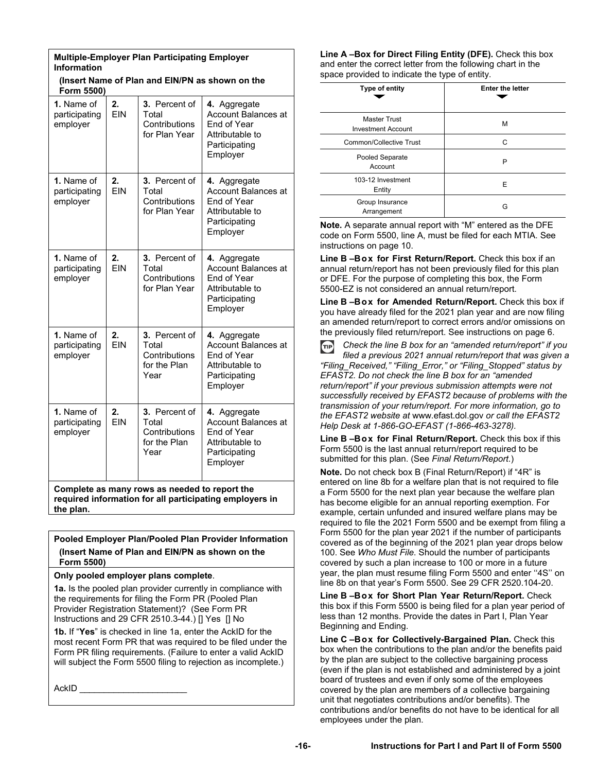| <b>Multiple-Employer Plan Participating Employer</b><br><b>Information</b>                          |                  |                                                                        |                                                                                                           |
|-----------------------------------------------------------------------------------------------------|------------------|------------------------------------------------------------------------|-----------------------------------------------------------------------------------------------------------|
| Form 5500)                                                                                          |                  |                                                                        | (Insert Name of Plan and EIN/PN as shown on the                                                           |
| 1. Name of<br>participating<br>employer                                                             | 2.<br><b>FIN</b> | 3. Percent of<br>Total<br>Contributions<br>for Plan Year               | 4. Aggregate<br><b>Account Balances at</b><br>End of Year<br>Attributable to<br>Participating<br>Employer |
| <b>1.</b> Name of<br>participating<br>employer                                                      | 2.<br><b>EIN</b> | <b>3.</b> Percent of<br>Total<br>Contributions<br>for Plan Year        | 4. Aggregate<br>Account Balances at<br>End of Year<br>Attributable to<br>Participating<br>Employer        |
| 1. Name of<br>participating<br>employer                                                             | 2.<br><b>EIN</b> | 3. Percent of<br>Total<br>Contributions<br>for Plan Year               | 4. Aggregate<br><b>Account Balances at</b><br>End of Year<br>Attributable to<br>Participating<br>Employer |
| 1. Name of<br>participating<br>employer                                                             | 2.<br><b>FIN</b> | 3. Percent of<br>Total<br>Contributions<br>for the Plan<br>Year        | 4. Aggregate<br>Account Balances at<br>End of Year<br>Attributable to<br>Participating<br>Employer        |
| 1. Name of<br>participating<br>employer                                                             | 2.<br><b>FIN</b> | <b>3.</b> Percent of<br>Total<br>Contributions<br>for the Plan<br>Year | 4. Aggregate<br>Account Balances at<br>End of Year<br>Attributable to<br>Participating<br>Employer        |
| Complete as many rows as needed to report the<br>بمطلوعها والمرومين المرسوم وروائعه ومسومكميا الروز |                  |                                                                        |                                                                                                           |

**required information for all participating employers in the plan.** 

**Pooled Employer Plan/Pooled Plan Provider Information (Insert Name of Plan and EIN/PN as shown on the Form 5500)** 

**Only pooled employer plans complete**.

**1a.** Is the pooled plan provider currently in compliance with the requirements for filing the Form PR (Pooled Plan Provider Registration Statement)? (See Form PR Instructions and 29 CFR 2510.3-44.) [] Yes [] No

**1b.** If "**Yes**" is checked in line 1a, enter the AckID for the most recent Form PR that was required to be filed under the Form PR filing requirements. (Failure to enter a valid AckID will subject the Form 5500 filing to rejection as incomplete.)

AckID \_\_\_\_\_\_\_\_\_\_\_\_\_\_\_\_\_\_\_\_\_\_

**Line A –Box for Direct Filing Entity (DFE).** Check this box and enter the correct letter from the following chart in the space provided to indicate the type of entity.

| Type of entity                                   | <b>Enter the letter</b> |
|--------------------------------------------------|-------------------------|
| <b>Master Trust</b><br><b>Investment Account</b> | М                       |
| Common/Collective Trust                          | C                       |
| Pooled Separate<br>Account                       | P                       |
| 103-12 Investment<br>Entity                      | E                       |
| Group Insurance<br>Arrangement                   | G                       |

**Note.** A separate annual report with "M" entered as the DFE code on Form 5500, line A, must be filed for each MTIA. See instructions on page 10.

Line B-Box for First Return/Report. Check this box if an annual return/report has not been previously filed for this plan or DFE. For the purpose of completing this box, the Form 5500-EZ is not considered an annual return/report.

Line B-Box for Amended Return/Report. Check this box if you have already filed for the 2021 plan year and are now filing an amended return/report to correct errors and/or omissions on the previously filed return/report. See instructions on page 6.

TIP *Check the line B box for an "amended return/report" if you filed a previous 2021 annual return/report that was given a "Filing\_Received," "Filing\_Error," or "Filing\_Stopped" status by EFAST2. Do not check the line B box for an "amended return/report" if your previous submission attempts were not successfully received by EFAST2 because of problems with the transmission of your return/report. For more information, go to the EFAST2 website at* www.efast.dol.gov *or call the EFAST2 Help Desk at 1-866-GO-EFAST (1-866-463-3278).* 

Line B-Box for Final Return/Report. Check this box if this Form 5500 is the last annual return/report required to be submitted for this plan. (See *Final Return/Report*.)

**Note.** Do not check box B (Final Return/Report) if "4R" is entered on line 8b for a welfare plan that is not required to file a Form 5500 for the next plan year because the welfare plan has become eligible for an annual reporting exemption. For example, certain unfunded and insured welfare plans may be required to file the 2021 Form 5500 and be exempt from filing a Form 5500 for the plan year 2021 if the number of participants covered as of the beginning of the 2021 plan year drops below 100. See *Who Must File*. Should the number of participants covered by such a plan increase to 100 or more in a future year, the plan must resume filing Form 5500 and enter ''4S'' on line 8b on that year's Form 5500. See 29 CFR 2520.104-20.

Line B-Box for Short Plan Year Return/Report. Check this box if this Form 5500 is being filed for a plan year period of less than 12 months. Provide the dates in Part I, Plan Year Beginning and Ending.

**Line C – Box for Collectively-Bargained Plan.** Check this box when the contributions to the plan and/or the benefits paid by the plan are subject to the collective bargaining process (even if the plan is not established and administered by a joint board of trustees and even if only some of the employees covered by the plan are members of a collective bargaining unit that negotiates contributions and/or benefits). The contributions and/or benefits do not have to be identical for all employees under the plan.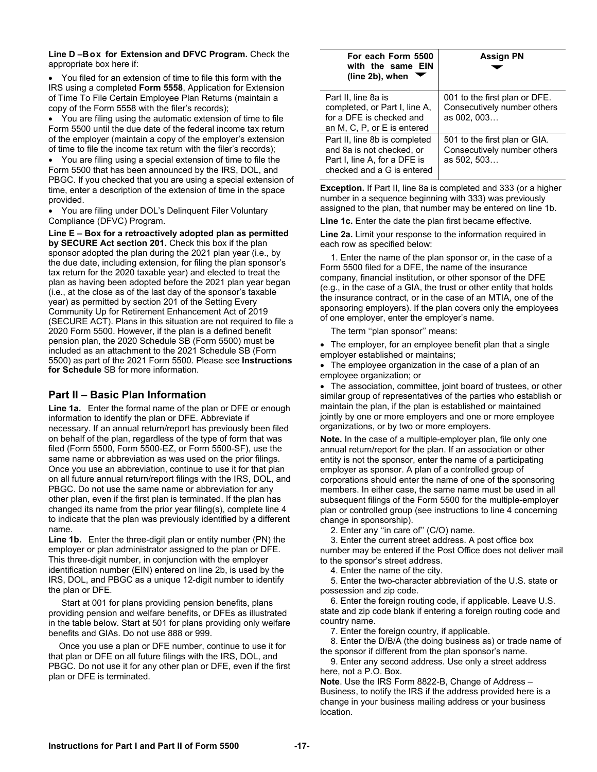**Line D – Box for Extension and DFVC Program.** Check the appropriate box here if:

 You filed for an extension of time to file this form with the IRS using a completed **Form 5558**, Application for Extension of Time To File Certain Employee Plan Returns (maintain a copy of the Form 5558 with the filer's records);

 You are filing using the automatic extension of time to file Form 5500 until the due date of the federal income tax return of the employer (maintain a copy of the employer's extension of time to file the income tax return with the filer's records);

 You are filing using a special extension of time to file the Form 5500 that has been announced by the IRS, DOL, and PBGC. If you checked that you are using a special extension of time, enter a description of the extension of time in the space provided.

 You are filing under DOL's Delinquent Filer Voluntary Compliance (DFVC) Program.

**Line E – Box for a retroactively adopted plan as permitted by SECURE Act section 201.** Check this box if the plan sponsor adopted the plan during the 2021 plan year (i.e., by the due date, including extension, for filing the plan sponsor's tax return for the 2020 taxable year) and elected to treat the plan as having been adopted before the 2021 plan year began (i.e., at the close as of the last day of the sponsor's taxable year) as permitted by section 201 of the Setting Every Community Up for Retirement Enhancement Act of 2019 (SECURE ACT). Plans in this situation are not required to file a 2020 Form 5500. However, if the plan is a defined benefit pension plan, the 2020 Schedule SB (Form 5500) must be included as an attachment to the 2021 Schedule SB (Form 5500) as part of the 2021 Form 5500. Please see **Instructions for Schedule** SB for more information.

### **Part II – Basic Plan Information**

**Line 1a.** Enter the formal name of the plan or DFE or enough information to identify the plan or DFE. Abbreviate if necessary. If an annual return/report has previously been filed on behalf of the plan, regardless of the type of form that was filed (Form 5500, Form 5500-EZ, or Form 5500-SF), use the same name or abbreviation as was used on the prior filings. Once you use an abbreviation, continue to use it for that plan on all future annual return/report filings with the IRS, DOL, and PBGC. Do not use the same name or abbreviation for any other plan, even if the first plan is terminated. If the plan has changed its name from the prior year filing(s), complete line 4 to indicate that the plan was previously identified by a different name.

**Line 1b.** Enter the three-digit plan or entity number (PN) the employer or plan administrator assigned to the plan or DFE. This three-digit number, in conjunction with the employer identification number (EIN) entered on line 2b, is used by the IRS, DOL, and PBGC as a unique 12-digit number to identify the plan or DFE.

 Start at 001 for plans providing pension benefits, plans providing pension and welfare benefits, or DFEs as illustrated in the table below. Start at 501 for plans providing only welfare benefits and GIAs. Do not use 888 or 999.

Once you use a plan or DFE number, continue to use it for that plan or DFE on all future filings with the IRS, DOL, and PBGC. Do not use it for any other plan or DFE, even if the first plan or DFE is terminated.

| For each Form 5500<br>with the same EIN<br>(line 2b), when                                                               | <b>Assign PN</b>                                                            |
|--------------------------------------------------------------------------------------------------------------------------|-----------------------------------------------------------------------------|
| Part II, line 8a is<br>completed, or Part I, line A,<br>for a DFE is checked and<br>an M, C, P, or E is entered          | 001 to the first plan or DFE.<br>Consecutively number others<br>as 002, 003 |
| Part II, line 8b is completed<br>and 8a is not checked, or<br>Part I, line A, for a DFE is<br>checked and a G is entered | 501 to the first plan or GIA.<br>Consecutively number others<br>as 502, 503 |

**Exception.** If Part II, line 8a is completed and 333 (or a higher number in a sequence beginning with 333) was previously assigned to the plan, that number may be entered on line 1b.

**Line 1c.** Enter the date the plan first became effective.

**Line 2a.** Limit your response to the information required in each row as specified below:

1. Enter the name of the plan sponsor or, in the case of a Form 5500 filed for a DFE, the name of the insurance company, financial institution, or other sponsor of the DFE (e.g., in the case of a GIA, the trust or other entity that holds the insurance contract, or in the case of an MTIA, one of the sponsoring employers). If the plan covers only the employees of one employer, enter the employer's name.

The term ''plan sponsor'' means:

• The employer, for an employee benefit plan that a single employer established or maintains;

 The employee organization in the case of a plan of an employee organization; or

 The association, committee, joint board of trustees, or other similar group of representatives of the parties who establish or maintain the plan, if the plan is established or maintained jointly by one or more employers and one or more employee organizations, or by two or more employers.

**Note.** In the case of a multiple-employer plan, file only one annual return/report for the plan. If an association or other entity is not the sponsor, enter the name of a participating employer as sponsor. A plan of a controlled group of corporations should enter the name of one of the sponsoring members. In either case, the same name must be used in all subsequent filings of the Form 5500 for the multiple-employer plan or controlled group (see instructions to line 4 concerning change in sponsorship).

2. Enter any ''in care of'' (C/O) name.

3. Enter the current street address. A post office box number may be entered if the Post Office does not deliver mail to the sponsor's street address.

4. Enter the name of the city.

5. Enter the two-character abbreviation of the U.S. state or possession and zip code.

6. Enter the foreign routing code, if applicable. Leave U.S. state and zip code blank if entering a foreign routing code and country name.

7. Enter the foreign country, if applicable.

8. Enter the D/B/A (the doing business as) or trade name of the sponsor if different from the plan sponsor's name.

9. Enter any second address. Use only a street address here, not a P.O. Box.

**Note**. Use the IRS Form 8822-B, Change of Address – Business, to notify the IRS if the address provided here is a change in your business mailing address or your business location.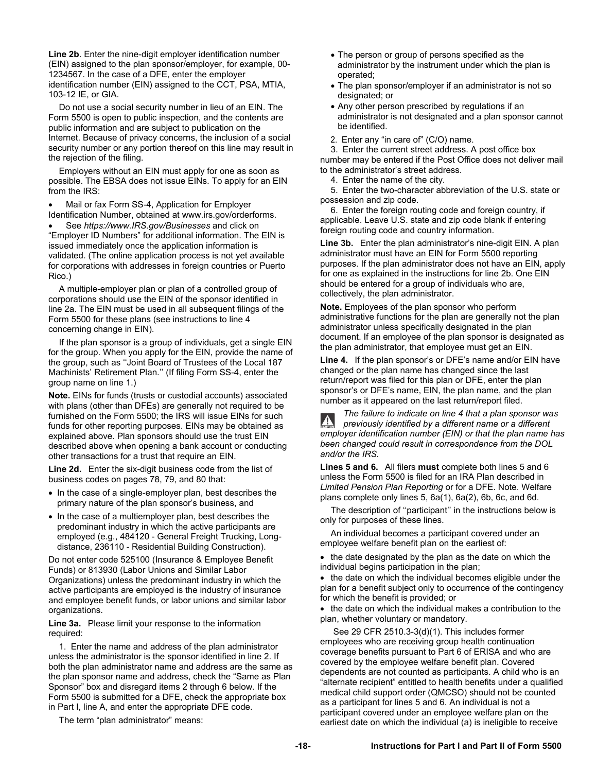**Line 2b**. Enter the nine-digit employer identification number (EIN) assigned to the plan sponsor/employer, for example, 00- 1234567. In the case of a DFE, enter the employer identification number (EIN) assigned to the CCT, PSA, MTIA, 103-12 IE, or GIA.

Do not use a social security number in lieu of an EIN. The Form 5500 is open to public inspection, and the contents are public information and are subject to publication on the Internet. Because of privacy concerns, the inclusion of a social security number or any portion thereof on this line may result in the rejection of the filing.

Employers without an EIN must apply for one as soon as possible. The EBSA does not issue EINs. To apply for an EIN from the IRS:

 Mail or fax Form SS-4, Application for Employer Identification Number, obtained at www.irs.gov/orderforms.

 See *https://www.IRS.gov/Businesses* and click on "Employer ID Numbers" for additional information. The EIN is issued immediately once the application information is validated. (The online application process is not yet available for corporations with addresses in foreign countries or Puerto Rico.)

A multiple-employer plan or plan of a controlled group of corporations should use the EIN of the sponsor identified in line 2a. The EIN must be used in all subsequent filings of the Form 5500 for these plans (see instructions to line 4 concerning change in EIN).

If the plan sponsor is a group of individuals, get a single EIN for the group. When you apply for the EIN, provide the name of the group, such as ''Joint Board of Trustees of the Local 187 Machinists' Retirement Plan.'' (If filing Form SS-4, enter the group name on line 1.)

**Note.** EINs for funds (trusts or custodial accounts) associated with plans (other than DFEs) are generally not required to be furnished on the Form 5500; the IRS will issue EINs for such funds for other reporting purposes. EINs may be obtained as explained above. Plan sponsors should use the trust EIN described above when opening a bank account or conducting other transactions for a trust that require an EIN.

**Line 2d.** Enter the six-digit business code from the list of business codes on pages 78, 79, and 80 that:

- In the case of a single-employer plan, best describes the primary nature of the plan sponsor's business, and
- In the case of a multiemployer plan, best describes the predominant industry in which the active participants are employed (e.g., 484120 - General Freight Trucking, Longdistance, 236110 - Residential Building Construction).

Do not enter code 525100 (Insurance & Employee Benefit Funds) or 813930 (Labor Unions and Similar Labor Organizations) unless the predominant industry in which the active participants are employed is the industry of insurance and employee benefit funds, or labor unions and similar labor organizations.

**Line 3a.** Please limit your response to the information required:

1. Enter the name and address of the plan administrator unless the administrator is the sponsor identified in line 2. If both the plan administrator name and address are the same as the plan sponsor name and address, check the "Same as Plan Sponsor" box and disregard items 2 through 6 below. If the Form 5500 is submitted for a DFE, check the appropriate box in Part I, line A, and enter the appropriate DFE code.

The term "plan administrator" means:

- The person or group of persons specified as the administrator by the instrument under which the plan is operated;
- The plan sponsor/employer if an administrator is not so designated; or
- Any other person prescribed by regulations if an administrator is not designated and a plan sponsor cannot be identified.
- 2. Enter any "in care of" (C/O) name.

3. Enter the current street address. A post office box number may be entered if the Post Office does not deliver mail to the administrator's street address.

4. Enter the name of the city.

5. Enter the two-character abbreviation of the U.S. state or possession and zip code.

6. Enter the foreign routing code and foreign country, if applicable. Leave U.S. state and zip code blank if entering foreign routing code and country information.

**Line 3b.** Enter the plan administrator's nine-digit EIN. A plan administrator must have an EIN for Form 5500 reporting purposes. If the plan administrator does not have an EIN, apply for one as explained in the instructions for line 2b. One EIN should be entered for a group of individuals who are, collectively, the plan administrator.

**Note.** Employees of the plan sponsor who perform administrative functions for the plan are generally not the plan administrator unless specifically designated in the plan document. If an employee of the plan sponsor is designated as the plan administrator, that employee must get an EIN.

**Line 4.** If the plan sponsor's or DFE's name and/or EIN have changed or the plan name has changed since the last return/report was filed for this plan or DFE, enter the plan sponsor's or DFE's name, EIN, the plan name, and the plan number as it appeared on the last return/report filed.

*The failure to indicate on line 4 that a plan sponsor was*   $\mathbf{A}$ *previously identified by a different name or a different employer identification number (EIN) or that the plan name has been changed could result in correspondence from the DOL and/or the IRS.*

**Lines 5 and 6.** All filers **must** complete both lines 5 and 6 unless the Form 5500 is filed for an IRA Plan described in *Limited Pension Plan Reporting* or for a DFE. Note. Welfare plans complete only lines 5, 6a(1), 6a(2), 6b, 6c, and 6d.

The description of ''participant'' in the instructions below is only for purposes of these lines.

An individual becomes a participant covered under an employee welfare benefit plan on the earliest of:

• the date designated by the plan as the date on which the individual begins participation in the plan;

• the date on which the individual becomes eligible under the plan for a benefit subject only to occurrence of the contingency for which the benefit is provided; or

• the date on which the individual makes a contribution to the plan, whether voluntary or mandatory.

 See 29 CFR 2510.3-3(d)(1). This includes former employees who are receiving group health continuation coverage benefits pursuant to Part 6 of ERISA and who are covered by the employee welfare benefit plan. Covered dependents are not counted as participants. A child who is an "alternate recipient" entitled to health benefits under a qualified medical child support order (QMCSO) should not be counted as a participant for lines 5 and 6. An individual is not a participant covered under an employee welfare plan on the earliest date on which the individual (a) is ineligible to receive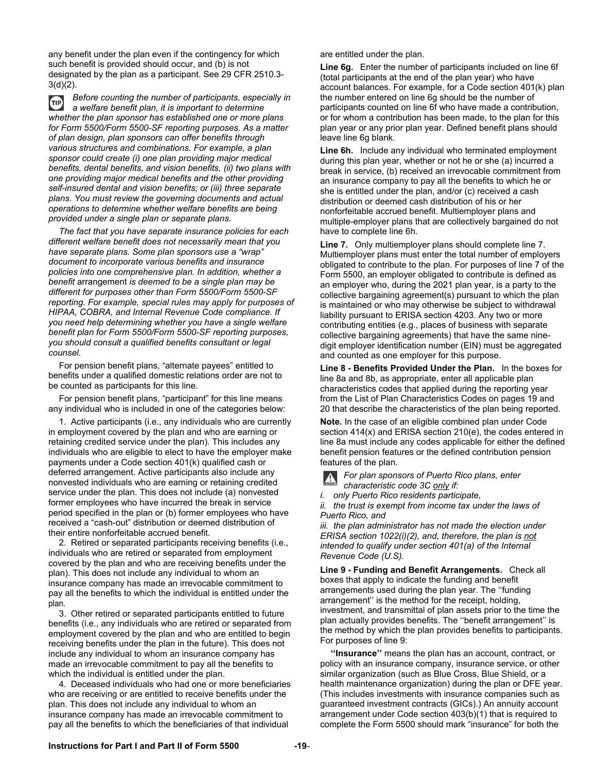any benefit under the plan even if the contingency for which such benefit is provided should occur, and (b) is not designated by the plan as a participant. See 29 CFR 2510.3- 3(d)(2).

*Before counting the number of participants, especially in*   $TIP$ *a welfare benefit plan, it is important to determine whether the plan sponsor has established one or more plans for Form 5500/Form 5500-SF reporting purposes. As a matter of plan design, plan sponsors can offer benefits through various structures and combinations. For example, a plan sponsor could create (i) one plan providing major medical benefits, dental benefits, and vision benefits, (ii) two plans with one providing major medical benefits and the other providing self-insured dental and vision benefits; or (iii) three separate plans. You must review the governing documents and actual operations to determine whether welfare benefits are being provided under a single plan or separate plans.* 

*The fact that you have separate insurance policies for each different welfare benefit does not necessarily mean that you have separate plans. Some plan sponsors use a "wrap" document to incorporate various benefits and insurance policies into one comprehensive plan. In addition, whether a benefit* arrangement *is deemed to be a single plan may be different for purposes other than Form 5500/Form 5500-SF reporting. For example, special rules may apply for purposes of HIPAA, COBRA, and Internal Revenue Code compliance. If you need help determining whether you have a single welfare benefit plan for Form 5500/Form 5500-SF reporting purposes, you should consult a qualified benefits consultant or legal counsel.*

For pension benefit plans, "alternate payees" entitled to benefits under a qualified domestic relations order are not to be counted as participants for this line.

For pension benefit plans, "participant" for this line means any individual who is included in one of the categories below:

1. Active participants (i.e., any individuals who are currently in employment covered by the plan and who are earning or retaining credited service under the plan). This includes any individuals who are eligible to elect to have the employer make payments under a Code section 401(k) qualified cash or deferred arrangement. Active participants also include any nonvested individuals who are earning or retaining credited service under the plan. This does not include (a) nonvested former employees who have incurred the break in service period specified in the plan or (b) former employees who have received a "cash-out" distribution or deemed distribution of their entire nonforfeitable accrued benefit.

2. Retired or separated participants receiving benefits (i.e., individuals who are retired or separated from employment covered by the plan and who are receiving benefits under the plan). This does not include any individual to whom an insurance company has made an irrevocable commitment to pay all the benefits to which the individual is entitled under the plan.

3. Other retired or separated participants entitled to future benefits (i.e., any individuals who are retired or separated from employment covered by the plan and who are entitled to begin receiving benefits under the plan in the future). This does not include any individual to whom an insurance company has made an irrevocable commitment to pay all the benefits to which the individual is entitled under the plan.

4. Deceased individuals who had one or more beneficiaries who are receiving or are entitled to receive benefits under the plan. This does not include any individual to whom an insurance company has made an irrevocable commitment to pay all the benefits to which the beneficiaries of that individual

are entitled under the plan.

**Line 6g.** Enter the number of participants included on line 6f (total participants at the end of the plan year) who have account balances. For example, for a Code section 401(k) plan the number entered on line 6g should be the number of participants counted on line 6f who have made a contribution, or for whom a contribution has been made, to the plan for this plan year or any prior plan year. Defined benefit plans should leave line 6g blank.

**Line 6h.** Include any individual who terminated employment during this plan year, whether or not he or she (a) incurred a break in service, (b) received an irrevocable commitment from an insurance company to pay all the benefits to which he or she is entitled under the plan, and/or (c) received a cash distribution or deemed cash distribution of his or her nonforfeitable accrued benefit. Multiemployer plans and multiple-employer plans that are collectively bargained do not have to complete line 6h.

**Line 7.** Only multiemployer plans should complete line 7. Multiemployer plans must enter the total number of employers obligated to contribute to the plan. For purposes of line 7 of the Form 5500, an employer obligated to contribute is defined as an employer who, during the 2021 plan year, is a party to the collective bargaining agreement(s) pursuant to which the plan is maintained or who may otherwise be subject to withdrawal liability pursuant to ERISA section 4203. Any two or more contributing entities (e.g., places of business with separate collective bargaining agreements) that have the same ninedigit employer identification number (EIN) must be aggregated and counted as one employer for this purpose.

**Line 8 - Benefits Provided Under the Plan.** In the boxes for line 8a and 8b, as appropriate, enter all applicable plan characteristics codes that applied during the reporting year from the List of Plan Characteristics Codes on pages 19 and 20 that describe the characteristics of the plan being reported.

**Note.** In the case of an eligible combined plan under Code section 414(x) and ERISA section 210(e), the codes entered in line 8a must include any codes applicable for either the defined benefit pension features or the defined contribution pension features of the plan.

*For plan sponsors of Puerto Rico plans, enter characteristic code 3C only if:* 

*i. only Puerto Rico residents participate,* 

*ii. the trust is exempt from income tax under the laws of Puerto Rico, and* 

*iii. the plan administrator has not made the election under ERISA section 1022(i)(2), and, therefore, the plan is not intended to qualify under section 401(a) of the Internal Revenue Code (U.S).* 

**Line 9 - Funding and Benefit Arrangements.** Check all boxes that apply to indicate the funding and benefit arrangements used during the plan year. The ''funding arrangement'' is the method for the receipt, holding, investment, and transmittal of plan assets prior to the time the plan actually provides benefits. The ''benefit arrangement'' is the method by which the plan provides benefits to participants. For purposes of line 9:

**''Insurance''** means the plan has an account, contract, or policy with an insurance company, insurance service, or other similar organization (such as Blue Cross, Blue Shield, or a health maintenance organization) during the plan or DFE year. (This includes investments with insurance companies such as guaranteed investment contracts (GICs).) An annuity account arrangement under Code section 403(b)(1) that is required to complete the Form 5500 should mark "insurance" for both the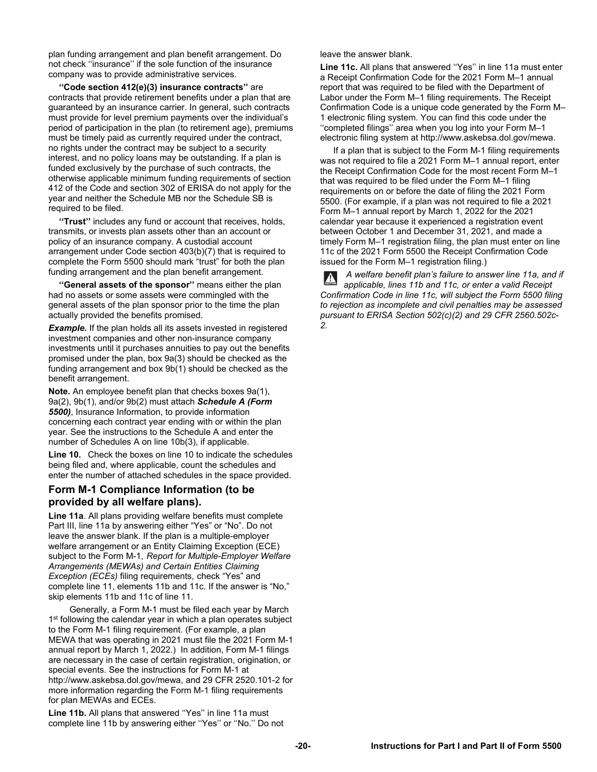plan funding arrangement and plan benefit arrangement. Do not check ''insurance'' if the sole function of the insurance company was to provide administrative services.

**''Code section 412(e)(3) insurance contracts''** are contracts that provide retirement benefits under a plan that are guaranteed by an insurance carrier. In general, such contracts must provide for level premium payments over the individual's period of participation in the plan (to retirement age), premiums must be timely paid as currently required under the contract, no rights under the contract may be subject to a security interest, and no policy loans may be outstanding. If a plan is funded exclusively by the purchase of such contracts, the otherwise applicable minimum funding requirements of section 412 of the Code and section 302 of ERISA do not apply for the year and neither the Schedule MB nor the Schedule SB is required to be filed.

**''Trust''** includes any fund or account that receives, holds, transmits, or invests plan assets other than an account or policy of an insurance company. A custodial account arrangement under Code section 403(b)(7) that is required to complete the Form 5500 should mark "trust" for both the plan funding arrangement and the plan benefit arrangement.

**''General assets of the sponsor''** means either the plan had no assets or some assets were commingled with the general assets of the plan sponsor prior to the time the plan actually provided the benefits promised.

**Example.** If the plan holds all its assets invested in registered investment companies and other non-insurance company investments until it purchases annuities to pay out the benefits promised under the plan, box 9a(3) should be checked as the funding arrangement and box 9b(1) should be checked as the benefit arrangement.

**Note.** An employee benefit plan that checks boxes 9a(1), 9a(2), 9b(1), and/or 9b(2) must attach *Schedule A (Form 5500)*, Insurance Information, to provide information concerning each contract year ending with or within the plan year. See the instructions to the Schedule A and enter the number of Schedules A on line 10b(3), if applicable.

**Line 10.** Check the boxes on line 10 to indicate the schedules being filed and, where applicable, count the schedules and enter the number of attached schedules in the space provided.

## **Form M-1 Compliance Information (to be provided by all welfare plans).**

**Line 11a**. All plans providing welfare benefits must complete Part III, line 11a by answering either "Yes" or "No". Do not leave the answer blank. If the plan is a multiple-employer welfare arrangement or an Entity Claiming Exception (ECE) subject to the Form M-1, *Report for Multiple-Employer Welfare Arrangements (MEWAs) and Certain Entities Claiming Exception (ECEs)* filing requirements, check "Yes" and complete line 11, elements 11b and 11c. If the answer is "No," skip elements 11b and 11c of line 11.

 Generally, a Form M-1 must be filed each year by March 1<sup>st</sup> following the calendar year in which a plan operates subject to the Form M-1 filing requirement. (For example, a plan MEWA that was operating in 2021 must file the 2021 Form M-1 annual report by March 1, 2022.) In addition, Form M-1 filings are necessary in the case of certain registration, origination, or special events. See the instructions for Form M-1 at http://www.askebsa.dol.gov/mewa, and 29 CFR 2520.101-2 for more information regarding the Form M-1 filing requirements for plan MEWAs and ECEs.

**Line 11b.** All plans that answered ''Yes'' in line 11a must complete line 11b by answering either ''Yes'' or ''No.'' Do not leave the answer blank.

**Line 11c.** All plans that answered ''Yes'' in line 11a must enter a Receipt Confirmation Code for the 2021 Form M–1 annual report that was required to be filed with the Department of Labor under the Form M–1 filing requirements. The Receipt Confirmation Code is a unique code generated by the Form M– 1 electronic filing system. You can find this code under the ''completed filings'' area when you log into your Form M–1 electronic filing system at http://www.askebsa.dol.gov/mewa.

 If a plan that is subject to the Form M-1 filing requirements was not required to file a 2021 Form M–1 annual report, enter the Receipt Confirmation Code for the most recent Form M–1 that was required to be filed under the Form M–1 filing requirements on or before the date of filing the 2021 Form 5500. (For example, if a plan was not required to file a 2021 Form M–1 annual report by March 1, 2022 for the 2021 calendar year because it experienced a registration event between October 1 and December 31, 2021, and made a timely Form M–1 registration filing, the plan must enter on line 11c of the 2021 Form 5500 the Receipt Confirmation Code issued for the Form M–1 registration filing.)

 *A welfare benefit plan's failure to answer line 11a, and if applicable, lines 11b and 11c, or enter a valid Receipt Confirmation Code in line 11c, will subject the Form 5500 filing to rejection as incomplete and civil penalties may be assessed pursuant to ERISA Section 502(c)(2) and 29 CFR 2560.502c-2.*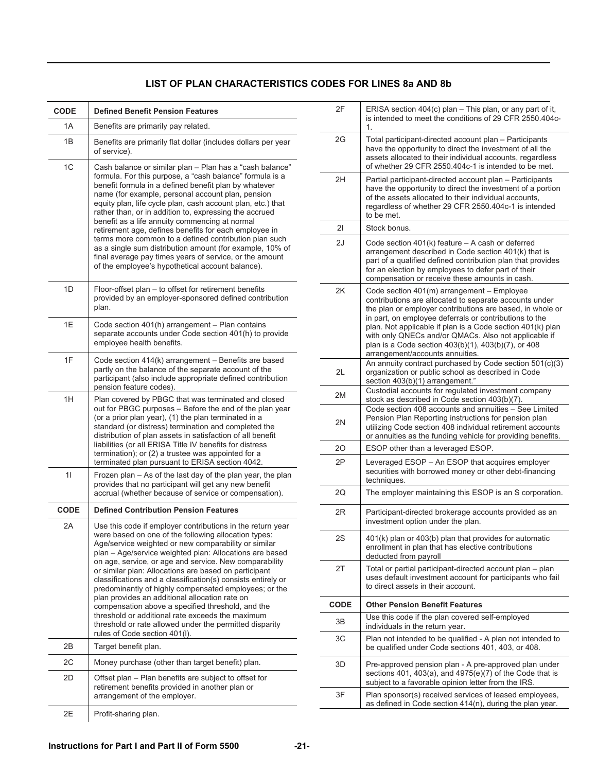| <b>CODE</b> | <b>Defined Benefit Pension Features</b>                                                                                                                                                                                                                                                                                                                                                                                                                                                                                                                                                                                                                                                                                                  |
|-------------|------------------------------------------------------------------------------------------------------------------------------------------------------------------------------------------------------------------------------------------------------------------------------------------------------------------------------------------------------------------------------------------------------------------------------------------------------------------------------------------------------------------------------------------------------------------------------------------------------------------------------------------------------------------------------------------------------------------------------------------|
| 1A          | Benefits are primarily pay related.                                                                                                                                                                                                                                                                                                                                                                                                                                                                                                                                                                                                                                                                                                      |
| 1B          | Benefits are primarily flat dollar (includes dollars per year<br>of service).                                                                                                                                                                                                                                                                                                                                                                                                                                                                                                                                                                                                                                                            |
| 1C          | Cash balance or similar plan - Plan has a "cash balance"<br>formula. For this purpose, a "cash balance" formula is a<br>benefit formula in a defined benefit plan by whatever<br>name (for example, personal account plan, pension<br>equity plan, life cycle plan, cash account plan, etc.) that<br>rather than, or in addition to, expressing the accrued<br>benefit as a life annuity commencing at normal<br>retirement age, defines benefits for each employee in<br>terms more common to a defined contribution plan such<br>as a single sum distribution amount (for example, 10% of<br>final average pay times years of service, or the amount<br>of the employee's hypothetical account balance).                               |
| 1D          | Floor-offset plan – to offset for retirement benefits<br>provided by an employer-sponsored defined contribution<br>plan.                                                                                                                                                                                                                                                                                                                                                                                                                                                                                                                                                                                                                 |
| 1E          | Code section 401(h) arrangement - Plan contains<br>separate accounts under Code section 401(h) to provide<br>employee health benefits.                                                                                                                                                                                                                                                                                                                                                                                                                                                                                                                                                                                                   |
| 1F          | Code section 414(k) arrangement - Benefits are based<br>partly on the balance of the separate account of the<br>participant (also include appropriate defined contribution<br>pension feature codes).                                                                                                                                                                                                                                                                                                                                                                                                                                                                                                                                    |
| 1H          | Plan covered by PBGC that was terminated and closed<br>out for PBGC purposes - Before the end of the plan year<br>(or a prior plan year), (1) the plan terminated in a<br>standard (or distress) termination and completed the<br>distribution of plan assets in satisfaction of all benefit<br>liabilities (or all ERISA Title IV benefits for distress<br>termination); or (2) a trustee was appointed for a<br>terminated plan pursuant to ERISA section 4042.                                                                                                                                                                                                                                                                        |
| 11          | Frozen plan - As of the last day of the plan year, the plan<br>provides that no participant will get any new benefit<br>accrual (whether because of service or compensation).                                                                                                                                                                                                                                                                                                                                                                                                                                                                                                                                                            |
| CODE        | <b>Defined Contribution Pension Features</b>                                                                                                                                                                                                                                                                                                                                                                                                                                                                                                                                                                                                                                                                                             |
| 2Α          | Use this code if employer contributions in the return year<br>were based on one of the following allocation types:<br>Age/service weighted or new comparability or similar<br>plan - Age/service weighted plan: Allocations are based<br>on age, service, or age and service. New comparability<br>or similar plan: Allocations are based on participant<br>classifications and a classification(s) consists entirely or<br>predominantly of highly compensated employees; or the<br>plan provides an additional allocation rate on<br>compensation above a specified threshold, and the<br>threshold or additional rate exceeds the maximum<br>threshold or rate allowed under the permitted disparity<br>rules of Code section 401(I). |
| 2B          | Target benefit plan.                                                                                                                                                                                                                                                                                                                                                                                                                                                                                                                                                                                                                                                                                                                     |
| 2C          | Money purchase (other than target benefit) plan.                                                                                                                                                                                                                                                                                                                                                                                                                                                                                                                                                                                                                                                                                         |
| 2D          | Offset plan – Plan benefits are subject to offset for<br>retirement benefits provided in another plan or<br>arrangement of the employer.                                                                                                                                                                                                                                                                                                                                                                                                                                                                                                                                                                                                 |
| 2Е          | Profit-sharing plan.                                                                                                                                                                                                                                                                                                                                                                                                                                                                                                                                                                                                                                                                                                                     |

| 2F   | ERISA section 404(c) plan - This plan, or any part of it,<br>is intended to meet the conditions of 29 CFR 2550.404c-<br>1.                                                                                                                                                                                                                                                                                                                  |
|------|---------------------------------------------------------------------------------------------------------------------------------------------------------------------------------------------------------------------------------------------------------------------------------------------------------------------------------------------------------------------------------------------------------------------------------------------|
| 2G   | Total participant-directed account plan - Participants<br>have the opportunity to direct the investment of all the<br>assets allocated to their individual accounts, regardless<br>of whether 29 CFR 2550.404c-1 is intended to be met.                                                                                                                                                                                                     |
| 2H   | Partial participant-directed account plan - Participants<br>have the opportunity to direct the investment of a portion<br>of the assets allocated to their individual accounts,<br>regardless of whether 29 CFR 2550.404c-1 is intended<br>to be met.                                                                                                                                                                                       |
| 21   | Stock bonus.                                                                                                                                                                                                                                                                                                                                                                                                                                |
| 2J   | Code section 401(k) feature - A cash or deferred<br>arrangement described in Code section 401(k) that is<br>part of a qualified defined contribution plan that provides<br>for an election by employees to defer part of their<br>compensation or receive these amounts in cash.                                                                                                                                                            |
| 2K   | Code section 401(m) arrangement - Employee<br>contributions are allocated to separate accounts under<br>the plan or employer contributions are based, in whole or<br>in part, on employee deferrals or contributions to the<br>plan. Not applicable if plan is a Code section 401(k) plan<br>with only QNECs and/or QMACs. Also not applicable if<br>plan is a Code section 403(b)(1), 403(b)(7), or 408<br>arrangement/accounts annuities. |
| 2L   | An annuity contract purchased by Code section 501(c)(3)<br>organization or public school as described in Code<br>section 403(b)(1) arrangement."                                                                                                                                                                                                                                                                                            |
| 2M   | Custodial accounts for regulated investment company<br>stock as described in Code section 403(b)(7).                                                                                                                                                                                                                                                                                                                                        |
| 2N   | Code section 408 accounts and annuities - See Limited<br>Pension Plan Reporting instructions for pension plan<br>utilizing Code section 408 individual retirement accounts<br>or annuities as the funding vehicle for providing benefits.                                                                                                                                                                                                   |
| 20   | ESOP other than a leveraged ESOP.                                                                                                                                                                                                                                                                                                                                                                                                           |
| 2P   | Leveraged ESOP - An ESOP that acquires employer<br>securities with borrowed money or other debt-financing<br>techniques.                                                                                                                                                                                                                                                                                                                    |
| 20   | The employer maintaining this ESOP is an S corporation.                                                                                                                                                                                                                                                                                                                                                                                     |
| 2R   | Participant-directed brokerage accounts provided as an<br>investment option under the plan.                                                                                                                                                                                                                                                                                                                                                 |
| 25   | 401(k) plan or 403(b) plan that provides for automatic<br>enrollment in plan that has elective contributions<br>deducted from payroll                                                                                                                                                                                                                                                                                                       |
| 2T   | Total or partial participant-directed account plan - plan<br>uses default investment account for participants who fail<br>to direct assets in their account.                                                                                                                                                                                                                                                                                |
| CODE | <b>Other Pension Benefit Features</b>                                                                                                                                                                                                                                                                                                                                                                                                       |
| 3B   | Use this code if the plan covered self-employed<br>individuals in the return year.                                                                                                                                                                                                                                                                                                                                                          |
| 3C   | Plan not intended to be qualified - A plan not intended to<br>be qualified under Code sections 401, 403, or 408.                                                                                                                                                                                                                                                                                                                            |
| 3D   | Pre-approved pension plan - A pre-approved plan under<br>sections 401, 403(a), and 4975(e)(7) of the Code that is<br>subject to a favorable opinion letter from the IRS.                                                                                                                                                                                                                                                                    |
| 3F   | Plan sponsor(s) received services of leased employees,<br>as defined in Code section 414(n), during the plan year.                                                                                                                                                                                                                                                                                                                          |
|      |                                                                                                                                                                                                                                                                                                                                                                                                                                             |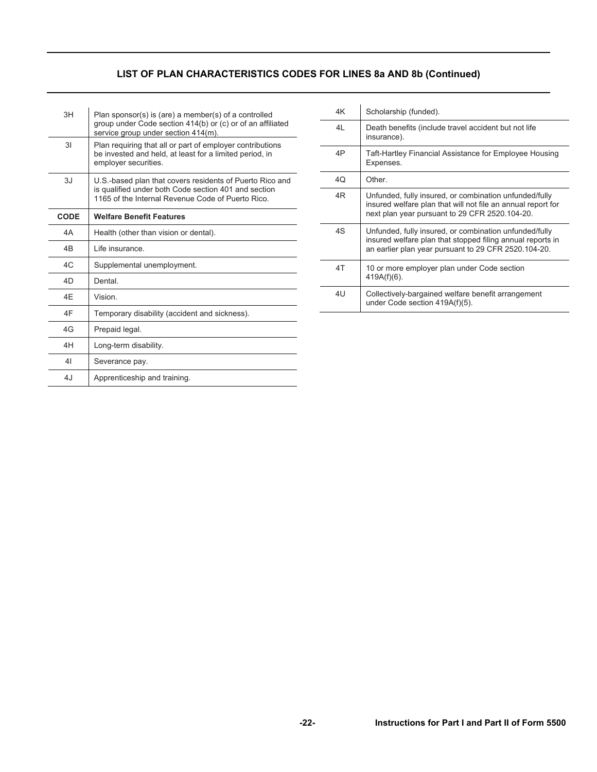## **LIST OF PLAN CHARACTERISTICS CODES FOR LINES 8a AND 8b (Continued)**

| 3H             | Plan sponsor(s) is (are) a member(s) of a controlled<br>group under Code section 414(b) or (c) or of an affiliated<br>service group under section 414(m).             |
|----------------|-----------------------------------------------------------------------------------------------------------------------------------------------------------------------|
| 3I             | Plan requiring that all or part of employer contributions<br>be invested and held, at least for a limited period, in<br>employer securities.                          |
| 3J             | U.S.-based plan that covers residents of Puerto Rico and<br>is qualified under both Code section 401 and section<br>1165 of the Internal Revenue Code of Puerto Rico. |
| <b>CODE</b>    | <b>Welfare Benefit Features</b>                                                                                                                                       |
| 4A             | Health (other than vision or dental).                                                                                                                                 |
| 4 <sub>B</sub> | I ife insurance.                                                                                                                                                      |
| AC             | Supplemental unemployment.                                                                                                                                            |
|                |                                                                                                                                                                       |
| 4D             | Dental                                                                                                                                                                |
| 4F             | Vision.                                                                                                                                                               |
| 4F             | Temporary disability (accident and sickness).                                                                                                                         |
| 4G             | Prepaid legal.                                                                                                                                                        |
| 4H             | Long-term disability.                                                                                                                                                 |
| 41             | Severance pay.                                                                                                                                                        |

| 4K | Scholarship (funded).                                                                                                                                                        |
|----|------------------------------------------------------------------------------------------------------------------------------------------------------------------------------|
| 4L | Death benefits (include travel accident but not life<br>insurance).                                                                                                          |
| 4P | Taft-Hartley Financial Assistance for Employee Housing<br>Expenses.                                                                                                          |
| 40 | Other.                                                                                                                                                                       |
| 4R | Unfunded, fully insured, or combination unfunded/fully<br>insured welfare plan that will not file an annual report for<br>next plan year pursuant to 29 CFR 2520.104-20.     |
| 4S | Unfunded, fully insured, or combination unfunded/fully<br>insured welfare plan that stopped filing annual reports in<br>an earlier plan year pursuant to 29 CFR 2520.104-20. |
| 4T | 10 or more employer plan under Code section<br>$419A(f)(6)$ .                                                                                                                |
| 4U | Collectively-bargained welfare benefit arrangement<br>under Code section 419A(f)(5).                                                                                         |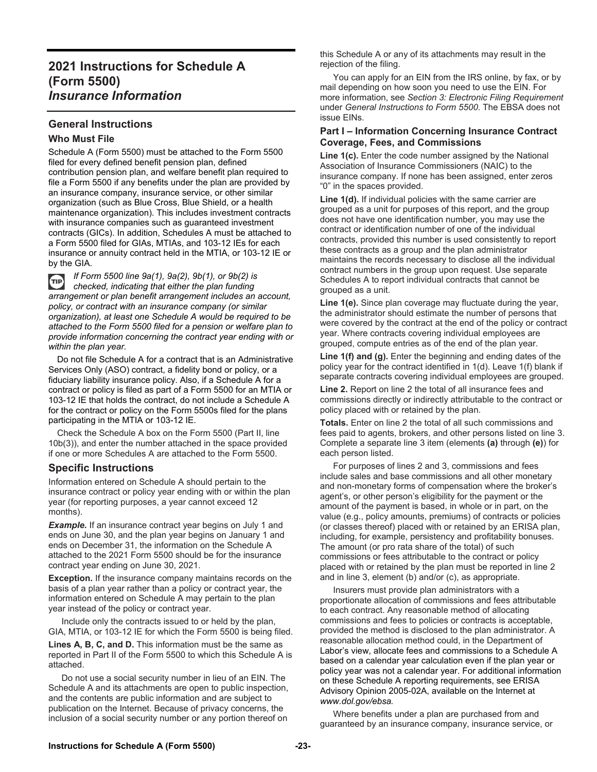## **2021 Instructions for Schedule A (Form 5500)**  *Insurance Information*

### **General Instructions**

#### **Who Must File**

Schedule A (Form 5500) must be attached to the Form 5500 filed for every defined benefit pension plan, defined contribution pension plan, and welfare benefit plan required to file a Form 5500 if any benefits under the plan are provided by an insurance company, insurance service, or other similar organization (such as Blue Cross, Blue Shield, or a health maintenance organization). This includes investment contracts with insurance companies such as guaranteed investment contracts (GICs). In addition, Schedules A must be attached to a Form 5500 filed for GIAs, MTIAs, and 103-12 IEs for each insurance or annuity contract held in the MTIA, or 103-12 IE or by the GIA.

*If Form 5500 line 9a(1), 9a(2), 9b(1), or 9b(2) is*   $r_{\text{HP}}$ *checked, indicating that either the plan funding arrangement or plan benefit arrangement includes an account, policy, or contract with an insurance company (or similar organization), at least one Schedule A would be required to be attached to the Form 5500 filed for a pension or welfare plan to provide information concerning the contract year ending with or within the plan year.* 

 Do not file Schedule A for a contract that is an Administrative Services Only (ASO) contract, a fidelity bond or policy, or a fiduciary liability insurance policy. Also, if a Schedule A for a contract or policy is filed as part of a Form 5500 for an MTIA or 103-12 IE that holds the contract, do not include a Schedule A for the contract or policy on the Form 5500s filed for the plans participating in the MTIA or 103-12 IE.

 Check the Schedule A box on the Form 5500 (Part II, line 10b(3)), and enter the number attached in the space provided if one or more Schedules A are attached to the Form 5500.

### **Specific Instructions**

Information entered on Schedule A should pertain to the insurance contract or policy year ending with or within the plan year (for reporting purposes, a year cannot exceed 12 months).

**Example.** If an insurance contract year begins on July 1 and ends on June 30, and the plan year begins on January 1 and ends on December 31, the information on the Schedule A attached to the 2021 Form 5500 should be for the insurance contract year ending on June 30, 2021.

**Exception.** If the insurance company maintains records on the basis of a plan year rather than a policy or contract year, the information entered on Schedule A may pertain to the plan year instead of the policy or contract year.

 Include only the contracts issued to or held by the plan, GIA, MTIA, or 103-12 IE for which the Form 5500 is being filed.

**Lines A, B, C, and D.** This information must be the same as reported in Part II of the Form 5500 to which this Schedule A is attached.

 Do not use a social security number in lieu of an EIN. The Schedule A and its attachments are open to public inspection, and the contents are public information and are subject to publication on the Internet. Because of privacy concerns, the inclusion of a social security number or any portion thereof on

this Schedule A or any of its attachments may result in the rejection of the filing.

 You can apply for an EIN from the IRS online, by fax, or by mail depending on how soon you need to use the EIN. For more information, see *Section 3: Electronic Filing Requirement* under *General Instructions to Form 5500*. The EBSA does not issue EINs.

#### **Part I – Information Concerning Insurance Contract Coverage, Fees, and Commissions**

**Line 1(c).** Enter the code number assigned by the National Association of Insurance Commissioners (NAIC) to the insurance company. If none has been assigned, enter zeros "0" in the spaces provided.

**Line 1(d).** If individual policies with the same carrier are grouped as a unit for purposes of this report, and the group does not have one identification number, you may use the contract or identification number of one of the individual contracts, provided this number is used consistently to report these contracts as a group and the plan administrator maintains the records necessary to disclose all the individual contract numbers in the group upon request. Use separate Schedules A to report individual contracts that cannot be grouped as a unit.

**Line 1(e).** Since plan coverage may fluctuate during the year, the administrator should estimate the number of persons that were covered by the contract at the end of the policy or contract year. Where contracts covering individual employees are grouped, compute entries as of the end of the plan year.

**Line 1(f) and (g).** Enter the beginning and ending dates of the policy year for the contract identified in 1(d). Leave 1(f) blank if separate contracts covering individual employees are grouped.

**Line 2.** Report on line 2 the total of all insurance fees and commissions directly or indirectly attributable to the contract or policy placed with or retained by the plan.

**Totals.** Enter on line 2 the total of all such commissions and fees paid to agents, brokers, and other persons listed on line 3. Complete a separate line 3 item (elements **(a)** through **(e)**) for each person listed.

 For purposes of lines 2 and 3, commissions and fees include sales and base commissions and all other monetary and non-monetary forms of compensation where the broker's agent's, or other person's eligibility for the payment or the amount of the payment is based, in whole or in part, on the value (e.g., policy amounts, premiums) of contracts or policies (or classes thereof) placed with or retained by an ERISA plan, including, for example, persistency and profitability bonuses. The amount (or pro rata share of the total) of such commissions or fees attributable to the contract or policy placed with or retained by the plan must be reported in line 2 and in line 3, element (b) and/or (c), as appropriate.

 Insurers must provide plan administrators with a proportionate allocation of commissions and fees attributable to each contract. Any reasonable method of allocating commissions and fees to policies or contracts is acceptable, provided the method is disclosed to the plan administrator. A reasonable allocation method could, in the Department of Labor's view, allocate fees and commissions to a Schedule A based on a calendar year calculation even if the plan year or policy year was not a calendar year. For additional information on these Schedule A reporting requirements, see ERISA Advisory Opinion 2005-02A, available on the Internet at *www.dol.gov/ebsa.* 

 Where benefits under a plan are purchased from and guaranteed by an insurance company, insurance service, or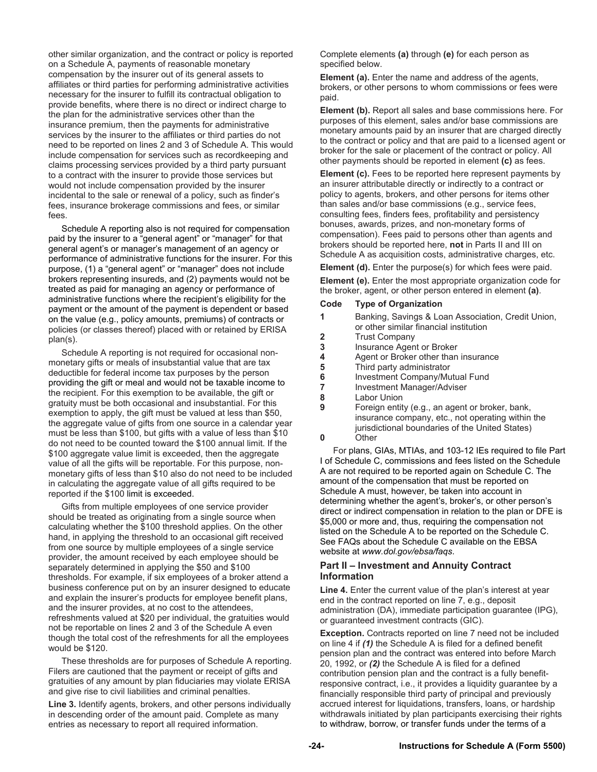other similar organization, and the contract or policy is reported on a Schedule A, payments of reasonable monetary compensation by the insurer out of its general assets to affiliates or third parties for performing administrative activities necessary for the insurer to fulfill its contractual obligation to provide benefits, where there is no direct or indirect charge to the plan for the administrative services other than the insurance premium, then the payments for administrative services by the insurer to the affiliates or third parties do not need to be reported on lines 2 and 3 of Schedule A. This would include compensation for services such as recordkeeping and claims processing services provided by a third party pursuant to a contract with the insurer to provide those services but would not include compensation provided by the insurer incidental to the sale or renewal of a policy, such as finder's fees, insurance brokerage commissions and fees, or similar fees.

 Schedule A reporting also is not required for compensation paid by the insurer to a "general agent" or "manager" for that general agent's or manager's management of an agency or performance of administrative functions for the insurer. For this purpose, (1) a "general agent" or "manager" does not include brokers representing insureds, and (2) payments would not be treated as paid for managing an agency or performance of administrative functions where the recipient's eligibility for the payment or the amount of the payment is dependent or based on the value (e.g., policy amounts, premiums) of contracts or policies (or classes thereof) placed with or retained by ERISA plan(s).

 Schedule A reporting is not required for occasional nonmonetary gifts or meals of insubstantial value that are tax deductible for federal income tax purposes by the person providing the gift or meal and would not be taxable income to the recipient. For this exemption to be available, the gift or gratuity must be both occasional and insubstantial. For this exemption to apply, the gift must be valued at less than \$50, the aggregate value of gifts from one source in a calendar year must be less than \$100, but gifts with a value of less than \$10 do not need to be counted toward the \$100 annual limit. If the \$100 aggregate value limit is exceeded, then the aggregate value of all the gifts will be reportable. For this purpose, nonmonetary gifts of less than \$10 also do not need to be included in calculating the aggregate value of all gifts required to be reported if the \$100 limit is exceeded.

 Gifts from multiple employees of one service provider should be treated as originating from a single source when calculating whether the \$100 threshold applies. On the other hand, in applying the threshold to an occasional gift received from one source by multiple employees of a single service provider, the amount received by each employee should be separately determined in applying the \$50 and \$100 thresholds. For example, if six employees of a broker attend a business conference put on by an insurer designed to educate and explain the insurer's products for employee benefit plans, and the insurer provides, at no cost to the attendees, refreshments valued at \$20 per individual, the gratuities would not be reportable on lines 2 and 3 of the Schedule A even though the total cost of the refreshments for all the employees would be \$120.

 These thresholds are for purposes of Schedule A reporting. Filers are cautioned that the payment or receipt of gifts and gratuities of any amount by plan fiduciaries may violate ERISA and give rise to civil liabilities and criminal penalties.

**Line 3.** Identify agents, brokers, and other persons individually in descending order of the amount paid. Complete as many entries as necessary to report all required information.

Complete elements **(a)** through **(e)** for each person as specified below.

**Element (a).** Enter the name and address of the agents, brokers, or other persons to whom commissions or fees were paid.

**Element (b).** Report all sales and base commissions here. For purposes of this element, sales and/or base commissions are monetary amounts paid by an insurer that are charged directly to the contract or policy and that are paid to a licensed agent or broker for the sale or placement of the contract or policy. All other payments should be reported in element **(c)** as fees.

**Element (c).** Fees to be reported here represent payments by an insurer attributable directly or indirectly to a contract or policy to agents, brokers, and other persons for items other than sales and/or base commissions (e.g., service fees, consulting fees, finders fees, profitability and persistency bonuses, awards, prizes, and non-monetary forms of compensation). Fees paid to persons other than agents and brokers should be reported here, **not** in Parts II and III on Schedule A as acquisition costs, administrative charges, etc.

**Element (d).** Enter the purpose(s) for which fees were paid.

**Element (e).** Enter the most appropriate organization code for the broker, agent, or other person entered in element **(a)**.

#### **Code Type of Organization**

|                | Banking, Savings & Loan Association, Credit Union, |
|----------------|----------------------------------------------------|
|                | or other similar financial institution             |
| $\overline{2}$ | <b>Trust Company</b>                               |
| 3              | Insurance Agent or Broker                          |
|                | Agent or Broker other than insurance               |
| 5              | Third party administrator                          |
| 6              | Investment Company/Mutual Fund                     |
|                | Investment Manager/Adviser                         |
| Ω              | Lahor Llnion                                       |

- **8** Labor Union
- **9** Foreign entity (e.g., an agent or broker, bank, insurance company, etc., not operating within the jurisdictional boundaries of the United States)

**0** Other

 For plans, GIAs, MTIAs, and 103-12 IEs required to file Part I of Schedule C, commissions and fees listed on the Schedule A are not required to be reported again on Schedule C. The amount of the compensation that must be reported on Schedule A must, however, be taken into account in determining whether the agent's, broker's, or other person's direct or indirect compensation in relation to the plan or DFE is \$5,000 or more and, thus, requiring the compensation not listed on the Schedule A to be reported on the Schedule C. See FAQs about the Schedule C available on the EBSA website at *www.dol.gov/ebsa/faqs*.

#### **Part II – Investment and Annuity Contract Information**

**Line 4.** Enter the current value of the plan's interest at year end in the contract reported on line 7, e.g., deposit administration (DA), immediate participation guarantee (IPG), or guaranteed investment contracts (GIC).

**Exception.** Contracts reported on line 7 need not be included on line 4 if *(1)* the Schedule A is filed for a defined benefit pension plan and the contract was entered into before March 20, 1992, or *(2)* the Schedule A is filed for a defined contribution pension plan and the contract is a fully benefitresponsive contract, i.e., it provides a liquidity guarantee by a financially responsible third party of principal and previously accrued interest for liquidations, transfers, loans, or hardship withdrawals initiated by plan participants exercising their rights to withdraw, borrow, or transfer funds under the terms of a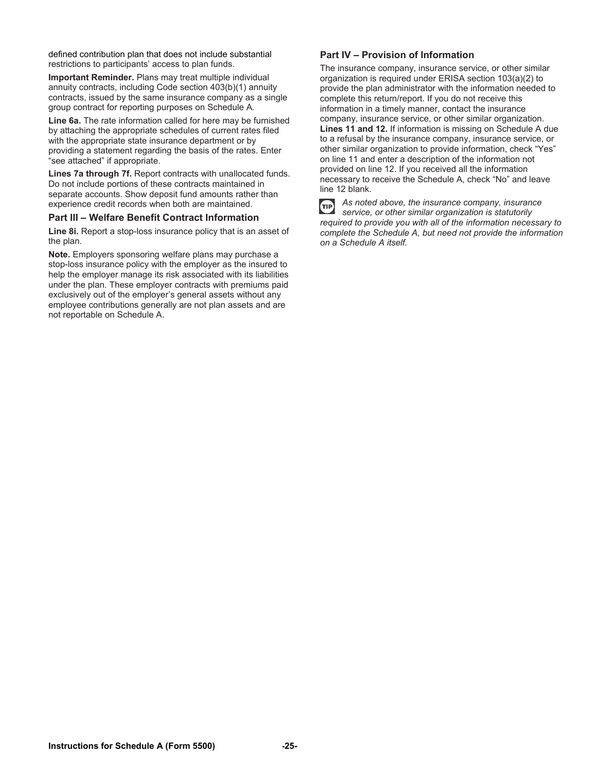defined contribution plan that does not include substantial restrictions to participants' access to plan funds.

**Important Reminder.** Plans may treat multiple individual annuity contracts, including Code section 403(b)(1) annuity contracts, issued by the same insurance company as a single group contract for reporting purposes on Schedule A.

**Line 6a.** The rate information called for here may be furnished by attaching the appropriate schedules of current rates filed with the appropriate state insurance department or by providing a statement regarding the basis of the rates. Enter "see attached" if appropriate.

**Lines 7a through 7f.** Report contracts with unallocated funds. Do not include portions of these contracts maintained in separate accounts. Show deposit fund amounts rather than experience credit records when both are maintained.

#### **Part III – Welfare Benefit Contract Information**

**Line 8i.** Report a stop-loss insurance policy that is an asset of the plan.

**Note.** Employers sponsoring welfare plans may purchase a stop-loss insurance policy with the employer as the insured to help the employer manage its risk associated with its liabilities under the plan. These employer contracts with premiums paid exclusively out of the employer's general assets without any employee contributions generally are not plan assets and are not reportable on Schedule A.

#### **Part IV – Provision of Information**

The insurance company, insurance service, or other similar organization is required under ERISA section 103(a)(2) to provide the plan administrator with the information needed to complete this return/report. If you do not receive this information in a timely manner, contact the insurance company, insurance service, or other similar organization. **Lines 11 and 12.** If information is missing on Schedule A due to a refusal by the insurance company, insurance service, or other similar organization to provide information, check "Yes" on line 11 and enter a description of the information not provided on line 12. If you received all the information necessary to receive the Schedule A, check "No" and leave line 12 blank.

TIP

*As noted above, the insurance company, insurance service, or other similar organization is statutorily required to provide you with all of the information necessary to complete the Schedule A, but need not provide the information on a Schedule A itself.*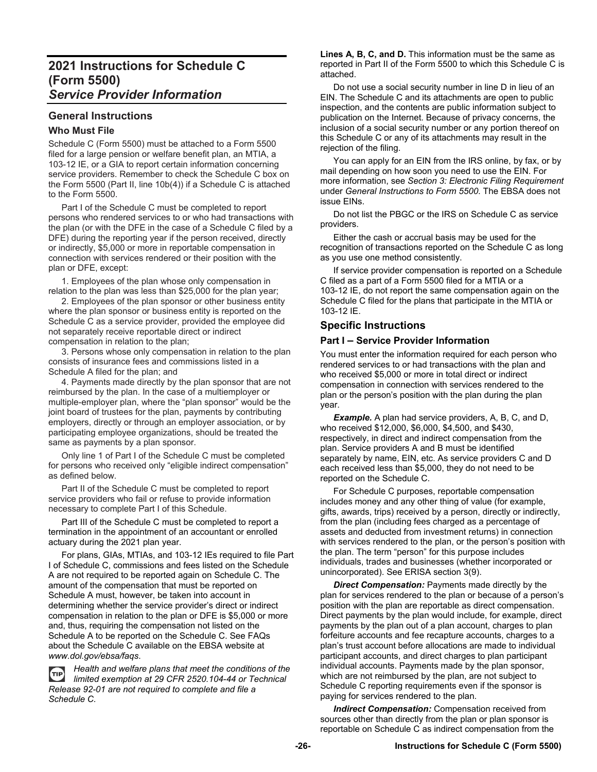## **2021 Instructions for Schedule C (Form 5500)**  *Service Provider Information*

# **General Instructions**

## **Who Must File**

Schedule C (Form 5500) must be attached to a Form 5500 filed for a large pension or welfare benefit plan, an MTIA, a 103-12 IE, or a GIA to report certain information concerning service providers. Remember to check the Schedule C box on the Form 5500 (Part II, line 10b(4)) if a Schedule C is attached to the Form 5500.

 Part I of the Schedule C must be completed to report persons who rendered services to or who had transactions with the plan (or with the DFE in the case of a Schedule C filed by a DFE) during the reporting year if the person received, directly or indirectly, \$5,000 or more in reportable compensation in connection with services rendered or their position with the plan or DFE, except:

 1. Employees of the plan whose only compensation in relation to the plan was less than \$25,000 for the plan year;

 2. Employees of the plan sponsor or other business entity where the plan sponsor or business entity is reported on the Schedule C as a service provider, provided the employee did not separately receive reportable direct or indirect compensation in relation to the plan;

 3. Persons whose only compensation in relation to the plan consists of insurance fees and commissions listed in a Schedule A filed for the plan; and

 4. Payments made directly by the plan sponsor that are not reimbursed by the plan. In the case of a multiemployer or multiple-employer plan, where the "plan sponsor" would be the joint board of trustees for the plan, payments by contributing employers, directly or through an employer association, or by participating employee organizations, should be treated the same as payments by a plan sponsor.

 Only line 1 of Part I of the Schedule C must be completed for persons who received only "eligible indirect compensation" as defined below.

 Part II of the Schedule C must be completed to report service providers who fail or refuse to provide information necessary to complete Part I of this Schedule.

 Part III of the Schedule C must be completed to report a termination in the appointment of an accountant or enrolled actuary during the 2021 plan year.

 For plans, GIAs, MTIAs, and 103-12 IEs required to file Part I of Schedule C, commissions and fees listed on the Schedule A are not required to be reported again on Schedule C. The amount of the compensation that must be reported on Schedule A must, however, be taken into account in determining whether the service provider's direct or indirect compensation in relation to the plan or DFE is \$5,000 or more and, thus, requiring the compensation not listed on the Schedule A to be reported on the Schedule C. See FAQs about the Schedule C available on the EBSA website at *www.dol.gov/ebsa/faqs*.

*Health and welfare plans that meet the conditions of the*  **TIP** *limited exemption at 29 CFR 2520.104-44 or Technical Release 92-01 are not required to complete and file a Schedule C.* 

**Lines A, B, C, and D.** This information must be the same as reported in Part II of the Form 5500 to which this Schedule C is attached.

 Do not use a social security number in line D in lieu of an EIN. The Schedule C and its attachments are open to public inspection, and the contents are public information subject to publication on the Internet. Because of privacy concerns, the inclusion of a social security number or any portion thereof on this Schedule C or any of its attachments may result in the rejection of the filing.

 You can apply for an EIN from the IRS online, by fax, or by mail depending on how soon you need to use the EIN. For more information, see *Section 3: Electronic Filing Requirement*  under *General Instructions to Form 5500*. The EBSA does not issue EINs.

 Do not list the PBGC or the IRS on Schedule C as service providers.

 Either the cash or accrual basis may be used for the recognition of transactions reported on the Schedule C as long as you use one method consistently.

 If service provider compensation is reported on a Schedule C filed as a part of a Form 5500 filed for a MTIA or a 103-12 IE, do not report the same compensation again on the Schedule C filed for the plans that participate in the MTIA or 103-12 IE.

### **Specific Instructions**

#### **Part I – Service Provider Information**

You must enter the information required for each person who rendered services to or had transactions with the plan and who received \$5,000 or more in total direct or indirect compensation in connection with services rendered to the plan or the person's position with the plan during the plan year.

**Example.** A plan had service providers, A, B, C, and D, who received \$12,000, \$6,000, \$4,500, and \$430, respectively, in direct and indirect compensation from the plan. Service providers A and B must be identified separately by name, EIN, etc. As service providers C and D each received less than \$5,000, they do not need to be reported on the Schedule C.

 For Schedule C purposes, reportable compensation includes money and any other thing of value (for example, gifts, awards, trips) received by a person, directly or indirectly, from the plan (including fees charged as a percentage of assets and deducted from investment returns) in connection with services rendered to the plan, or the person's position with the plan. The term "person" for this purpose includes individuals, trades and businesses (whether incorporated or unincorporated). See ERISA section 3(9).

 *Direct Compensation:* Payments made directly by the plan for services rendered to the plan or because of a person's position with the plan are reportable as direct compensation. Direct payments by the plan would include, for example, direct payments by the plan out of a plan account, charges to plan forfeiture accounts and fee recapture accounts, charges to a plan's trust account before allocations are made to individual participant accounts, and direct charges to plan participant individual accounts. Payments made by the plan sponsor, which are not reimbursed by the plan, are not subject to Schedule C reporting requirements even if the sponsor is paying for services rendered to the plan.

 *Indirect Compensation:* Compensation received from sources other than directly from the plan or plan sponsor is reportable on Schedule C as indirect compensation from the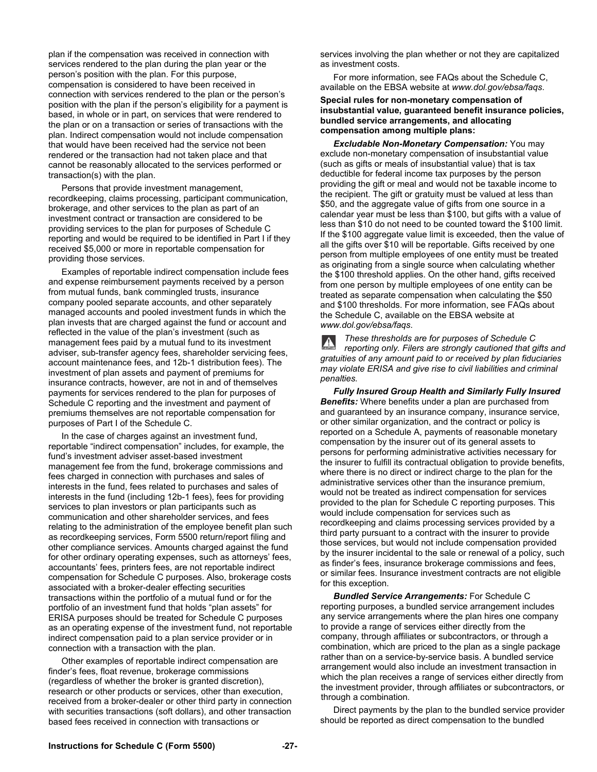plan if the compensation was received in connection with services rendered to the plan during the plan year or the person's position with the plan. For this purpose, compensation is considered to have been received in connection with services rendered to the plan or the person's position with the plan if the person's eligibility for a payment is based, in whole or in part, on services that were rendered to the plan or on a transaction or series of transactions with the plan. Indirect compensation would not include compensation that would have been received had the service not been rendered or the transaction had not taken place and that cannot be reasonably allocated to the services performed or transaction(s) with the plan.

 Persons that provide investment management, recordkeeping, claims processing, participant communication, brokerage, and other services to the plan as part of an investment contract or transaction are considered to be providing services to the plan for purposes of Schedule C reporting and would be required to be identified in Part I if they received \$5,000 or more in reportable compensation for providing those services.

 Examples of reportable indirect compensation include fees and expense reimbursement payments received by a person from mutual funds, bank commingled trusts, insurance company pooled separate accounts, and other separately managed accounts and pooled investment funds in which the plan invests that are charged against the fund or account and reflected in the value of the plan's investment (such as management fees paid by a mutual fund to its investment adviser, sub-transfer agency fees, shareholder servicing fees, account maintenance fees, and 12b-1 distribution fees). The investment of plan assets and payment of premiums for insurance contracts, however, are not in and of themselves payments for services rendered to the plan for purposes of Schedule C reporting and the investment and payment of premiums themselves are not reportable compensation for purposes of Part I of the Schedule C.

 In the case of charges against an investment fund, reportable "indirect compensation" includes, for example, the fund's investment adviser asset-based investment management fee from the fund, brokerage commissions and fees charged in connection with purchases and sales of interests in the fund, fees related to purchases and sales of interests in the fund (including 12b-1 fees), fees for providing services to plan investors or plan participants such as communication and other shareholder services, and fees relating to the administration of the employee benefit plan such as recordkeeping services, Form 5500 return/report filing and other compliance services. Amounts charged against the fund for other ordinary operating expenses, such as attorneys' fees, accountants' fees, printers fees, are not reportable indirect compensation for Schedule C purposes. Also, brokerage costs associated with a broker-dealer effecting securities transactions within the portfolio of a mutual fund or for the portfolio of an investment fund that holds "plan assets" for ERISA purposes should be treated for Schedule C purposes as an operating expense of the investment fund, not reportable indirect compensation paid to a plan service provider or in connection with a transaction with the plan.

 Other examples of reportable indirect compensation are finder's fees, float revenue, brokerage commissions (regardless of whether the broker is granted discretion), research or other products or services, other than execution, received from a broker-dealer or other third party in connection with securities transactions (soft dollars), and other transaction based fees received in connection with transactions or

services involving the plan whether or not they are capitalized as investment costs.

 For more information, see FAQs about the Schedule C, available on the EBSA website at *www.dol.gov/ebsa/faqs*.

**Special rules for non-monetary compensation of insubstantial value, guaranteed benefit insurance policies, bundled service arrangements, and allocating compensation among multiple plans:** 

 *Excludable Non-Monetary Compensation:* You may exclude non-monetary compensation of insubstantial value (such as gifts or meals of insubstantial value) that is tax deductible for federal income tax purposes by the person providing the gift or meal and would not be taxable income to the recipient. The gift or gratuity must be valued at less than \$50, and the aggregate value of gifts from one source in a calendar year must be less than \$100, but gifts with a value of less than \$10 do not need to be counted toward the \$100 limit. If the \$100 aggregate value limit is exceeded, then the value of all the gifts over \$10 will be reportable. Gifts received by one person from multiple employees of one entity must be treated as originating from a single source when calculating whether the \$100 threshold applies. On the other hand, gifts received from one person by multiple employees of one entity can be treated as separate compensation when calculating the \$50 and \$100 thresholds. For more information, see FAQs about the Schedule C, available on the EBSA website at *www.dol.gov/ebsa/faqs*.

*These thresholds are for purposes of Schedule C reporting only. Filers are strongly cautioned that gifts and gratuities of any amount paid to or received by plan fiduciaries may violate ERISA and give rise to civil liabilities and criminal penalties.* 

 *Fully Insured Group Health and Similarly Fully Insured Benefits:* Where benefits under a plan are purchased from and guaranteed by an insurance company, insurance service, or other similar organization, and the contract or policy is reported on a Schedule A, payments of reasonable monetary compensation by the insurer out of its general assets to persons for performing administrative activities necessary for the insurer to fulfill its contractual obligation to provide benefits, where there is no direct or indirect charge to the plan for the administrative services other than the insurance premium, would not be treated as indirect compensation for services provided to the plan for Schedule C reporting purposes. This would include compensation for services such as recordkeeping and claims processing services provided by a third party pursuant to a contract with the insurer to provide those services, but would not include compensation provided by the insurer incidental to the sale or renewal of a policy, such as finder's fees, insurance brokerage commissions and fees, or similar fees. Insurance investment contracts are not eligible for this exception.

 *Bundled Service Arrangements:* For Schedule C reporting purposes, a bundled service arrangement includes any service arrangements where the plan hires one company to provide a range of services either directly from the company, through affiliates or subcontractors, or through a combination, which are priced to the plan as a single package rather than on a service-by-service basis. A bundled service arrangement would also include an investment transaction in which the plan receives a range of services either directly from the investment provider, through affiliates or subcontractors, or through a combination.

 Direct payments by the plan to the bundled service provider should be reported as direct compensation to the bundled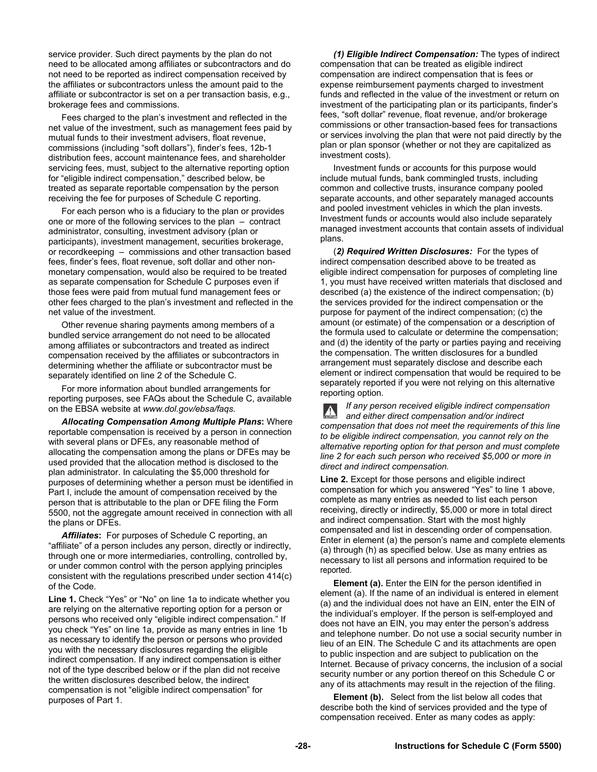service provider. Such direct payments by the plan do not need to be allocated among affiliates or subcontractors and do not need to be reported as indirect compensation received by the affiliates or subcontractors unless the amount paid to the affiliate or subcontractor is set on a per transaction basis, e.g., brokerage fees and commissions.

 Fees charged to the plan's investment and reflected in the net value of the investment, such as management fees paid by mutual funds to their investment advisers, float revenue, commissions (including "soft dollars"), finder's fees, 12b-1 distribution fees, account maintenance fees, and shareholder servicing fees, must, subject to the alternative reporting option for "eligible indirect compensation," described below, be treated as separate reportable compensation by the person receiving the fee for purposes of Schedule C reporting.

 For each person who is a fiduciary to the plan or provides one or more of the following services to the plan – contract administrator, consulting, investment advisory (plan or participants), investment management, securities brokerage, or recordkeeping – commissions and other transaction based fees, finder's fees, float revenue, soft dollar and other nonmonetary compensation, would also be required to be treated as separate compensation for Schedule C purposes even if those fees were paid from mutual fund management fees or other fees charged to the plan's investment and reflected in the net value of the investment.

 Other revenue sharing payments among members of a bundled service arrangement do not need to be allocated among affiliates or subcontractors and treated as indirect compensation received by the affiliates or subcontractors in determining whether the affiliate or subcontractor must be separately identified on line 2 of the Schedule C.

 For more information about bundled arrangements for reporting purposes, see FAQs about the Schedule C, available on the EBSA website at *www.dol.gov/ebsa/faqs.* 

*Allocating Compensation Among Multiple Plans***:** Where reportable compensation is received by a person in connection with several plans or DFEs, any reasonable method of allocating the compensation among the plans or DFEs may be used provided that the allocation method is disclosed to the plan administrator. In calculating the \$5,000 threshold for purposes of determining whether a person must be identified in Part I, include the amount of compensation received by the person that is attributable to the plan or DFE filing the Form 5500, not the aggregate amount received in connection with all the plans or DFEs.

*Affiliates***:** For purposes of Schedule C reporting, an "affiliate" of a person includes any person, directly or indirectly, through one or more intermediaries, controlling, controlled by, or under common control with the person applying principles consistent with the regulations prescribed under section 414(c) of the Code.

**Line 1.** Check "Yes" or "No" on line 1a to indicate whether you are relying on the alternative reporting option for a person or persons who received only "eligible indirect compensation." If you check "Yes" on line 1a, provide as many entries in line 1b as necessary to identify the person or persons who provided you with the necessary disclosures regarding the eligible indirect compensation. If any indirect compensation is either not of the type described below or if the plan did not receive the written disclosures described below, the indirect compensation is not "eligible indirect compensation" for purposes of Part 1.

*(1) Eligible Indirect Compensation:* The types of indirect compensation that can be treated as eligible indirect compensation are indirect compensation that is fees or expense reimbursement payments charged to investment funds and reflected in the value of the investment or return on investment of the participating plan or its participants, finder's fees, "soft dollar" revenue, float revenue, and/or brokerage commissions or other transaction-based fees for transactions or services involving the plan that were not paid directly by the plan or plan sponsor (whether or not they are capitalized as investment costs).

 Investment funds or accounts for this purpose would include mutual funds, bank commingled trusts, including common and collective trusts, insurance company pooled separate accounts, and other separately managed accounts and pooled investment vehicles in which the plan invests. Investment funds or accounts would also include separately managed investment accounts that contain assets of individual plans.

 (*2) Required Written Disclosures:* For the types of indirect compensation described above to be treated as eligible indirect compensation for purposes of completing line 1, you must have received written materials that disclosed and described (a) the existence of the indirect compensation; (b) the services provided for the indirect compensation or the purpose for payment of the indirect compensation; (c) the amount (or estimate) of the compensation or a description of the formula used to calculate or determine the compensation; and (d) the identity of the party or parties paying and receiving the compensation. The written disclosures for a bundled arrangement must separately disclose and describe each element or indirect compensation that would be required to be separately reported if you were not relying on this alternative reporting option.

*If any person received eligible indirect compensation and either direct compensation and/or indirect compensation that does not meet the requirements of this line to be eligible indirect compensation, you cannot rely on the alternative reporting option for that person and must complete line 2 for each such person who received \$5,000 or more in direct and indirect compensation.* 

**Line 2.** Except for those persons and eligible indirect compensation for which you answered "Yes" to line 1 above, complete as many entries as needed to list each person receiving, directly or indirectly, \$5,000 or more in total direct and indirect compensation. Start with the most highly compensated and list in descending order of compensation. Enter in element (a) the person's name and complete elements (a) through (h) as specified below. Use as many entries as necessary to list all persons and information required to be reported.

**Element (a).** Enter the EIN for the person identified in element (a). If the name of an individual is entered in element (a) and the individual does not have an EIN, enter the EIN of the individual's employer. If the person is self-employed and does not have an EIN, you may enter the person's address and telephone number. Do not use a social security number in lieu of an EIN. The Schedule C and its attachments are open to public inspection and are subject to publication on the Internet. Because of privacy concerns, the inclusion of a social security number or any portion thereof on this Schedule C or any of its attachments may result in the rejection of the filing.

 **Element (b).** Select from the list below all codes that describe both the kind of services provided and the type of compensation received. Enter as many codes as apply: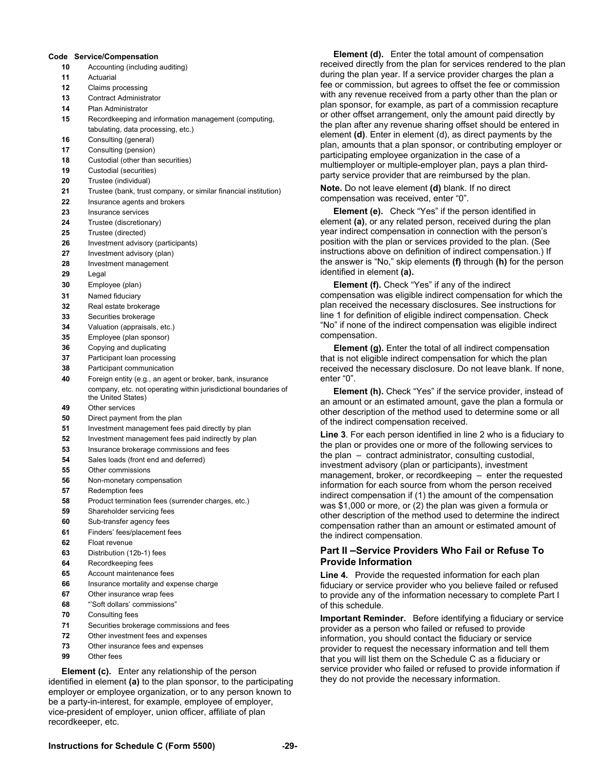#### **Code Service/Compensation**

- **10** Accounting (including auditing)
- **11** Actuarial
- **12** Claims processing
- **13** Contract Administrator
- **14** Plan Administrator
- **15** Recordkeeping and information management (computing, tabulating, data processing, etc.)
- **16** Consulting (general)
- **17** Consulting (pension)
- **18** Custodial (other than securities)
- **19** Custodial (securities)
- **20** Trustee (individual)
- **21** Trustee (bank, trust company, or similar financial institution)
- **22** Insurance agents and brokers
- **23** Insurance services
- **24** Trustee (discretionary)
- **25** Trustee (directed)
- **26** Investment advisory (participants)
- **27** Investment advisory (plan)
- **28** Investment management
- **29** Legal
- **30** Employee (plan)
- **31** Named fiduciary
- **32** Real estate brokerage
- **33** Securities brokerage
- **34** Valuation (appraisals, etc.)
- **35** Employee (plan sponsor)
- **36** Copying and duplicating
- **37** Participant loan processing
- **38** Participant communication
- **40** Foreign entity (e.g., an agent or broker, bank, insurance company, etc. not operating within jurisdictional boundaries of the United States)
- **49** Other services
- **50** Direct payment from the plan
- **51** Investment management fees paid directly by plan
- **52** Investment management fees paid indirectly by plan
- **53** Insurance brokerage commissions and fees
- **54** Sales loads (front end and deferred)
- **55** Other commissions
- **56** Non-monetary compensation
- **57** Redemption fees
- **58** Product termination fees (surrender charges, etc.)
- **59** Shareholder servicing fees
- **60** Sub-transfer agency fees
- **61** Finders' fees/placement fees
- **62** Float revenue
- **63** Distribution (12b-1) fees
- **64** Recordkeeping fees
- **65** Account maintenance fees
- **66** Insurance mortality and expense charge
- **67** Other insurance wrap fees
- **68** "'Soft dollars' commissions"
- **70** Consulting fees
- **71** Securities brokerage commissions and fees
- **72** Other investment fees and expenses
- **73** Other insurance fees and expenses
- **99** Other fees

**Element (c).** Enter any relationship of the person identified in element **(a)** to the plan sponsor, to the participating employer or employee organization, or to any person known to be a party-in-interest, for example, employee of employer, vice-president of employer, union officer, affiliate of plan recordkeeper, etc.

 **Element (d).** Enter the total amount of compensation received directly from the plan for services rendered to the plan during the plan year. If a service provider charges the plan a fee or commission, but agrees to offset the fee or commission with any revenue received from a party other than the plan or plan sponsor, for example, as part of a commission recapture or other offset arrangement, only the amount paid directly by the plan after any revenue sharing offset should be entered in element **(d)**. Enter in element (d), as direct payments by the plan, amounts that a plan sponsor, or contributing employer or participating employee organization in the case of a multiemployer or multiple-employer plan, pays a plan thirdparty service provider that are reimbursed by the plan.

**Note.** Do not leave element **(d)** blank. If no direct compensation was received, enter "0".

 **Element (e).** Check "Yes" if the person identified in element **(a)**, or any related person, received during the plan year indirect compensation in connection with the person's position with the plan or services provided to the plan. (See instructions above on definition of indirect compensation.) If the answer is "No," skip elements **(f)** through **(h)** for the person identified in element **(a).**

 **Element (f).** Check "Yes" if any of the indirect compensation was eligible indirect compensation for which the plan received the necessary disclosures. See instructions for line 1 for definition of eligible indirect compensation. Check "No" if none of the indirect compensation was eligible indirect compensation.

**Element (g).** Enter the total of all indirect compensation that is not eligible indirect compensation for which the plan received the necessary disclosure. Do not leave blank. If none, enter "0".

 **Element (h).** Check "Yes" if the service provider, instead of an amount or an estimated amount, gave the plan a formula or other description of the method used to determine some or all of the indirect compensation received.

**Line 3**. For each person identified in line 2 who is a fiduciary to the plan or provides one or more of the following services to the plan – contract administrator, consulting custodial, investment advisory (plan or participants), investment management, broker, or recordkeeping – enter the requested information for each source from whom the person received indirect compensation if (1) the amount of the compensation was \$1,000 or more, or (2) the plan was given a formula or other description of the method used to determine the indirect compensation rather than an amount or estimated amount of the indirect compensation.

#### **Part II –Service Providers Who Fail or Refuse To Provide Information**

**Line 4.** Provide the requested information for each plan fiduciary or service provider who you believe failed or refused to provide any of the information necessary to complete Part I of this schedule.

**Important Reminder.** Before identifying a fiduciary or service provider as a person who failed or refused to provide information, you should contact the fiduciary or service provider to request the necessary information and tell them that you will list them on the Schedule C as a fiduciary or service provider who failed or refused to provide information if they do not provide the necessary information.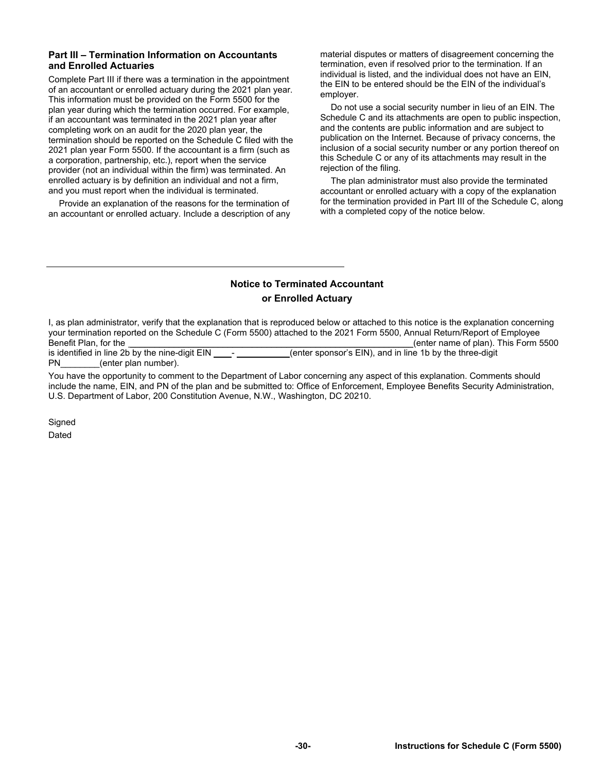#### **Part III – Termination Information on Accountants and Enrolled Actuaries**

Complete Part III if there was a termination in the appointment of an accountant or enrolled actuary during the 2021 plan year. This information must be provided on the Form 5500 for the plan year during which the termination occurred. For example, if an accountant was terminated in the 2021 plan year after completing work on an audit for the 2020 plan year, the termination should be reported on the Schedule C filed with the 2021 plan year Form 5500. If the accountant is a firm (such as a corporation, partnership, etc.), report when the service provider (not an individual within the firm) was terminated. An enrolled actuary is by definition an individual and not a firm, and you must report when the individual is terminated.

Provide an explanation of the reasons for the termination of an accountant or enrolled actuary. Include a description of any material disputes or matters of disagreement concerning the termination, even if resolved prior to the termination. If an individual is listed, and the individual does not have an EIN, the EIN to be entered should be the EIN of the individual's employer.

Do not use a social security number in lieu of an EIN. The Schedule C and its attachments are open to public inspection, and the contents are public information and are subject to publication on the Internet. Because of privacy concerns, the inclusion of a social security number or any portion thereof on this Schedule C or any of its attachments may result in the rejection of the filing.

The plan administrator must also provide the terminated accountant or enrolled actuary with a copy of the explanation for the termination provided in Part III of the Schedule C, along with a completed copy of the notice below.

## **Notice to Terminated Accountant or Enrolled Actuary**

I, as plan administrator, verify that the explanation that is reproduced below or attached to this notice is the explanation concerning your termination reported on the Schedule C (Form 5500) attached to the 2021 Form 5500, Annual Return/Report of Employee Benefit Plan, for the \_\_\_\_\_\_\_\_\_\_\_\_\_\_\_\_\_\_\_\_\_\_\_\_\_\_\_\_\_\_\_\_\_\_\_\_\_\_\_\_\_\_\_\_\_\_\_\_\_\_\_\_\_\_\_\_\_\_(enter name of plan). This Form 5500 (enter sponsor's EIN), and in line 1b by the three-digit PN (enter plan number).

You have the opportunity to comment to the Department of Labor concerning any aspect of this explanation. Comments should include the name, EIN, and PN of the plan and be submitted to: Office of Enforcement, Employee Benefits Security Administration, U.S. Department of Labor, 200 Constitution Avenue, N.W., Washington, DC 20210.

**Signed** Dated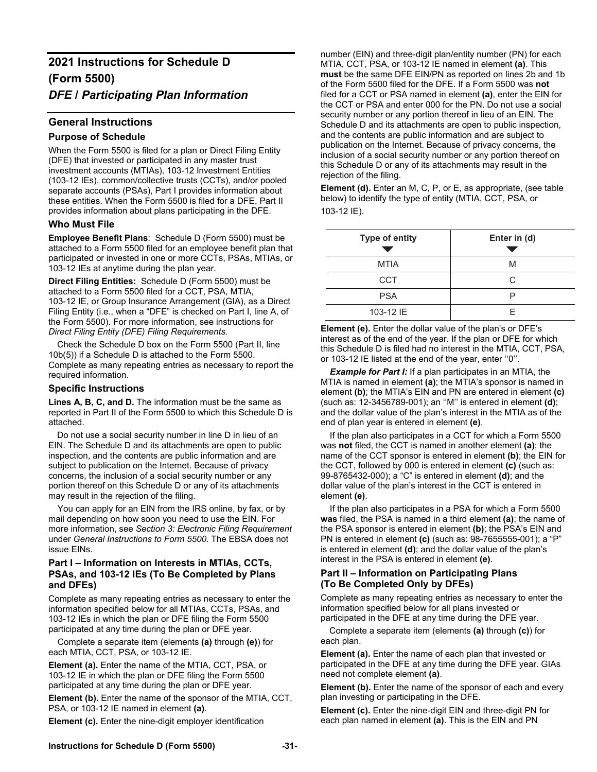## **2021 Instructions for Schedule D (Form 5500)**  *DFE* **/** *Participating Plan Information*

### **General Instructions**

#### **Purpose of Schedule**

When the Form 5500 is filed for a plan or Direct Filing Entity (DFE) that invested or participated in any master trust investment accounts (MTIAs), 103-12 Investment Entities (103-12 IEs), common/collective trusts (CCTs), and/or pooled separate accounts (PSAs), Part I provides information about these entities. When the Form 5500 is filed for a DFE, Part II provides information about plans participating in the DFE.

### **Who Must File**

**Employee Benefit Plans**: Schedule D (Form 5500) must be attached to a Form 5500 filed for an employee benefit plan that participated or invested in one or more CCTs, PSAs, MTIAs, or 103-12 IEs at anytime during the plan year.

**Direct Filing Entities:** Schedule D (Form 5500) must be attached to a Form 5500 filed for a CCT, PSA, MTIA, 103-12 IE, or Group Insurance Arrangement (GIA), as a Direct Filing Entity (i.e., when a "DFE" is checked on Part I, line A, of the Form 5500). For more information, see instructions for *Direct Filing Entity (DFE) Filing Requirements.* 

Check the Schedule D box on the Form 5500 (Part II, line 10b(5)) if a Schedule D is attached to the Form 5500. Complete as many repeating entries as necessary to report the required information.

#### **Specific Instructions**

Lines A, B, C, and D. The information must be the same as reported in Part II of the Form 5500 to which this Schedule D is attached.

Do not use a social security number in line D in lieu of an EIN. The Schedule D and its attachments are open to public inspection, and the contents are public information and are subject to publication on the Internet. Because of privacy concerns, the inclusion of a social security number or any portion thereof on this Schedule D or any of its attachments may result in the rejection of the filing.

You can apply for an EIN from the IRS online, by fax, or by mail depending on how soon you need to use the EIN. For more information, see *Section 3: Electronic Filing Requirement* under *General Instructions to Form 5500*. The EBSA does not issue EINs.

#### **Part I – Information on Interests in MTIAs, CCTs, PSAs, and 103-12 IEs (To Be Completed by Plans and DFEs)**

Complete as many repeating entries as necessary to enter the information specified below for all MTIAs, CCTs, PSAs, and 103-12 IEs in which the plan or DFE filing the Form 5500 participated at any time during the plan or DFE year.

Complete a separate item (elements **(a)** through **(e)**) for each MTIA, CCT, PSA, or 103-12 IE.

**Element (a).** Enter the name of the MTIA, CCT, PSA, or 103-12 IE in which the plan or DFE filing the Form 5500 participated at any time during the plan or DFE year.

**Element (b).** Enter the name of the sponsor of the MTIA, CCT, PSA, or 103-12 IE named in element **(a)**.

**Element (c).** Enter the nine-digit employer identification

number (EIN) and three-digit plan/entity number (PN) for each MTIA, CCT, PSA, or 103-12 IE named in element **(a)**. This **must** be the same DFE EIN/PN as reported on lines 2b and 1b of the Form 5500 filed for the DFE. If a Form 5500 was **not** filed for a CCT or PSA named in element **(a)**, enter the EIN for the CCT or PSA and enter 000 for the PN. Do not use a social security number or any portion thereof in lieu of an EIN. The Schedule D and its attachments are open to public inspection, and the contents are public information and are subject to publication on the Internet. Because of privacy concerns, the inclusion of a social security number or any portion thereof on this Schedule D or any of its attachments may result in the rejection of the filing.

**Element (d).** Enter an M, C, P, or E, as appropriate, (see table below) to identify the type of entity (MTIA, CCT, PSA, or 103-12 IE).

| <b>Type of entity</b> | Enter in (d) |
|-----------------------|--------------|
| <b>MTIA</b>           | M            |
| <b>CCT</b>            | C            |
| <b>PSA</b>            | D            |
| 103-12 IE             | F            |

**Element (e).** Enter the dollar value of the plan's or DFE's interest as of the end of the year. If the plan or DFE for which this Schedule D is filed had no interest in the MTIA, CCT, PSA, or 103-12 IE listed at the end of the year, enter ''0''.

*Example for Part I:* If a plan participates in an MTIA, the MTIA is named in element **(a)**; the MTIA's sponsor is named in element **(b)**; the MTIA's EIN and PN are entered in element **(c)** (such as: 12-3456789-001); an ''M'' is entered in element **(d)**; and the dollar value of the plan's interest in the MTIA as of the end of plan year is entered in element **(e)**.

If the plan also participates in a CCT for which a Form 5500 was **not** filed, the CCT is named in another element **(a)**; the name of the CCT sponsor is entered in element **(b)**; the EIN for the CCT, followed by 000 is entered in element **(c)** (such as: 99-8765432-000); a "C" is entered in element **(d)**; and the dollar value of the plan's interest in the CCT is entered in element **(e)**.

If the plan also participates in a PSA for which a Form 5500 **was** filed, the PSA is named in a third element **(a)**; the name of the PSA sponsor is entered in element **(b)**; the PSA's EIN and PN is entered in element **(c)** (such as: 98-7655555-001); a "P" is entered in element **(d)**; and the dollar value of the plan's interest in the PSA is entered in element **(e)**.

#### **Part II – Information on Participating Plans (To Be Completed Only by DFEs)**

Complete as many repeating entries as necessary to enter the information specified below for all plans invested or participated in the DFE at any time during the DFE year.

Complete a separate item (elements **(a)** through **(c)**) for each plan.

**Element (a).** Enter the name of each plan that invested or participated in the DFE at any time during the DFE year. GIAs need not complete element **(a)**.

**Element (b).** Enter the name of the sponsor of each and every plan investing or participating in the DFE.

**Element (c).** Enter the nine-digit EIN and three-digit PN for each plan named in element **(a)**. This is the EIN and PN

#### **Instructions for Schedule D (Form 5500) -31-**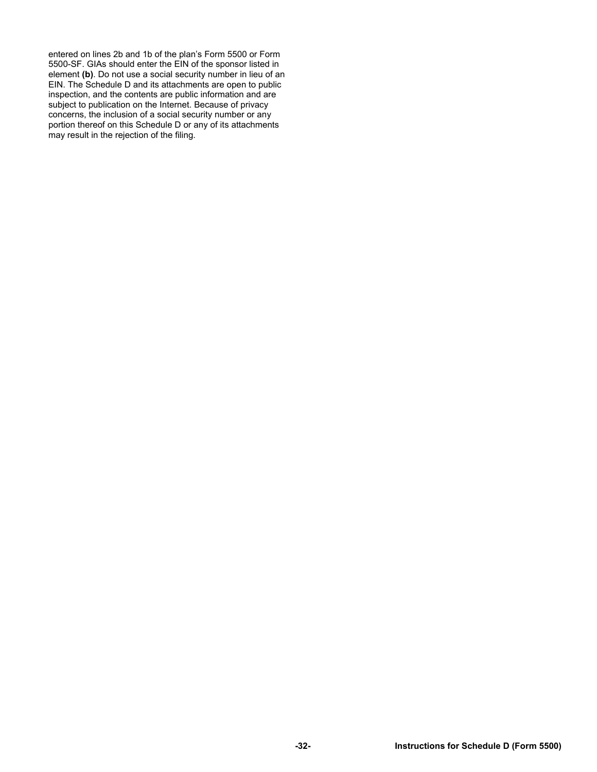entered on lines 2b and 1b of the plan's Form 5500 or Form 5500-SF. GIAs should enter the EIN of the sponsor listed in element **(b)**. Do not use a social security number in lieu of an EIN. The Schedule D and its attachments are open to public inspection, and the contents are public information and are subject to publication on the Internet. Because of privacy concerns, the inclusion of a social security number or any portion thereof on this Schedule D or any of its attachments may result in the rejection of the filing.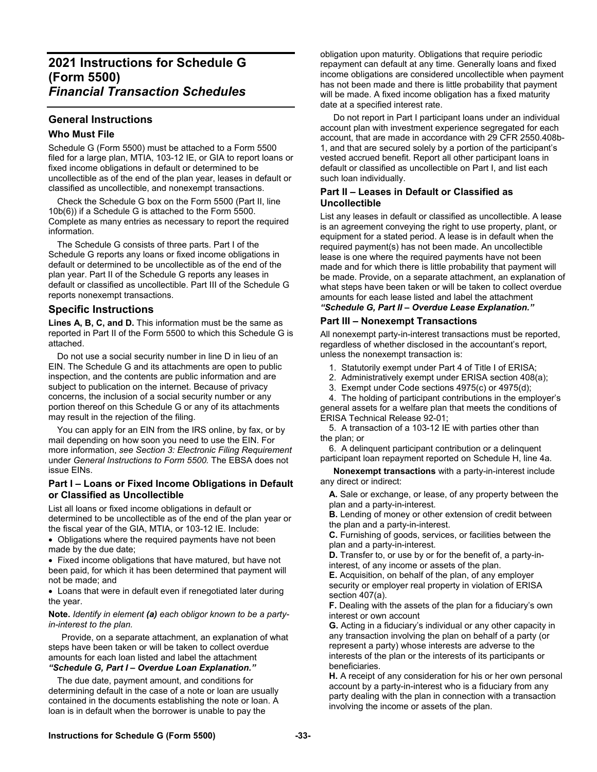## **2021 Instructions for Schedule G (Form 5500)**  *Financial Transaction Schedules*

## **General Instructions**

#### **Who Must File**

Schedule G (Form 5500) must be attached to a Form 5500 filed for a large plan, MTIA, 103-12 IE, or GIA to report loans or fixed income obligations in default or determined to be uncollectible as of the end of the plan year, leases in default or classified as uncollectible, and nonexempt transactions.

 Check the Schedule G box on the Form 5500 (Part II, line 10b(6)) if a Schedule G is attached to the Form 5500. Complete as many entries as necessary to report the required information.

 The Schedule G consists of three parts. Part I of the Schedule G reports any loans or fixed income obligations in default or determined to be uncollectible as of the end of the plan year. Part II of the Schedule G reports any leases in default or classified as uncollectible. Part III of the Schedule G reports nonexempt transactions.

### **Specific Instructions**

Lines A, B, C, and D. This information must be the same as reported in Part II of the Form 5500 to which this Schedule G is attached.

 Do not use a social security number in line D in lieu of an EIN. The Schedule G and its attachments are open to public inspection, and the contents are public information and are subject to publication on the internet. Because of privacy concerns, the inclusion of a social security number or any portion thereof on this Schedule G or any of its attachments may result in the rejection of the filing.

 You can apply for an EIN from the IRS online, by fax, or by mail depending on how soon you need to use the EIN. For more information, *see Section 3: Electronic Filing Requirement*  under *General Instructions to Form 5500.* The EBSA does not issue EINs.

#### **Part I – Loans or Fixed Income Obligations in Default or Classified as Uncollectible**

List all loans or fixed income obligations in default or determined to be uncollectible as of the end of the plan year or the fiscal year of the GIA, MTIA, or 103-12 IE. Include:

• Obligations where the required payments have not been made by the due date;

 Fixed income obligations that have matured, but have not been paid, for which it has been determined that payment will not be made; and

 Loans that were in default even if renegotiated later during the year.

#### **Note.** *Identify in element (a) each obligor known to be a partyin-interest to the plan.*

 Provide, on a separate attachment, an explanation of what steps have been taken or will be taken to collect overdue amounts for each loan listed and label the attachment *"Schedule G, Part I – Overdue Loan Explanation."* 

 The due date, payment amount, and conditions for determining default in the case of a note or loan are usually contained in the documents establishing the note or loan. A loan is in default when the borrower is unable to pay the

obligation upon maturity. Obligations that require periodic repayment can default at any time. Generally loans and fixed income obligations are considered uncollectible when payment has not been made and there is little probability that payment will be made. A fixed income obligation has a fixed maturity date at a specified interest rate.

 Do not report in Part I participant loans under an individual account plan with investment experience segregated for each account, that are made in accordance with 29 CFR 2550.408b-1, and that are secured solely by a portion of the participant's vested accrued benefit. Report all other participant loans in default or classified as uncollectible on Part I, and list each such loan individually.

#### **Part II – Leases in Default or Classified as Uncollectible**

List any leases in default or classified as uncollectible. A lease is an agreement conveying the right to use property, plant, or equipment for a stated period. A lease is in default when the required payment(s) has not been made. An uncollectible lease is one where the required payments have not been made and for which there is little probability that payment will be made. Provide, on a separate attachment, an explanation of what steps have been taken or will be taken to collect overdue amounts for each lease listed and label the attachment *"Schedule G, Part II – Overdue Lease Explanation."* 

### **Part III – Nonexempt Transactions**

All nonexempt party-in-interest transactions must be reported, regardless of whether disclosed in the accountant's report, unless the nonexempt transaction is:

- 1. Statutorily exempt under Part 4 of Title I of ERISA;
- 2. Administratively exempt under ERISA section 408(a);
- 3. Exempt under Code sections 4975(c) or 4975(d);

 4. The holding of participant contributions in the employer's general assets for a welfare plan that meets the conditions of ERISA Technical Release 92-01;

 5. A transaction of a 103-12 IE with parties other than the plan; or

 6. A delinquent participant contribution or a delinquent participant loan repayment reported on Schedule H, line 4a.

 **Nonexempt transactions** with a party-in-interest include any direct or indirect:

**A.** Sale or exchange, or lease, of any property between the plan and a party-in-interest.

**B.** Lending of money or other extension of credit between the plan and a party-in-interest.

**C.** Furnishing of goods, services, or facilities between the plan and a party-in-interest.

**D.** Transfer to, or use by or for the benefit of, a party-ininterest, of any income or assets of the plan.

**E.** Acquisition, on behalf of the plan, of any employer security or employer real property in violation of ERISA section 407(a).

**F.** Dealing with the assets of the plan for a fiduciary's own interest or own account

**G.** Acting in a fiduciary's individual or any other capacity in any transaction involving the plan on behalf of a party (or represent a party) whose interests are adverse to the interests of the plan or the interests of its participants or beneficiaries.

**H.** A receipt of any consideration for his or her own personal account by a party-in-interest who is a fiduciary from any party dealing with the plan in connection with a transaction involving the income or assets of the plan.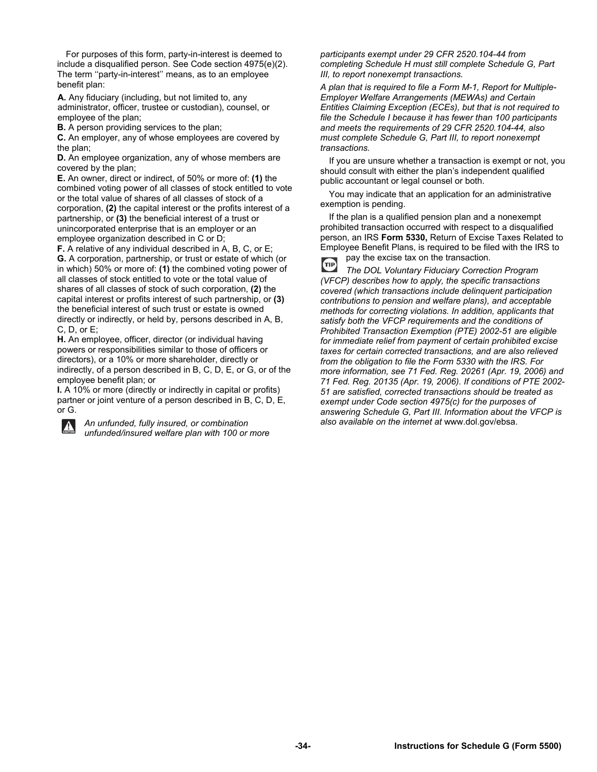For purposes of this form, party-in-interest is deemed to include a disqualified person. See Code section 4975(e)(2). The term ''party-in-interest'' means, as to an employee benefit plan:

**A.** Any fiduciary (including, but not limited to, any administrator, officer, trustee or custodian), counsel, or employee of the plan;

**B.** A person providing services to the plan;

**C.** An employer, any of whose employees are covered by the plan;

**D.** An employee organization, any of whose members are covered by the plan;

**E.** An owner, direct or indirect, of 50% or more of: **(1)** the combined voting power of all classes of stock entitled to vote or the total value of shares of all classes of stock of a corporation, **(2)** the capital interest or the profits interest of a partnership, or **(3)** the beneficial interest of a trust or unincorporated enterprise that is an employer or an employee organization described in C or D;

**F.** A relative of any individual described in A, B, C, or E; **G.** A corporation, partnership, or trust or estate of which (or in which) 50% or more of: **(1)** the combined voting power of all classes of stock entitled to vote or the total value of shares of all classes of stock of such corporation, **(2)** the capital interest or profits interest of such partnership, or **(3)**  the beneficial interest of such trust or estate is owned directly or indirectly, or held by, persons described in A, B, C, D, or E;

**H.** An employee, officer, director (or individual having powers or responsibilities similar to those of officers or directors), or a 10% or more shareholder, directly or indirectly, of a person described in B, C, D, E, or G, or of the employee benefit plan; or

**I.** A 10% or more (directly or indirectly in capital or profits) partner or joint venture of a person described in B, C, D, E, or G.

*An unfunded, fully insured, or combination*   $\blacktriangle$ *unfunded/insured welfare plan with 100 or more*  *participants exempt under 29 CFR 2520.104-44 from completing Schedule H must still complete Schedule G, Part III, to report nonexempt transactions.* 

*A plan that is required to file a Form M-1, Report for Multiple-Employer Welfare Arrangements (MEWAs) and Certain Entities Claiming Exception (ECEs), but that is not required to file the Schedule I because it has fewer than 100 participants and meets the requirements of 29 CFR 2520.104-44, also must complete Schedule G, Part III, to report nonexempt transactions.* 

 If you are unsure whether a transaction is exempt or not, you should consult with either the plan's independent qualified public accountant or legal counsel or both.

 You may indicate that an application for an administrative exemption is pending.

 If the plan is a qualified pension plan and a nonexempt prohibited transaction occurred with respect to a disqualified person, an IRS **Form 5330,** Return of Excise Taxes Related to Employee Benefit Plans, is required to be filed with the IRS to pay the excise tax on the transaction.

TIP *The DOL Voluntary Fiduciary Correction Program (VFCP) describes how to apply, the specific transactions covered (which transactions include delinquent participation contributions to pension and welfare plans), and acceptable methods for correcting violations. In addition, applicants that satisfy both the VFCP requirements and the conditions of Prohibited Transaction Exemption (PTE) 2002-51 are eligible for immediate relief from payment of certain prohibited excise taxes for certain corrected transactions, and are also relieved from the obligation to file the Form 5330 with the IRS. For more information, see 71 Fed. Reg. 20261 (Apr. 19, 2006) and 71 Fed. Reg. 20135 (Apr. 19, 2006). If conditions of PTE 2002- 51 are satisfied, corrected transactions should be treated as exempt under Code section 4975(c) for the purposes of answering Schedule G, Part III. Information about the VFCP is also available on the internet at* www.dol.gov/ebsa.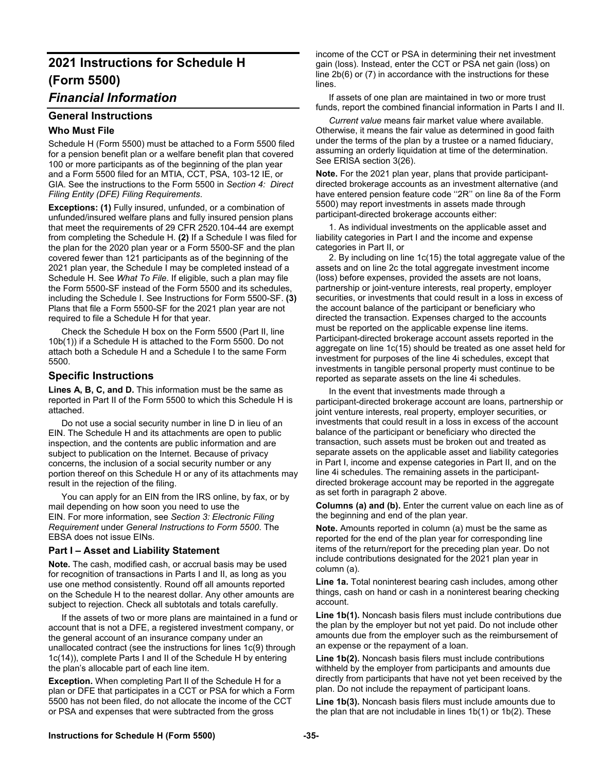# **2021 Instructions for Schedule H (Form 5500)**

## *Financial Information*

### **General Instructions**

### **Who Must File**

Schedule H (Form 5500) must be attached to a Form 5500 filed for a pension benefit plan or a welfare benefit plan that covered 100 or more participants as of the beginning of the plan year and a Form 5500 filed for an MTIA, CCT, PSA, 103-12 IE, or GIA. See the instructions to the Form 5500 in *Section 4: Direct Filing Entity (DFE) Filing Requirements*.

**Exceptions: (1)** Fully insured, unfunded, or a combination of unfunded/insured welfare plans and fully insured pension plans that meet the requirements of 29 CFR 2520.104-44 are exempt from completing the Schedule H. **(2)** If a Schedule I was filed for the plan for the 2020 plan year or a Form 5500-SF and the plan covered fewer than 121 participants as of the beginning of the 2021 plan year, the Schedule I may be completed instead of a Schedule H. See *What To File*. If eligible, such a plan may file the Form 5500-SF instead of the Form 5500 and its schedules, including the Schedule I. See Instructions for Form 5500-SF. **(3)**  Plans that file a Form 5500-SF for the 2021 plan year are not required to file a Schedule H for that year.

 Check the Schedule H box on the Form 5500 (Part II, line 10b(1)) if a Schedule H is attached to the Form 5500. Do not attach both a Schedule H and a Schedule I to the same Form 5500.

### **Specific Instructions**

Lines A, B, C, and D. This information must be the same as reported in Part II of the Form 5500 to which this Schedule H is attached.

 Do not use a social security number in line D in lieu of an EIN. The Schedule H and its attachments are open to public inspection, and the contents are public information and are subject to publication on the Internet. Because of privacy concerns, the inclusion of a social security number or any portion thereof on this Schedule H or any of its attachments may result in the rejection of the filing.

 You can apply for an EIN from the IRS online, by fax, or by mail depending on how soon you need to use the EIN. For more information, see *Section 3: Electronic Filing Requirement* under *General Instructions to Form 5500*. The EBSA does not issue EINs.

#### **Part I – Asset and Liability Statement**

**Note.** The cash, modified cash, or accrual basis may be used for recognition of transactions in Parts I and II, as long as you use one method consistently. Round off all amounts reported on the Schedule H to the nearest dollar. Any other amounts are subject to rejection. Check all subtotals and totals carefully.

 If the assets of two or more plans are maintained in a fund or account that is not a DFE, a registered investment company, or the general account of an insurance company under an unallocated contract (see the instructions for lines 1c(9) through 1c(14)), complete Parts I and II of the Schedule H by entering the plan's allocable part of each line item.

**Exception.** When completing Part II of the Schedule H for a plan or DFE that participates in a CCT or PSA for which a Form 5500 has not been filed, do not allocate the income of the CCT or PSA and expenses that were subtracted from the gross

income of the CCT or PSA in determining their net investment gain (loss). Instead, enter the CCT or PSA net gain (loss) on line 2b(6) or (7) in accordance with the instructions for these lines.

 If assets of one plan are maintained in two or more trust funds, report the combined financial information in Parts I and II.

 *Current value* means fair market value where available. Otherwise, it means the fair value as determined in good faith under the terms of the plan by a trustee or a named fiduciary, assuming an orderly liquidation at time of the determination. See ERISA section 3(26).

**Note.** For the 2021 plan year, plans that provide participantdirected brokerage accounts as an investment alternative (and have entered pension feature code ''2R'' on line 8a of the Form 5500) may report investments in assets made through participant-directed brokerage accounts either:

 1. As individual investments on the applicable asset and liability categories in Part I and the income and expense categories in Part II, or

 2. By including on line 1c(15) the total aggregate value of the assets and on line 2c the total aggregate investment income (loss) before expenses, provided the assets are not loans, partnership or joint-venture interests, real property, employer securities, or investments that could result in a loss in excess of the account balance of the participant or beneficiary who directed the transaction. Expenses charged to the accounts must be reported on the applicable expense line items. Participant-directed brokerage account assets reported in the aggregate on line 1c(15) should be treated as one asset held for investment for purposes of the line 4i schedules, except that investments in tangible personal property must continue to be reported as separate assets on the line 4i schedules.

 In the event that investments made through a participant-directed brokerage account are loans, partnership or joint venture interests, real property, employer securities, or investments that could result in a loss in excess of the account balance of the participant or beneficiary who directed the transaction, such assets must be broken out and treated as separate assets on the applicable asset and liability categories in Part I, income and expense categories in Part II, and on the line 4i schedules. The remaining assets in the participantdirected brokerage account may be reported in the aggregate as set forth in paragraph 2 above.

**Columns (a) and (b).** Enter the current value on each line as of the beginning and end of the plan year.

**Note.** Amounts reported in column (a) must be the same as reported for the end of the plan year for corresponding line items of the return/report for the preceding plan year. Do not include contributions designated for the 2021 plan year in column (a).

**Line 1a.** Total noninterest bearing cash includes, among other things, cash on hand or cash in a noninterest bearing checking account.

**Line 1b(1).** Noncash basis filers must include contributions due the plan by the employer but not yet paid. Do not include other amounts due from the employer such as the reimbursement of an expense or the repayment of a loan.

**Line 1b(2).** Noncash basis filers must include contributions withheld by the employer from participants and amounts due directly from participants that have not yet been received by the plan. Do not include the repayment of participant loans.

**Line 1b(3).** Noncash basis filers must include amounts due to the plan that are not includable in lines 1b(1) or 1b(2). These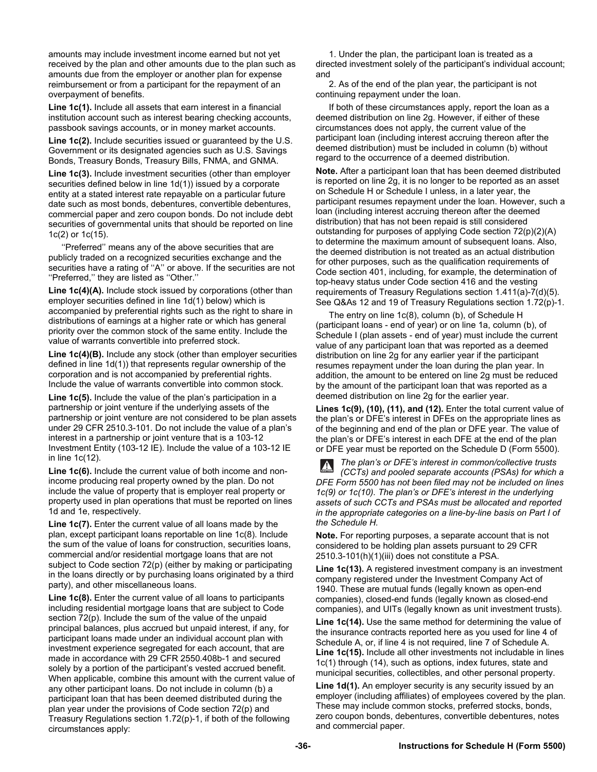amounts may include investment income earned but not yet received by the plan and other amounts due to the plan such as amounts due from the employer or another plan for expense reimbursement or from a participant for the repayment of an overpayment of benefits.

**Line 1c(1).** Include all assets that earn interest in a financial institution account such as interest bearing checking accounts, passbook savings accounts, or in money market accounts.

**Line 1c(2).** Include securities issued or guaranteed by the U.S. Government or its designated agencies such as U.S. Savings Bonds, Treasury Bonds, Treasury Bills, FNMA, and GNMA.

**Line 1c(3).** Include investment securities (other than employer securities defined below in line 1d(1)) issued by a corporate entity at a stated interest rate repayable on a particular future date such as most bonds, debentures, convertible debentures, commercial paper and zero coupon bonds. Do not include debt securities of governmental units that should be reported on line 1c(2) or 1c(15).

 ''Preferred'' means any of the above securities that are publicly traded on a recognized securities exchange and the securities have a rating of ''A'' or above. If the securities are not ''Preferred,'' they are listed as ''Other.''

Line 1c(4)(A). Include stock issued by corporations (other than employer securities defined in line 1d(1) below) which is accompanied by preferential rights such as the right to share in distributions of earnings at a higher rate or which has general priority over the common stock of the same entity. Include the value of warrants convertible into preferred stock.

**Line 1c(4)(B).** Include any stock (other than employer securities defined in line 1d(1)) that represents regular ownership of the corporation and is not accompanied by preferential rights. Include the value of warrants convertible into common stock.

**Line 1c(5).** Include the value of the plan's participation in a partnership or joint venture if the underlying assets of the partnership or joint venture are not considered to be plan assets under 29 CFR 2510.3-101. Do not include the value of a plan's interest in a partnership or joint venture that is a 103-12 Investment Entity (103-12 IE). Include the value of a 103-12 IE in line 1c(12).

**Line 1c(6).** Include the current value of both income and nonincome producing real property owned by the plan. Do not include the value of property that is employer real property or property used in plan operations that must be reported on lines 1d and 1e, respectively.

Line 1c(7). Enter the current value of all loans made by the plan, except participant loans reportable on line 1c(8). Include the sum of the value of loans for construction, securities loans, commercial and/or residential mortgage loans that are not subject to Code section 72(p) (either by making or participating in the loans directly or by purchasing loans originated by a third party), and other miscellaneous loans.

**Line 1c(8).** Enter the current value of all loans to participants including residential mortgage loans that are subject to Code section 72(p). Include the sum of the value of the unpaid principal balances, plus accrued but unpaid interest, if any, for participant loans made under an individual account plan with investment experience segregated for each account, that are made in accordance with 29 CFR 2550.408b-1 and secured solely by a portion of the participant's vested accrued benefit. When applicable, combine this amount with the current value of any other participant loans. Do not include in column (b) a participant loan that has been deemed distributed during the plan year under the provisions of Code section 72(p) and Treasury Regulations section 1.72(p)-1, if both of the following circumstances apply:

 1. Under the plan, the participant loan is treated as a directed investment solely of the participant's individual account; and

 2. As of the end of the plan year, the participant is not continuing repayment under the loan.

 If both of these circumstances apply, report the loan as a deemed distribution on line 2g. However, if either of these circumstances does not apply, the current value of the participant loan (including interest accruing thereon after the deemed distribution) must be included in column (b) without regard to the occurrence of a deemed distribution.

**Note.** After a participant loan that has been deemed distributed is reported on line 2g, it is no longer to be reported as an asset on Schedule H or Schedule I unless, in a later year, the participant resumes repayment under the loan. However, such a loan (including interest accruing thereon after the deemed distribution) that has not been repaid is still considered outstanding for purposes of applying Code section 72(p)(2)(A) to determine the maximum amount of subsequent loans. Also, the deemed distribution is not treated as an actual distribution for other purposes, such as the qualification requirements of Code section 401, including, for example, the determination of top-heavy status under Code section 416 and the vesting requirements of Treasury Regulations section 1.411(a)-7(d)(5). See Q&As 12 and 19 of Treasury Regulations section 1.72(p)-1.

 The entry on line 1c(8), column (b), of Schedule H (participant loans - end of year) or on line 1a, column (b), of Schedule I (plan assets - end of year) must include the current value of any participant loan that was reported as a deemed distribution on line 2g for any earlier year if the participant resumes repayment under the loan during the plan year. In addition, the amount to be entered on line 2g must be reduced by the amount of the participant loan that was reported as a deemed distribution on line 2g for the earlier year.

**Lines 1c(9), (10), (11), and (12).** Enter the total current value of the plan's or DFE's interest in DFEs on the appropriate lines as of the beginning and end of the plan or DFE year. The value of the plan's or DFE's interest in each DFE at the end of the plan or DFE year must be reported on the Schedule D (Form 5500).

*The plan's or DFE's interest in common/collective trusts (CCTs) and pooled separate accounts (PSAs) for which a DFE Form 5500 has not been filed may not be included on lines 1c(9) or 1c(10). The plan's or DFE's interest in the underlying assets of such CCTs and PSAs must be allocated and reported in the appropriate categories on a line-by-line basis on Part I of the Schedule H.* 

**Note.** For reporting purposes, a separate account that is not considered to be holding plan assets pursuant to 29 CFR 2510.3-101(h)(1)(iii) does not constitute a PSA.

**Line 1c(13).** A registered investment company is an investment company registered under the Investment Company Act of 1940. These are mutual funds (legally known as open-end companies), closed-end funds (legally known as closed-end companies), and UITs (legally known as unit investment trusts).

**Line 1c(14).** Use the same method for determining the value of the insurance contracts reported here as you used for line 4 of Schedule A, or, if line 4 is not required, line 7 of Schedule A. **Line 1c(15).** Include all other investments not includable in lines 1c(1) through (14), such as options, index futures, state and municipal securities, collectibles, and other personal property.

**Line 1d(1).** An employer security is any security issued by an employer (including affiliates) of employees covered by the plan. These may include common stocks, preferred stocks, bonds, zero coupon bonds, debentures, convertible debentures, notes and commercial paper.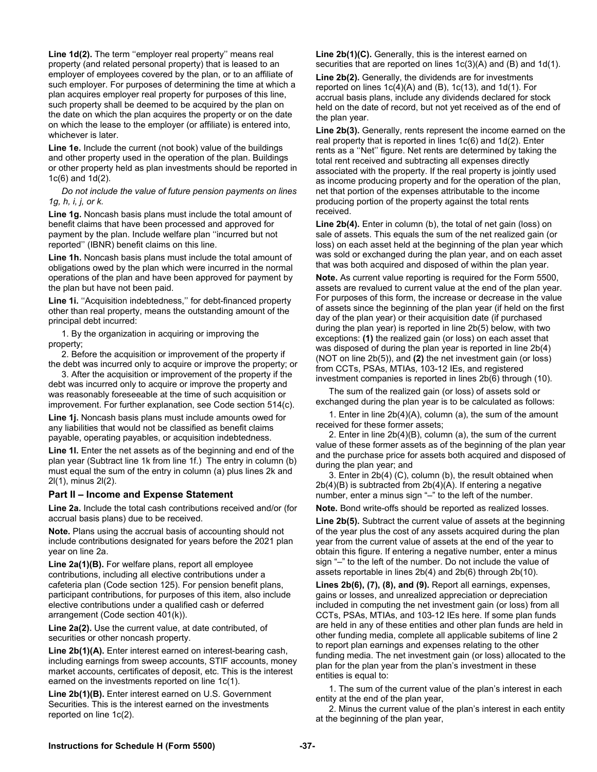**Line 1d(2).** The term ''employer real property'' means real property (and related personal property) that is leased to an employer of employees covered by the plan, or to an affiliate of such employer. For purposes of determining the time at which a plan acquires employer real property for purposes of this line, such property shall be deemed to be acquired by the plan on the date on which the plan acquires the property or on the date on which the lease to the employer (or affiliate) is entered into, whichever is later.

**Line 1e.** Include the current (not book) value of the buildings and other property used in the operation of the plan. Buildings or other property held as plan investments should be reported in 1c(6) and 1d(2).

 *Do not include the value of future pension payments on lines 1g, h, i, j, or k.* 

**Line 1g.** Noncash basis plans must include the total amount of benefit claims that have been processed and approved for payment by the plan. Include welfare plan ''incurred but not reported'' (IBNR) benefit claims on this line.

**Line 1h.** Noncash basis plans must include the total amount of obligations owed by the plan which were incurred in the normal operations of the plan and have been approved for payment by the plan but have not been paid.

Line 1i. "Acquisition indebtedness," for debt-financed property other than real property, means the outstanding amount of the principal debt incurred:

 1. By the organization in acquiring or improving the property;

 2. Before the acquisition or improvement of the property if the debt was incurred only to acquire or improve the property; or

 3. After the acquisition or improvement of the property if the debt was incurred only to acquire or improve the property and was reasonably foreseeable at the time of such acquisition or improvement. For further explanation, see Code section 514(c).

**Line 1j.** Noncash basis plans must include amounts owed for any liabilities that would not be classified as benefit claims payable, operating payables, or acquisition indebtedness.

Line 1I. Enter the net assets as of the beginning and end of the plan year (Subtract line 1k from line 1f.) The entry in column (b) must equal the sum of the entry in column (a) plus lines 2k and 2l(1), minus 2l(2).

## **Part II – Income and Expense Statement**

**Line 2a.** Include the total cash contributions received and/or (for accrual basis plans) due to be received.

**Note.** Plans using the accrual basis of accounting should not include contributions designated for years before the 2021 plan year on line 2a.

**Line 2a(1)(B).** For welfare plans, report all employee contributions, including all elective contributions under a cafeteria plan (Code section 125). For pension benefit plans, participant contributions, for purposes of this item, also include elective contributions under a qualified cash or deferred arrangement (Code section 401(k)).

**Line 2a(2).** Use the current value, at date contributed, of securities or other noncash property.

**Line 2b(1)(A).** Enter interest earned on interest-bearing cash, including earnings from sweep accounts, STIF accounts, money market accounts, certificates of deposit, etc. This is the interest earned on the investments reported on line 1c(1).

**Line 2b(1)(B).** Enter interest earned on U.S. Government Securities. This is the interest earned on the investments reported on line 1c(2).

**Line 2b(1)(C).** Generally, this is the interest earned on securities that are reported on lines 1c(3)(A) and (B) and 1d(1).

**Line 2b(2).** Generally, the dividends are for investments reported on lines  $1c(4)(A)$  and  $(B)$ ,  $1c(13)$ , and  $1d(1)$ . For accrual basis plans, include any dividends declared for stock held on the date of record, but not yet received as of the end of the plan year.

**Line 2b(3).** Generally, rents represent the income earned on the real property that is reported in lines 1c(6) and 1d(2). Enter rents as a ''Net'' figure. Net rents are determined by taking the total rent received and subtracting all expenses directly associated with the property. If the real property is jointly used as income producing property and for the operation of the plan, net that portion of the expenses attributable to the income producing portion of the property against the total rents received.

Line 2b(4). Enter in column (b), the total of net gain (loss) on sale of assets. This equals the sum of the net realized gain (or loss) on each asset held at the beginning of the plan year which was sold or exchanged during the plan year, and on each asset that was both acquired and disposed of within the plan year.

**Note.** As current value reporting is required for the Form 5500, assets are revalued to current value at the end of the plan year. For purposes of this form, the increase or decrease in the value of assets since the beginning of the plan year (if held on the first day of the plan year) or their acquisition date (if purchased during the plan year) is reported in line 2b(5) below, with two exceptions: **(1)** the realized gain (or loss) on each asset that was disposed of during the plan year is reported in line 2b(4) (NOT on line 2b(5)), and **(2)** the net investment gain (or loss) from CCTs, PSAs, MTIAs, 103-12 IEs, and registered investment companies is reported in lines 2b(6) through (10).

 The sum of the realized gain (or loss) of assets sold or exchanged during the plan year is to be calculated as follows:

 1. Enter in line 2b(4)(A), column (a), the sum of the amount received for these former assets;

 2. Enter in line 2b(4)(B), column (a), the sum of the current value of these former assets as of the beginning of the plan year and the purchase price for assets both acquired and disposed of during the plan year; and

 3. Enter in 2b(4) (C), column (b), the result obtained when 2b(4)(B) is subtracted from 2b(4)(A). If entering a negative number, enter a minus sign "–" to the left of the number.

**Note.** Bond write-offs should be reported as realized losses.

**Line 2b(5).** Subtract the current value of assets at the beginning of the year plus the cost of any assets acquired during the plan year from the current value of assets at the end of the year to obtain this figure. If entering a negative number, enter a minus sign "–" to the left of the number. Do not include the value of assets reportable in lines 2b(4) and 2b(6) through 2b(10).

**Lines 2b(6), (7), (8), and (9).** Report all earnings, expenses, gains or losses, and unrealized appreciation or depreciation included in computing the net investment gain (or loss) from all CCTs, PSAs, MTIAs, and 103-12 IEs here. If some plan funds are held in any of these entities and other plan funds are held in other funding media, complete all applicable subitems of line 2 to report plan earnings and expenses relating to the other funding media. The net investment gain (or loss) allocated to the plan for the plan year from the plan's investment in these entities is equal to:

 1. The sum of the current value of the plan's interest in each entity at the end of the plan year,

 2. Minus the current value of the plan's interest in each entity at the beginning of the plan year,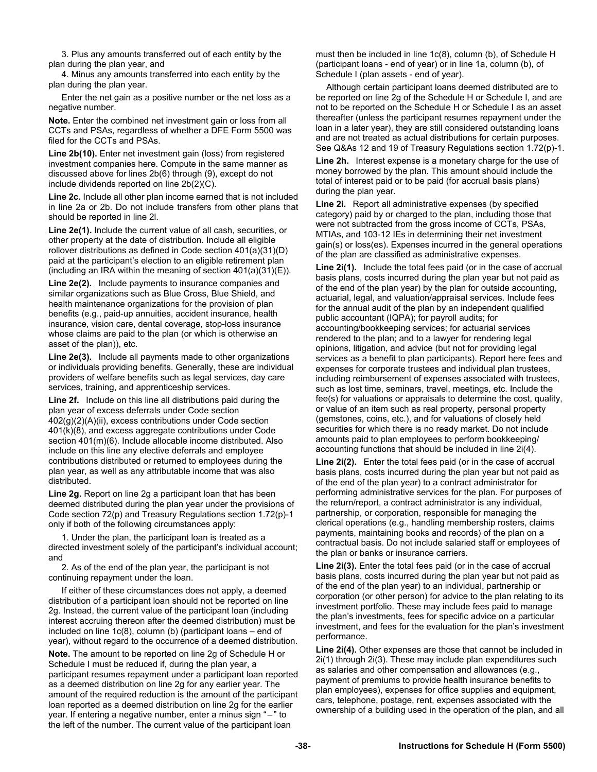3. Plus any amounts transferred out of each entity by the plan during the plan year, and

 4. Minus any amounts transferred into each entity by the plan during the plan year.

 Enter the net gain as a positive number or the net loss as a negative number.

**Note.** Enter the combined net investment gain or loss from all CCTs and PSAs, regardless of whether a DFE Form 5500 was filed for the CCTs and PSAs.

**Line 2b(10).** Enter net investment gain (loss) from registered investment companies here. Compute in the same manner as discussed above for lines 2b(6) through (9), except do not include dividends reported on line 2b(2)(C).

**Line 2c.** Include all other plan income earned that is not included in line 2a or 2b. Do not include transfers from other plans that should be reported in line 2l.

**Line 2e(1).** Include the current value of all cash, securities, or other property at the date of distribution. Include all eligible rollover distributions as defined in Code section 401(a)(31)(D) paid at the participant's election to an eligible retirement plan (including an IRA within the meaning of section  $401(a)(31)(E)$ ).

**Line 2e(2).** Include payments to insurance companies and similar organizations such as Blue Cross, Blue Shield, and health maintenance organizations for the provision of plan benefits (e.g., paid-up annuities, accident insurance, health insurance, vision care, dental coverage, stop-loss insurance whose claims are paid to the plan (or which is otherwise an asset of the plan)), etc.

**Line 2e(3).** Include all payments made to other organizations or individuals providing benefits. Generally, these are individual providers of welfare benefits such as legal services, day care services, training, and apprenticeship services.

**Line 2f.** Include on this line all distributions paid during the plan year of excess deferrals under Code section 402(g)(2)(A)(ii), excess contributions under Code section 401(k)(8), and excess aggregate contributions under Code section 401(m)(6). Include allocable income distributed. Also include on this line any elective deferrals and employee contributions distributed or returned to employees during the plan year, as well as any attributable income that was also distributed.

**Line 2g.** Report on line 2g a participant loan that has been deemed distributed during the plan year under the provisions of Code section 72(p) and Treasury Regulations section 1.72(p)-1 only if both of the following circumstances apply:

 1. Under the plan, the participant loan is treated as a directed investment solely of the participant's individual account; and

 2. As of the end of the plan year, the participant is not continuing repayment under the loan.

 If either of these circumstances does not apply, a deemed distribution of a participant loan should not be reported on line 2g. Instead, the current value of the participant loan (including interest accruing thereon after the deemed distribution) must be included on line 1c(8), column (b) (participant loans – end of year), without regard to the occurrence of a deemed distribution.

**Note.** The amount to be reported on line 2g of Schedule H or Schedule I must be reduced if, during the plan year, a participant resumes repayment under a participant loan reported as a deemed distribution on line 2g for any earlier year. The amount of the required reduction is the amount of the participant loan reported as a deemed distribution on line 2g for the earlier year. If entering a negative number, enter a minus sign " – " to the left of the number. The current value of the participant loan

must then be included in line 1c(8), column (b), of Schedule H (participant loans - end of year) or in line 1a, column (b), of Schedule I (plan assets - end of year).

Although certain participant loans deemed distributed are to be reported on line 2g of the Schedule H or Schedule I, and are not to be reported on the Schedule H or Schedule I as an asset thereafter (unless the participant resumes repayment under the loan in a later year), they are still considered outstanding loans and are not treated as actual distributions for certain purposes. See Q&As 12 and 19 of Treasury Regulations section 1.72(p)-1.

**Line 2h.** Interest expense is a monetary charge for the use of money borrowed by the plan. This amount should include the total of interest paid or to be paid (for accrual basis plans) during the plan year.

**Line 2i.** Report all administrative expenses (by specified category) paid by or charged to the plan, including those that were not subtracted from the gross income of CCTs, PSAs, MTIAs, and 103-12 IEs in determining their net investment gain(s) or loss(es). Expenses incurred in the general operations of the plan are classified as administrative expenses.

**Line 2i(1).** Include the total fees paid (or in the case of accrual basis plans, costs incurred during the plan year but not paid as of the end of the plan year) by the plan for outside accounting, actuarial, legal, and valuation/appraisal services. Include fees for the annual audit of the plan by an independent qualified public accountant (IQPA); for payroll audits; for accounting/bookkeeping services; for actuarial services rendered to the plan; and to a lawyer for rendering legal opinions, litigation, and advice (but not for providing legal services as a benefit to plan participants). Report here fees and expenses for corporate trustees and individual plan trustees, including reimbursement of expenses associated with trustees, such as lost time, seminars, travel, meetings, etc. Include the fee(s) for valuations or appraisals to determine the cost, quality, or value of an item such as real property, personal property (gemstones, coins, etc.), and for valuations of closely held securities for which there is no ready market. Do not include amounts paid to plan employees to perform bookkeeping/ accounting functions that should be included in line 2i(4).

**Line 2i(2).** Enter the total fees paid (or in the case of accrual basis plans, costs incurred during the plan year but not paid as of the end of the plan year) to a contract administrator for performing administrative services for the plan. For purposes of the return/report, a contract administrator is any individual, partnership, or corporation, responsible for managing the clerical operations (e.g., handling membership rosters, claims payments, maintaining books and records) of the plan on a contractual basis. Do not include salaried staff or employees of the plan or banks or insurance carriers.

**Line 2i(3).** Enter the total fees paid (or in the case of accrual basis plans, costs incurred during the plan year but not paid as of the end of the plan year) to an individual, partnership or corporation (or other person) for advice to the plan relating to its investment portfolio. These may include fees paid to manage the plan's investments, fees for specific advice on a particular investment, and fees for the evaluation for the plan's investment performance.

**Line 2i(4).** Other expenses are those that cannot be included in 2i(1) through 2i(3). These may include plan expenditures such as salaries and other compensation and allowances (e.g., payment of premiums to provide health insurance benefits to plan employees), expenses for office supplies and equipment, cars, telephone, postage, rent, expenses associated with the ownership of a building used in the operation of the plan, and all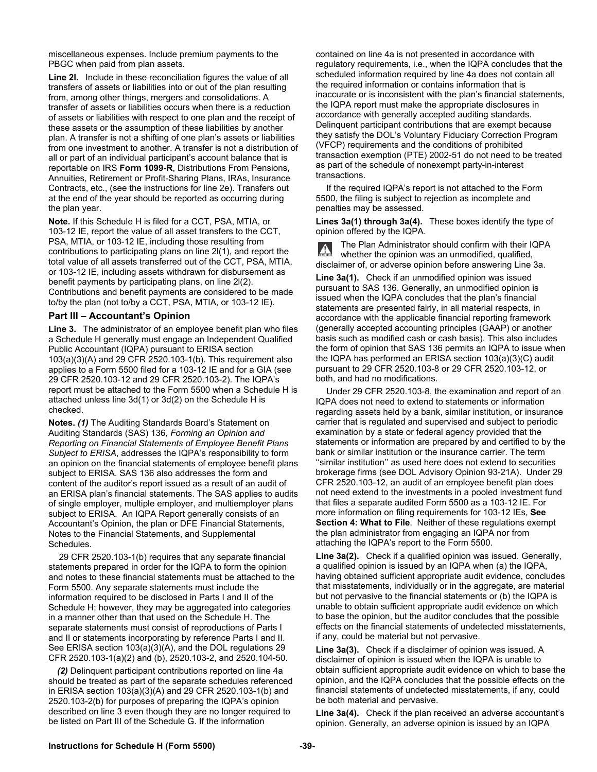miscellaneous expenses. Include premium payments to the PBGC when paid from plan assets.

**Line 2I.** Include in these reconciliation figures the value of all transfers of assets or liabilities into or out of the plan resulting from, among other things, mergers and consolidations. A transfer of assets or liabilities occurs when there is a reduction of assets or liabilities with respect to one plan and the receipt of these assets or the assumption of these liabilities by another plan. A transfer is not a shifting of one plan's assets or liabilities from one investment to another. A transfer is not a distribution of all or part of an individual participant's account balance that is reportable on IRS **Form 1099-R**, Distributions From Pensions, Annuities, Retirement or Profit-Sharing Plans, IRAs, Insurance Contracts, etc., (see the instructions for line 2e). Transfers out at the end of the year should be reported as occurring during the plan year.

**Note.** If this Schedule H is filed for a CCT, PSA, MTIA, or 103-12 IE, report the value of all asset transfers to the CCT, PSA, MTIA, or 103-12 IE, including those resulting from contributions to participating plans on line 2l(1), and report the total value of all assets transferred out of the CCT, PSA, MTIA, or 103-12 IE, including assets withdrawn for disbursement as benefit payments by participating plans, on line 2l(2). Contributions and benefit payments are considered to be made to/by the plan (not to/by a CCT, PSA, MTIA, or 103-12 IE).

#### **Part III – Accountant's Opinion**

**Line 3.** The administrator of an employee benefit plan who files a Schedule H generally must engage an Independent Qualified Public Accountant (IQPA) pursuant to ERISA section 103(a)(3)(A) and 29 CFR 2520.103-1(b). This requirement also applies to a Form 5500 filed for a 103-12 IE and for a GIA (see 29 CFR 2520.103-12 and 29 CFR 2520.103-2). The IQPA's report must be attached to the Form 5500 when a Schedule H is attached unless line 3d(1) or 3d(2) on the Schedule H is checked.

**Notes.** *(1)* The Auditing Standards Board's Statement on Auditing Standards (SAS) 136, *Forming an Opinion and Reporting on Financial Statements of Employee Benefit Plans Subject to ERISA*, addresses the IQPA's responsibility to form an opinion on the financial statements of employee benefit plans subject to ERISA. SAS 136 also addresses the form and content of the auditor's report issued as a result of an audit of an ERISA plan's financial statements. The SAS applies to audits of single employer, multiple employer, and multiemployer plans subject to ERISA. An IQPA Report generally consists of an Accountant's Opinion, the plan or DFE Financial Statements, Notes to the Financial Statements, and Supplemental **Schedules** 

29 CFR 2520.103-1(b) requires that any separate financial statements prepared in order for the IQPA to form the opinion and notes to these financial statements must be attached to the Form 5500. Any separate statements must include the information required to be disclosed in Parts I and II of the Schedule H; however, they may be aggregated into categories in a manner other than that used on the Schedule H. The separate statements must consist of reproductions of Parts I and II or statements incorporating by reference Parts I and II. See ERISA section 103(a)(3)(A), and the DOL regulations 29 CFR 2520.103-1(a)(2) and (b), 2520.103-2, and 2520.104-50.

*(2)* Delinquent participant contributions reported on line 4a should be treated as part of the separate schedules referenced in ERISA section 103(a)(3)(A) and 29 CFR 2520.103-1(b) and 2520.103-2(b) for purposes of preparing the IQPA's opinion described on line 3 even though they are no longer required to be listed on Part III of the Schedule G. If the information

contained on line 4a is not presented in accordance with regulatory requirements, i.e., when the IQPA concludes that the scheduled information required by line 4a does not contain all the required information or contains information that is inaccurate or is inconsistent with the plan's financial statements, the IQPA report must make the appropriate disclosures in accordance with generally accepted auditing standards. Delinquent participant contributions that are exempt because they satisfy the DOL's Voluntary Fiduciary Correction Program (VFCP) requirements and the conditions of prohibited transaction exemption (PTE) 2002-51 do not need to be treated as part of the schedule of nonexempt party-in-interest transactions.

If the required IQPA's report is not attached to the Form 5500, the filing is subject to rejection as incomplete and penalties may be assessed.

**Lines 3a(1) through 3a(4).** These boxes identify the type of opinion offered by the IQPA.

The Plan Administrator should confirm with their IQPA  $\blacktriangle$ whether the opinion was an unmodified, qualified, disclaimer of, or adverse opinion before answering Line 3a.

**Line 3a(1).** Check if an unmodified opinion was issued pursuant to SAS 136. Generally, an unmodified opinion is issued when the IQPA concludes that the plan's financial statements are presented fairly, in all material respects, in accordance with the applicable financial reporting framework (generally accepted accounting principles (GAAP) or another basis such as modified cash or cash basis). This also includes the form of opinion that SAS 136 permits an IQPA to issue when the IQPA has performed an ERISA section 103(a)(3)(C) audit pursuant to 29 CFR 2520.103-8 or 29 CFR 2520.103-12, or both, and had no modifications.

Under 29 CFR 2520.103-8, the examination and report of an IQPA does not need to extend to statements or information regarding assets held by a bank, similar institution, or insurance carrier that is regulated and supervised and subject to periodic examination by a state or federal agency provided that the statements or information are prepared by and certified to by the bank or similar institution or the insurance carrier. The term ''similar institution'' as used here does not extend to securities brokerage firms (see DOL Advisory Opinion 93-21A). Under 29 CFR 2520.103-12, an audit of an employee benefit plan does not need extend to the investments in a pooled investment fund that files a separate audited Form 5500 as a 103-12 IE. For more information on filing requirements for 103-12 IEs, **See Section 4: What to File**. Neither of these regulations exempt the plan administrator from engaging an IQPA nor from attaching the IQPA's report to the Form 5500.

**Line 3a(2).** Check if a qualified opinion was issued. Generally, a qualified opinion is issued by an IQPA when (a) the IQPA, having obtained sufficient appropriate audit evidence, concludes that misstatements, individually or in the aggregate, are material but not pervasive to the financial statements or (b) the IQPA is unable to obtain sufficient appropriate audit evidence on which to base the opinion, but the auditor concludes that the possible effects on the financial statements of undetected misstatements, if any, could be material but not pervasive.

**Line 3a(3).** Check if a disclaimer of opinion was issued. A disclaimer of opinion is issued when the IQPA is unable to obtain sufficient appropriate audit evidence on which to base the opinion, and the IQPA concludes that the possible effects on the financial statements of undetected misstatements, if any, could be both material and pervasive.

**Line 3a(4).** Check if the plan received an adverse accountant's opinion. Generally, an adverse opinion is issued by an IQPA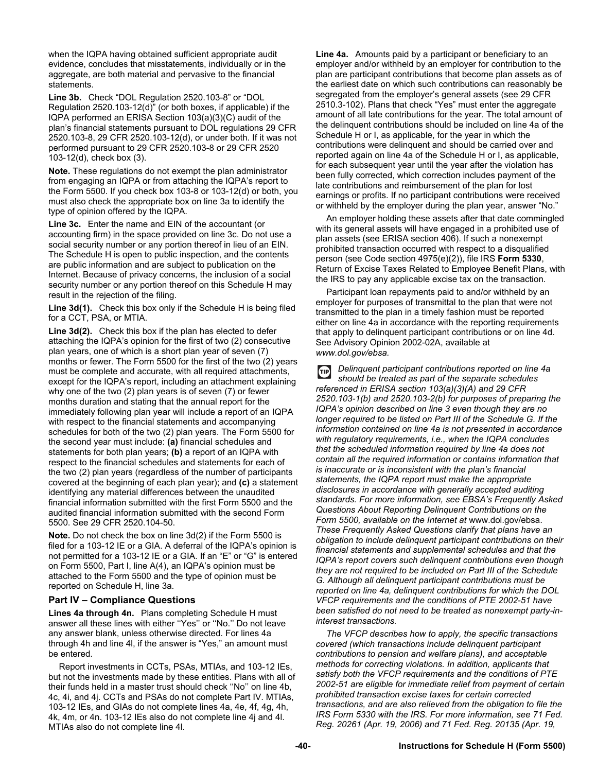when the IQPA having obtained sufficient appropriate audit evidence, concludes that misstatements, individually or in the aggregate, are both material and pervasive to the financial statements.

**Line 3b.** Check "DOL Regulation 2520.103-8" or "DOL Regulation 2520.103-12(d)" (or both boxes, if applicable) if the IQPA performed an ERISA Section 103(a)(3)(C) audit of the plan's financial statements pursuant to DOL regulations 29 CFR 2520.103-8, 29 CFR 2520.103-12(d), or under both. If it was not performed pursuant to 29 CFR 2520.103-8 or 29 CFR 2520 103-12(d), check box (3).

**Note.** These regulations do not exempt the plan administrator from engaging an IQPA or from attaching the IQPA's report to the Form 5500. If you check box 103-8 or 103-12(d) or both, you must also check the appropriate box on line 3a to identify the type of opinion offered by the IQPA.

**Line 3c.** Enter the name and EIN of the accountant (or accounting firm) in the space provided on line 3c. Do not use a social security number or any portion thereof in lieu of an EIN. The Schedule H is open to public inspection, and the contents are public information and are subject to publication on the Internet. Because of privacy concerns, the inclusion of a social security number or any portion thereof on this Schedule H may result in the rejection of the filing.

**Line 3d(1).** Check this box only if the Schedule H is being filed for a CCT, PSA, or MTIA.

**Line 3d(2).** Check this box if the plan has elected to defer attaching the IQPA's opinion for the first of two (2) consecutive plan years, one of which is a short plan year of seven (7) months or fewer. The Form 5500 for the first of the two (2) years must be complete and accurate, with all required attachments, except for the IQPA's report, including an attachment explaining why one of the two (2) plan years is of seven (7) or fewer months duration and stating that the annual report for the immediately following plan year will include a report of an IQPA with respect to the financial statements and accompanying schedules for both of the two (2) plan years. The Form 5500 for the second year must include: **(a)** financial schedules and statements for both plan years; **(b)** a report of an IQPA with respect to the financial schedules and statements for each of the two (2) plan years (regardless of the number of participants covered at the beginning of each plan year); and **(c)** a statement identifying any material differences between the unaudited financial information submitted with the first Form 5500 and the audited financial information submitted with the second Form 5500. See 29 CFR 2520.104-50.

**Note.** Do not check the box on line 3d(2) if the Form 5500 is filed for a 103-12 IE or a GIA. A deferral of the IQPA's opinion is not permitted for a 103-12 IE or a GIA. If an "E" or "G" is entered on Form 5500, Part I, line A(4), an IQPA's opinion must be attached to the Form 5500 and the type of opinion must be reported on Schedule H, line 3a.

## **Part IV – Compliance Questions**

**Lines 4a through 4n.** Plans completing Schedule H must answer all these lines with either ''Yes'' or ''No.'' Do not leave any answer blank, unless otherwise directed. For lines 4a through 4h and line 4l, if the answer is "Yes," an amount must be entered.

Report investments in CCTs, PSAs, MTIAs, and 103-12 IEs, but not the investments made by these entities. Plans with all of their funds held in a master trust should check ''No'' on line 4b, 4c, 4i, and 4j. CCTs and PSAs do not complete Part IV. MTIAs, 103-12 IEs, and GIAs do not complete lines 4a, 4e, 4f, 4g, 4h, 4k, 4m, or 4n. 103-12 IEs also do not complete line 4j and 4l. MTIAs also do not complete line 4l.

**Line 4a.** Amounts paid by a participant or beneficiary to an employer and/or withheld by an employer for contribution to the plan are participant contributions that become plan assets as of the earliest date on which such contributions can reasonably be segregated from the employer's general assets (see 29 CFR 2510.3-102). Plans that check "Yes" must enter the aggregate amount of all late contributions for the year. The total amount of the delinquent contributions should be included on line 4a of the Schedule H or I, as applicable, for the year in which the contributions were delinquent and should be carried over and reported again on line 4a of the Schedule H or I, as applicable, for each subsequent year until the year after the violation has been fully corrected, which correction includes payment of the late contributions and reimbursement of the plan for lost earnings or profits. If no participant contributions were received or withheld by the employer during the plan year, answer "No."

An employer holding these assets after that date commingled with its general assets will have engaged in a prohibited use of plan assets (see ERISA section 406). If such a nonexempt prohibited transaction occurred with respect to a disqualified person (see Code section 4975(e)(2)), file IRS **Form 5330**, Return of Excise Taxes Related to Employee Benefit Plans, with the IRS to pay any applicable excise tax on the transaction.

Participant loan repayments paid to and/or withheld by an employer for purposes of transmittal to the plan that were not transmitted to the plan in a timely fashion must be reported either on line 4a in accordance with the reporting requirements that apply to delinquent participant contributions or on line 4d. See Advisory Opinion 2002-02A, available at *www.dol.gov/ebsa.* 

*Delinquent participant contributions reported on line 4a*   $\bigoplus$ *should be treated as part of the separate schedules referenced in ERISA section 103(a)(3)(A) and 29 CFR 2520.103-1(b) and 2520.103-2(b) for purposes of preparing the IQPA's opinion described on line 3 even though they are no longer required to be listed on Part III of the Schedule G. If the information contained on line 4a is not presented in accordance with regulatory requirements, i.e., when the IQPA concludes that the scheduled information required by line 4a does not contain all the required information or contains information that is inaccurate or is inconsistent with the plan's financial statements, the IQPA report must make the appropriate disclosures in accordance with generally accepted auditing standards. For more information, see EBSA's Frequently Asked Questions About Reporting Delinquent Contributions on the Form 5500, available on the Internet at* www.dol.gov/ebsa. *These Frequently Asked Questions clarify that plans have an obligation to include delinquent participant contributions on their financial statements and supplemental schedules and that the IQPA's report covers such delinquent contributions even though they are not required to be included on Part III of the Schedule G. Although all delinquent participant contributions must be reported on line 4a, delinquent contributions for which the DOL VFCP requirements and the conditions of PTE 2002-51 have been satisfied do not need to be treated as nonexempt party-ininterest transactions.* 

*The VFCP describes how to apply, the specific transactions covered (which transactions include delinquent participant contributions to pension and welfare plans), and acceptable methods for correcting violations. In addition, applicants that satisfy both the VFCP requirements and the conditions of PTE 2002-51 are eligible for immediate relief from payment of certain prohibited transaction excise taxes for certain corrected transactions, and are also relieved from the obligation to file the IRS Form 5330 with the IRS. For more information, see 71 Fed. Reg. 20261 (Apr. 19, 2006) and 71 Fed. Reg. 20135 (Apr. 19,*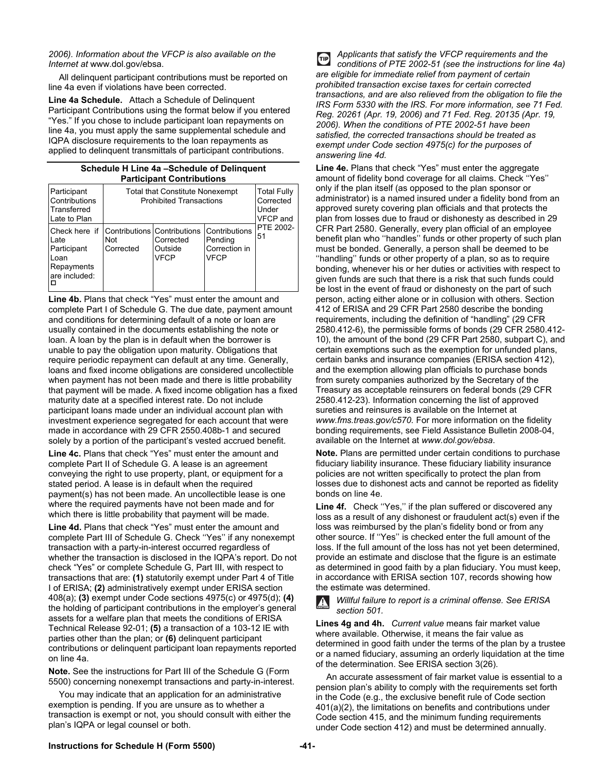#### *2006). Information about the VFCP is also available on the Internet at* www.dol.gov/ebsa.

All delinquent participant contributions must be reported on line 4a even if violations have been corrected.

**Line 4a Schedule.** Attach a Schedule of Delinquent Participant Contributions using the format below if you entered "Yes." If you chose to include participant loan repayments on line 4a, you must apply the same supplemental schedule and IQPA disclosure requirements to the loan repayments as applied to delinquent transmittals of participant contributions.

#### **Schedule H Line 4a –Schedule of Delinquent Participant Contributions**

| Participant<br>Contributions<br>Transferred<br>Late to Plan                 | Total that Constitute Nonexempt<br><b>Prohibited Transactions</b> | <b>Total Fully</b><br>Corrected<br>Under<br><b>VFCP</b> and |                                                   |                 |  |  |  |  |  |
|-----------------------------------------------------------------------------|-------------------------------------------------------------------|-------------------------------------------------------------|---------------------------------------------------|-----------------|--|--|--|--|--|
| Check here if<br>Late<br>Participant<br>Loan<br>Repayments<br>are included: | Contributions Contributions<br>Not<br>Corrected                   | Corrected<br>Outside<br><b>VFCP</b>                         | Contributions<br>Pending<br>Correction in<br>VFCP | PTE 2002-<br>51 |  |  |  |  |  |

**Line 4b.** Plans that check "Yes" must enter the amount and complete Part I of Schedule G. The due date, payment amount and conditions for determining default of a note or loan are usually contained in the documents establishing the note or loan. A loan by the plan is in default when the borrower is unable to pay the obligation upon maturity. Obligations that require periodic repayment can default at any time. Generally, loans and fixed income obligations are considered uncollectible when payment has not been made and there is little probability that payment will be made. A fixed income obligation has a fixed maturity date at a specified interest rate. Do not include participant loans made under an individual account plan with investment experience segregated for each account that were made in accordance with 29 CFR 2550.408b-1 and secured solely by a portion of the participant's vested accrued benefit.

**Line 4c.** Plans that check "Yes" must enter the amount and complete Part II of Schedule G. A lease is an agreement conveying the right to use property, plant, or equipment for a stated period. A lease is in default when the required payment(s) has not been made. An uncollectible lease is one where the required payments have not been made and for which there is little probability that payment will be made.

**Line 4d.** Plans that check "Yes" must enter the amount and complete Part III of Schedule G. Check ''Yes'' if any nonexempt transaction with a party-in-interest occurred regardless of whether the transaction is disclosed in the IQPA's report. Do not check "Yes" or complete Schedule G, Part III, with respect to transactions that are: **(1)** statutorily exempt under Part 4 of Title I of ERISA; **(2)** administratively exempt under ERISA section 408(a); **(3)** exempt under Code sections 4975(c) or 4975(d); **(4)**  the holding of participant contributions in the employer's general assets for a welfare plan that meets the conditions of ERISA Technical Release 92-01; **(5)** a transaction of a 103-12 IE with parties other than the plan; or **(6)** delinquent participant contributions or delinquent participant loan repayments reported on line 4a.

**Note.** See the instructions for Part III of the Schedule G (Form 5500) concerning nonexempt transactions and party-in-interest.

You may indicate that an application for an administrative exemption is pending. If you are unsure as to whether a transaction is exempt or not, you should consult with either the plan's IQPA or legal counsel or both.

*Applicants that satisfy the VFCP requirements and the*   $\bigoplus$ *conditions of PTE 2002-51 (see the instructions for line 4a) are eligible for immediate relief from payment of certain prohibited transaction excise taxes for certain corrected transactions, and are also relieved from the obligation to file the IRS Form 5330 with the IRS. For more information, see 71 Fed. Reg. 20261 (Apr. 19, 2006) and 71 Fed. Reg. 20135 (Apr. 19, 2006). When the conditions of PTE 2002-51 have been satisfied, the corrected transactions should be treated as exempt under Code section 4975(c) for the purposes of answering line 4d.* 

**Line 4e.** Plans that check "Yes" must enter the aggregate amount of fidelity bond coverage for all claims. Check ''Yes'' only if the plan itself (as opposed to the plan sponsor or administrator) is a named insured under a fidelity bond from an approved surety covering plan officials and that protects the plan from losses due to fraud or dishonesty as described in 29 CFR Part 2580. Generally, every plan official of an employee benefit plan who ''handles'' funds or other property of such plan must be bonded. Generally, a person shall be deemed to be ''handling'' funds or other property of a plan, so as to require bonding, whenever his or her duties or activities with respect to given funds are such that there is a risk that such funds could be lost in the event of fraud or dishonesty on the part of such person, acting either alone or in collusion with others. Section 412 of ERISA and 29 CFR Part 2580 describe the bonding requirements, including the definition of "handling" (29 CFR 2580.412-6), the permissible forms of bonds (29 CFR 2580.412- 10), the amount of the bond (29 CFR Part 2580, subpart C), and certain exemptions such as the exemption for unfunded plans, certain banks and insurance companies (ERISA section 412), and the exemption allowing plan officials to purchase bonds from surety companies authorized by the Secretary of the Treasury as acceptable reinsurers on federal bonds (29 CFR 2580.412-23). Information concerning the list of approved sureties and reinsures is available on the Internet at *www.fms.treas.gov/c570.* For more information on the fidelity bonding requirements, see Field Assistance Bulletin 2008-04, available on the Internet at *www.dol.gov/ebsa*.

**Note.** Plans are permitted under certain conditions to purchase fiduciary liability insurance. These fiduciary liability insurance policies are not written specifically to protect the plan from losses due to dishonest acts and cannot be reported as fidelity bonds on line 4e.

**Line 4f.** Check ''Yes,'' if the plan suffered or discovered any loss as a result of any dishonest or fraudulent act(s) even if the loss was reimbursed by the plan's fidelity bond or from any other source. If ''Yes'' is checked enter the full amount of the loss. If the full amount of the loss has not yet been determined, provide an estimate and disclose that the figure is an estimate as determined in good faith by a plan fiduciary. You must keep, in accordance with ERISA section 107, records showing how the estimate was determined.

*Willful failure to report is a criminal offense. See ERISA section 501.* 

**Lines 4g and 4h.** *Current value* means fair market value where available. Otherwise, it means the fair value as determined in good faith under the terms of the plan by a trustee or a named fiduciary, assuming an orderly liquidation at the time of the determination. See ERISA section 3(26).

An accurate assessment of fair market value is essential to a pension plan's ability to comply with the requirements set forth in the Code (e.g., the exclusive benefit rule of Code section 401(a)(2), the limitations on benefits and contributions under Code section 415, and the minimum funding requirements under Code section 412) and must be determined annually.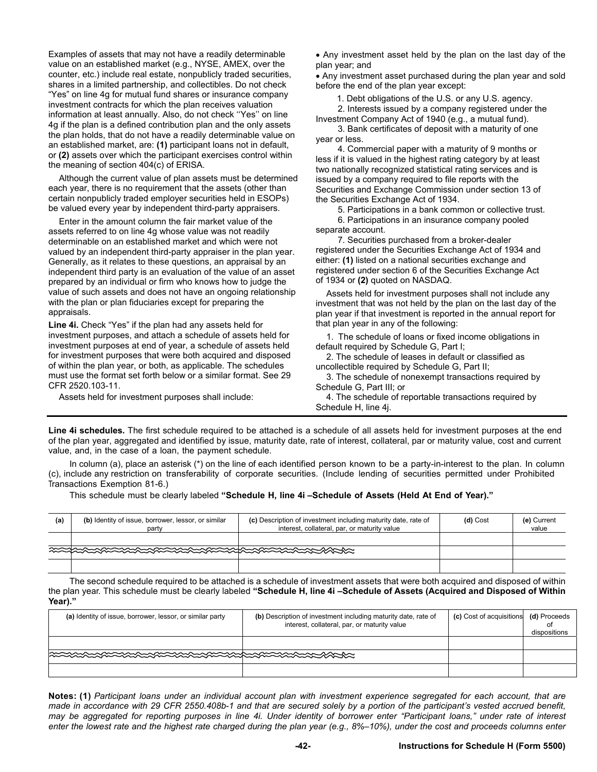Examples of assets that may not have a readily determinable value on an established market (e.g., NYSE, AMEX, over the counter, etc.) include real estate, nonpublicly traded securities, shares in a limited partnership, and collectibles. Do not check "Yes" on line 4g for mutual fund shares or insurance company investment contracts for which the plan receives valuation information at least annually. Also, do not check ''Yes'' on line 4g if the plan is a defined contribution plan and the only assets the plan holds, that do not have a readily determinable value on an established market, are: **(1)** participant loans not in default, or **(2)** assets over which the participant exercises control within the meaning of section 404(c) of ERISA.

Although the current value of plan assets must be determined each year, there is no requirement that the assets (other than certain nonpublicly traded employer securities held in ESOPs) be valued every year by independent third-party appraisers.

Enter in the amount column the fair market value of the assets referred to on line 4g whose value was not readily determinable on an established market and which were not valued by an independent third-party appraiser in the plan year. Generally, as it relates to these questions, an appraisal by an independent third party is an evaluation of the value of an asset prepared by an individual or firm who knows how to judge the value of such assets and does not have an ongoing relationship with the plan or plan fiduciaries except for preparing the appraisals.

**Line 4i.** Check "Yes" if the plan had any assets held for investment purposes, and attach a schedule of assets held for investment purposes at end of year, a schedule of assets held for investment purposes that were both acquired and disposed of within the plan year, or both, as applicable. The schedules must use the format set forth below or a similar format. See 29 CFR 2520.103-11.

Assets held for investment purposes shall include:

 Any investment asset held by the plan on the last day of the plan year; and

 Any investment asset purchased during the plan year and sold before the end of the plan year except:

1. Debt obligations of the U.S. or any U.S. agency.

| 2. Interests issued by a company registered under the |  |
|-------------------------------------------------------|--|
| Investment Company Act of 1940 (e.g., a mutual fund). |  |

3. Bank certificates of deposit with a maturity of one year or less.

4. Commercial paper with a maturity of 9 months or less if it is valued in the highest rating category by at least two nationally recognized statistical rating services and is issued by a company required to file reports with the Securities and Exchange Commission under section 13 of the Securities Exchange Act of 1934.

5. Participations in a bank common or collective trust.

6. Participations in an insurance company pooled separate account.

7. Securities purchased from a broker-dealer registered under the Securities Exchange Act of 1934 and either: **(1)** listed on a national securities exchange and registered under section 6 of the Securities Exchange Act of 1934 or **(2)** quoted on NASDAQ.

Assets held for investment purposes shall not include any investment that was not held by the plan on the last day of the plan year if that investment is reported in the annual report for that plan year in any of the following:

1. The schedule of loans or fixed income obligations in default required by Schedule G, Part I;

2. The schedule of leases in default or classified as uncollectible required by Schedule G, Part II;

3. The schedule of nonexempt transactions required by Schedule G, Part III; or

4. The schedule of reportable transactions required by Schedule H, line 4j.

**Line 4i schedules.** The first schedule required to be attached is a schedule of all assets held for investment purposes at the end of the plan year, aggregated and identified by issue, maturity date, rate of interest, collateral, par or maturity value, cost and current value, and, in the case of a loan, the payment schedule.

 In column (a), place an asterisk (\*) on the line of each identified person known to be a party-in-interest to the plan. In column (c), include any restriction on transferability of corporate securities. (Include lending of securities permitted under Prohibited Transactions Exemption 81-6.)

This schedule must be clearly labeled **"Schedule H, line 4i –Schedule of Assets (Held At End of Year)."**

| (a) | (b) Identity of issue, borrower, lessor, or similar<br>party | (c) Description of investment including maturity date, rate of<br>interest, collateral, par, or maturity value | (d) Cost | (e) Current<br>value |
|-----|--------------------------------------------------------------|----------------------------------------------------------------------------------------------------------------|----------|----------------------|
|     |                                                              |                                                                                                                |          |                      |
|     |                                                              |                                                                                                                |          |                      |
|     |                                                              |                                                                                                                |          |                      |

 The second schedule required to be attached is a schedule of investment assets that were both acquired and disposed of within the plan year. This schedule must be clearly labeled **"Schedule H, line 4i –Schedule of Assets (Acquired and Disposed of Within Year)."** 

| (a) Identity of issue, borrower, lessor, or similar party | (b) Description of investment including maturity date, rate of<br>interest, collateral, par, or maturity value | (c) Cost of acquisitions (d) Proceeds | dispositions |
|-----------------------------------------------------------|----------------------------------------------------------------------------------------------------------------|---------------------------------------|--------------|
|                                                           |                                                                                                                |                                       |              |
|                                                           |                                                                                                                |                                       |              |
|                                                           |                                                                                                                |                                       |              |

**Notes: (1)** *Participant loans under an individual account plan with investment experience segregated for each account, that are made in accordance with 29 CFR 2550.408b-1 and that are secured solely by a portion of the participant's vested accrued benefit, may be aggregated for reporting purposes in line 4i. Under identity of borrower enter "Participant loans," under rate of interest enter the lowest rate and the highest rate charged during the plan year (e.g., 8%–10%), under the cost and proceeds columns enter*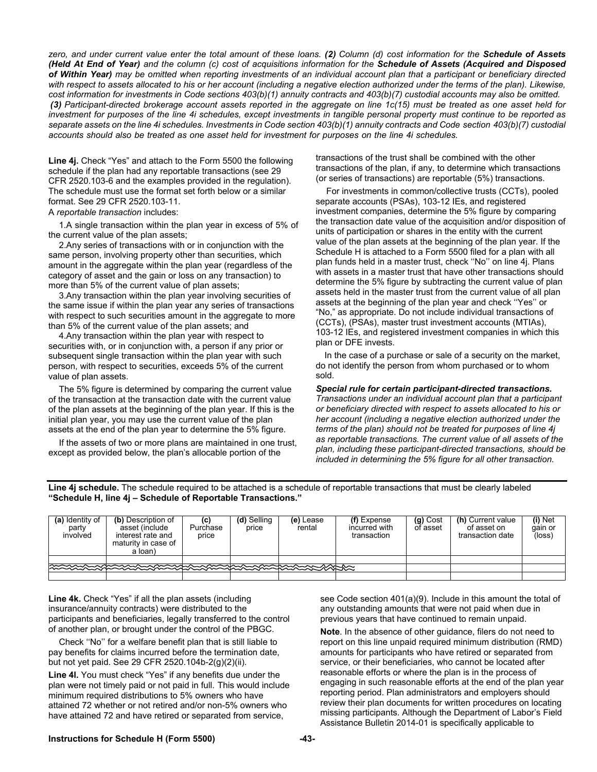*zero, and under current value enter the total amount of these loans. (2) Column (d) cost information for the Schedule of Assets (Held At End of Year) and the column (c) cost of acquisitions information for the Schedule of Assets (Acquired and Disposed of Within Year) may be omitted when reporting investments of an individual account plan that a participant or beneficiary directed with respect to assets allocated to his or her account (including a negative election authorized under the terms of the plan). Likewise, cost information for investments in Code sections 403(b)(1) annuity contracts and 403(b)(7) custodial accounts may also be omitted. (3) Participant-directed brokerage account assets reported in the aggregate on line 1c(15) must be treated as one asset held for investment for purposes of the line 4i schedules, except investments in tangible personal property must continue to be reported as separate assets on the line 4i schedules. Investments in Code section 403(b)(1) annuity contracts and Code section 403(b)(7) custodial accounts should also be treated as one asset held for investment for purposes on the line 4i schedules.* 

**Line 4j.** Check "Yes" and attach to the Form 5500 the following schedule if the plan had any reportable transactions (see 29 CFR 2520.103-6 and the examples provided in the regulation). The schedule must use the format set forth below or a similar format. See 29 CFR 2520.103-11.

A *reportable transaction* includes:

1.A single transaction within the plan year in excess of 5% of the current value of the plan assets;

2.Any series of transactions with or in conjunction with the same person, involving property other than securities, which amount in the aggregate within the plan year (regardless of the category of asset and the gain or loss on any transaction) to more than 5% of the current value of plan assets;

3.Any transaction within the plan year involving securities of the same issue if within the plan year any series of transactions with respect to such securities amount in the aggregate to more than 5% of the current value of the plan assets; and

4.Any transaction within the plan year with respect to securities with, or in conjunction with, a person if any prior or subsequent single transaction within the plan year with such person, with respect to securities, exceeds 5% of the current value of plan assets.

The 5% figure is determined by comparing the current value of the transaction at the transaction date with the current value of the plan assets at the beginning of the plan year. If this is the initial plan year, you may use the current value of the plan assets at the end of the plan year to determine the 5% figure.

If the assets of two or more plans are maintained in one trust, except as provided below, the plan's allocable portion of the

transactions of the trust shall be combined with the other transactions of the plan, if any, to determine which transactions (or series of transactions) are reportable (5%) transactions.

For investments in common/collective trusts (CCTs), pooled separate accounts (PSAs), 103-12 IEs, and registered investment companies, determine the 5% figure by comparing the transaction date value of the acquisition and/or disposition of units of participation or shares in the entity with the current value of the plan assets at the beginning of the plan year. If the Schedule H is attached to a Form 5500 filed for a plan with all plan funds held in a master trust, check ''No'' on line 4j. Plans with assets in a master trust that have other transactions should determine the 5% figure by subtracting the current value of plan assets held in the master trust from the current value of all plan assets at the beginning of the plan year and check ''Yes'' or "No," as appropriate. Do not include individual transactions of (CCTs), (PSAs), master trust investment accounts (MTIAs), 103-12 IEs, and registered investment companies in which this plan or DFE invests.

 In the case of a purchase or sale of a security on the market, do not identify the person from whom purchased or to whom sold.

*Special rule for certain participant-directed transactions. Transactions under an individual account plan that a participant or beneficiary directed with respect to assets allocated to his or her account (including a negative election authorized under the terms of the plan) should not be treated for purposes of line 4j as reportable transactions. The current value of all assets of the plan, including these participant-directed transactions, should be included in determining the 5% figure for all other transaction.* 

**Line 4j schedule.** The schedule required to be attached is a schedule of reportable transactions that must be clearly labeled **"Schedule H, line 4j – Schedule of Reportable Transactions."** 

| (a) Identity of<br>party<br>involved | (b) Description of<br>asset (include<br>interest rate and<br>maturity in case of<br>a loan) | Purchase<br>price | (d) Selling<br>price | (e) Lease<br>rental | (f) Expense<br>incurred with<br>transaction | (g) Cost<br>of asset | (h) Current value<br>of asset on<br>transaction date | (i) Net<br>gain or<br>(loss) |
|--------------------------------------|---------------------------------------------------------------------------------------------|-------------------|----------------------|---------------------|---------------------------------------------|----------------------|------------------------------------------------------|------------------------------|
|                                      |                                                                                             |                   |                      |                     |                                             |                      |                                                      |                              |
|                                      | <b>REEXERENTEEXERENTEEXERENTEEXERENTEEXERENTEEXERENTEEXES</b>                               |                   |                      |                     |                                             |                      |                                                      |                              |
|                                      |                                                                                             |                   |                      |                     |                                             |                      |                                                      |                              |

**Line 4k.** Check "Yes" if all the plan assets (including insurance/annuity contracts) were distributed to the participants and beneficiaries, legally transferred to the control of another plan, or brought under the control of the PBGC.

Check ''No'' for a welfare benefit plan that is still liable to pay benefits for claims incurred before the termination date, but not yet paid. See 29 CFR 2520.104b-2(g)(2)(ii).

**Line 4l.** You must check "Yes" if any benefits due under the plan were not timely paid or not paid in full. This would include minimum required distributions to 5% owners who have attained 72 whether or not retired and/or non-5% owners who have attained 72 and have retired or separated from service,

see Code section 401(a)(9). Include in this amount the total of any outstanding amounts that were not paid when due in previous years that have continued to remain unpaid.

**Note**. In the absence of other guidance, filers do not need to report on this line unpaid required minimum distribution (RMD) amounts for participants who have retired or separated from service, or their beneficiaries, who cannot be located after reasonable efforts or where the plan is in the process of engaging in such reasonable efforts at the end of the plan year reporting period. Plan administrators and employers should review their plan documents for written procedures on locating missing participants. Although the Department of Labor's Field Assistance Bulletin 2014-01 is specifically applicable to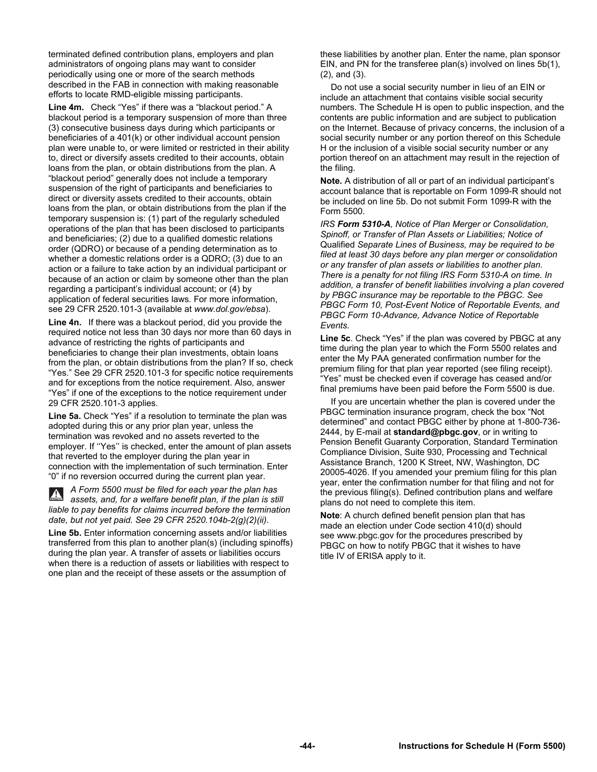terminated defined contribution plans, employers and plan administrators of ongoing plans may want to consider periodically using one or more of the search methods described in the FAB in connection with making reasonable efforts to locate RMD-eligible missing participants.

**Line 4m.** Check "Yes" if there was a "blackout period." A blackout period is a temporary suspension of more than three (3) consecutive business days during which participants or beneficiaries of a 401(k) or other individual account pension plan were unable to, or were limited or restricted in their ability to, direct or diversify assets credited to their accounts, obtain loans from the plan, or obtain distributions from the plan. A "blackout period" generally does not include a temporary suspension of the right of participants and beneficiaries to direct or diversity assets credited to their accounts, obtain loans from the plan, or obtain distributions from the plan if the temporary suspension is: (1) part of the regularly scheduled operations of the plan that has been disclosed to participants and beneficiaries; (2) due to a qualified domestic relations order (QDRO) or because of a pending determination as to whether a domestic relations order is a QDRO; (3) due to an action or a failure to take action by an individual participant or because of an action or claim by someone other than the plan regarding a participant's individual account; or (4) by application of federal securities laws. For more information, see 29 CFR 2520.101-3 (available at *www.dol.gov/ebsa*).

**Line 4n.** If there was a blackout period, did you provide the required notice not less than 30 days nor more than 60 days in advance of restricting the rights of participants and beneficiaries to change their plan investments, obtain loans from the plan, or obtain distributions from the plan? If so, check "Yes." See 29 CFR 2520.101-3 for specific notice requirements and for exceptions from the notice requirement. Also, answer "Yes" if one of the exceptions to the notice requirement under 29 CFR 2520.101-3 applies.

**Line 5a.** Check "Yes" if a resolution to terminate the plan was adopted during this or any prior plan year, unless the termination was revoked and no assets reverted to the employer. If ''Yes'' is checked, enter the amount of plan assets that reverted to the employer during the plan year in connection with the implementation of such termination. Enter "0" if no reversion occurred during the current plan year.

*A Form 5500 must be filed for each year the plan has assets, and, for a welfare benefit plan, if the plan is still liable to pay benefits for claims incurred before the termination date, but not yet paid. See 29 CFR 2520.104b-2(g)(2)(ii).* 

**Line 5b.** Enter information concerning assets and/or liabilities transferred from this plan to another plan(s) (including spinoffs) during the plan year. A transfer of assets or liabilities occurs when there is a reduction of assets or liabilities with respect to one plan and the receipt of these assets or the assumption of

these liabilities by another plan. Enter the name, plan sponsor EIN, and PN for the transferee plan(s) involved on lines 5b(1), (2), and (3).

Do not use a social security number in lieu of an EIN or include an attachment that contains visible social security numbers. The Schedule H is open to public inspection, and the contents are public information and are subject to publication on the Internet. Because of privacy concerns, the inclusion of a social security number or any portion thereof on this Schedule H or the inclusion of a visible social security number or any portion thereof on an attachment may result in the rejection of the filing.

**Note.** A distribution of all or part of an individual participant's account balance that is reportable on Form 1099-R should not be included on line 5b. Do not submit Form 1099-R with the Form 5500.

*IRS Form 5310-A, Notice of Plan Merger or Consolidation, Spinoff, or Transfer of Plan Assets or Liabilities; Notice of*  Qualified *Separate Lines of Business, may be required to be filed at least 30 days before any plan merger or consolidation or any transfer of plan assets or liabilities to another plan. There is a penalty for not filing IRS Form 5310-A on time. In addition, a transfer of benefit liabilities involving a plan covered by PBGC insurance may be reportable to the PBGC. See PBGC Form 10, Post-Event Notice of Reportable Events, and PBGC Form 10-Advance, Advance Notice of Reportable Events.* 

**Line 5c**. Check "Yes" if the plan was covered by PBGC at any time during the plan year to which the Form 5500 relates and enter the My PAA generated confirmation number for the premium filing for that plan year reported (see filing receipt). "Yes" must be checked even if coverage has ceased and/or final premiums have been paid before the Form 5500 is due.

If you are uncertain whether the plan is covered under the PBGC termination insurance program, check the box "Not determined" and contact PBGC either by phone at 1-800-736- 2444, by E-mail at **standard@pbgc.gov**, or in writing to Pension Benefit Guaranty Corporation, Standard Termination Compliance Division, Suite 930, Processing and Technical Assistance Branch, 1200 K Street, NW, Washington, DC 20005-4026. If you amended your premium filing for this plan year, enter the confirmation number for that filing and not for the previous filing(s). Defined contribution plans and welfare plans do not need to complete this item.

**Note**: A church defined benefit pension plan that has made an election under Code section 410(d) should see www.pbgc.gov for the procedures prescribed by PBGC on how to notify PBGC that it wishes to have title IV of ERISA apply to it.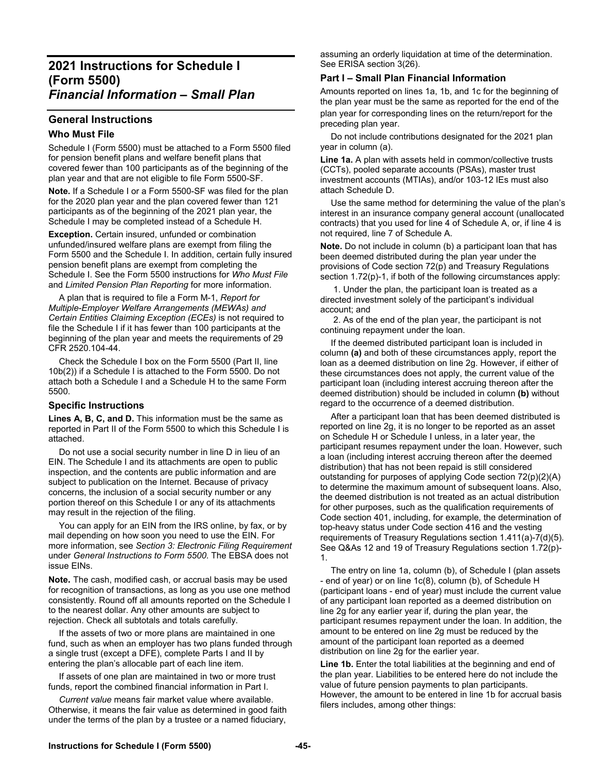# **2021 Instructions for Schedule I (Form 5500)**  *Financial Information – Small Plan*

# **General Instructions**

## **Who Must File**

Schedule I (Form 5500) must be attached to a Form 5500 filed for pension benefit plans and welfare benefit plans that covered fewer than 100 participants as of the beginning of the plan year and that are not eligible to file Form 5500-SF.

**Note.** If a Schedule I or a Form 5500-SF was filed for the plan for the 2020 plan year and the plan covered fewer than 121 participants as of the beginning of the 2021 plan year, the Schedule I may be completed instead of a Schedule H.

**Exception.** Certain insured, unfunded or combination unfunded/insured welfare plans are exempt from filing the Form 5500 and the Schedule I. In addition, certain fully insured pension benefit plans are exempt from completing the Schedule I. See the Form 5500 instructions for *Who Must File*  and *Limited Pension Plan Reporting* for more information.

A plan that is required to file a Form M-1, *Report for Multiple-Employer Welfare Arrangements (MEWAs) and Certain Entities Claiming Exception (ECEs)* is not required to file the Schedule I if it has fewer than 100 participants at the beginning of the plan year and meets the requirements of 29 CFR 2520.104-44.

Check the Schedule I box on the Form 5500 (Part II, line 10b(2)) if a Schedule I is attached to the Form 5500. Do not attach both a Schedule I and a Schedule H to the same Form 5500.

## **Specific Instructions**

**Lines A, B, C, and D.** This information must be the same as reported in Part II of the Form 5500 to which this Schedule I is attached.

Do not use a social security number in line D in lieu of an EIN. The Schedule I and its attachments are open to public inspection, and the contents are public information and are subject to publication on the Internet. Because of privacy concerns, the inclusion of a social security number or any portion thereof on this Schedule I or any of its attachments may result in the rejection of the filing.

You can apply for an EIN from the IRS online, by fax, or by mail depending on how soon you need to use the EIN. For more information, see *Section 3: Electronic Filing Requirement* under *General Instructions to Form 5500*. The EBSA does not issue EINs.

**Note.** The cash, modified cash, or accrual basis may be used for recognition of transactions, as long as you use one method consistently. Round off all amounts reported on the Schedule I to the nearest dollar. Any other amounts are subject to rejection. Check all subtotals and totals carefully.

If the assets of two or more plans are maintained in one fund, such as when an employer has two plans funded through a single trust (except a DFE), complete Parts I and II by entering the plan's allocable part of each line item.

If assets of one plan are maintained in two or more trust funds, report the combined financial information in Part I.

*Current value* means fair market value where available. Otherwise, it means the fair value as determined in good faith under the terms of the plan by a trustee or a named fiduciary,

assuming an orderly liquidation at time of the determination. See ERISA section 3(26).

# **Part I – Small Plan Financial Information**

Amounts reported on lines 1a, 1b, and 1c for the beginning of the plan year must be the same as reported for the end of the plan year for corresponding lines on the return/report for the preceding plan year.

Do not include contributions designated for the 2021 plan year in column (a).

**Line 1a.** A plan with assets held in common/collective trusts (CCTs), pooled separate accounts (PSAs), master trust investment accounts (MTIAs), and/or 103-12 IEs must also attach Schedule D.

Use the same method for determining the value of the plan's interest in an insurance company general account (unallocated contracts) that you used for line 4 of Schedule A, or, if line 4 is not required, line 7 of Schedule A.

**Note.** Do not include in column (b) a participant loan that has been deemed distributed during the plan year under the provisions of Code section 72(p) and Treasury Regulations section 1.72(p)-1, if both of the following circumstances apply:

 1. Under the plan, the participant loan is treated as a directed investment solely of the participant's individual account; and

 2. As of the end of the plan year, the participant is not continuing repayment under the loan.

If the deemed distributed participant loan is included in column **(a)** and both of these circumstances apply, report the loan as a deemed distribution on line 2g. However, if either of these circumstances does not apply, the current value of the participant loan (including interest accruing thereon after the deemed distribution) should be included in column **(b)** without regard to the occurrence of a deemed distribution.

After a participant loan that has been deemed distributed is reported on line 2g, it is no longer to be reported as an asset on Schedule H or Schedule I unless, in a later year, the participant resumes repayment under the loan. However, such a loan (including interest accruing thereon after the deemed distribution) that has not been repaid is still considered outstanding for purposes of applying Code section 72(p)(2)(A) to determine the maximum amount of subsequent loans. Also, the deemed distribution is not treated as an actual distribution for other purposes, such as the qualification requirements of Code section 401, including, for example, the determination of top-heavy status under Code section 416 and the vesting requirements of Treasury Regulations section 1.411(a)-7(d)(5). See Q&As 12 and 19 of Treasury Regulations section 1.72(p)- 1.

The entry on line 1a, column (b), of Schedule I (plan assets - end of year) or on line 1c(8), column (b), of Schedule H (participant loans - end of year) must include the current value of any participant loan reported as a deemed distribution on line 2g for any earlier year if, during the plan year, the participant resumes repayment under the loan. In addition, the amount to be entered on line 2g must be reduced by the amount of the participant loan reported as a deemed distribution on line 2g for the earlier year.

**Line 1b.** Enter the total liabilities at the beginning and end of the plan year. Liabilities to be entered here do not include the value of future pension payments to plan participants. However, the amount to be entered in line 1b for accrual basis filers includes, among other things: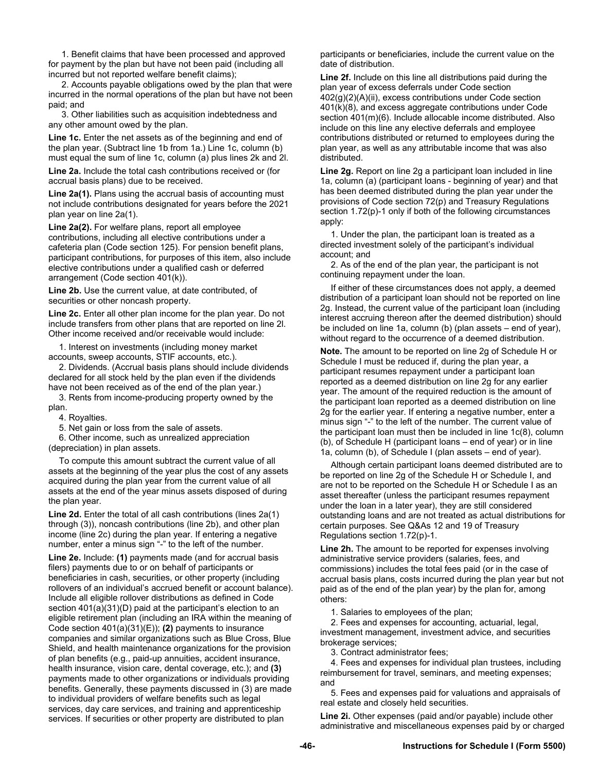1. Benefit claims that have been processed and approved for payment by the plan but have not been paid (including all incurred but not reported welfare benefit claims);

 2. Accounts payable obligations owed by the plan that were incurred in the normal operations of the plan but have not been paid; and

 3. Other liabilities such as acquisition indebtedness and any other amount owed by the plan.

Line 1c. Enter the net assets as of the beginning and end of the plan year. (Subtract line 1b from 1a.) Line 1c, column (b) must equal the sum of line 1c, column (a) plus lines 2k and 2l.

**Line 2a.** Include the total cash contributions received or (for accrual basis plans) due to be received.

**Line 2a(1).** Plans using the accrual basis of accounting must not include contributions designated for years before the 2021 plan year on line 2a(1).

**Line 2a(2).** For welfare plans, report all employee contributions, including all elective contributions under a cafeteria plan (Code section 125). For pension benefit plans, participant contributions, for purposes of this item, also include elective contributions under a qualified cash or deferred arrangement (Code section 401(k)).

**Line 2b.** Use the current value, at date contributed, of securities or other noncash property.

**Line 2c.** Enter all other plan income for the plan year. Do not include transfers from other plans that are reported on line 2l. Other income received and/or receivable would include:

1. Interest on investments (including money market accounts, sweep accounts, STIF accounts, etc.).

2. Dividends. (Accrual basis plans should include dividends declared for all stock held by the plan even if the dividends have not been received as of the end of the plan year.)

3. Rents from income-producing property owned by the plan.

4. Royalties.

5. Net gain or loss from the sale of assets.

6. Other income, such as unrealized appreciation

(depreciation) in plan assets.

To compute this amount subtract the current value of all assets at the beginning of the year plus the cost of any assets acquired during the plan year from the current value of all assets at the end of the year minus assets disposed of during the plan year.

**Line 2d.** Enter the total of all cash contributions (lines 2a(1) through (3)), noncash contributions (line 2b), and other plan income (line 2c) during the plan year. If entering a negative number, enter a minus sign "-" to the left of the number.

**Line 2e.** Include: **(1)** payments made (and for accrual basis filers) payments due to or on behalf of participants or beneficiaries in cash, securities, or other property (including rollovers of an individual's accrued benefit or account balance). Include all eligible rollover distributions as defined in Code section 401(a)(31)(D) paid at the participant's election to an eligible retirement plan (including an IRA within the meaning of Code section 401(a)(31)(E)); **(2)** payments to insurance companies and similar organizations such as Blue Cross, Blue Shield, and health maintenance organizations for the provision of plan benefits (e.g., paid-up annuities, accident insurance, health insurance, vision care, dental coverage, etc.); and **(3)**  payments made to other organizations or individuals providing benefits. Generally, these payments discussed in (3) are made to individual providers of welfare benefits such as legal services, day care services, and training and apprenticeship services. If securities or other property are distributed to plan

participants or beneficiaries, include the current value on the date of distribution.

**Line 2f.** Include on this line all distributions paid during the plan year of excess deferrals under Code section 402(g)(2)(A)(ii), excess contributions under Code section 401(k)(8), and excess aggregate contributions under Code section 401(m)(6). Include allocable income distributed. Also include on this line any elective deferrals and employee contributions distributed or returned to employees during the plan year, as well as any attributable income that was also distributed.

**Line 2g.** Report on line 2g a participant loan included in line 1a, column (a) (participant loans - beginning of year) and that has been deemed distributed during the plan year under the provisions of Code section 72(p) and Treasury Regulations section 1.72(p)-1 only if both of the following circumstances apply:

1. Under the plan, the participant loan is treated as a directed investment solely of the participant's individual account; and

2. As of the end of the plan year, the participant is not continuing repayment under the loan.

If either of these circumstances does not apply, a deemed distribution of a participant loan should not be reported on line 2g. Instead, the current value of the participant loan (including interest accruing thereon after the deemed distribution) should be included on line 1a, column (b) (plan assets – end of year), without regard to the occurrence of a deemed distribution.

**Note.** The amount to be reported on line 2g of Schedule H or Schedule I must be reduced if, during the plan year, a participant resumes repayment under a participant loan reported as a deemed distribution on line 2g for any earlier year. The amount of the required reduction is the amount of the participant loan reported as a deemed distribution on line 2g for the earlier year. If entering a negative number, enter a minus sign "-" to the left of the number. The current value of the participant loan must then be included in line 1c(8), column (b), of Schedule H (participant loans – end of year) or in line 1a, column (b), of Schedule I (plan assets – end of year).

Although certain participant loans deemed distributed are to be reported on line 2g of the Schedule H or Schedule I, and are not to be reported on the Schedule H or Schedule I as an asset thereafter (unless the participant resumes repayment under the loan in a later year), they are still considered outstanding loans and are not treated as actual distributions for certain purposes. See Q&As 12 and 19 of Treasury Regulations section 1.72(p)-1.

**Line 2h.** The amount to be reported for expenses involving administrative service providers (salaries, fees, and commissions) includes the total fees paid (or in the case of accrual basis plans, costs incurred during the plan year but not paid as of the end of the plan year) by the plan for, among others:

1. Salaries to employees of the plan;

2. Fees and expenses for accounting, actuarial, legal, investment management, investment advice, and securities brokerage services;

3. Contract administrator fees;

4. Fees and expenses for individual plan trustees, including reimbursement for travel, seminars, and meeting expenses; and

5. Fees and expenses paid for valuations and appraisals of real estate and closely held securities.

**Line 2i.** Other expenses (paid and/or payable) include other administrative and miscellaneous expenses paid by or charged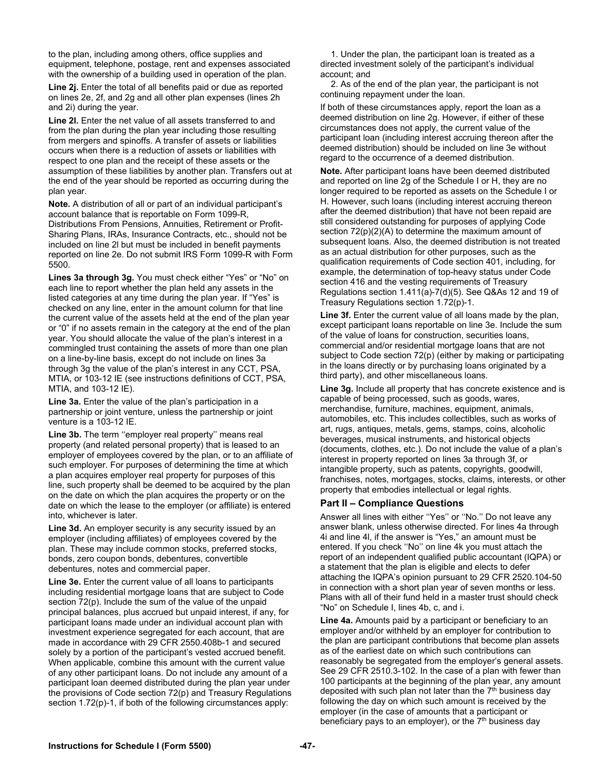to the plan, including among others, office supplies and equipment, telephone, postage, rent and expenses associated with the ownership of a building used in operation of the plan.

**Line 2j.** Enter the total of all benefits paid or due as reported on lines 2e, 2f, and 2g and all other plan expenses (lines 2h and 2i) during the year.

**Line 2l.** Enter the net value of all assets transferred to and from the plan during the plan year including those resulting from mergers and spinoffs. A transfer of assets or liabilities occurs when there is a reduction of assets or liabilities with respect to one plan and the receipt of these assets or the assumption of these liabilities by another plan. Transfers out at the end of the year should be reported as occurring during the plan year.

**Note.** A distribution of all or part of an individual participant's account balance that is reportable on Form 1099-R, Distributions From Pensions, Annuities, Retirement or Profit-Sharing Plans, IRAs, Insurance Contracts, etc., should not be included on line 2l but must be included in benefit payments reported on line 2e. Do not submit IRS Form 1099-R with Form 5500.

**Lines 3a through 3g.** You must check either "Yes" or "No" on each line to report whether the plan held any assets in the listed categories at any time during the plan year. If "Yes" is checked on any line, enter in the amount column for that line the current value of the assets held at the end of the plan year or "0" if no assets remain in the category at the end of the plan year. You should allocate the value of the plan's interest in a commingled trust containing the assets of more than one plan on a line-by-line basis, except do not include on lines 3a through 3g the value of the plan's interest in any CCT, PSA, MTIA, or 103-12 IE (see instructions definitions of CCT, PSA, MTIA, and 103-12 IE).

**Line 3a.** Enter the value of the plan's participation in a partnership or joint venture, unless the partnership or joint venture is a 103-12 IE.

Line 3b. The term "employer real property" means real property (and related personal property) that is leased to an employer of employees covered by the plan, or to an affiliate of such employer. For purposes of determining the time at which a plan acquires employer real property for purposes of this line, such property shall be deemed to be acquired by the plan on the date on which the plan acquires the property or on the date on which the lease to the employer (or affiliate) is entered into, whichever is later.

**Line 3d.** An employer security is any security issued by an employer (including affiliates) of employees covered by the plan. These may include common stocks, preferred stocks, bonds, zero coupon bonds, debentures, convertible debentures, notes and commercial paper.

**Line 3e.** Enter the current value of all loans to participants including residential mortgage loans that are subject to Code section 72(p). Include the sum of the value of the unpaid principal balances, plus accrued but unpaid interest, if any, for participant loans made under an individual account plan with investment experience segregated for each account, that are made in accordance with 29 CFR 2550.408b-1 and secured solely by a portion of the participant's vested accrued benefit. When applicable, combine this amount with the current value of any other participant loans. Do not include any amount of a participant loan deemed distributed during the plan year under the provisions of Code section 72(p) and Treasury Regulations section 1.72(p)-1, if both of the following circumstances apply:

1. Under the plan, the participant loan is treated as a directed investment solely of the participant's individual account; and

2. As of the end of the plan year, the participant is not continuing repayment under the loan.

If both of these circumstances apply, report the loan as a deemed distribution on line 2g. However, if either of these circumstances does not apply, the current value of the participant loan (including interest accruing thereon after the deemed distribution) should be included on line 3e without regard to the occurrence of a deemed distribution.

**Note.** After participant loans have been deemed distributed and reported on line 2g of the Schedule I or H, they are no longer required to be reported as assets on the Schedule I or H. However, such loans (including interest accruing thereon after the deemed distribution) that have not been repaid are still considered outstanding for purposes of applying Code section 72(p)(2)(A) to determine the maximum amount of subsequent loans. Also, the deemed distribution is not treated as an actual distribution for other purposes, such as the qualification requirements of Code section 401, including, for example, the determination of top-heavy status under Code section 416 and the vesting requirements of Treasury Regulations section 1.411(a)-7(d)(5). See Q&As 12 and 19 of Treasury Regulations section 1.72(p)-1.

**Line 3f.** Enter the current value of all loans made by the plan, except participant loans reportable on line 3e. Include the sum of the value of loans for construction, securities loans, commercial and/or residential mortgage loans that are not subject to Code section 72(p) (either by making or participating in the loans directly or by purchasing loans originated by a third party), and other miscellaneous loans.

**Line 3g.** Include all property that has concrete existence and is capable of being processed, such as goods, wares, merchandise, furniture, machines, equipment, animals, automobiles, etc. This includes collectibles, such as works of art, rugs, antiques, metals, gems, stamps, coins, alcoholic beverages, musical instruments, and historical objects (documents, clothes, etc.). Do not include the value of a plan's interest in property reported on lines 3a through 3f, or intangible property, such as patents, copyrights, goodwill, franchises, notes, mortgages, stocks, claims, interests, or other property that embodies intellectual or legal rights.

## **Part II – Compliance Questions**

Answer all lines with either ''Yes'' or ''No.'' Do not leave any answer blank, unless otherwise directed. For lines 4a through 4i and line 4l, if the answer is "Yes," an amount must be entered. If you check ''No'' on line 4k you must attach the report of an independent qualified public accountant (IQPA) or a statement that the plan is eligible and elects to defer attaching the IQPA's opinion pursuant to 29 CFR 2520.104-50 in connection with a short plan year of seven months or less. Plans with all of their fund held in a master trust should check "No" on Schedule I, lines 4b, c, and i.

**Line 4a.** Amounts paid by a participant or beneficiary to an employer and/or withheld by an employer for contribution to the plan are participant contributions that become plan assets as of the earliest date on which such contributions can reasonably be segregated from the employer's general assets. See 29 CFR 2510.3-102. In the case of a plan with fewer than 100 participants at the beginning of the plan year, any amount deposited with such plan not later than the  $7<sup>th</sup>$  business day following the day on which such amount is received by the employer (in the case of amounts that a participant or beneficiary pays to an employer), or the  $7<sup>th</sup>$  business day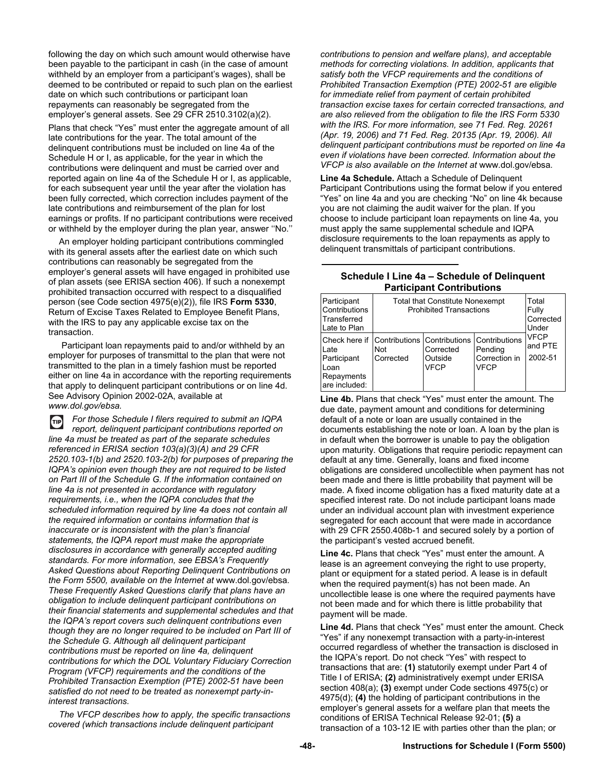following the day on which such amount would otherwise have been payable to the participant in cash (in the case of amount withheld by an employer from a participant's wages), shall be deemed to be contributed or repaid to such plan on the earliest date on which such contributions or participant loan repayments can reasonably be segregated from the employer's general assets. See 29 CFR 2510.3102(a)(2).

Plans that check "Yes" must enter the aggregate amount of all late contributions for the year. The total amount of the delinquent contributions must be included on line 4a of the Schedule H or I, as applicable, for the year in which the contributions were delinquent and must be carried over and reported again on line 4a of the Schedule H or I, as applicable, for each subsequent year until the year after the violation has been fully corrected, which correction includes payment of the late contributions and reimbursement of the plan for lost earnings or profits. If no participant contributions were received or withheld by the employer during the plan year, answer ''No.''

An employer holding participant contributions commingled with its general assets after the earliest date on which such contributions can reasonably be segregated from the employer's general assets will have engaged in prohibited use of plan assets (see ERISA section 406). If such a nonexempt prohibited transaction occurred with respect to a disqualified person (see Code section 4975(e)(2)), file IRS **Form 5330**, Return of Excise Taxes Related to Employee Benefit Plans, with the IRS to pay any applicable excise tax on the transaction.

 Participant loan repayments paid to and/or withheld by an employer for purposes of transmittal to the plan that were not transmitted to the plan in a timely fashion must be reported either on line 4a in accordance with the reporting requirements that apply to delinquent participant contributions or on line 4d. See Advisory Opinion 2002-02A, available at *www.dol.gov/ebsa.* 

*For those Schedule I filers required to submit an IQPA*   $(TIP)$ *report, delinquent participant contributions reported on line 4a must be treated as part of the separate schedules referenced in ERISA section 103(a)(3)(A) and 29 CFR 2520.103-1(b) and 2520.103-2(b) for purposes of preparing the IQPA's opinion even though they are not required to be listed on Part III of the Schedule G. If the information contained on line 4a is not presented in accordance with regulatory requirements, i.e., when the IQPA concludes that the scheduled information required by line 4a does not contain all the required information or contains information that is inaccurate or is inconsistent with the plan's financial statements, the IQPA report must make the appropriate disclosures in accordance with generally accepted auditing standards. For more information, see EBSA's Frequently Asked Questions about Reporting Delinquent Contributions on the Form 5500, available on the Internet at* www.dol.gov/ebsa*. These Frequently Asked Questions clarify that plans have an obligation to include delinquent participant contributions on their financial statements and supplemental schedules and that the IQPA's report covers such delinquent contributions even though they are no longer required to be included on Part III of the Schedule G. Although all delinquent participant contributions must be reported on line 4a, delinquent contributions for which the DOL Voluntary Fiduciary Correction Program (VFCP) requirements and the conditions of the Prohibited Transaction Exemption (PTE) 2002-51 have been satisfied do not need to be treated as nonexempt party-ininterest transactions.* 

*The VFCP describes how to apply, the specific transactions covered (which transactions include delinquent participant* 

*contributions to pension and welfare plans), and acceptable methods for correcting violations. In addition, applicants that satisfy both the VFCP requirements and the conditions of Prohibited Transaction Exemption (PTE) 2002-51 are eligible for immediate relief from payment of certain prohibited transaction excise taxes for certain corrected transactions, and are also relieved from the obligation to file the IRS Form 5330 with the IRS. For more information, see 71 Fed. Reg. 20261 (Apr. 19, 2006) and 71 Fed. Reg. 20135 (Apr. 19, 2006). All delinquent participant contributions must be reported on line 4a even if violations have been corrected. Information about the VFCP is also available on the Internet at* www.dol.gov/ebsa*.* 

**Line 4a Schedule.** Attach a Schedule of Delinquent Participant Contributions using the format below if you entered "Yes" on line 4a and you are checking "No" on line 4k because you are not claiming the audit waiver for the plan. If you choose to include participant loan repayments on line 4a, you must apply the same supplemental schedule and IQPA disclosure requirements to the loan repayments as apply to delinquent transmittals of participant contributions.

#### **Schedule I Line 4a – Schedule of Delinquent Participant Contributions**

| Participant<br>Contributions<br>Transferred<br>Late to Plan                                             | <b>Total that Constitute Nonexempt</b><br><b>Prohibited Transactions</b> | Total<br>Fully<br>Corrected<br>Under |                                                                 |                                   |
|---------------------------------------------------------------------------------------------------------|--------------------------------------------------------------------------|--------------------------------------|-----------------------------------------------------------------|-----------------------------------|
| Check here if Contributions Contributions<br>Late<br>Participant<br>Loan<br>Repayments<br>are included: | Not<br>Corrected                                                         | Corrected<br>Outside<br><b>VFCP</b>  | <b>Contributions</b><br>Pending<br>Correction in<br><b>VFCP</b> | <b>VFCP</b><br>and PTE<br>2002-51 |

**Line 4b.** Plans that check "Yes" must enter the amount. The due date, payment amount and conditions for determining default of a note or loan are usually contained in the documents establishing the note or loan. A loan by the plan is in default when the borrower is unable to pay the obligation upon maturity. Obligations that require periodic repayment can default at any time. Generally, loans and fixed income obligations are considered uncollectible when payment has not been made and there is little probability that payment will be made. A fixed income obligation has a fixed maturity date at a specified interest rate. Do not include participant loans made under an individual account plan with investment experience segregated for each account that were made in accordance with 29 CFR 2550.408b-1 and secured solely by a portion of the participant's vested accrued benefit.

**Line 4c.** Plans that check "Yes" must enter the amount. A lease is an agreement conveying the right to use property, plant or equipment for a stated period. A lease is in default when the required payment(s) has not been made. An uncollectible lease is one where the required payments have not been made and for which there is little probability that payment will be made.

**Line 4d.** Plans that check "Yes" must enter the amount. Check "Yes" if any nonexempt transaction with a party-in-interest occurred regardless of whether the transaction is disclosed in the IQPA's report. Do not check "Yes" with respect to transactions that are: **(1)** statutorily exempt under Part 4 of Title I of ERISA; **(2)** administratively exempt under ERISA section 408(a); **(3)** exempt under Code sections 4975(c) or 4975(d); **(4)** the holding of participant contributions in the employer's general assets for a welfare plan that meets the conditions of ERISA Technical Release 92-01; **(5)** a transaction of a 103-12 IE with parties other than the plan; or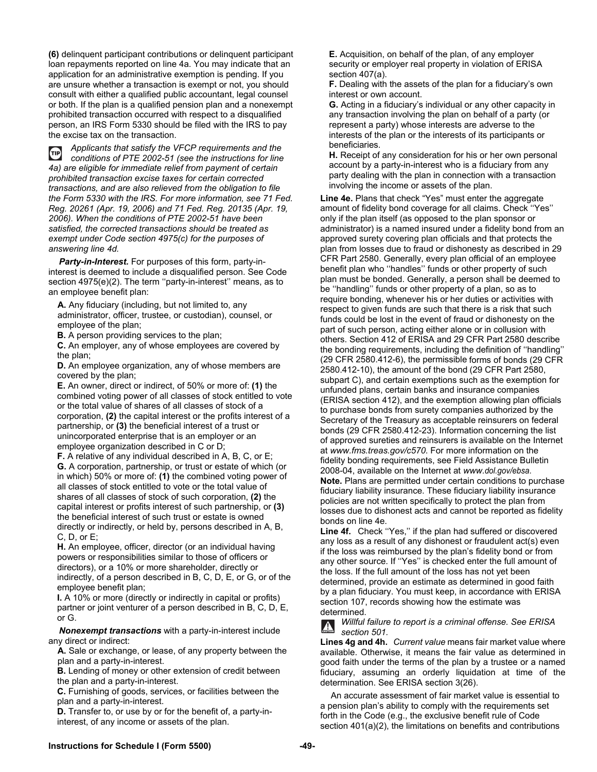**(6)** delinquent participant contributions or delinquent participant loan repayments reported on line 4a. You may indicate that an application for an administrative exemption is pending. If you are unsure whether a transaction is exempt or not, you should consult with either a qualified public accountant, legal counsel or both. If the plan is a qualified pension plan and a nonexempt prohibited transaction occurred with respect to a disqualified person, an IRS Form 5330 should be filed with the IRS to pay the excise tax on the transaction.

*Applicants that satisfy the VFCP requirements and the*   $(TIP)$ *conditions of PTE 2002-51 (see the instructions for line 4a) are eligible for immediate relief from payment of certain prohibited transaction excise taxes for certain corrected transactions, and are also relieved from the obligation to file the Form 5330 with the IRS. For more information, see 71 Fed. Reg. 20261 (Apr. 19, 2006) and 71 Fed. Reg. 20135 (Apr. 19, 2006). When the conditions of PTE 2002-51 have been satisfied, the corrected transactions should be treated as exempt under Code section 4975(c) for the purposes of answering line 4d.* 

*Party-in-Interest.* For purposes of this form, party-ininterest is deemed to include a disqualified person. See Code section 4975(e)(2). The term "party-in-interest" means, as to an employee benefit plan:

**A.** Any fiduciary (including, but not limited to, any administrator, officer, trustee, or custodian), counsel, or employee of the plan;

**B.** A person providing services to the plan;

**C.** An employer, any of whose employees are covered by the plan;

**D.** An employee organization, any of whose members are covered by the plan;

**E.** An owner, direct or indirect, of 50% or more of: **(1)** the combined voting power of all classes of stock entitled to vote or the total value of shares of all classes of stock of a corporation, **(2)** the capital interest or the profits interest of a partnership, or **(3)** the beneficial interest of a trust or unincorporated enterprise that is an employer or an employee organization described in C or D;

**F.** A relative of any individual described in A, B, C, or E; **G.** A corporation, partnership, or trust or estate of which (or in which) 50% or more of: **(1)** the combined voting power of all classes of stock entitled to vote or the total value of shares of all classes of stock of such corporation, **(2)** the capital interest or profits interest of such partnership, or **(3)** the beneficial interest of such trust or estate is owned directly or indirectly, or held by, persons described in A, B, C, D, or E;

**H.** An employee, officer, director (or an individual having powers or responsibilities similar to those of officers or directors), or a 10% or more shareholder, directly or indirectly, of a person described in B, C, D, E, or G, or of the employee benefit plan;

**I.** A 10% or more (directly or indirectly in capital or profits) partner or joint venturer of a person described in B, C, D, E, or G.

*Nonexempt transactions* with a party-in-interest include any direct or indirect:

**A.** Sale or exchange, or lease, of any property between the plan and a party-in-interest.

**B.** Lending of money or other extension of credit between the plan and a party-in-interest.

**C.** Furnishing of goods, services, or facilities between the plan and a party-in-interest.

**D.** Transfer to, or use by or for the benefit of, a party-ininterest, of any income or assets of the plan.

**E.** Acquisition, on behalf of the plan, of any employer security or employer real property in violation of ERISA section 407(a).

**F.** Dealing with the assets of the plan for a fiduciary's own interest or own account.

**G.** Acting in a fiduciary's individual or any other capacity in any transaction involving the plan on behalf of a party (or represent a party) whose interests are adverse to the interests of the plan or the interests of its participants or beneficiaries.

**H.** Receipt of any consideration for his or her own personal account by a party-in-interest who is a fiduciary from any party dealing with the plan in connection with a transaction involving the income or assets of the plan.

**Line 4e.** Plans that check "Yes" must enter the aggregate amount of fidelity bond coverage for all claims. Check ''Yes'' only if the plan itself (as opposed to the plan sponsor or administrator) is a named insured under a fidelity bond from an approved surety covering plan officials and that protects the plan from losses due to fraud or dishonesty as described in 29 CFR Part 2580. Generally, every plan official of an employee benefit plan who ''handles'' funds or other property of such plan must be bonded. Generally, a person shall be deemed to be ''handling'' funds or other property of a plan, so as to require bonding, whenever his or her duties or activities with respect to given funds are such that there is a risk that such funds could be lost in the event of fraud or dishonesty on the part of such person, acting either alone or in collusion with others. Section 412 of ERISA and 29 CFR Part 2580 describe the bonding requirements, including the definition of ''handling'' (29 CFR 2580.412-6), the permissible forms of bonds (29 CFR 2580.412-10), the amount of the bond (29 CFR Part 2580, subpart C), and certain exemptions such as the exemption for unfunded plans, certain banks and insurance companies (ERISA section 412), and the exemption allowing plan officials to purchase bonds from surety companies authorized by the Secretary of the Treasury as acceptable reinsurers on federal bonds (29 CFR 2580.412-23). Information concerning the list of approved sureties and reinsurers is available on the Internet at *www.fms.treas.gov/c570*. For more information on the fidelity bonding requirements, see Field Assistance Bulletin 2008-04, available on the Internet at *www.dol.gov/ebsa*. **Note.** Plans are permitted under certain conditions to purchase fiduciary liability insurance. These fiduciary liability insurance policies are not written specifically to protect the plan from losses due to dishonest acts and cannot be reported as fidelity bonds on line 4e.

**Line 4f.** Check ''Yes,'' if the plan had suffered or discovered any loss as a result of any dishonest or fraudulent act(s) even if the loss was reimbursed by the plan's fidelity bond or from any other source. If ''Yes'' is checked enter the full amount of the loss. If the full amount of the loss has not yet been determined, provide an estimate as determined in good faith by a plan fiduciary. You must keep, in accordance with ERISA section 107, records showing how the estimate was determined.

*Willful failure to report is a criminal offense. See ERISA section 501.*

**Lines 4g and 4h.** *Current value* means fair market value where available. Otherwise, it means the fair value as determined in good faith under the terms of the plan by a trustee or a named fiduciary, assuming an orderly liquidation at time of the determination. See ERISA section 3(26).

An accurate assessment of fair market value is essential to a pension plan's ability to comply with the requirements set forth in the Code (e.g., the exclusive benefit rule of Code section 401(a)(2), the limitations on benefits and contributions

## **Instructions for Schedule I (Form 5500) -49-**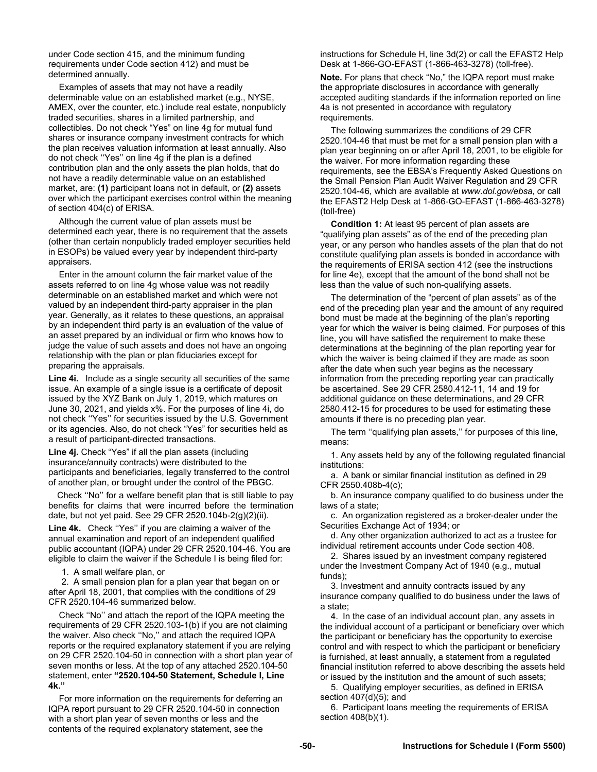under Code section 415, and the minimum funding requirements under Code section 412) and must be determined annually.

Examples of assets that may not have a readily determinable value on an established market (e.g., NYSE, AMEX, over the counter, etc.) include real estate, nonpublicly traded securities, shares in a limited partnership, and collectibles. Do not check "Yes" on line 4g for mutual fund shares or insurance company investment contracts for which the plan receives valuation information at least annually. Also do not check ''Yes'' on line 4g if the plan is a defined contribution plan and the only assets the plan holds, that do not have a readily determinable value on an established market, are: **(1)** participant loans not in default, or **(2)** assets over which the participant exercises control within the meaning of section 404(c) of ERISA.

Although the current value of plan assets must be determined each year, there is no requirement that the assets (other than certain nonpublicly traded employer securities held in ESOPs) be valued every year by independent third-party appraisers.

Enter in the amount column the fair market value of the assets referred to on line 4g whose value was not readily determinable on an established market and which were not valued by an independent third-party appraiser in the plan year. Generally, as it relates to these questions, an appraisal by an independent third party is an evaluation of the value of an asset prepared by an individual or firm who knows how to judge the value of such assets and does not have an ongoing relationship with the plan or plan fiduciaries except for preparing the appraisals.

**Line 4i.** Include as a single security all securities of the same issue. An example of a single issue is a certificate of deposit issued by the XYZ Bank on July 1, 2019, which matures on June 30, 2021, and yields x%. For the purposes of line 4i, do not check ''Yes'' for securities issued by the U.S. Government or its agencies. Also, do not check "Yes" for securities held as a result of participant-directed transactions.

**Line 4j.** Check "Yes" if all the plan assets (including insurance/annuity contracts) were distributed to the participants and beneficiaries, legally transferred to the control of another plan, or brought under the control of the PBGC.

 Check ''No'' for a welfare benefit plan that is still liable to pay benefits for claims that were incurred before the termination date, but not yet paid. See 29 CFR 2520.104b-2(g)(2)(ii).

**Line 4k.** Check ''Yes'' if you are claiming a waiver of the annual examination and report of an independent qualified public accountant (IQPA) under 29 CFR 2520.104-46. You are eligible to claim the waiver if the Schedule I is being filed for:

1. A small welfare plan, or

2. A small pension plan for a plan year that began on or after April 18, 2001, that complies with the conditions of 29 CFR 2520.104-46 summarized below.

Check ''No'' and attach the report of the IQPA meeting the requirements of 29 CFR 2520.103-1(b) if you are not claiming the waiver. Also check ''No,'' and attach the required IQPA reports or the required explanatory statement if you are relying on 29 CFR 2520.104-50 in connection with a short plan year of seven months or less. At the top of any attached 2520.104-50 statement, enter **"2520.104-50 Statement, Schedule I, Line 4k."**

For more information on the requirements for deferring an IQPA report pursuant to 29 CFR 2520.104-50 in connection with a short plan year of seven months or less and the contents of the required explanatory statement, see the

instructions for Schedule H, line 3d(2) or call the EFAST2 Help Desk at 1-866-GO-EFAST (1-866-463-3278) (toll-free).

**Note.** For plans that check "No," the IQPA report must make the appropriate disclosures in accordance with generally accepted auditing standards if the information reported on line 4a is not presented in accordance with regulatory requirements.

The following summarizes the conditions of 29 CFR 2520.104-46 that must be met for a small pension plan with a plan year beginning on or after April 18, 2001, to be eligible for the waiver. For more information regarding these requirements, see the EBSA's Frequently Asked Questions on the Small Pension Plan Audit Waiver Regulation and 29 CFR 2520.104-46, which are available at *www.dol.gov/ebsa*, or call the EFAST2 Help Desk at 1-866-GO-EFAST (1-866-463-3278) (toll-free)

**Condition 1:** At least 95 percent of plan assets are "qualifying plan assets" as of the end of the preceding plan year, or any person who handles assets of the plan that do not constitute qualifying plan assets is bonded in accordance with the requirements of ERISA section 412 (see the instructions for line 4e), except that the amount of the bond shall not be less than the value of such non-qualifying assets.

The determination of the "percent of plan assets" as of the end of the preceding plan year and the amount of any required bond must be made at the beginning of the plan's reporting year for which the waiver is being claimed. For purposes of this line, you will have satisfied the requirement to make these determinations at the beginning of the plan reporting year for which the waiver is being claimed if they are made as soon after the date when such year begins as the necessary information from the preceding reporting year can practically be ascertained. See 29 CFR 2580.412-11, 14 and 19 for additional guidance on these determinations, and 29 CFR 2580.412-15 for procedures to be used for estimating these amounts if there is no preceding plan year.

The term ''qualifying plan assets,'' for purposes of this line, means:

1. Any assets held by any of the following regulated financial institutions:

a. A bank or similar financial institution as defined in 29 CFR 2550.408b-4(c);

b. An insurance company qualified to do business under the laws of a state;

c. An organization registered as a broker-dealer under the Securities Exchange Act of 1934; or

d. Any other organization authorized to act as a trustee for individual retirement accounts under Code section 408.

2. Shares issued by an investment company registered under the Investment Company Act of 1940 (e.g., mutual funds);

3. Investment and annuity contracts issued by any insurance company qualified to do business under the laws of a state;

4. In the case of an individual account plan, any assets in the individual account of a participant or beneficiary over which the participant or beneficiary has the opportunity to exercise control and with respect to which the participant or beneficiary is furnished, at least annually, a statement from a regulated financial institution referred to above describing the assets held or issued by the institution and the amount of such assets;

5. Qualifying employer securities, as defined in ERISA section 407(d)(5); and

6. Participant loans meeting the requirements of ERISA section 408(b)(1).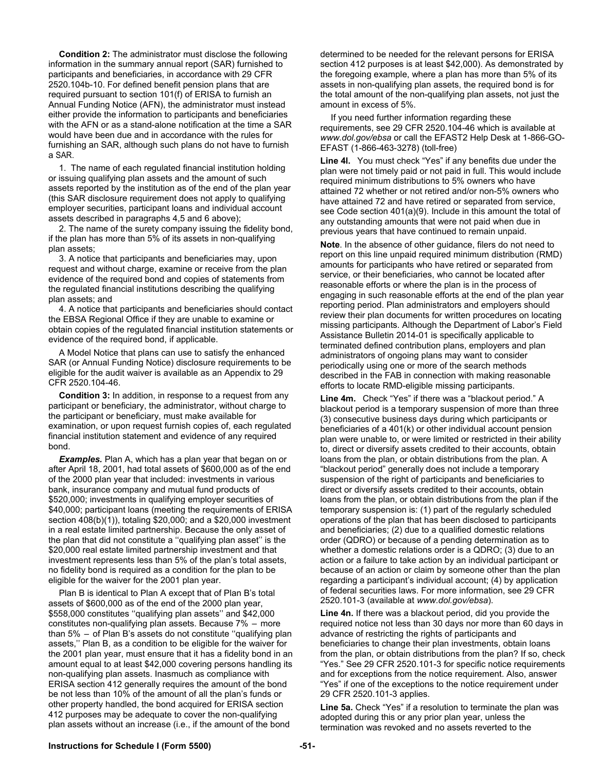**Condition 2:** The administrator must disclose the following information in the summary annual report (SAR) furnished to participants and beneficiaries, in accordance with 29 CFR 2520.104b-10. For defined benefit pension plans that are required pursuant to section 101(f) of ERISA to furnish an Annual Funding Notice (AFN), the administrator must instead either provide the information to participants and beneficiaries with the AFN or as a stand-alone notification at the time a SAR would have been due and in accordance with the rules for furnishing an SAR, although such plans do not have to furnish a SAR.

1. The name of each regulated financial institution holding or issuing qualifying plan assets and the amount of such assets reported by the institution as of the end of the plan year (this SAR disclosure requirement does not apply to qualifying employer securities, participant loans and individual account assets described in paragraphs 4,5 and 6 above);

2. The name of the surety company issuing the fidelity bond, if the plan has more than 5% of its assets in non-qualifying plan assets;

3. A notice that participants and beneficiaries may, upon request and without charge, examine or receive from the plan evidence of the required bond and copies of statements from the regulated financial institutions describing the qualifying plan assets; and

4. A notice that participants and beneficiaries should contact the EBSA Regional Office if they are unable to examine or obtain copies of the regulated financial institution statements or evidence of the required bond, if applicable.

A Model Notice that plans can use to satisfy the enhanced SAR (or Annual Funding Notice) disclosure requirements to be eligible for the audit waiver is available as an Appendix to 29 CFR 2520.104-46.

**Condition 3:** In addition, in response to a request from any participant or beneficiary, the administrator, without charge to the participant or beneficiary, must make available for examination, or upon request furnish copies of, each regulated financial institution statement and evidence of any required bond.

*Examples.* Plan A, which has a plan year that began on or after April 18, 2001, had total assets of \$600,000 as of the end of the 2000 plan year that included: investments in various bank, insurance company and mutual fund products of \$520,000; investments in qualifying employer securities of \$40,000; participant loans (meeting the requirements of ERISA section 408(b)(1)), totaling \$20,000; and a \$20,000 investment in a real estate limited partnership. Because the only asset of the plan that did not constitute a ''qualifying plan asset'' is the \$20,000 real estate limited partnership investment and that investment represents less than 5% of the plan's total assets, no fidelity bond is required as a condition for the plan to be eligible for the waiver for the 2001 plan year.

Plan B is identical to Plan A except that of Plan B's total assets of \$600,000 as of the end of the 2000 plan year, \$558,000 constitutes ''qualifying plan assets'' and \$42,000 constitutes non-qualifying plan assets. Because 7% – more than 5% – of Plan B's assets do not constitute ''qualifying plan assets,'' Plan B, as a condition to be eligible for the waiver for the 2001 plan year, must ensure that it has a fidelity bond in an amount equal to at least \$42,000 covering persons handling its non-qualifying plan assets. Inasmuch as compliance with ERISA section 412 generally requires the amount of the bond be not less than 10% of the amount of all the plan's funds or other property handled, the bond acquired for ERISA section 412 purposes may be adequate to cover the non-qualifying plan assets without an increase (i.e., if the amount of the bond

determined to be needed for the relevant persons for ERISA section 412 purposes is at least \$42,000). As demonstrated by the foregoing example, where a plan has more than 5% of its assets in non-qualifying plan assets, the required bond is for the total amount of the non-qualifying plan assets, not just the amount in excess of 5%.

If you need further information regarding these requirements, see 29 CFR 2520.104-46 which is available at *www.dol.gov/ebsa* or call the EFAST2 Help Desk at 1-866-GO-EFAST (1-866-463-3278) (toll-free)

**Line 4l.** You must check "Yes" if any benefits due under the plan were not timely paid or not paid in full. This would include required minimum distributions to 5% owners who have attained 72 whether or not retired and/or non-5% owners who have attained 72 and have retired or separated from service, see Code section 401(a)(9). Include in this amount the total of any outstanding amounts that were not paid when due in previous years that have continued to remain unpaid.

**Note**. In the absence of other guidance, filers do not need to report on this line unpaid required minimum distribution (RMD) amounts for participants who have retired or separated from service, or their beneficiaries, who cannot be located after reasonable efforts or where the plan is in the process of engaging in such reasonable efforts at the end of the plan year reporting period. Plan administrators and employers should review their plan documents for written procedures on locating missing participants. Although the Department of Labor's Field Assistance Bulletin 2014-01 is specifically applicable to terminated defined contribution plans, employers and plan administrators of ongoing plans may want to consider periodically using one or more of the search methods described in the FAB in connection with making reasonable efforts to locate RMD-eligible missing participants.

**Line 4m.** Check "Yes" if there was a "blackout period." A blackout period is a temporary suspension of more than three (3) consecutive business days during which participants or beneficiaries of a 401(k) or other individual account pension plan were unable to, or were limited or restricted in their ability to, direct or diversify assets credited to their accounts, obtain loans from the plan, or obtain distributions from the plan. A "blackout period" generally does not include a temporary suspension of the right of participants and beneficiaries to direct or diversify assets credited to their accounts, obtain loans from the plan, or obtain distributions from the plan if the temporary suspension is: (1) part of the regularly scheduled operations of the plan that has been disclosed to participants and beneficiaries; (2) due to a qualified domestic relations order (QDRO) or because of a pending determination as to whether a domestic relations order is a QDRO; (3) due to an action or a failure to take action by an individual participant or because of an action or claim by someone other than the plan regarding a participant's individual account; (4) by application of federal securities laws. For more information, see 29 CFR 2520.101-3 (available at *www.dol.gov/ebsa*).

**Line 4n.** If there was a blackout period, did you provide the required notice not less than 30 days nor more than 60 days in advance of restricting the rights of participants and beneficiaries to change their plan investments, obtain loans from the plan, or obtain distributions from the plan? If so, check "Yes." See 29 CFR 2520.101-3 for specific notice requirements and for exceptions from the notice requirement. Also, answer "Yes" if one of the exceptions to the notice requirement under 29 CFR 2520.101-3 applies.

**Line 5a.** Check "Yes" if a resolution to terminate the plan was adopted during this or any prior plan year, unless the termination was revoked and no assets reverted to the

#### **Instructions for Schedule I (Form 5500) -51-**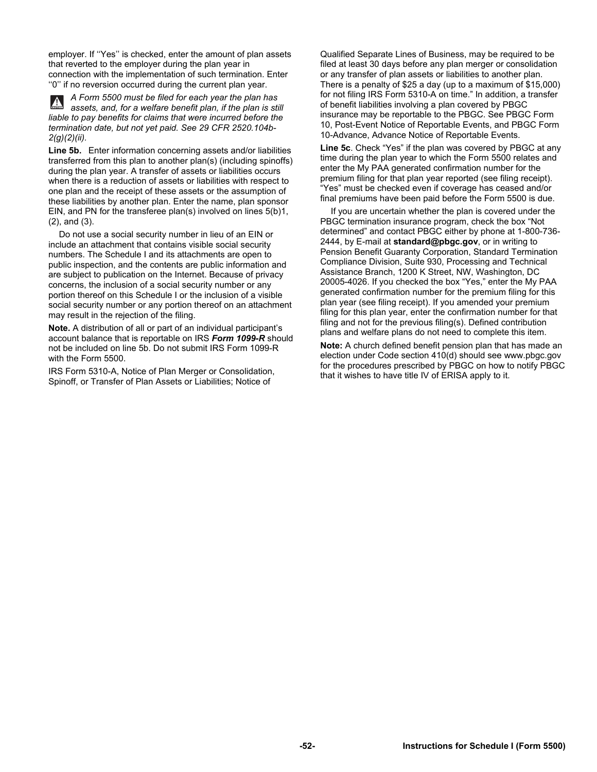employer. If ''Yes'' is checked, enter the amount of plan assets that reverted to the employer during the plan year in connection with the implementation of such termination. Enter ''0'' if no reversion occurred during the current plan year.

*A Form 5500 must be filed for each year the plan has*   $\mathbf{A}$ *assets, and, for a welfare benefit plan, if the plan is still liable to pay benefits for claims that were incurred before the termination date, but not yet paid. See 29 CFR 2520.104b-2(g)(2)(ii).* 

**Line 5b.** Enter information concerning assets and/or liabilities transferred from this plan to another plan(s) (including spinoffs) during the plan year. A transfer of assets or liabilities occurs when there is a reduction of assets or liabilities with respect to one plan and the receipt of these assets or the assumption of these liabilities by another plan. Enter the name, plan sponsor EIN, and PN for the transferee plan(s) involved on lines 5(b)1, (2), and (3).

Do not use a social security number in lieu of an EIN or include an attachment that contains visible social security numbers. The Schedule I and its attachments are open to public inspection, and the contents are public information and are subject to publication on the Internet. Because of privacy concerns, the inclusion of a social security number or any portion thereof on this Schedule I or the inclusion of a visible social security number or any portion thereof on an attachment may result in the rejection of the filing.

**Note.** A distribution of all or part of an individual participant's account balance that is reportable on IRS *Form 1099-R* should not be included on line 5b. Do not submit IRS Form 1099-R with the Form 5500.

IRS Form 5310-A, Notice of Plan Merger or Consolidation, Spinoff, or Transfer of Plan Assets or Liabilities; Notice of

Qualified Separate Lines of Business, may be required to be filed at least 30 days before any plan merger or consolidation or any transfer of plan assets or liabilities to another plan. There is a penalty of \$25 a day (up to a maximum of \$15,000) for not filing IRS Form 5310-A on time." In addition, a transfer of benefit liabilities involving a plan covered by PBGC insurance may be reportable to the PBGC. See PBGC Form 10, Post-Event Notice of Reportable Events, and PBGC Form 10-Advance, Advance Notice of Reportable Events.

**Line 5c**. Check "Yes" if the plan was covered by PBGC at any time during the plan year to which the Form 5500 relates and enter the My PAA generated confirmation number for the premium filing for that plan year reported (see filing receipt). "Yes" must be checked even if coverage has ceased and/or final premiums have been paid before the Form 5500 is due.

If you are uncertain whether the plan is covered under the PBGC termination insurance program, check the box "Not determined" and contact PBGC either by phone at 1-800-736- 2444, by E-mail at **standard@pbgc.gov**, or in writing to Pension Benefit Guaranty Corporation, Standard Termination Compliance Division, Suite 930, Processing and Technical Assistance Branch, 1200 K Street, NW, Washington, DC 20005-4026. If you checked the box "Yes," enter the My PAA generated confirmation number for the premium filing for this plan year (see filing receipt). If you amended your premium filing for this plan year, enter the confirmation number for that filing and not for the previous filing(s). Defined contribution plans and welfare plans do not need to complete this item.

**Note:** A church defined benefit pension plan that has made an election under Code section 410(d) should see www.pbgc.gov for the procedures prescribed by PBGC on how to notify PBGC that it wishes to have title IV of ERISA apply to it.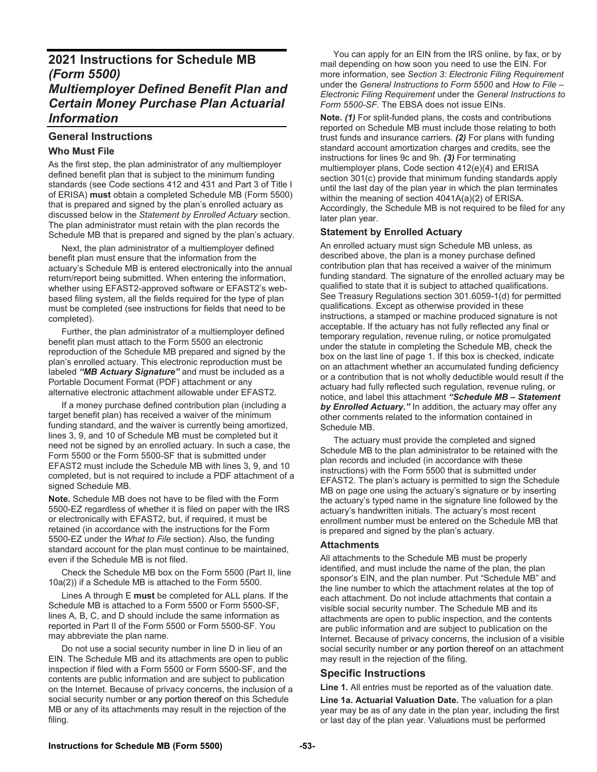# **2021 Instructions for Schedule MB** *(Form 5500) Multiemployer Defined Benefit Plan and Certain Money Purchase Plan Actuarial Information*

# **General Instructions Who Must File**

As the first step, the plan administrator of any multiemployer defined benefit plan that is subject to the minimum funding standards (see Code sections 412 and 431 and Part 3 of Title I of ERISA) **must** obtain a completed Schedule MB (Form 5500) that is prepared and signed by the plan's enrolled actuary as discussed below in the *Statement by Enrolled Actuary* section. The plan administrator must retain with the plan records the Schedule MB that is prepared and signed by the plan's actuary.

 Next, the plan administrator of a multiemployer defined benefit plan must ensure that the information from the actuary's Schedule MB is entered electronically into the annual return/report being submitted. When entering the information, whether using EFAST2-approved software or EFAST2's webbased filing system, all the fields required for the type of plan must be completed (see instructions for fields that need to be completed).

 Further, the plan administrator of a multiemployer defined benefit plan must attach to the Form 5500 an electronic reproduction of the Schedule MB prepared and signed by the plan's enrolled actuary. This electronic reproduction must be labeled *"MB Actuary Signature"* and must be included as a Portable Document Format (PDF) attachment or any alternative electronic attachment allowable under EFAST2.

 If a money purchase defined contribution plan (including a target benefit plan) has received a waiver of the minimum funding standard, and the waiver is currently being amortized, lines 3, 9, and 10 of Schedule MB must be completed but it need not be signed by an enrolled actuary. In such a case, the Form 5500 or the Form 5500-SF that is submitted under EFAST2 must include the Schedule MB with lines 3, 9, and 10 completed, but is not required to include a PDF attachment of a signed Schedule MB.

**Note.** Schedule MB does not have to be filed with the Form 5500-EZ regardless of whether it is filed on paper with the IRS or electronically with EFAST2, but, if required, it must be retained (in accordance with the instructions for the Form 5500-EZ under the *What to File* section). Also, the funding standard account for the plan must continue to be maintained, even if the Schedule MB is not filed.

 Check the Schedule MB box on the Form 5500 (Part II, line 10a(2)) if a Schedule MB is attached to the Form 5500.

 Lines A through E **must** be completed for ALL plans. If the Schedule MB is attached to a Form 5500 or Form 5500-SF, lines A, B, C, and D should include the same information as reported in Part II of the Form 5500 or Form 5500-SF. You may abbreviate the plan name.

 Do not use a social security number in line D in lieu of an EIN. The Schedule MB and its attachments are open to public inspection if filed with a Form 5500 or Form 5500-SF, and the contents are public information and are subject to publication on the Internet. Because of privacy concerns, the inclusion of a social security number or any portion thereof on this Schedule MB or any of its attachments may result in the rejection of the filing.

 You can apply for an EIN from the IRS online, by fax, or by mail depending on how soon you need to use the EIN. For more information, see *Section 3: Electronic Filing Requirement*  under the *General Instructions to Form 5500* and *How to File – Electronic Filing Requirement* under the *General Instructions to Form 5500-SF.* The EBSA does not issue EINs.

**Note.** *(1)* For split-funded plans, the costs and contributions reported on Schedule MB must include those relating to both trust funds and insurance carriers. *(2)* For plans with funding standard account amortization charges and credits, see the instructions for lines 9c and 9h. *(3)* For terminating multiemployer plans, Code section 412(e)(4) and ERISA section 301(c) provide that minimum funding standards apply until the last day of the plan year in which the plan terminates within the meaning of section 4041A(a)(2) of ERISA. Accordingly, the Schedule MB is not required to be filed for any later plan year.

# **Statement by Enrolled Actuary**

An enrolled actuary must sign Schedule MB unless, as described above, the plan is a money purchase defined contribution plan that has received a waiver of the minimum funding standard. The signature of the enrolled actuary may be qualified to state that it is subject to attached qualifications. See Treasury Regulations section 301.6059-1(d) for permitted qualifications. Except as otherwise provided in these instructions, a stamped or machine produced signature is not acceptable. If the actuary has not fully reflected any final or temporary regulation, revenue ruling, or notice promulgated under the statute in completing the Schedule MB, check the box on the last line of page 1. If this box is checked, indicate on an attachment whether an accumulated funding deficiency or a contribution that is not wholly deductible would result if the actuary had fully reflected such regulation, revenue ruling, or notice, and label this attachment *"Schedule MB – Statement by Enrolled Actuary."* In addition, the actuary may offer any other comments related to the information contained in Schedule MB.

The actuary must provide the completed and signed Schedule MB to the plan administrator to be retained with the plan records and included (in accordance with these instructions) with the Form 5500 that is submitted under EFAST2. The plan's actuary is permitted to sign the Schedule MB on page one using the actuary's signature or by inserting the actuary's typed name in the signature line followed by the actuary's handwritten initials. The actuary's most recent enrollment number must be entered on the Schedule MB that is prepared and signed by the plan's actuary.

## **Attachments**

All attachments to the Schedule MB must be properly identified, and must include the name of the plan, the plan sponsor's EIN, and the plan number. Put "Schedule MB" and the line number to which the attachment relates at the top of each attachment. Do not include attachments that contain a visible social security number. The Schedule MB and its attachments are open to public inspection, and the contents are public information and are subject to publication on the Internet. Because of privacy concerns, the inclusion of a visible social security number or any portion thereof on an attachment may result in the rejection of the filing.

# **Specific Instructions**

**Line 1.** All entries must be reported as of the valuation date.

**Line 1a. Actuarial Valuation Date.** The valuation for a plan year may be as of any date in the plan year, including the first or last day of the plan year. Valuations must be performed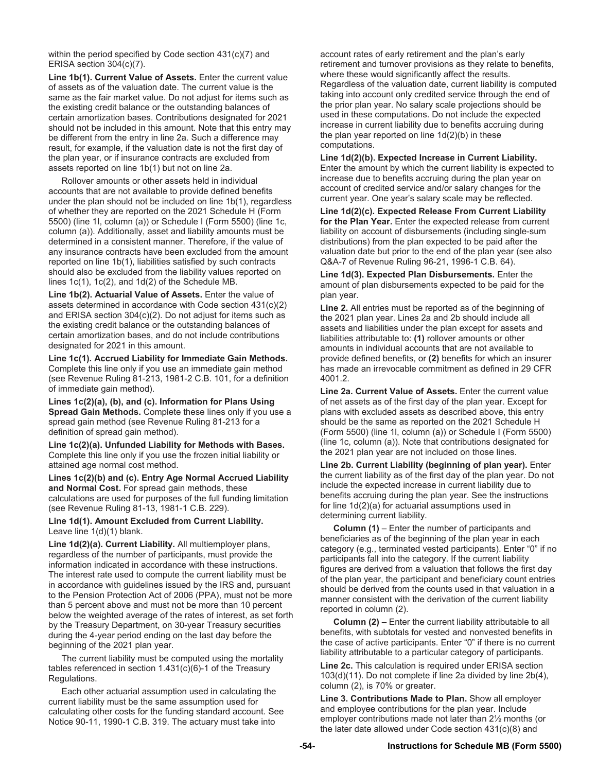within the period specified by Code section 431(c)(7) and ERISA section 304(c)(7).

**Line 1b(1). Current Value of Assets.** Enter the current value of assets as of the valuation date. The current value is the same as the fair market value. Do not adjust for items such as the existing credit balance or the outstanding balances of certain amortization bases. Contributions designated for 2021 should not be included in this amount. Note that this entry may be different from the entry in line 2a. Such a difference may result, for example, if the valuation date is not the first day of the plan year, or if insurance contracts are excluded from assets reported on line 1b(1) but not on line 2a.

 Rollover amounts or other assets held in individual accounts that are not available to provide defined benefits under the plan should not be included on line 1b(1), regardless of whether they are reported on the 2021 Schedule H (Form 5500) (line 1I, column (a)) or Schedule I (Form 5500) (line 1c, column (a)). Additionally, asset and liability amounts must be determined in a consistent manner. Therefore, if the value of any insurance contracts have been excluded from the amount reported on line 1b(1), liabilities satisfied by such contracts should also be excluded from the liability values reported on lines 1c(1), 1c(2), and 1d(2) of the Schedule MB.

**Line 1b(2). Actuarial Value of Assets.** Enter the value of assets determined in accordance with Code section 431(c)(2) and ERISA section 304(c)(2). Do not adjust for items such as the existing credit balance or the outstanding balances of certain amortization bases, and do not include contributions designated for 2021 in this amount.

**Line 1c(1). Accrued Liability for Immediate Gain Methods.** Complete this line only if you use an immediate gain method (see Revenue Ruling 81-213, 1981-2 C.B. 101, for a definition of immediate gain method).

**Lines 1c(2)(a), (b), and (c). Information for Plans Using Spread Gain Methods.** Complete these lines only if you use a spread gain method (see Revenue Ruling 81-213 for a definition of spread gain method).

**Line 1c(2)(a). Unfunded Liability for Methods with Bases.**  Complete this line only if you use the frozen initial liability or attained age normal cost method.

**Lines 1c(2)(b) and (c). Entry Age Normal Accrued Liability and Normal Cost.** For spread gain methods, these calculations are used for purposes of the full funding limitation (see Revenue Ruling 81-13, 1981-1 C.B. 229).

**Line 1d(1). Amount Excluded from Current Liability.** Leave line 1(d)(1) blank.

**Line 1d(2)(a). Current Liability.** All multiemployer plans, regardless of the number of participants, must provide the information indicated in accordance with these instructions. The interest rate used to compute the current liability must be in accordance with guidelines issued by the IRS and, pursuant to the Pension Protection Act of 2006 (PPA), must not be more than 5 percent above and must not be more than 10 percent below the weighted average of the rates of interest, as set forth by the Treasury Department, on 30-year Treasury securities during the 4-year period ending on the last day before the beginning of the 2021 plan year.

 The current liability must be computed using the mortality tables referenced in section 1.431(c)(6)-1 of the Treasury Regulations.

 Each other actuarial assumption used in calculating the current liability must be the same assumption used for calculating other costs for the funding standard account. See Notice 90-11, 1990-1 C.B. 319. The actuary must take into

account rates of early retirement and the plan's early retirement and turnover provisions as they relate to benefits, where these would significantly affect the results. Regardless of the valuation date, current liability is computed taking into account only credited service through the end of the prior plan year. No salary scale projections should be used in these computations. Do not include the expected increase in current liability due to benefits accruing during the plan year reported on line 1d(2)(b) in these computations.

**Line 1d(2)(b). Expected Increase in Current Liability.** Enter the amount by which the current liability is expected to increase due to benefits accruing during the plan year on account of credited service and/or salary changes for the current year. One year's salary scale may be reflected.

**Line 1d(2)(c). Expected Release From Current Liability for the Plan Year.** Enter the expected release from current liability on account of disbursements (including single-sum distributions) from the plan expected to be paid after the valuation date but prior to the end of the plan year (see also Q&A-7 of Revenue Ruling 96-21, 1996-1 C.B. 64).

**Line 1d(3). Expected Plan Disbursements.** Enter the amount of plan disbursements expected to be paid for the plan year.

**Line 2.** All entries must be reported as of the beginning of the 2021 plan year. Lines 2a and 2b should include all assets and liabilities under the plan except for assets and liabilities attributable to: **(1)** rollover amounts or other amounts in individual accounts that are not available to provide defined benefits, or **(2)** benefits for which an insurer has made an irrevocable commitment as defined in 29 CFR 4001.2.

**Line 2a. Current Value of Assets.** Enter the current value of net assets as of the first day of the plan year. Except for plans with excluded assets as described above, this entry should be the same as reported on the 2021 Schedule H (Form 5500) (line 1l, column (a)) or Schedule I (Form 5500) (line 1c, column (a)). Note that contributions designated for the 2021 plan year are not included on those lines.

**Line 2b. Current Liability (beginning of plan year).** Enter the current liability as of the first day of the plan year. Do not include the expected increase in current liability due to benefits accruing during the plan year. See the instructions for line 1d(2)(a) for actuarial assumptions used in determining current liability.

 **Column (1)** – Enter the number of participants and beneficiaries as of the beginning of the plan year in each category (e.g., terminated vested participants). Enter "0" if no participants fall into the category. If the current liability figures are derived from a valuation that follows the first day of the plan year, the participant and beneficiary count entries should be derived from the counts used in that valuation in a manner consistent with the derivation of the current liability reported in column (2).

 **Column (2)** – Enter the current liability attributable to all benefits, with subtotals for vested and nonvested benefits in the case of active participants. Enter "0" if there is no current liability attributable to a particular category of participants.

**Line 2c.** This calculation is required under ERISA section 103(d)(11). Do not complete if line 2a divided by line 2b(4), column (2), is 70% or greater.

**Line 3. Contributions Made to Plan.** Show all employer and employee contributions for the plan year. Include employer contributions made not later than 2½ months (or the later date allowed under Code section 431(c)(8) and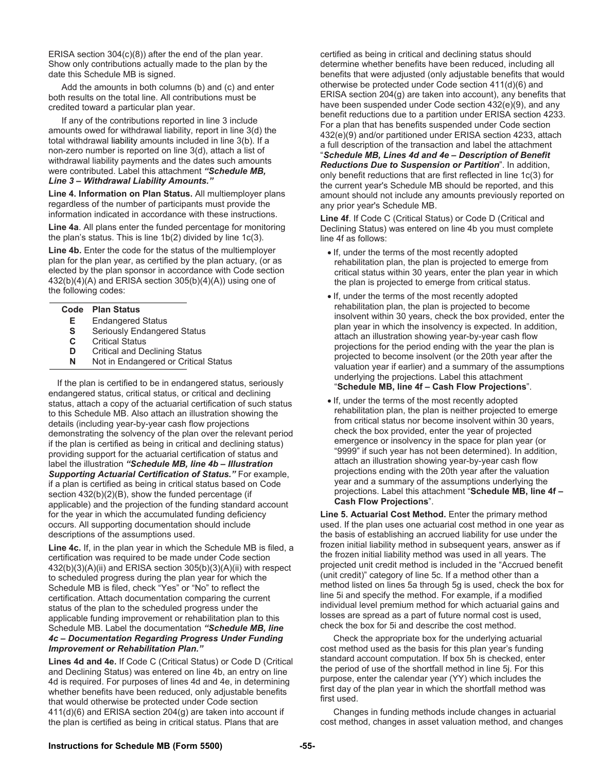ERISA section 304(c)(8)) after the end of the plan year. Show only contributions actually made to the plan by the date this Schedule MB is signed.

 Add the amounts in both columns (b) and (c) and enter both results on the total line. All contributions must be credited toward a particular plan year.

 If any of the contributions reported in line 3 include amounts owed for withdrawal liability, report in line 3(d) the total withdrawal liability amounts included in line 3(b). If a non-zero number is reported on line 3(d), attach a list of withdrawal liability payments and the dates such amounts were contributed. Label this attachment *"Schedule MB, Line 3 – Withdrawal Liability Amounts."* 

**Line 4. Information on Plan Status.** All multiemployer plans regardless of the number of participants must provide the information indicated in accordance with these instructions.

**Line 4a**. All plans enter the funded percentage for monitoring the plan's status. This is line 1b(2) divided by line 1c(3).

**Line 4b.** Enter the code for the status of the multiemployer plan for the plan year, as certified by the plan actuary, (or as elected by the plan sponsor in accordance with Code section  $432(b)(4)(A)$  and ERISA section  $305(b)(4)(A)$  using one of the following codes:

#### **Code Plan Status**

- **E** Endangered Status
- **S** Seriously Endangered Status<br>**C** Critical Status
- **C** Critical Status
- **D** Critical and Declining Status<br>**N** Not in Endangered or Critica
- **Not in Endangered or Critical Status**

 If the plan is certified to be in endangered status, seriously endangered status, critical status, or critical and declining status, attach a copy of the actuarial certification of such status to this Schedule MB. Also attach an illustration showing the details (including year-by-year cash flow projections demonstrating the solvency of the plan over the relevant period if the plan is certified as being in critical and declining status) providing support for the actuarial certification of status and label the illustration *"Schedule MB, line 4b – Illustration Supporting Actuarial Certification of Status."* For example, if a plan is certified as being in critical status based on Code section 432(b)(2)(B), show the funded percentage (if applicable) and the projection of the funding standard account for the year in which the accumulated funding deficiency occurs. All supporting documentation should include descriptions of the assumptions used.

**Line 4c.** If, in the plan year in which the Schedule MB is filed, a certification was required to be made under Code section 432(b)(3)(A)(ii) and ERISA section 305(b)(3)(A)(ii) with respect to scheduled progress during the plan year for which the Schedule MB is filed, check "Yes" or "No" to reflect the certification. Attach documentation comparing the current status of the plan to the scheduled progress under the applicable funding improvement or rehabilitation plan to this Schedule MB. Label the documentation *"Schedule MB, line 4c – Documentation Regarding Progress Under Funding Improvement or Rehabilitation Plan."*

**Lines 4d and 4e.** If Code C (Critical Status) or Code D (Critical and Declining Status) was entered on line 4b, an entry on line 4d is required. For purposes of lines 4d and 4e, in determining whether benefits have been reduced, only adjustable benefits that would otherwise be protected under Code section 411(d)(6) and ERISA section 204(g) are taken into account if the plan is certified as being in critical status. Plans that are

certified as being in critical and declining status should determine whether benefits have been reduced, including all benefits that were adjusted (only adjustable benefits that would otherwise be protected under Code section 411(d)(6) and ERISA section 204(g) are taken into account), any benefits that have been suspended under Code section 432(e)(9), and any benefit reductions due to a partition under ERISA section 4233. For a plan that has benefits suspended under Code section 432(e)(9) and/or partitioned under ERISA section 4233, attach a full description of the transaction and label the attachment "*Schedule MB, Lines 4d and 4e – Description of Benefit Reductions Due to Suspension or Partition*". In addition, only benefit reductions that are first reflected in line 1c(3) for the current year's Schedule MB should be reported, and this amount should not include any amounts previously reported on any prior year's Schedule MB.

**Line 4f**. If Code C (Critical Status) or Code D (Critical and Declining Status) was entered on line 4b you must complete line 4f as follows:

- If, under the terms of the most recently adopted rehabilitation plan, the plan is projected to emerge from critical status within 30 years, enter the plan year in which the plan is projected to emerge from critical status.
- If, under the terms of the most recently adopted rehabilitation plan, the plan is projected to become insolvent within 30 years, check the box provided, enter the plan year in which the insolvency is expected. In addition, attach an illustration showing year-by-year cash flow projections for the period ending with the year the plan is projected to become insolvent (or the 20th year after the valuation year if earlier) and a summary of the assumptions underlying the projections. Label this attachment "**Schedule MB, line 4f – Cash Flow Projections**".
- If, under the terms of the most recently adopted rehabilitation plan, the plan is neither projected to emerge from critical status nor become insolvent within 30 years, check the box provided, enter the year of projected emergence or insolvency in the space for plan year (or "9999" if such year has not been determined). In addition, attach an illustration showing year-by-year cash flow projections ending with the 20th year after the valuation year and a summary of the assumptions underlying the projections. Label this attachment "**Schedule MB, line 4f – Cash Flow Projections**".

**Line 5. Actuarial Cost Method.** Enter the primary method used. If the plan uses one actuarial cost method in one year as the basis of establishing an accrued liability for use under the frozen initial liability method in subsequent years, answer as if the frozen initial liability method was used in all years. The projected unit credit method is included in the "Accrued benefit (unit credit)" category of line 5c. If a method other than a method listed on lines 5a through 5g is used, check the box for line 5i and specify the method. For example, if a modified individual level premium method for which actuarial gains and losses are spread as a part of future normal cost is used, check the box for 5i and describe the cost method.

 Check the appropriate box for the underlying actuarial cost method used as the basis for this plan year's funding standard account computation. If box 5h is checked, enter the period of use of the shortfall method in line 5j. For this purpose, enter the calendar year (YY) which includes the first day of the plan year in which the shortfall method was first used.

 Changes in funding methods include changes in actuarial cost method, changes in asset valuation method, and changes

#### **Instructions for Schedule MB (Form 5500) -55-**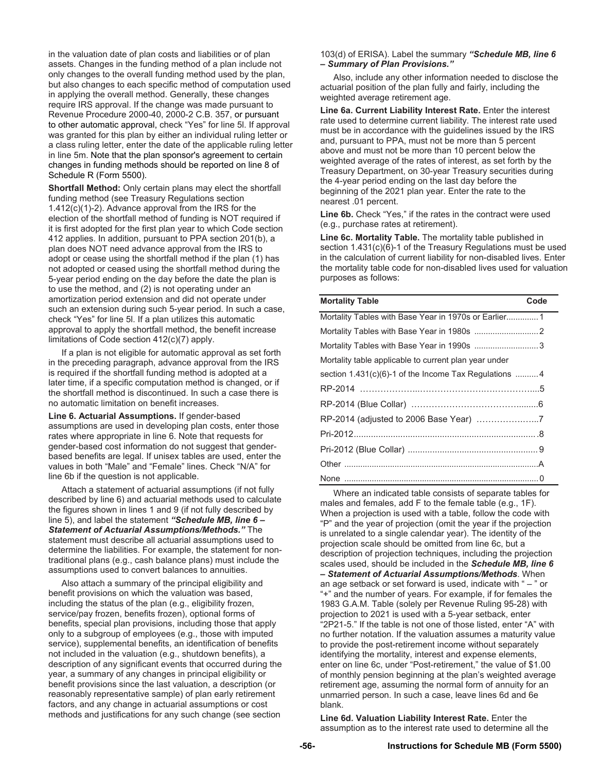in the valuation date of plan costs and liabilities or of plan assets. Changes in the funding method of a plan include not only changes to the overall funding method used by the plan, but also changes to each specific method of computation used in applying the overall method. Generally, these changes require IRS approval. If the change was made pursuant to Revenue Procedure 2000-40, 2000-2 C.B. 357, or pursuant to other automatic approval, check "Yes" for line 5l. If approval was granted for this plan by either an individual ruling letter or a class ruling letter, enter the date of the applicable ruling letter in line 5m. Note that the plan sponsor's agreement to certain changes in funding methods should be reported on line 8 of Schedule R (Form 5500).

**Shortfall Method:** Only certain plans may elect the shortfall funding method (see Treasury Regulations section 1.412(c)(1)-2). Advance approval from the IRS for the election of the shortfall method of funding is NOT required if it is first adopted for the first plan year to which Code section 412 applies. In addition, pursuant to PPA section 201(b), a plan does NOT need advance approval from the IRS to adopt or cease using the shortfall method if the plan (1) has not adopted or ceased using the shortfall method during the 5-year period ending on the day before the date the plan is to use the method, and (2) is not operating under an amortization period extension and did not operate under such an extension during such 5-year period. In such a case, check "Yes" for line 5l. If a plan utilizes this automatic approval to apply the shortfall method, the benefit increase limitations of Code section 412(c)(7) apply.

 If a plan is not eligible for automatic approval as set forth in the preceding paragraph, advance approval from the IRS is required if the shortfall funding method is adopted at a later time, if a specific computation method is changed, or if the shortfall method is discontinued. In such a case there is no automatic limitation on benefit increases.

**Line 6. Actuarial Assumptions.** If gender-based assumptions are used in developing plan costs, enter those rates where appropriate in line 6. Note that requests for gender-based cost information do not suggest that genderbased benefits are legal. If unisex tables are used, enter the values in both "Male" and "Female" lines. Check "N/A" for line 6b if the question is not applicable.

 Attach a statement of actuarial assumptions (if not fully described by line 6) and actuarial methods used to calculate the figures shown in lines 1 and 9 (if not fully described by line 5), and label the statement *"Schedule MB, line 6 – Statement of Actuarial Assumptions/Methods."* The statement must describe all actuarial assumptions used to determine the liabilities. For example, the statement for nontraditional plans (e.g., cash balance plans) must include the assumptions used to convert balances to annuities.

 Also attach a summary of the principal eligibility and benefit provisions on which the valuation was based, including the status of the plan (e.g., eligibility frozen, service/pay frozen, benefits frozen), optional forms of benefits, special plan provisions, including those that apply only to a subgroup of employees (e.g., those with imputed service), supplemental benefits, an identification of benefits not included in the valuation (e.g., shutdown benefits), a description of any significant events that occurred during the year, a summary of any changes in principal eligibility or benefit provisions since the last valuation, a description (or reasonably representative sample) of plan early retirement factors, and any change in actuarial assumptions or cost methods and justifications for any such change (see section

103(d) of ERISA). Label the summary *"Schedule MB, line 6 – Summary of Plan Provisions."*

 Also, include any other information needed to disclose the actuarial position of the plan fully and fairly, including the weighted average retirement age.

**Line 6a. Current Liability Interest Rate.** Enter the interest rate used to determine current liability. The interest rate used must be in accordance with the guidelines issued by the IRS and, pursuant to PPA, must not be more than 5 percent above and must not be more than 10 percent below the weighted average of the rates of interest, as set forth by the Treasury Department, on 30-year Treasury securities during the 4-year period ending on the last day before the beginning of the 2021 plan year. Enter the rate to the nearest .01 percent.

**Line 6b.** Check "Yes," if the rates in the contract were used (e.g., purchase rates at retirement).

**Line 6c. Mortality Table.** The mortality table published in section 1.431(c)(6)-1 of the Treasury Regulations must be used in the calculation of current liability for non-disabled lives. Enter the mortality table code for non-disabled lives used for valuation purposes as follows:

| <b>Mortality Table</b>                                  | Code |
|---------------------------------------------------------|------|
| Mortality Tables with Base Year in 1970s or Earlier 1   |      |
|                                                         |      |
|                                                         |      |
| Mortality table applicable to current plan year under   |      |
| section $1.431(c)(6)-1$ of the Income Tax Regulations 4 |      |
|                                                         |      |
|                                                         |      |
|                                                         |      |
|                                                         |      |
|                                                         |      |
|                                                         |      |
|                                                         |      |

 Where an indicated table consists of separate tables for males and females, add F to the female table (e.g., 1F). When a projection is used with a table, follow the code with "P" and the year of projection (omit the year if the projection is unrelated to a single calendar year). The identity of the projection scale should be omitted from line 6c, but a description of projection techniques, including the projection scales used, should be included in the *Schedule MB, line 6 – Statement of Actuarial Assumptions/Methods*. When an age setback or set forward is used, indicate with  $-$  " or "+" and the number of years. For example, if for females the 1983 G.A.M. Table (solely per Revenue Ruling 95-28) with projection to 2021 is used with a 5-year setback, enter "2P21-5." If the table is not one of those listed, enter "A" with no further notation. If the valuation assumes a maturity value to provide the post-retirement income without separately identifying the mortality, interest and expense elements, enter on line 6c, under "Post-retirement," the value of \$1.00 of monthly pension beginning at the plan's weighted average retirement age, assuming the normal form of annuity for an unmarried person. In such a case, leave lines 6d and 6e blank.

**Line 6d. Valuation Liability Interest Rate.** Enter the assumption as to the interest rate used to determine all the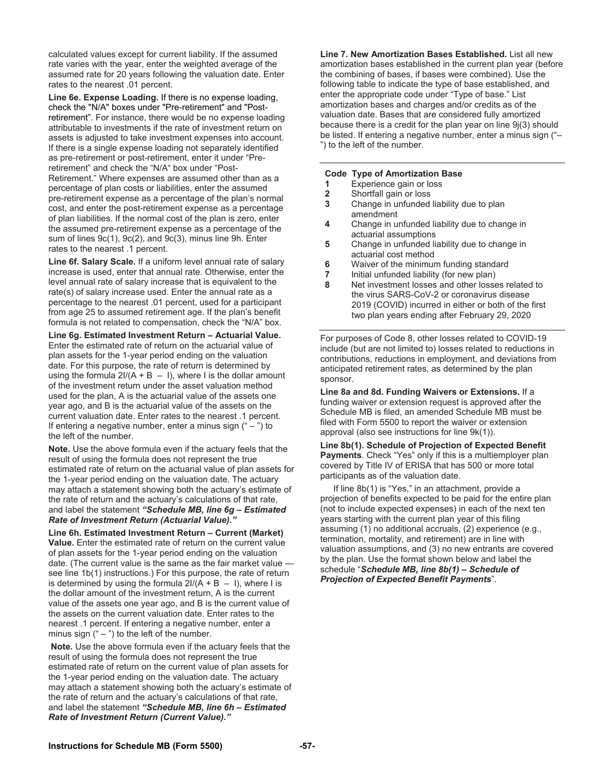calculated values except for current liability. If the assumed rate varies with the year, enter the weighted average of the assumed rate for 20 years following the valuation date. Enter rates to the nearest .01 percent.

**Line 6e. Expense Loading.** If there is no expense loading, check the "N/A" boxes under "Pre-retirement" and "Postretirement". For instance, there would be no expense loading attributable to investments if the rate of investment return on assets is adjusted to take investment expenses into account. If there is a single expense loading not separately identified as pre-retirement or post-retirement, enter it under "Preretirement" and check the "N/A" box under "Post-Retirement." Where expenses are assumed other than as a percentage of plan costs or liabilities, enter the assumed pre-retirement expense as a percentage of the plan's normal cost, and enter the post-retirement expense as a percentage of plan liabilities. If the normal cost of the plan is zero, enter the assumed pre-retirement expense as a percentage of the sum of lines 9c(1), 9c(2), and 9c(3), minus line 9h. Enter rates to the nearest .1 percent.

**Line 6f. Salary Scale.** If a uniform level annual rate of salary increase is used, enter that annual rate. Otherwise, enter the level annual rate of salary increase that is equivalent to the rate(s) of salary increase used. Enter the annual rate as a percentage to the nearest .01 percent, used for a participant from age 25 to assumed retirement age. If the plan's benefit formula is not related to compensation, check the "N/A" box.

**Line 6g. Estimated Investment Return – Actuarial Value.**  Enter the estimated rate of return on the actuarial value of plan assets for the 1-year period ending on the valuation date. For this purpose, the rate of return is determined by using the formula  $2I/(A + B - I)$ , where I is the dollar amount of the investment return under the asset valuation method used for the plan, A is the actuarial value of the assets one year ago, and B is the actuarial value of the assets on the current valuation date. Enter rates to the nearest .1 percent. If entering a negative number, enter a minus sign  $(4 - 7)$  to the left of the number.

**Note.** Use the above formula even if the actuary feels that the result of using the formula does not represent the true estimated rate of return on the actuarial value of plan assets for the 1-year period ending on the valuation date. The actuary may attach a statement showing both the actuary's estimate of the rate of return and the actuary's calculations of that rate, and label the statement *"Schedule MB, line 6g – Estimated Rate of Investment Return (Actuarial Value)."*

**Line 6h. Estimated Investment Return – Current (Market) Value.** Enter the estimated rate of return on the current value of plan assets for the 1-year period ending on the valuation date. (The current value is the same as the fair market value see line 1b(1) instructions.) For this purpose, the rate of return is determined by using the formula  $2I/(A + B - I)$ , where I is the dollar amount of the investment return, A is the current value of the assets one year ago, and B is the current value of the assets on the current valuation date. Enter rates to the nearest .1 percent. If entering a negative number, enter a minus sign  $(" -")$  to the left of the number.

 **Note.** Use the above formula even if the actuary feels that the result of using the formula does not represent the true estimated rate of return on the current value of plan assets for the 1-year period ending on the valuation date. The actuary may attach a statement showing both the actuary's estimate of the rate of return and the actuary's calculations of that rate, and label the statement *"Schedule MB, line 6h – Estimated Rate of Investment Return (Current Value)."*

**Line 7. New Amortization Bases Established.** List all new amortization bases established in the current plan year (before the combining of bases, if bases were combined). Use the following table to indicate the type of base established, and enter the appropriate code under "Type of base." List amortization bases and charges and/or credits as of the valuation date. Bases that are considered fully amortized because there is a credit for the plan year on line 9j(3) should be listed. If entering a negative number, enter a minus sign ("– ") to the left of the number.

#### **Code Type of Amortization Base**

- **1** Experience gain or loss
- **2** Shortfall gain or loss
- **3** Change in unfunded liability due to plan amendment
- **4** Change in unfunded liability due to change in actuarial assumptions
- **5** Change in unfunded liability due to change in actuarial cost method
- **6** Waiver of the minimum funding standard
- **7** Initial unfunded liability (for new plan)
- **8** Net investment losses and other losses related to the virus SARS-CoV-2 or coronavirus disease 2019 (COVID) incurred in either or both of the first two plan years ending after February 29, 2020

For purposes of Code 8, other losses related to COVID-19 include (but are not limited to) losses related to reductions in contributions, reductions in employment, and deviations from anticipated retirement rates, as determined by the plan sponsor.

**Line 8a and 8d. Funding Waivers or Extensions.** If a funding waiver or extension request is approved after the Schedule MB is filed, an amended Schedule MB must be filed with Form 5500 to report the waiver or extension approval (also see instructions for line 9k(1)).

**Line 8b(1). Schedule of Projection of Expected Benefit Payments**. Check "Yes" only if this is a multiemployer plan covered by Title IV of ERISA that has 500 or more total participants as of the valuation date.

 If line 8b(1) is "Yes," in an attachment, provide a projection of benefits expected to be paid for the entire plan (not to include expected expenses) in each of the next ten years starting with the current plan year of this filing assuming (1) no additional accruals, (2) experience (e.g., termination, mortality, and retirement) are in line with valuation assumptions, and (3) no new entrants are covered by the plan. Use the format shown below and label the schedule "*Schedule MB, line 8b(1) – Schedule of Projection of Expected Benefit Payments*".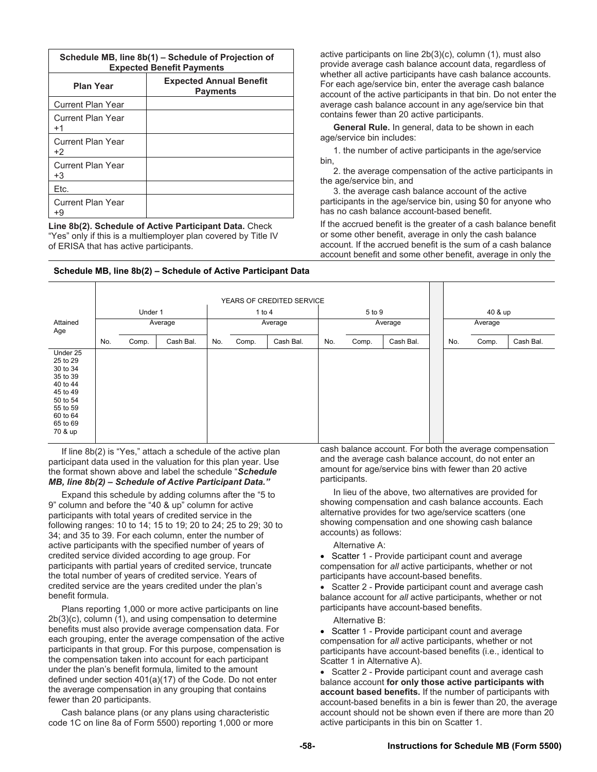| Schedule MB, line 8b(1) – Schedule of Projection of<br><b>Expected Benefit Payments</b> |                                                   |  |  |  |  |  |  |  |
|-----------------------------------------------------------------------------------------|---------------------------------------------------|--|--|--|--|--|--|--|
| <b>Plan Year</b>                                                                        | <b>Expected Annual Benefit</b><br><b>Payments</b> |  |  |  |  |  |  |  |
| <b>Current Plan Year</b>                                                                |                                                   |  |  |  |  |  |  |  |
| Current Plan Year<br>$+1$                                                               |                                                   |  |  |  |  |  |  |  |
| <b>Current Plan Year</b><br>+2                                                          |                                                   |  |  |  |  |  |  |  |
| <b>Current Plan Year</b><br>+3                                                          |                                                   |  |  |  |  |  |  |  |
| Etc.                                                                                    |                                                   |  |  |  |  |  |  |  |
| Current Plan Year<br>+9                                                                 |                                                   |  |  |  |  |  |  |  |

**Line 8b(2). Schedule of Active Participant Data.** Check "Yes" only if this is a multiemployer plan covered by Title IV of ERISA that has active participants.

active participants on line 2b(3)(c), column (1), must also provide average cash balance account data, regardless of whether all active participants have cash balance accounts. For each age/service bin, enter the average cash balance account of the active participants in that bin. Do not enter the average cash balance account in any age/service bin that contains fewer than 20 active participants.

 **General Rule.** In general, data to be shown in each age/service bin includes:

 1. the number of active participants in the age/service bin,

 2. the average compensation of the active participants in the age/service bin, and

 3. the average cash balance account of the active participants in the age/service bin, using \$0 for anyone who has no cash balance account-based benefit.

If the accrued benefit is the greater of a cash balance benefit or some other benefit, average in only the cash balance account. If the accrued benefit is the sum of a cash balance account benefit and some other benefit, average in only the

# **Schedule MB, line 8b(2) – Schedule of Active Participant Data**

|                                                                                                                                 | YEARS OF CREDITED SERVICE |         |           |     |          |           |         |        |           |         |         |       |           |
|---------------------------------------------------------------------------------------------------------------------------------|---------------------------|---------|-----------|-----|----------|-----------|---------|--------|-----------|---------|---------|-------|-----------|
|                                                                                                                                 |                           | Under 1 |           |     | 1 to $4$ |           |         | 5 to 9 |           |         | 40 & up |       |           |
| Attained<br>Age                                                                                                                 |                           |         | Average   |     | Average  |           | Average |        |           | Average |         |       |           |
|                                                                                                                                 | No.                       | Comp.   | Cash Bal. | No. | Comp.    | Cash Bal. | No.     | Comp.  | Cash Bal. |         | No.     | Comp. | Cash Bal. |
| Under 25<br>25 to 29<br>30 to 34<br>35 to 39<br>40 to 44<br>45 to 49<br>50 to 54<br>55 to 59<br>60 to 64<br>65 to 69<br>70 & up |                           |         |           |     |          |           |         |        |           |         |         |       |           |

 If line 8b(2) is "Yes," attach a schedule of the active plan participant data used in the valuation for this plan year. Use the format shown above and label the schedule "*Schedule MB, line 8b(2) – Schedule of Active Participant Data."* 

 Expand this schedule by adding columns after the "5 to 9" column and before the "40 & up" column for active participants with total years of credited service in the following ranges: 10 to 14; 15 to 19; 20 to 24; 25 to 29; 30 to 34; and 35 to 39. For each column, enter the number of active participants with the specified number of years of credited service divided according to age group. For participants with partial years of credited service, truncate the total number of years of credited service. Years of credited service are the years credited under the plan's benefit formula.

 Plans reporting 1,000 or more active participants on line 2b(3)(c), column (1), and using compensation to determine benefits must also provide average compensation data. For each grouping, enter the average compensation of the active participants in that group. For this purpose, compensation is the compensation taken into account for each participant under the plan's benefit formula, limited to the amount defined under section 401(a)(17) of the Code. Do not enter the average compensation in any grouping that contains fewer than 20 participants.

 Cash balance plans (or any plans using characteristic code 1C on line 8a of Form 5500) reporting 1,000 or more cash balance account. For both the average compensation and the average cash balance account, do not enter an amount for age/service bins with fewer than 20 active participants.

 In lieu of the above, two alternatives are provided for showing compensation and cash balance accounts. Each alternative provides for two age/service scatters (one showing compensation and one showing cash balance accounts) as follows:

Alternative A:

• Scatter 1 - Provide participant count and average compensation for *all* active participants, whether or not participants have account-based benefits.

• Scatter 2 - Provide participant count and average cash balance account for *all* active participants, whether or not participants have account-based benefits.

Alternative B:

• Scatter 1 - Provide participant count and average compensation for *all* active participants, whether or not participants have account-based benefits (i.e., identical to Scatter 1 in Alternative A).

 Scatter 2 - Provide participant count and average cash balance account **for only those active participants with account based benefits.** If the number of participants with account-based benefits in a bin is fewer than 20, the average account should not be shown even if there are more than 20 active participants in this bin on Scatter 1.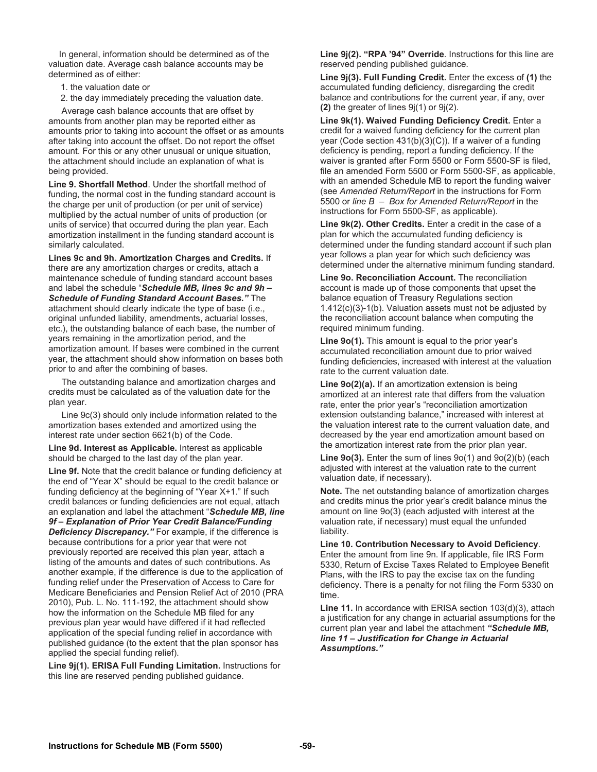In general, information should be determined as of the valuation date. Average cash balance accounts may be determined as of either:

- 1. the valuation date or
- 2. the day immediately preceding the valuation date.

 Average cash balance accounts that are offset by amounts from another plan may be reported either as amounts prior to taking into account the offset or as amounts after taking into account the offset. Do not report the offset amount. For this or any other unusual or unique situation, the attachment should include an explanation of what is being provided.

**Line 9. Shortfall Method**. Under the shortfall method of funding, the normal cost in the funding standard account is the charge per unit of production (or per unit of service) multiplied by the actual number of units of production (or units of service) that occurred during the plan year. Each amortization installment in the funding standard account is similarly calculated.

**Lines 9c and 9h. Amortization Charges and Credits.** If there are any amortization charges or credits, attach a maintenance schedule of funding standard account bases and label the schedule "*Schedule MB, lines 9c and 9h – Schedule of Funding Standard Account Bases."* The attachment should clearly indicate the type of base (i.e., original unfunded liability, amendments, actuarial losses, etc.), the outstanding balance of each base, the number of years remaining in the amortization period, and the amortization amount. If bases were combined in the current year, the attachment should show information on bases both prior to and after the combining of bases.

 The outstanding balance and amortization charges and credits must be calculated as of the valuation date for the plan year.

 Line 9c(3) should only include information related to the amortization bases extended and amortized using the interest rate under section 6621(b) of the Code.

**Line 9d. Interest as Applicable.** Interest as applicable should be charged to the last day of the plan year.

**Line 9f.** Note that the credit balance or funding deficiency at the end of "Year X" should be equal to the credit balance or funding deficiency at the beginning of "Year X+1." If such credit balances or funding deficiencies are not equal, attach an explanation and label the attachment "*Schedule MB, line 9f – Explanation of Prior Year Credit Balance/Funding Deficiency Discrepancy.* For example, if the difference is because contributions for a prior year that were not previously reported are received this plan year, attach a listing of the amounts and dates of such contributions. As another example, if the difference is due to the application of funding relief under the Preservation of Access to Care for Medicare Beneficiaries and Pension Relief Act of 2010 (PRA 2010), Pub. L. No. 111-192, the attachment should show how the information on the Schedule MB filed for any previous plan year would have differed if it had reflected application of the special funding relief in accordance with published guidance (to the extent that the plan sponsor has applied the special funding relief).

**Line 9j(1). ERISA Full Funding Limitation.** Instructions for this line are reserved pending published guidance.

**Line 9j(2). "RPA '94" Override**. Instructions for this line are reserved pending published guidance.

**Line 9j(3). Full Funding Credit.** Enter the excess of **(1)** the accumulated funding deficiency, disregarding the credit balance and contributions for the current year, if any, over **(2)** the greater of lines 9j(1) or 9j(2).

**Line 9k(1). Waived Funding Deficiency Credit.** Enter a credit for a waived funding deficiency for the current plan year (Code section 431(b)(3)(C)). If a waiver of a funding deficiency is pending, report a funding deficiency. If the waiver is granted after Form 5500 or Form 5500-SF is filed, file an amended Form 5500 or Form 5500-SF, as applicable, with an amended Schedule MB to report the funding waiver (see *Amended Return/Report* in the instructions for Form 5500 or *line B – Box for Amended Return/Report* in the instructions for Form 5500-SF, as applicable).

**Line 9k(2). Other Credits.** Enter a credit in the case of a plan for which the accumulated funding deficiency is determined under the funding standard account if such plan year follows a plan year for which such deficiency was determined under the alternative minimum funding standard.

**Line 9o. Reconciliation Account.** The reconciliation account is made up of those components that upset the balance equation of Treasury Regulations section 1.412(c)(3)-1(b). Valuation assets must not be adjusted by the reconciliation account balance when computing the required minimum funding.

**Line 9o(1).** This amount is equal to the prior year's accumulated reconciliation amount due to prior waived funding deficiencies, increased with interest at the valuation rate to the current valuation date.

**Line 9o(2)(a).** If an amortization extension is being amortized at an interest rate that differs from the valuation rate, enter the prior year's "reconciliation amortization extension outstanding balance," increased with interest at the valuation interest rate to the current valuation date, and decreased by the year end amortization amount based on the amortization interest rate from the prior plan year.

**Line 9o(3).** Enter the sum of lines 9o(1) and 9o(2)(b) (each adjusted with interest at the valuation rate to the current valuation date, if necessary).

**Note.** The net outstanding balance of amortization charges and credits minus the prior year's credit balance minus the amount on line 9o(3) (each adjusted with interest at the valuation rate, if necessary) must equal the unfunded liability.

**Line 10. Contribution Necessary to Avoid Deficiency**. Enter the amount from line 9n. If applicable, file IRS Form 5330, Return of Excise Taxes Related to Employee Benefit Plans, with the IRS to pay the excise tax on the funding deficiency. There is a penalty for not filing the Form 5330 on time.

**Line 11.** In accordance with ERISA section 103(d)(3), attach a justification for any change in actuarial assumptions for the current plan year and label the attachment *"Schedule MB, line 11 – Justification for Change in Actuarial Assumptions."*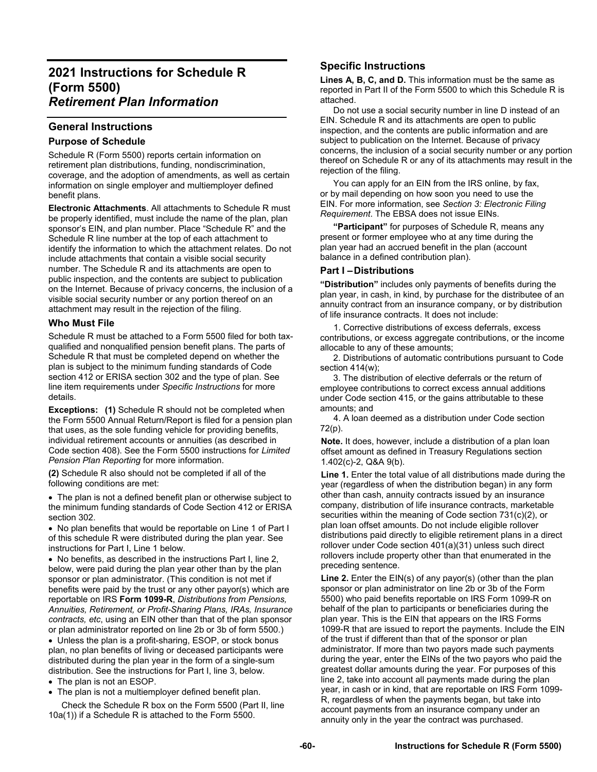# **2021 Instructions for Schedule R (Form 5500)**  *Retirement Plan Information*

# **General Instructions**

# **Purpose of Schedule**

Schedule R (Form 5500) reports certain information on retirement plan distributions, funding, nondiscrimination, coverage, and the adoption of amendments, as well as certain information on single employer and multiemployer defined benefit plans.

**Electronic Attachments**. All attachments to Schedule R must be properly identified, must include the name of the plan, plan sponsor's EIN, and plan number. Place "Schedule R" and the Schedule R line number at the top of each attachment to identify the information to which the attachment relates. Do not include attachments that contain a visible social security number. The Schedule R and its attachments are open to public inspection, and the contents are subject to publication on the Internet. Because of privacy concerns, the inclusion of a visible social security number or any portion thereof on an attachment may result in the rejection of the filing.

# **Who Must File**

Schedule R must be attached to a Form 5500 filed for both taxqualified and nonqualified pension benefit plans. The parts of Schedule R that must be completed depend on whether the plan is subject to the minimum funding standards of Code section 412 or ERISA section 302 and the type of plan. See line item requirements under *Specific Instructions* for more details.

**Exceptions:** (1) Schedule R should not be completed when the Form 5500 Annual Return/Report is filed for a pension plan that uses, as the sole funding vehicle for providing benefits, individual retirement accounts or annuities (as described in Code section 408). See the Form 5500 instructions for *Limited Pension Plan Reporting* for more information.

**(2)** Schedule R also should not be completed if all of the following conditions are met:

 The plan is not a defined benefit plan or otherwise subject to the minimum funding standards of Code Section 412 or ERISA section 302.

• No plan benefits that would be reportable on Line 1 of Part I of this schedule R were distributed during the plan year. See instructions for Part I, Line 1 below.

 No benefits, as described in the instructions Part I, line 2, below, were paid during the plan year other than by the plan sponsor or plan administrator. (This condition is not met if benefits were paid by the trust or any other payor(s) which are reportable on IRS **Form 1099-R**, *Distributions from Pensions, Annuities, Retirement, or Profit-Sharing Plans, IRAs, Insurance contracts, etc*, using an EIN other than that of the plan sponsor or plan administrator reported on line 2b or 3b of form 5500.)

• Unless the plan is a profit-sharing, ESOP, or stock bonus plan, no plan benefits of living or deceased participants were distributed during the plan year in the form of a single-sum distribution. See the instructions for Part I, line 3, below.

- The plan is not an ESOP.
- The plan is not a multiemployer defined benefit plan.

 Check the Schedule R box on the Form 5500 (Part II, line 10a(1)) if a Schedule R is attached to the Form 5500.

# **Specific Instructions**

**Lines A, B, C, and D.** This information must be the same as reported in Part II of the Form 5500 to which this Schedule R is attached.

 Do not use a social security number in line D instead of an EIN. Schedule R and its attachments are open to public inspection, and the contents are public information and are subject to publication on the Internet. Because of privacy concerns, the inclusion of a social security number or any portion thereof on Schedule R or any of its attachments may result in the rejection of the filing.

 You can apply for an EIN from the IRS online, by fax, or by mail depending on how soon you need to use the EIN. For more information, see *Section 3: Electronic Filing Requirement*. The EBSA does not issue EINs.

**"Participant"** for purposes of Schedule R, means any present or former employee who at any time during the plan year had an accrued benefit in the plan (account balance in a defined contribution plan).

# **Part I – Distributions**

**"Distribution"** includes only payments of benefits during the plan year, in cash, in kind, by purchase for the distributee of an annuity contract from an insurance company, or by distribution of life insurance contracts. It does not include:

1. Corrective distributions of excess deferrals, excess contributions, or excess aggregate contributions, or the income allocable to any of these amounts;

2. Distributions of automatic contributions pursuant to Code section 414(w);

3. The distribution of elective deferrals or the return of employee contributions to correct excess annual additions under Code section 415, or the gains attributable to these amounts; and

4. A loan deemed as a distribution under Code section 72(p).

**Note.** It does, however, include a distribution of a plan loan offset amount as defined in Treasury Regulations section 1.402(c)-2, Q&A 9(b).

Line 1. Enter the total value of all distributions made during the year (regardless of when the distribution began) in any form other than cash, annuity contracts issued by an insurance company, distribution of life insurance contracts, marketable securities within the meaning of Code section 731(c)(2), or plan loan offset amounts. Do not include eligible rollover distributions paid directly to eligible retirement plans in a direct rollover under Code section 401(a)(31) unless such direct rollovers include property other than that enumerated in the preceding sentence.

Line 2. Enter the EIN(s) of any payor(s) (other than the plan sponsor or plan administrator on line 2b or 3b of the Form 5500) who paid benefits reportable on IRS Form 1099-R on behalf of the plan to participants or beneficiaries during the plan year. This is the EIN that appears on the IRS Forms 1099-R that are issued to report the payments. Include the EIN of the trust if different than that of the sponsor or plan administrator. If more than two payors made such payments during the year, enter the EINs of the two payors who paid the greatest dollar amounts during the year. For purposes of this line 2, take into account all payments made during the plan year, in cash or in kind, that are reportable on IRS Form 1099- R, regardless of when the payments began, but take into account payments from an insurance company under an annuity only in the year the contract was purchased.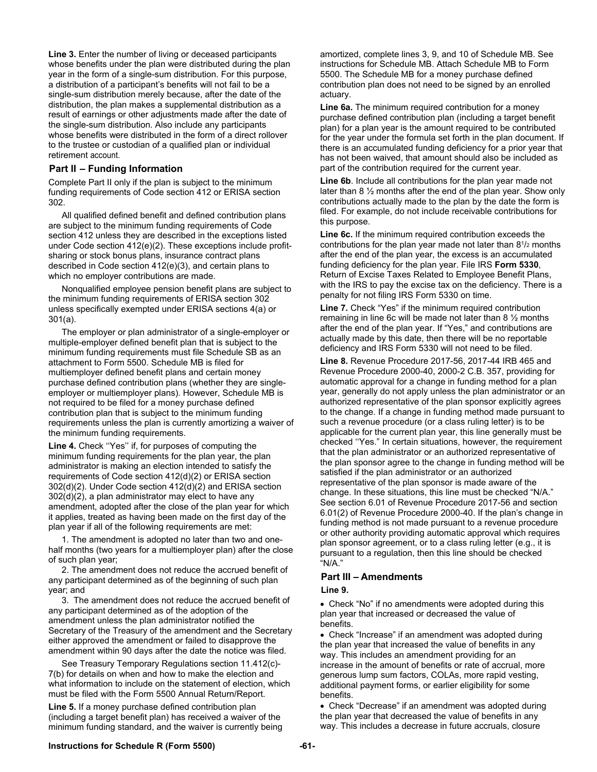**Line 3.** Enter the number of living or deceased participants whose benefits under the plan were distributed during the plan year in the form of a single-sum distribution. For this purpose, a distribution of a participant's benefits will not fail to be a single-sum distribution merely because, after the date of the distribution, the plan makes a supplemental distribution as a result of earnings or other adjustments made after the date of the single-sum distribution. Also include any participants whose benefits were distributed in the form of a direct rollover to the trustee or custodian of a qualified plan or individual retirement account.

## **Part II – Funding Information**

Complete Part II only if the plan is subject to the minimum funding requirements of Code section 412 or ERISA section 302.

All qualified defined benefit and defined contribution plans are subject to the minimum funding requirements of Code section 412 unless they are described in the exceptions listed under Code section 412(e)(2). These exceptions include profitsharing or stock bonus plans, insurance contract plans described in Code section 412(e)(3), and certain plans to which no employer contributions are made.

Nonqualified employee pension benefit plans are subject to the minimum funding requirements of ERISA section 302 unless specifically exempted under ERISA sections 4(a) or 301(a).

The employer or plan administrator of a single-employer or multiple-employer defined benefit plan that is subject to the minimum funding requirements must file Schedule SB as an attachment to Form 5500. Schedule MB is filed for multiemployer defined benefit plans and certain money purchase defined contribution plans (whether they are singleemployer or multiemployer plans). However, Schedule MB is not required to be filed for a money purchase defined contribution plan that is subject to the minimum funding requirements unless the plan is currently amortizing a waiver of the minimum funding requirements.

**Line 4.** Check ''Yes'' if, for purposes of computing the minimum funding requirements for the plan year, the plan administrator is making an election intended to satisfy the requirements of Code section 412(d)(2) or ERISA section 302(d)(2). Under Code section 412(d)(2) and ERISA section 302(d)(2), a plan administrator may elect to have any amendment, adopted after the close of the plan year for which it applies, treated as having been made on the first day of the plan year if all of the following requirements are met:

1. The amendment is adopted no later than two and onehalf months (two years for a multiemployer plan) after the close of such plan year;

2. The amendment does not reduce the accrued benefit of any participant determined as of the beginning of such plan year; and

3. The amendment does not reduce the accrued benefit of any participant determined as of the adoption of the amendment unless the plan administrator notified the Secretary of the Treasury of the amendment and the Secretary either approved the amendment or failed to disapprove the amendment within 90 days after the date the notice was filed.

See Treasury Temporary Regulations section 11.412(c)- 7(b) for details on when and how to make the election and what information to include on the statement of election, which must be filed with the Form 5500 Annual Return/Report.

**Line 5.** If a money purchase defined contribution plan (including a target benefit plan) has received a waiver of the minimum funding standard, and the waiver is currently being amortized, complete lines 3, 9, and 10 of Schedule MB. See instructions for Schedule MB. Attach Schedule MB to Form 5500. The Schedule MB for a money purchase defined contribution plan does not need to be signed by an enrolled actuary.

**Line 6a.** The minimum required contribution for a money purchase defined contribution plan (including a target benefit plan) for a plan year is the amount required to be contributed for the year under the formula set forth in the plan document. If there is an accumulated funding deficiency for a prior year that has not been waived, that amount should also be included as part of the contribution required for the current year.

**Line 6b**. Include all contributions for the plan year made not later than 8 ½ months after the end of the plan year. Show only contributions actually made to the plan by the date the form is filed. For example, do not include receivable contributions for this purpose.

**Line 6c.** If the minimum required contribution exceeds the contributions for the plan year made not later than 81/2 months after the end of the plan year, the excess is an accumulated funding deficiency for the plan year. File IRS **Form 5330**, Return of Excise Taxes Related to Employee Benefit Plans, with the IRS to pay the excise tax on the deficiency. There is a penalty for not filing IRS Form 5330 on time.

**Line 7.** Check "Yes" if the minimum required contribution remaining in line 6c will be made not later than  $8\frac{1}{2}$  months after the end of the plan year. If "Yes," and contributions are actually made by this date, then there will be no reportable deficiency and IRS Form 5330 will not need to be filed.

**Line 8.** Revenue Procedure 2017-56, 2017-44 IRB 465 and Revenue Procedure 2000-40, 2000-2 C.B. 357, providing for automatic approval for a change in funding method for a plan year, generally do not apply unless the plan administrator or an authorized representative of the plan sponsor explicitly agrees to the change. If a change in funding method made pursuant to such a revenue procedure (or a class ruling letter) is to be applicable for the current plan year, this line generally must be checked ''Yes." In certain situations, however, the requirement that the plan administrator or an authorized representative of the plan sponsor agree to the change in funding method will be satisfied if the plan administrator or an authorized representative of the plan sponsor is made aware of the change. In these situations, this line must be checked "N/A." See section 6.01 of Revenue Procedure 2017-56 and section 6.01(2) of Revenue Procedure 2000-40. If the plan's change in funding method is not made pursuant to a revenue procedure or other authority providing automatic approval which requires plan sponsor agreement, or to a class ruling letter (e.g., it is pursuant to a regulation, then this line should be checked "N/A."

#### **Part III – Amendments**

#### **Line 9.**

 Check "No" if no amendments were adopted during this plan year that increased or decreased the value of benefits.

 Check "Increase" if an amendment was adopted during the plan year that increased the value of benefits in any way. This includes an amendment providing for an increase in the amount of benefits or rate of accrual, more generous lump sum factors, COLAs, more rapid vesting, additional payment forms, or earlier eligibility for some benefits.

 Check "Decrease" if an amendment was adopted during the plan year that decreased the value of benefits in any way. This includes a decrease in future accruals, closure

#### **Instructions for Schedule R (Form 5500) -61-**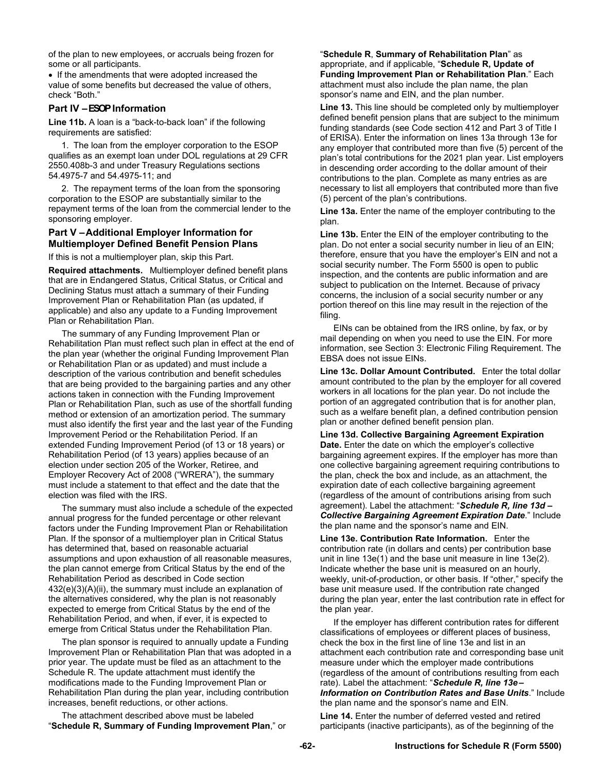of the plan to new employees, or accruals being frozen for some or all participants.

• If the amendments that were adopted increased the value of some benefits but decreased the value of others, check "Both."

### **Part IV – ESOP Information**

**Line 11b.** A loan is a "back-to-back loan" if the following requirements are satisfied:

1. The loan from the employer corporation to the ESOP qualifies as an exempt loan under DOL regulations at 29 CFR 2550.408b-3 and under Treasury Regulations sections 54.4975-7 and 54.4975-11; and

2. The repayment terms of the loan from the sponsoring corporation to the ESOP are substantially similar to the repayment terms of the loan from the commercial lender to the sponsoring employer.

### **Part V – Additional Employer Information for Multiemployer Defined Benefit Pension Plans**

If this is not a multiemployer plan, skip this Part.

**Required attachments.** Multiemployer defined benefit plans that are in Endangered Status, Critical Status, or Critical and Declining Status must attach a summary of their Funding Improvement Plan or Rehabilitation Plan (as updated, if applicable) and also any update to a Funding Improvement Plan or Rehabilitation Plan.

The summary of any Funding Improvement Plan or Rehabilitation Plan must reflect such plan in effect at the end of the plan year (whether the original Funding Improvement Plan or Rehabilitation Plan or as updated) and must include a description of the various contribution and benefit schedules that are being provided to the bargaining parties and any other actions taken in connection with the Funding Improvement Plan or Rehabilitation Plan, such as use of the shortfall funding method or extension of an amortization period. The summary must also identify the first year and the last year of the Funding Improvement Period or the Rehabilitation Period. If an extended Funding Improvement Period (of 13 or 18 years) or Rehabilitation Period (of 13 years) applies because of an election under section 205 of the Worker, Retiree, and Employer Recovery Act of 2008 ("WRERA"), the summary must include a statement to that effect and the date that the election was filed with the IRS.

The summary must also include a schedule of the expected annual progress for the funded percentage or other relevant factors under the Funding Improvement Plan or Rehabilitation Plan. If the sponsor of a multiemployer plan in Critical Status has determined that, based on reasonable actuarial assumptions and upon exhaustion of all reasonable measures, the plan cannot emerge from Critical Status by the end of the Rehabilitation Period as described in Code section 432(e)(3)(A)(ii), the summary must include an explanation of the alternatives considered, why the plan is not reasonably expected to emerge from Critical Status by the end of the Rehabilitation Period, and when, if ever, it is expected to emerge from Critical Status under the Rehabilitation Plan.

The plan sponsor is required to annually update a Funding Improvement Plan or Rehabilitation Plan that was adopted in a prior year. The update must be filed as an attachment to the Schedule R. The update attachment must identify the modifications made to the Funding Improvement Plan or Rehabilitation Plan during the plan year, including contribution increases, benefit reductions, or other actions.

The attachment described above must be labeled "**Schedule R, Summary of Funding Improvement Plan**," or

#### "**Schedule R**, **Summary of Rehabilitation Plan**" as appropriate, and if applicable, "**Schedule R, Update of Funding Improvement Plan or Rehabilitation Plan**." Each attachment must also include the plan name, the plan sponsor's name and EIN, and the plan number.

**Line 13.** This line should be completed only by multiemployer defined benefit pension plans that are subject to the minimum funding standards (see Code section 412 and Part 3 of Title I of ERISA). Enter the information on lines 13a through 13e for any employer that contributed more than five (5) percent of the plan's total contributions for the 2021 plan year. List employers in descending order according to the dollar amount of their contributions to the plan. Complete as many entries as are necessary to list all employers that contributed more than five (5) percent of the plan's contributions.

**Line 13a.** Enter the name of the employer contributing to the plan.

**Line 13b.** Enter the EIN of the employer contributing to the plan. Do not enter a social security number in lieu of an EIN; therefore, ensure that you have the employer's EIN and not a social security number. The Form 5500 is open to public inspection, and the contents are public information and are subject to publication on the Internet. Because of privacy concerns, the inclusion of a social security number or any portion thereof on this line may result in the rejection of the filing.

EINs can be obtained from the IRS online, by fax, or by mail depending on when you need to use the EIN. For more information, see Section 3: Electronic Filing Requirement. The EBSA does not issue EINs.

**Line 13c. Dollar Amount Contributed.** Enter the total dollar amount contributed to the plan by the employer for all covered workers in all locations for the plan year. Do not include the portion of an aggregated contribution that is for another plan, such as a welfare benefit plan, a defined contribution pension plan or another defined benefit pension plan.

**Line 13d. Collective Bargaining Agreement Expiration Date.** Enter the date on which the employer's collective bargaining agreement expires. If the employer has more than one collective bargaining agreement requiring contributions to the plan, check the box and include, as an attachment, the expiration date of each collective bargaining agreement (regardless of the amount of contributions arising from such agreement). Label the attachment: "*Schedule R, line 13d – Collective Bargaining Agreement Expiration Date*." Include the plan name and the sponsor's name and EIN.

**Line 13e. Contribution Rate Information.** Enter the contribution rate (in dollars and cents) per contribution base unit in line 13e(1) and the base unit measure in line 13e(2). Indicate whether the base unit is measured on an hourly, weekly, unit-of-production, or other basis. If "other," specify the base unit measure used. If the contribution rate changed during the plan year, enter the last contribution rate in effect for the plan year.

If the employer has different contribution rates for different classifications of employees or different places of business, check the box in the first line of line 13e and list in an attachment each contribution rate and corresponding base unit measure under which the employer made contributions (regardless of the amount of contributions resulting from each rate). Label the attachment: "*Schedule R, line 13e – Information on Contribution Rates and Base Units*." Include the plan name and the sponsor's name and EIN.

**Line 14.** Enter the number of deferred vested and retired participants (inactive participants), as of the beginning of the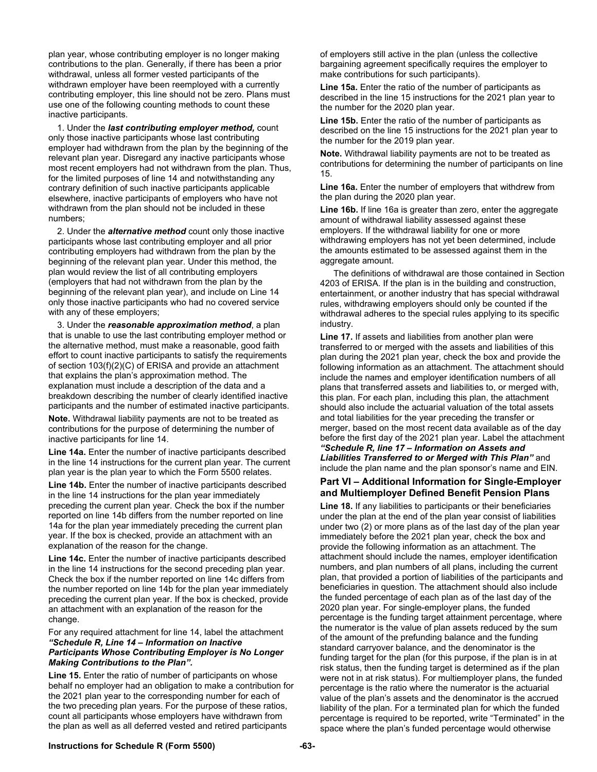plan year, whose contributing employer is no longer making contributions to the plan. Generally, if there has been a prior withdrawal, unless all former vested participants of the withdrawn employer have been reemployed with a currently contributing employer, this line should not be zero. Plans must use one of the following counting methods to count these inactive participants.

1. Under the *last contributing employer method,* count only those inactive participants whose last contributing employer had withdrawn from the plan by the beginning of the relevant plan year. Disregard any inactive participants whose most recent employers had not withdrawn from the plan. Thus, for the limited purposes of line 14 and notwithstanding any contrary definition of such inactive participants applicable elsewhere, inactive participants of employers who have not withdrawn from the plan should not be included in these numbers;

2. Under the *alternative method* count only those inactive participants whose last contributing employer and all prior contributing employers had withdrawn from the plan by the beginning of the relevant plan year. Under this method, the plan would review the list of all contributing employers (employers that had not withdrawn from the plan by the beginning of the relevant plan year), and include on Line 14 only those inactive participants who had no covered service with any of these employers;

3. Under the *reasonable approximation method*, a plan that is unable to use the last contributing employer method or the alternative method, must make a reasonable, good faith effort to count inactive participants to satisfy the requirements of section 103(f)(2)(C) of ERISA and provide an attachment that explains the plan's approximation method. The explanation must include a description of the data and a breakdown describing the number of clearly identified inactive participants and the number of estimated inactive participants.

**Note.** Withdrawal liability payments are not to be treated as contributions for the purpose of determining the number of inactive participants for line 14.

**Line 14a.** Enter the number of inactive participants described in the line 14 instructions for the current plan year. The current plan year is the plan year to which the Form 5500 relates.

**Line 14b.** Enter the number of inactive participants described in the line 14 instructions for the plan year immediately preceding the current plan year. Check the box if the number reported on line 14b differs from the number reported on line 14a for the plan year immediately preceding the current plan year. If the box is checked, provide an attachment with an explanation of the reason for the change.

**Line 14c.** Enter the number of inactive participants described in the line 14 instructions for the second preceding plan year. Check the box if the number reported on line 14c differs from the number reported on line 14b for the plan year immediately preceding the current plan year. If the box is checked, provide an attachment with an explanation of the reason for the change.

For any required attachment for line 14, label the attachment *"Schedule R, Line 14 – Information on Inactive Participants Whose Contributing Employer is No Longer Making Contributions to the Plan".*

Line 15. Enter the ratio of number of participants on whose behalf no employer had an obligation to make a contribution for the 2021 plan year to the corresponding number for each of the two preceding plan years. For the purpose of these ratios, count all participants whose employers have withdrawn from the plan as well as all deferred vested and retired participants

of employers still active in the plan (unless the collective bargaining agreement specifically requires the employer to make contributions for such participants).

**Line 15a.** Enter the ratio of the number of participants as described in the line 15 instructions for the 2021 plan year to the number for the 2020 plan year.

**Line 15b.** Enter the ratio of the number of participants as described on the line 15 instructions for the 2021 plan year to the number for the 2019 plan year.

**Note.** Withdrawal liability payments are not to be treated as contributions for determining the number of participants on line 15.

**Line 16a.** Enter the number of employers that withdrew from the plan during the 2020 plan year.

**Line 16b.** If line 16a is greater than zero, enter the aggregate amount of withdrawal liability assessed against these employers. If the withdrawal liability for one or more withdrawing employers has not yet been determined, include the amounts estimated to be assessed against them in the aggregate amount.

The definitions of withdrawal are those contained in Section 4203 of ERISA. If the plan is in the building and construction, entertainment, or another industry that has special withdrawal rules, withdrawing employers should only be counted if the withdrawal adheres to the special rules applying to its specific industry.

**Line 17.** If assets and liabilities from another plan were transferred to or merged with the assets and liabilities of this plan during the 2021 plan year, check the box and provide the following information as an attachment. The attachment should include the names and employer identification numbers of all plans that transferred assets and liabilities to, or merged with, this plan. For each plan, including this plan, the attachment should also include the actuarial valuation of the total assets and total liabilities for the year preceding the transfer or merger, based on the most recent data available as of the day before the first day of the 2021 plan year. Label the attachment *"Schedule R, line 17 – Information on Assets and Liabilities Transferred to or Merged with This Plan"* and include the plan name and the plan sponsor's name and EIN.

#### **Part VI – Additional Information for Single-Employer and Multiemployer Defined Benefit Pension Plans**

**Line 18.** If any liabilities to participants or their beneficiaries under the plan at the end of the plan year consist of liabilities under two (2) or more plans as of the last day of the plan year immediately before the 2021 plan year, check the box and provide the following information as an attachment. The attachment should include the names, employer identification numbers, and plan numbers of all plans, including the current plan, that provided a portion of liabilities of the participants and beneficiaries in question. The attachment should also include the funded percentage of each plan as of the last day of the 2020 plan year. For single-employer plans, the funded percentage is the funding target attainment percentage, where the numerator is the value of plan assets reduced by the sum of the amount of the prefunding balance and the funding standard carryover balance, and the denominator is the funding target for the plan (for this purpose, if the plan is in at risk status, then the funding target is determined as if the plan were not in at risk status). For multiemployer plans, the funded percentage is the ratio where the numerator is the actuarial value of the plan's assets and the denominator is the accrued liability of the plan. For a terminated plan for which the funded percentage is required to be reported, write "Terminated" in the space where the plan's funded percentage would otherwise

#### **Instructions for Schedule R (Form 5500) -63-**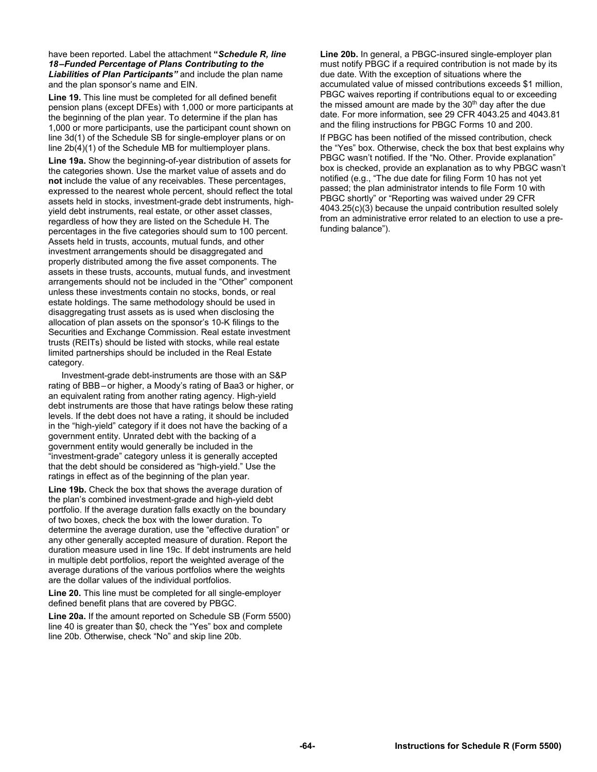have been reported. Label the attachment **"***Schedule R, line 18 –Funded Percentage of Plans Contributing to the Liabilities of Plan Participants"* and include the plan name and the plan sponsor's name and EIN.

**Line 19.** This line must be completed for all defined benefit pension plans (except DFEs) with 1,000 or more participants at the beginning of the plan year. To determine if the plan has 1,000 or more participants, use the participant count shown on line 3d(1) of the Schedule SB for single-employer plans or on line 2b(4)(1) of the Schedule MB for multiemployer plans.

**Line 19a.** Show the beginning-of-year distribution of assets for the categories shown. Use the market value of assets and do **not** include the value of any receivables. These percentages, expressed to the nearest whole percent, should reflect the total assets held in stocks, investment-grade debt instruments, highyield debt instruments, real estate, or other asset classes, regardless of how they are listed on the Schedule H. The percentages in the five categories should sum to 100 percent. Assets held in trusts, accounts, mutual funds, and other investment arrangements should be disaggregated and properly distributed among the five asset components. The assets in these trusts, accounts, mutual funds, and investment arrangements should not be included in the "Other" component unless these investments contain no stocks, bonds, or real estate holdings. The same methodology should be used in disaggregating trust assets as is used when disclosing the allocation of plan assets on the sponsor's 10-K filings to the Securities and Exchange Commission. Real estate investment trusts (REITs) should be listed with stocks, while real estate limited partnerships should be included in the Real Estate category.

 Investment-grade debt-instruments are those with an S&P rating of BBB – or higher, a Moody's rating of Baa3 or higher, or an equivalent rating from another rating agency. High-yield debt instruments are those that have ratings below these rating levels. If the debt does not have a rating, it should be included in the "high-yield" category if it does not have the backing of a government entity. Unrated debt with the backing of a government entity would generally be included in the "investment-grade" category unless it is generally accepted that the debt should be considered as "high-yield." Use the ratings in effect as of the beginning of the plan year.

**Line 19b.** Check the box that shows the average duration of the plan's combined investment-grade and high-yield debt portfolio. If the average duration falls exactly on the boundary of two boxes, check the box with the lower duration. To determine the average duration, use the "effective duration" or any other generally accepted measure of duration. Report the duration measure used in line 19c. If debt instruments are held in multiple debt portfolios, report the weighted average of the average durations of the various portfolios where the weights are the dollar values of the individual portfolios.

**Line 20.** This line must be completed for all single-employer defined benefit plans that are covered by PBGC.

**Line 20a.** If the amount reported on Schedule SB (Form 5500) line 40 is greater than \$0, check the "Yes" box and complete line 20b. Otherwise, check "No" and skip line 20b.

**Line 20b.** In general, a PBGC-insured single-employer plan must notify PBGC if a required contribution is not made by its due date. With the exception of situations where the accumulated value of missed contributions exceeds \$1 million, PBGC waives reporting if contributions equal to or exceeding the missed amount are made by the 30<sup>th</sup> day after the due date. For more information, see 29 CFR 4043.25 and 4043.81 and the filing instructions for PBGC Forms 10 and 200.

If PBGC has been notified of the missed contribution, check the "Yes" box. Otherwise, check the box that best explains why PBGC wasn't notified. If the "No. Other. Provide explanation" box is checked, provide an explanation as to why PBGC wasn't notified (e.g., "The due date for filing Form 10 has not yet passed; the plan administrator intends to file Form 10 with PBGC shortly" or "Reporting was waived under 29 CFR 4043.25(c)(3) because the unpaid contribution resulted solely from an administrative error related to an election to use a prefunding balance").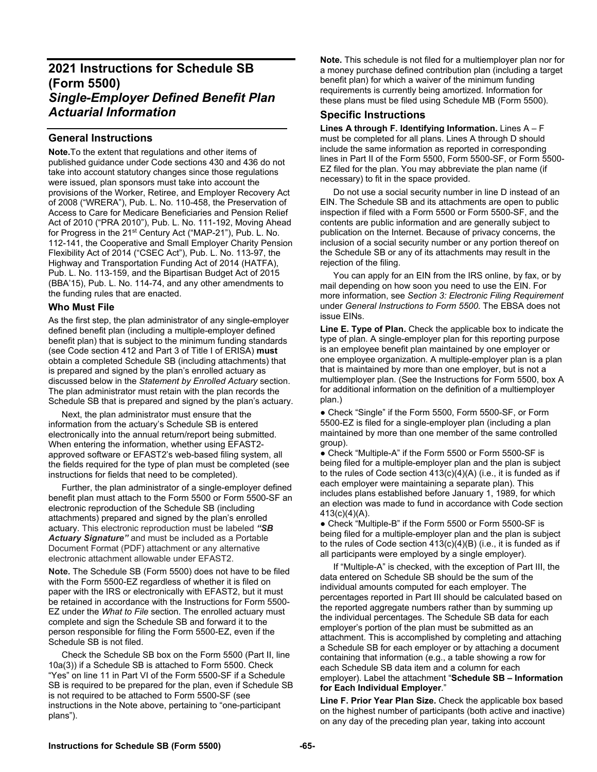# **2021 Instructions for Schedule SB (Form 5500)**  *Single-Employer Defined Benefit Plan Actuarial Information*

# **General Instructions**

**Note.**To the extent that regulations and other items of published guidance under Code sections 430 and 436 do not take into account statutory changes since those regulations were issued, plan sponsors must take into account the provisions of the Worker, Retiree, and Employer Recovery Act of 2008 ("WRERA"), Pub. L. No. 110-458, the Preservation of Access to Care for Medicare Beneficiaries and Pension Relief Act of 2010 ("PRA 2010"), Pub. L. No. 111-192, Moving Ahead for Progress in the 21<sup>st</sup> Century Act ("MAP-21"), Pub. L. No. 112-141, the Cooperative and Small Employer Charity Pension Flexibility Act of 2014 ("CSEC Act"), Pub. L. No. 113-97, the Highway and Transportation Funding Act of 2014 (HATFA), Pub. L. No. 113-159, and the Bipartisan Budget Act of 2015 (BBA'15), Pub. L. No. 114-74, and any other amendments to the funding rules that are enacted.

### **Who Must File**

As the first step, the plan administrator of any single-employer defined benefit plan (including a multiple-employer defined benefit plan) that is subject to the minimum funding standards (see Code section 412 and Part 3 of Title I of ERISA) **must** obtain a completed Schedule SB (including attachments) that is prepared and signed by the plan's enrolled actuary as discussed below in the *Statement by Enrolled Actuary* section. The plan administrator must retain with the plan records the Schedule SB that is prepared and signed by the plan's actuary.

Next, the plan administrator must ensure that the information from the actuary's Schedule SB is entered electronically into the annual return/report being submitted. When entering the information, whether using EFAST2 approved software or EFAST2's web-based filing system, all the fields required for the type of plan must be completed (see instructions for fields that need to be completed).

Further, the plan administrator of a single-employer defined benefit plan must attach to the Form 5500 or Form 5500-SF an electronic reproduction of the Schedule SB (including attachments) prepared and signed by the plan's enrolled actuary. This electronic reproduction must be labeled *"SB Actuary Signature"* and must be included as a Portable Document Format (PDF) attachment or any alternative electronic attachment allowable under EFAST2.

**Note.** The Schedule SB (Form 5500) does not have to be filed with the Form 5500-EZ regardless of whether it is filed on paper with the IRS or electronically with EFAST2, but it must be retained in accordance with the Instructions for Form 5500- EZ under the *What to File* section. The enrolled actuary must complete and sign the Schedule SB and forward it to the person responsible for filing the Form 5500-EZ, even if the Schedule SB is not filed.

Check the Schedule SB box on the Form 5500 (Part II, line 10a(3)) if a Schedule SB is attached to Form 5500. Check "Yes" on line 11 in Part VI of the Form 5500-SF if a Schedule SB is required to be prepared for the plan, even if Schedule SB is not required to be attached to Form 5500-SF (see instructions in the Note above, pertaining to "one-participant plans").

**Note.** This schedule is not filed for a multiemployer plan nor for a money purchase defined contribution plan (including a target benefit plan) for which a waiver of the minimum funding requirements is currently being amortized. Information for these plans must be filed using Schedule MB (Form 5500).

# **Specific Instructions**

**Lines A through F. Identifying Information.** Lines A – F must be completed for all plans. Lines A through D should include the same information as reported in corresponding lines in Part II of the Form 5500, Form 5500-SF, or Form 5500- EZ filed for the plan. You may abbreviate the plan name (if necessary) to fit in the space provided.

 Do not use a social security number in line D instead of an EIN. The Schedule SB and its attachments are open to public inspection if filed with a Form 5500 or Form 5500-SF, and the contents are public information and are generally subject to publication on the Internet. Because of privacy concerns, the inclusion of a social security number or any portion thereof on the Schedule SB or any of its attachments may result in the rejection of the filing.

 You can apply for an EIN from the IRS online, by fax, or by mail depending on how soon you need to use the EIN. For more information, see *Section 3: Electronic Filing Requirement*  under *General Instructions to Form 5500*. The EBSA does not issue EINs.

**Line E. Type of Plan.** Check the applicable box to indicate the type of plan. A single-employer plan for this reporting purpose is an employee benefit plan maintained by one employer or one employee organization. A multiple-employer plan is a plan that is maintained by more than one employer, but is not a multiemployer plan. (See the Instructions for Form 5500, box A for additional information on the definition of a multiemployer plan.)

● Check "Single" if the Form 5500, Form 5500-SF, or Form 5500-EZ is filed for a single-employer plan (including a plan maintained by more than one member of the same controlled group).

● Check "Multiple-A" if the Form 5500 or Form 5500-SF is being filed for a multiple-employer plan and the plan is subject to the rules of Code section 413(c)(4)(A) (i.e., it is funded as if each employer were maintaining a separate plan). This includes plans established before January 1, 1989, for which an election was made to fund in accordance with Code section 413(c)(4)(A).

● Check "Multiple-B" if the Form 5500 or Form 5500-SF is being filed for a multiple-employer plan and the plan is subject to the rules of Code section 413(c)(4)(B) (i.e., it is funded as if all participants were employed by a single employer).

 If "Multiple-A" is checked, with the exception of Part III, the data entered on Schedule SB should be the sum of the individual amounts computed for each employer. The percentages reported in Part III should be calculated based on the reported aggregate numbers rather than by summing up the individual percentages. The Schedule SB data for each employer's portion of the plan must be submitted as an attachment. This is accomplished by completing and attaching a Schedule SB for each employer or by attaching a document containing that information (e.g., a table showing a row for each Schedule SB data item and a column for each employer). Label the attachment "**Schedule SB – Information for Each Individual Employer**."

**Line F. Prior Year Plan Size.** Check the applicable box based on the highest number of participants (both active and inactive) on any day of the preceding plan year, taking into account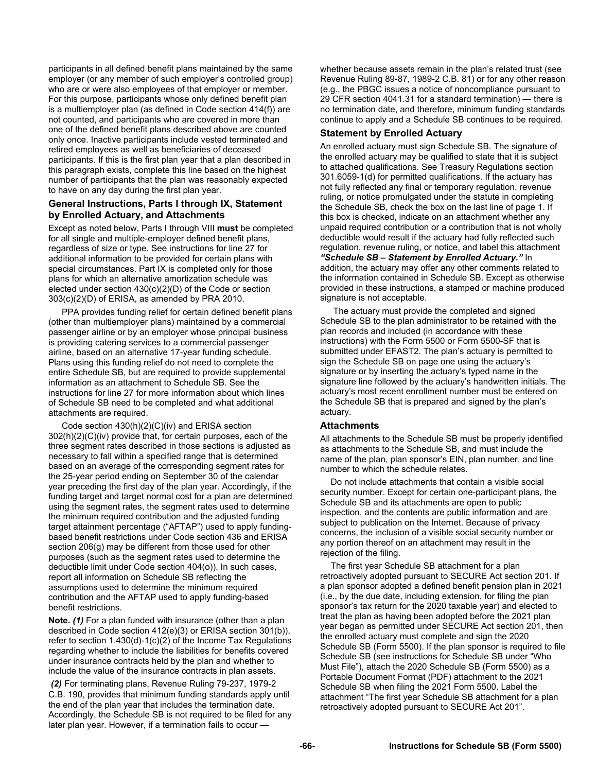participants in all defined benefit plans maintained by the same employer (or any member of such employer's controlled group) who are or were also employees of that employer or member. For this purpose, participants whose only defined benefit plan is a multiemployer plan (as defined in Code section 414(f)) are not counted, and participants who are covered in more than one of the defined benefit plans described above are counted only once. Inactive participants include vested terminated and retired employees as well as beneficiaries of deceased participants. If this is the first plan year that a plan described in this paragraph exists, complete this line based on the highest number of participants that the plan was reasonably expected to have on any day during the first plan year.

## **General Instructions, Parts I through IX, Statement by Enrolled Actuary, and Attachments**

Except as noted below, Parts I through VIII **must** be completed for all single and multiple-employer defined benefit plans, regardless of size or type. See instructions for line 27 for additional information to be provided for certain plans with special circumstances. Part IX is completed only for those plans for which an alternative amortization schedule was elected under section 430(c)(2)(D) of the Code or section 303(c)(2)(D) of ERISA, as amended by PRA 2010.

PPA provides funding relief for certain defined benefit plans (other than multiemployer plans) maintained by a commercial passenger airline or by an employer whose principal business is providing catering services to a commercial passenger airline, based on an alternative 17-year funding schedule. Plans using this funding relief do not need to complete the entire Schedule SB, but are required to provide supplemental information as an attachment to Schedule SB. See the instructions for line 27 for more information about which lines of Schedule SB need to be completed and what additional attachments are required.

Code section 430(h)(2)(C)(iv) and ERISA section 302(h)(2)(C)(iv) provide that, for certain purposes, each of the three segment rates described in those sections is adjusted as necessary to fall within a specified range that is determined based on an average of the corresponding segment rates for the 25-year period ending on September 30 of the calendar year preceding the first day of the plan year. Accordingly, if the funding target and target normal cost for a plan are determined using the segment rates, the segment rates used to determine the minimum required contribution and the adjusted funding target attainment percentage ("AFTAP") used to apply fundingbased benefit restrictions under Code section 436 and ERISA section 206(g) may be different from those used for other purposes (such as the segment rates used to determine the deductible limit under Code section 404(o)). In such cases, report all information on Schedule SB reflecting the assumptions used to determine the minimum required contribution and the AFTAP used to apply funding-based benefit restrictions.

**Note.** *(1)* For a plan funded with insurance (other than a plan described in Code section 412(e)(3) or ERISA section 301(b)), refer to section 1.430(d)-1(c)(2) of the Income Tax Regulations regarding whether to include the liabilities for benefits covered under insurance contracts held by the plan and whether to include the value of the insurance contracts in plan assets.

 *(2)* For terminating plans, Revenue Ruling 79-237, 1979-2 C.B. 190, provides that minimum funding standards apply until the end of the plan year that includes the termination date. Accordingly, the Schedule SB is not required to be filed for any later plan year. However, if a termination fails to occur —

whether because assets remain in the plan's related trust (see Revenue Ruling 89-87, 1989-2 C.B. 81) or for any other reason (e.g., the PBGC issues a notice of noncompliance pursuant to 29 CFR section 4041.31 for a standard termination) — there is no termination date, and therefore, minimum funding standards continue to apply and a Schedule SB continues to be required.

# **Statement by Enrolled Actuary**

An enrolled actuary must sign Schedule SB. The signature of the enrolled actuary may be qualified to state that it is subject to attached qualifications. See Treasury Regulations section 301.6059-1(d) for permitted qualifications. If the actuary has not fully reflected any final or temporary regulation, revenue ruling, or notice promulgated under the statute in completing the Schedule SB, check the box on the last line of page 1. If this box is checked, indicate on an attachment whether any unpaid required contribution or a contribution that is not wholly deductible would result if the actuary had fully reflected such regulation, revenue ruling, or notice, and label this attachment *"Schedule SB – Statement by Enrolled Actuary."* In addition, the actuary may offer any other comments related to the information contained in Schedule SB. Except as otherwise provided in these instructions, a stamped or machine produced signature is not acceptable.

 The actuary must provide the completed and signed Schedule SB to the plan administrator to be retained with the plan records and included (in accordance with these instructions) with the Form 5500 or Form 5500-SF that is submitted under EFAST2. The plan's actuary is permitted to sign the Schedule SB on page one using the actuary's signature or by inserting the actuary's typed name in the signature line followed by the actuary's handwritten initials. The actuary's most recent enrollment number must be entered on the Schedule SB that is prepared and signed by the plan's actuary.

# **Attachments**

All attachments to the Schedule SB must be properly identified as attachments to the Schedule SB, and must include the name of the plan, plan sponsor's EIN, plan number, and line number to which the schedule relates.

Do not include attachments that contain a visible social security number. Except for certain one-participant plans, the Schedule SB and its attachments are open to public inspection, and the contents are public information and are subject to publication on the Internet. Because of privacy concerns, the inclusion of a visible social security number or any portion thereof on an attachment may result in the rejection of the filing.

The first year Schedule SB attachment for a plan retroactively adopted pursuant to SECURE Act section 201. If a plan sponsor adopted a defined benefit pension plan in 2021 (i.e., by the due date, including extension, for filing the plan sponsor's tax return for the 2020 taxable year) and elected to treat the plan as having been adopted before the 2021 plan year began as permitted under SECURE Act section 201, then the enrolled actuary must complete and sign the 2020 Schedule SB (Form 5500). If the plan sponsor is required to file Schedule SB (see instructions for Schedule SB under "Who Must File"), attach the 2020 Schedule SB (Form 5500) as a Portable Document Format (PDF) attachment to the 2021 Schedule SB when filing the 2021 Form 5500. Label the attachment "The first year Schedule SB attachment for a plan retroactively adopted pursuant to SECURE Act 201".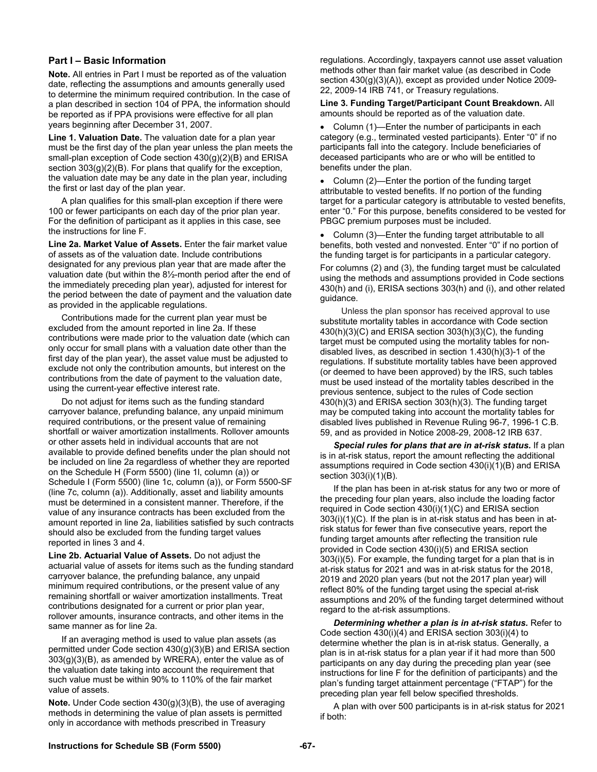### **Part I – Basic Information**

**Note.** All entries in Part I must be reported as of the valuation date, reflecting the assumptions and amounts generally used to determine the minimum required contribution. In the case of a plan described in section 104 of PPA, the information should be reported as if PPA provisions were effective for all plan years beginning after December 31, 2007.

**Line 1. Valuation Date.** The valuation date for a plan year must be the first day of the plan year unless the plan meets the small-plan exception of Code section 430(g)(2)(B) and ERISA section  $303(g)(2)(B)$ . For plans that qualify for the exception, the valuation date may be any date in the plan year, including the first or last day of the plan year.

 A plan qualifies for this small-plan exception if there were 100 or fewer participants on each day of the prior plan year. For the definition of participant as it applies in this case, see the instructions for line F.

**Line 2a. Market Value of Assets.** Enter the fair market value of assets as of the valuation date. Include contributions designated for any previous plan year that are made after the valuation date (but within the 8½-month period after the end of the immediately preceding plan year), adjusted for interest for the period between the date of payment and the valuation date as provided in the applicable regulations.

 Contributions made for the current plan year must be excluded from the amount reported in line 2a. If these contributions were made prior to the valuation date (which can only occur for small plans with a valuation date other than the first day of the plan year), the asset value must be adjusted to exclude not only the contribution amounts, but interest on the contributions from the date of payment to the valuation date, using the current-year effective interest rate.

 Do not adjust for items such as the funding standard carryover balance, prefunding balance, any unpaid minimum required contributions, or the present value of remaining shortfall or waiver amortization installments. Rollover amounts or other assets held in individual accounts that are not available to provide defined benefits under the plan should not be included on line 2a regardless of whether they are reported on the Schedule H (Form 5500) (line 1l, column (a)) or Schedule I (Form 5500) (line 1c, column (a)), or Form 5500-SF (line 7c, column (a)). Additionally, asset and liability amounts must be determined in a consistent manner. Therefore, if the value of any insurance contracts has been excluded from the amount reported in line 2a, liabilities satisfied by such contracts should also be excluded from the funding target values reported in lines 3 and 4.

**Line 2b. Actuarial Value of Assets.** Do not adjust the actuarial value of assets for items such as the funding standard carryover balance, the prefunding balance, any unpaid minimum required contributions, or the present value of any remaining shortfall or waiver amortization installments. Treat contributions designated for a current or prior plan year, rollover amounts, insurance contracts, and other items in the same manner as for line 2a.

 If an averaging method is used to value plan assets (as permitted under Code section 430(g)(3)(B) and ERISA section 303(g)(3)(B), as amended by WRERA), enter the value as of the valuation date taking into account the requirement that such value must be within 90% to 110% of the fair market value of assets.

**Note.** Under Code section 430(g)(3)(B), the use of averaging methods in determining the value of plan assets is permitted only in accordance with methods prescribed in Treasury

regulations. Accordingly, taxpayers cannot use asset valuation methods other than fair market value (as described in Code section 430(g)(3)(A)), except as provided under Notice 2009- 22, 2009-14 IRB 741, or Treasury regulations.

**Line 3. Funding Target/Participant Count Breakdown.** All amounts should be reported as of the valuation date.

• Column (1)—Enter the number of participants in each category (e.g., terminated vested participants). Enter "0" if no participants fall into the category. Include beneficiaries of deceased participants who are or who will be entitled to benefits under the plan.

• Column (2)—Enter the portion of the funding target attributable to vested benefits. If no portion of the funding target for a particular category is attributable to vested benefits, enter "0." For this purpose, benefits considered to be vested for PBGC premium purposes must be included.

 Column (3)—Enter the funding target attributable to all benefits, both vested and nonvested. Enter "0" if no portion of the funding target is for participants in a particular category.

For columns (2) and (3), the funding target must be calculated using the methods and assumptions provided in Code sections 430(h) and (i), ERISA sections 303(h) and (i), and other related guidance.

Unless the plan sponsor has received approval to use substitute mortality tables in accordance with Code section 430(h)(3)(C) and ERISA section 303(h)(3)(C), the funding target must be computed using the mortality tables for nondisabled lives, as described in section 1.430(h)(3)-1 of the regulations. If substitute mortality tables have been approved (or deemed to have been approved) by the IRS, such tables must be used instead of the mortality tables described in the previous sentence, subject to the rules of Code section 430(h)(3) and ERISA section 303(h)(3). The funding target may be computed taking into account the mortality tables for disabled lives published in Revenue Ruling 96-7, 1996-1 C.B. 59, and as provided in Notice 2008-29, 2008-12 IRB 637.

Special rules for plans that are in at-risk status. If a plan is in at-risk status, report the amount reflecting the additional assumptions required in Code section 430(i)(1)(B) and ERISA section 303(i)(1)(B).

If the plan has been in at-risk status for any two or more of the preceding four plan years, also include the loading factor required in Code section 430(i)(1)(C) and ERISA section 303(i)(1)(C). If the plan is in at-risk status and has been in atrisk status for fewer than five consecutive years, report the funding target amounts after reflecting the transition rule provided in Code section 430(i)(5) and ERISA section 303(i)(5). For example, the funding target for a plan that is in at-risk status for 2021 and was in at-risk status for the 2018, 2019 and 2020 plan years (but not the 2017 plan year) will reflect 80% of the funding target using the special at-risk assumptions and 20% of the funding target determined without regard to the at-risk assumptions.

*Determining whether a plan is in at-risk status.* Refer to Code section 430(i)(4) and ERISA section 303(i)(4) to determine whether the plan is in at-risk status. Generally, a plan is in at-risk status for a plan year if it had more than 500 participants on any day during the preceding plan year (see instructions for line F for the definition of participants) and the plan's funding target attainment percentage ("FTAP") for the preceding plan year fell below specified thresholds.

A plan with over 500 participants is in at-risk status for 2021 if both: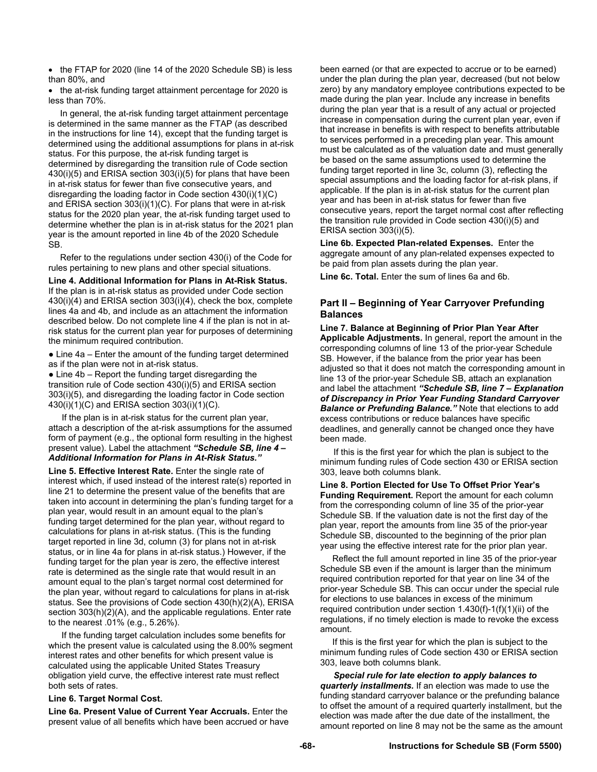• the FTAP for 2020 (line 14 of the 2020 Schedule SB) is less than 80%, and

• the at-risk funding target attainment percentage for 2020 is less than 70%.

 In general, the at-risk funding target attainment percentage is determined in the same manner as the FTAP (as described in the instructions for line 14), except that the funding target is determined using the additional assumptions for plans in at-risk status. For this purpose, the at-risk funding target is determined by disregarding the transition rule of Code section 430(i)(5) and ERISA section 303(i)(5) for plans that have been in at-risk status for fewer than five consecutive years, and disregarding the loading factor in Code section 430(i)(1)(C) and ERISA section 303(i)(1)(C). For plans that were in at-risk status for the 2020 plan year, the at-risk funding target used to determine whether the plan is in at-risk status for the 2021 plan year is the amount reported in line 4b of the 2020 Schedule SB.

 Refer to the regulations under section 430(i) of the Code for rules pertaining to new plans and other special situations.

**Line 4. Additional Information for Plans in At-Risk Status.** 

If the plan is in at-risk status as provided under Code section 430(i)(4) and ERISA section 303(i)(4), check the box, complete lines 4a and 4b, and include as an attachment the information described below. Do not complete line 4 if the plan is not in atrisk status for the current plan year for purposes of determining the minimum required contribution.

• Line 4a – Enter the amount of the funding target determined as if the plan were not in at-risk status.

 $\bullet$  Line 4b – Report the funding target disregarding the transition rule of Code section 430(i)(5) and ERISA section 303(i)(5), and disregarding the loading factor in Code section 430(i)(1)(C) and ERISA section 303(i)(1)(C).

If the plan is in at-risk status for the current plan year, attach a description of the at-risk assumptions for the assumed form of payment (e.g., the optional form resulting in the highest present value). Label the attachment *"Schedule SB, line 4 – Additional Information for Plans in At-Risk Status."*

**Line 5. Effective Interest Rate.** Enter the single rate of interest which, if used instead of the interest rate(s) reported in line 21 to determine the present value of the benefits that are taken into account in determining the plan's funding target for a plan year, would result in an amount equal to the plan's funding target determined for the plan year, without regard to calculations for plans in at-risk status. (This is the funding target reported in line 3d, column (3) for plans not in at-risk status, or in line 4a for plans in at-risk status.) However, if the funding target for the plan year is zero, the effective interest rate is determined as the single rate that would result in an amount equal to the plan's target normal cost determined for the plan year, without regard to calculations for plans in at-risk status. See the provisions of Code section 430(h)(2)(A), ERISA section 303(h)(2)(A), and the applicable regulations. Enter rate to the nearest .01% (e.g., 5.26%).

If the funding target calculation includes some benefits for which the present value is calculated using the 8.00% segment interest rates and other benefits for which present value is calculated using the applicable United States Treasury obligation yield curve, the effective interest rate must reflect both sets of rates.

#### **Line 6. Target Normal Cost.**

**Line 6a. Present Value of Current Year Accruals.** Enter the present value of all benefits which have been accrued or have been earned (or that are expected to accrue or to be earned) under the plan during the plan year, decreased (but not below zero) by any mandatory employee contributions expected to be made during the plan year. Include any increase in benefits during the plan year that is a result of any actual or projected increase in compensation during the current plan year, even if that increase in benefits is with respect to benefits attributable to services performed in a preceding plan year. This amount must be calculated as of the valuation date and must generally be based on the same assumptions used to determine the funding target reported in line 3c, column (3), reflecting the special assumptions and the loading factor for at-risk plans, if applicable. If the plan is in at-risk status for the current plan year and has been in at-risk status for fewer than five consecutive years, report the target normal cost after reflecting the transition rule provided in Code section 430(i)(5) and ERISA section 303(i)(5).

**Line 6b. Expected Plan-related Expenses.** Enter the aggregate amount of any plan-related expenses expected to be paid from plan assets during the plan year.

**Line 6c. Total.** Enter the sum of lines 6a and 6b.

## **Part II – Beginning of Year Carryover Prefunding Balances**

**Line 7. Balance at Beginning of Prior Plan Year After Applicable Adjustments.** In general, report the amount in the corresponding columns of line 13 of the prior-year Schedule SB. However, if the balance from the prior year has been adjusted so that it does not match the corresponding amount in line 13 of the prior-year Schedule SB, attach an explanation and label the attachment *"Schedule SB, line 7 – Explanation of Discrepancy in Prior Year Funding Standard Carryover Balance or Prefunding Balance.* Note that elections to add excess contributions or reduce balances have specific deadlines, and generally cannot be changed once they have been made.

If this is the first year for which the plan is subject to the minimum funding rules of Code section 430 or ERISA section 303, leave both columns blank.

**Line 8. Portion Elected for Use To Offset Prior Year's Funding Requirement.** Report the amount for each column from the corresponding column of line 35 of the prior-year Schedule SB. If the valuation date is not the first day of the plan year, report the amounts from line 35 of the prior-year Schedule SB, discounted to the beginning of the prior plan year using the effective interest rate for the prior plan year.

 Reflect the full amount reported in line 35 of the prior-year Schedule SB even if the amount is larger than the minimum required contribution reported for that year on line 34 of the prior-year Schedule SB. This can occur under the special rule for elections to use balances in excess of the minimum required contribution under section 1.430(f)-1(f)(1)(ii) of the regulations, if no timely election is made to revoke the excess amount.

 If this is the first year for which the plan is subject to the minimum funding rules of Code section 430 or ERISA section 303, leave both columns blank.

*Special rule for late election to apply balances to quarterly installments.* If an election was made to use the funding standard carryover balance or the prefunding balance to offset the amount of a required quarterly installment, but the election was made after the due date of the installment, the amount reported on line 8 may not be the same as the amount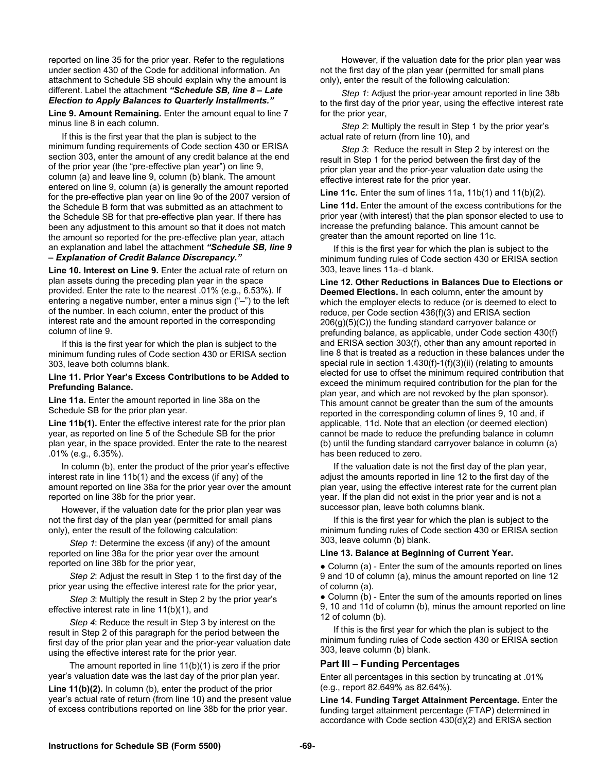reported on line 35 for the prior year. Refer to the regulations under section 430 of the Code for additional information. An attachment to Schedule SB should explain why the amount is different. Label the attachment *"Schedule SB, line 8 – Late Election to Apply Balances to Quarterly Installments."* 

**Line 9. Amount Remaining.** Enter the amount equal to line 7 minus line 8 in each column.

If this is the first year that the plan is subject to the minimum funding requirements of Code section 430 or ERISA section 303, enter the amount of any credit balance at the end of the prior year (the "pre-effective plan year") on line 9, column (a) and leave line 9, column (b) blank. The amount entered on line 9, column (a) is generally the amount reported for the pre-effective plan year on line 9o of the 2007 version of the Schedule B form that was submitted as an attachment to the Schedule SB for that pre-effective plan year. If there has been any adjustment to this amount so that it does not match the amount so reported for the pre-effective plan year, attach an explanation and label the attachment *"Schedule SB, line 9 – Explanation of Credit Balance Discrepancy."* 

**Line 10. Interest on Line 9.** Enter the actual rate of return on plan assets during the preceding plan year in the space provided. Enter the rate to the nearest .01% (e.g., 6.53%). If entering a negative number, enter a minus sign ("–") to the left of the number. In each column, enter the product of this interest rate and the amount reported in the corresponding column of line 9.

If this is the first year for which the plan is subject to the minimum funding rules of Code section 430 or ERISA section 303, leave both columns blank.

#### **Line 11. Prior Year's Excess Contributions to be Added to Prefunding Balance.**

**Line 11a.** Enter the amount reported in line 38a on the Schedule SB for the prior plan year.

Line 11b(1). Enter the effective interest rate for the prior plan year, as reported on line 5 of the Schedule SB for the prior plan year, in the space provided. Enter the rate to the nearest .01% (e.g., 6.35%).

 In column (b), enter the product of the prior year's effective interest rate in line 11b(1) and the excess (if any) of the amount reported on line 38a for the prior year over the amount reported on line 38b for the prior year.

 However, if the valuation date for the prior plan year was not the first day of the plan year (permitted for small plans only), enter the result of the following calculation:

 *Step 1*: Determine the excess (if any) of the amount reported on line 38a for the prior year over the amount reported on line 38b for the prior year,

 *Step 2*: Adjust the result in Step 1 to the first day of the prior year using the effective interest rate for the prior year,

 *Step 3*: Multiply the result in Step 2 by the prior year's effective interest rate in line 11(b)(1), and

 *Step 4*: Reduce the result in Step 3 by interest on the result in Step 2 of this paragraph for the period between the first day of the prior plan year and the prior-year valuation date using the effective interest rate for the prior year.

 The amount reported in line 11(b)(1) is zero if the prior year's valuation date was the last day of the prior plan year.

**Line 11(b)(2).** In column (b), enter the product of the prior year's actual rate of return (from line 10) and the present value of excess contributions reported on line 38b for the prior year.

 However, if the valuation date for the prior plan year was not the first day of the plan year (permitted for small plans only), enter the result of the following calculation:

 *Step 1*: Adjust the prior-year amount reported in line 38b to the first day of the prior year, using the effective interest rate for the prior year,

 *Step 2*: Multiply the result in Step 1 by the prior year's actual rate of return (from line 10), and

 *Step 3*: Reduce the result in Step 2 by interest on the result in Step 1 for the period between the first day of the prior plan year and the prior-year valuation date using the effective interest rate for the prior year.

**Line 11c.** Enter the sum of lines 11a, 11b(1) and 11(b)(2).

**Line 11d.** Enter the amount of the excess contributions for the prior year (with interest) that the plan sponsor elected to use to increase the prefunding balance. This amount cannot be greater than the amount reported on line 11c.

If this is the first year for which the plan is subject to the minimum funding rules of Code section 430 or ERISA section 303, leave lines 11a–d blank.

**Line 12. Other Reductions in Balances Due to Elections or Deemed Elections.** In each column, enter the amount by which the employer elects to reduce (or is deemed to elect to reduce, per Code section 436(f)(3) and ERISA section 206(g)(5)(C)) the funding standard carryover balance or prefunding balance, as applicable, under Code section 430(f) and ERISA section 303(f), other than any amount reported in line 8 that is treated as a reduction in these balances under the special rule in section 1.430(f)-1(f)(3)(ii) (relating to amounts elected for use to offset the minimum required contribution that exceed the minimum required contribution for the plan for the plan year, and which are not revoked by the plan sponsor). This amount cannot be greater than the sum of the amounts reported in the corresponding column of lines 9, 10 and, if applicable, 11d. Note that an election (or deemed election) cannot be made to reduce the prefunding balance in column (b) until the funding standard carryover balance in column (a) has been reduced to zero.

If the valuation date is not the first day of the plan year, adjust the amounts reported in line 12 to the first day of the plan year, using the effective interest rate for the current plan year. If the plan did not exist in the prior year and is not a successor plan, leave both columns blank.

If this is the first year for which the plan is subject to the minimum funding rules of Code section 430 or ERISA section 303, leave column (b) blank.

#### **Line 13. Balance at Beginning of Current Year.**

• Column (a) - Enter the sum of the amounts reported on lines 9 and 10 of column (a), minus the amount reported on line 12 of column (a).

• Column (b) - Enter the sum of the amounts reported on lines 9, 10 and 11d of column (b), minus the amount reported on line 12 of column (b).

If this is the first year for which the plan is subject to the minimum funding rules of Code section 430 or ERISA section 303, leave column (b) blank.

#### **Part III – Funding Percentages**

Enter all percentages in this section by truncating at .01% (e.g., report 82.649% as 82.64%).

**Line 14. Funding Target Attainment Percentage.** Enter the funding target attainment percentage (FTAP) determined in accordance with Code section 430(d)(2) and ERISA section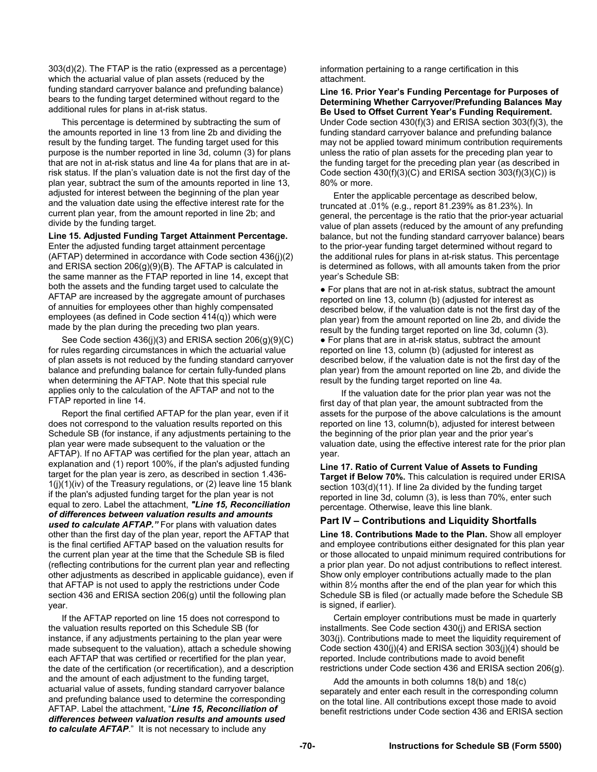303(d)(2). The FTAP is the ratio (expressed as a percentage) which the actuarial value of plan assets (reduced by the funding standard carryover balance and prefunding balance) bears to the funding target determined without regard to the additional rules for plans in at-risk status.

This percentage is determined by subtracting the sum of the amounts reported in line 13 from line 2b and dividing the result by the funding target. The funding target used for this purpose is the number reported in line 3d, column (3) for plans that are not in at-risk status and line 4a for plans that are in atrisk status. If the plan's valuation date is not the first day of the plan year, subtract the sum of the amounts reported in line 13, adjusted for interest between the beginning of the plan year and the valuation date using the effective interest rate for the current plan year, from the amount reported in line 2b; and divide by the funding target.

**Line 15. Adjusted Funding Target Attainment Percentage.** 

Enter the adjusted funding target attainment percentage (AFTAP) determined in accordance with Code section 436(j)(2) and ERISA section 206(g)(9)(B). The AFTAP is calculated in the same manner as the FTAP reported in line 14, except that both the assets and the funding target used to calculate the AFTAP are increased by the aggregate amount of purchases of annuities for employees other than highly compensated employees (as defined in Code section 414(q)) which were made by the plan during the preceding two plan years.

See Code section 436(i)(3) and ERISA section 206(g)(9)(C) for rules regarding circumstances in which the actuarial value of plan assets is not reduced by the funding standard carryover balance and prefunding balance for certain fully-funded plans when determining the AFTAP. Note that this special rule applies only to the calculation of the AFTAP and not to the FTAP reported in line 14.

Report the final certified AFTAP for the plan year, even if it does not correspond to the valuation results reported on this Schedule SB (for instance, if any adjustments pertaining to the plan year were made subsequent to the valuation or the AFTAP). If no AFTAP was certified for the plan year, attach an explanation and (1) report 100%, if the plan's adjusted funding target for the plan year is zero, as described in section 1.436-  $1(j)(1)(iv)$  of the Treasury regulations, or (2) leave line 15 blank if the plan's adjusted funding target for the plan year is not equal to zero. Label the attachment, *"Line 15, Reconciliation of differences between valuation results and amounts used to calculate AFTAP."* For plans with valuation dates other than the first day of the plan year, report the AFTAP that is the final certified AFTAP based on the valuation results for the current plan year at the time that the Schedule SB is filed (reflecting contributions for the current plan year and reflecting other adjustments as described in applicable guidance), even if that AFTAP is not used to apply the restrictions under Code section 436 and ERISA section 206(g) until the following plan year.

If the AFTAP reported on line 15 does not correspond to the valuation results reported on this Schedule SB (for instance, if any adjustments pertaining to the plan year were made subsequent to the valuation), attach a schedule showing each AFTAP that was certified or recertified for the plan year, the date of the certification (or recertification), and a description and the amount of each adjustment to the funding target, actuarial value of assets, funding standard carryover balance and prefunding balance used to determine the corresponding AFTAP. Label the attachment, "*Line 15, Reconciliation of differences between valuation results and amounts used to calculate AFTAP*." It is not necessary to include any

information pertaining to a range certification in this attachment.

**Line 16. Prior Year's Funding Percentage for Purposes of Determining Whether Carryover/Prefunding Balances May Be Used to Offset Current Year's Funding Requirement.**  Under Code section 430(f)(3) and ERISA section 303(f)(3), the funding standard carryover balance and prefunding balance may not be applied toward minimum contribution requirements unless the ratio of plan assets for the preceding plan year to the funding target for the preceding plan year (as described in Code section  $430(f)(3)(C)$  and ERISA section  $303(f)(3)(C)$ ) is 80% or more.

Enter the applicable percentage as described below, truncated at .01% (e.g., report 81.239% as 81.23%). In general, the percentage is the ratio that the prior-year actuarial value of plan assets (reduced by the amount of any prefunding balance, but not the funding standard carryover balance) bears to the prior-year funding target determined without regard to the additional rules for plans in at-risk status. This percentage is determined as follows, with all amounts taken from the prior year's Schedule SB:

● For plans that are not in at-risk status, subtract the amount reported on line 13, column (b) (adjusted for interest as described below, if the valuation date is not the first day of the plan year) from the amount reported on line 2b, and divide the result by the funding target reported on line 3d, column (3). ● For plans that are in at-risk status, subtract the amount reported on line 13, column (b) (adjusted for interest as described below, if the valuation date is not the first day of the plan year) from the amount reported on line 2b, and divide the result by the funding target reported on line 4a.

 If the valuation date for the prior plan year was not the first day of that plan year, the amount subtracted from the assets for the purpose of the above calculations is the amount reported on line 13, column(b), adjusted for interest between the beginning of the prior plan year and the prior year's valuation date, using the effective interest rate for the prior plan year.

**Line 17. Ratio of Current Value of Assets to Funding Target if Below 70%.** This calculation is required under ERISA section 103(d)(11). If line 2a divided by the funding target reported in line 3d, column (3), is less than 70%, enter such percentage. Otherwise, leave this line blank.

## **Part IV – Contributions and Liquidity Shortfalls**

**Line 18. Contributions Made to the Plan.** Show all employer and employee contributions either designated for this plan year or those allocated to unpaid minimum required contributions for a prior plan year. Do not adjust contributions to reflect interest. Show only employer contributions actually made to the plan within 8½ months after the end of the plan year for which this Schedule SB is filed (or actually made before the Schedule SB is signed, if earlier).

Certain employer contributions must be made in quarterly installments. See Code section 430(j) and ERISA section 303(j). Contributions made to meet the liquidity requirement of Code section 430(j)(4) and ERISA section 303(j)(4) should be reported. Include contributions made to avoid benefit restrictions under Code section 436 and ERISA section 206(g).

Add the amounts in both columns 18(b) and 18(c) separately and enter each result in the corresponding column on the total line. All contributions except those made to avoid benefit restrictions under Code section 436 and ERISA section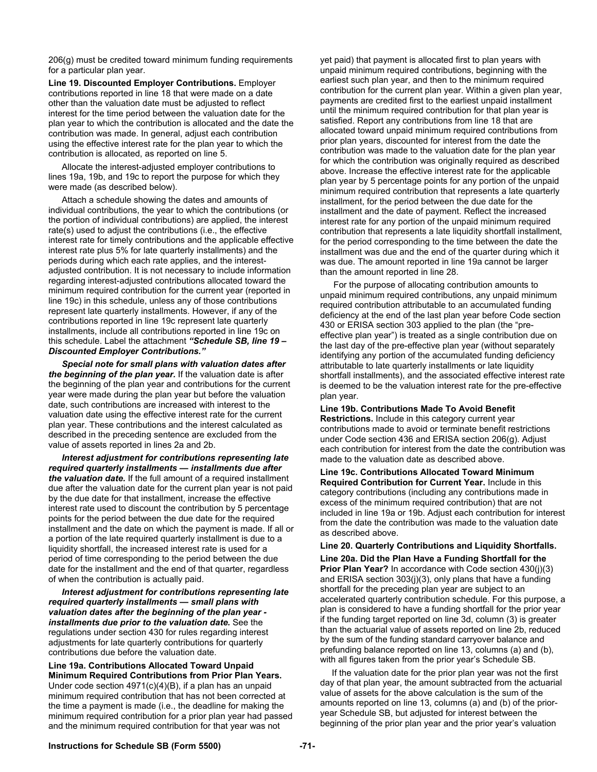206(g) must be credited toward minimum funding requirements for a particular plan year.

**Line 19. Discounted Employer Contributions.** Employer contributions reported in line 18 that were made on a date other than the valuation date must be adjusted to reflect interest for the time period between the valuation date for the plan year to which the contribution is allocated and the date the contribution was made. In general, adjust each contribution using the effective interest rate for the plan year to which the contribution is allocated, as reported on line 5.

Allocate the interest-adjusted employer contributions to lines 19a, 19b, and 19c to report the purpose for which they were made (as described below).

Attach a schedule showing the dates and amounts of individual contributions, the year to which the contributions (or the portion of individual contributions) are applied, the interest rate(s) used to adjust the contributions (i.e., the effective interest rate for timely contributions and the applicable effective interest rate plus 5% for late quarterly installments) and the periods during which each rate applies, and the interestadjusted contribution. It is not necessary to include information regarding interest-adjusted contributions allocated toward the minimum required contribution for the current year (reported in line 19c) in this schedule, unless any of those contributions represent late quarterly installments. However, if any of the contributions reported in line 19c represent late quarterly installments, include all contributions reported in line 19c on this schedule. Label the attachment *"Schedule SB, line 19 – Discounted Employer Contributions."* 

*Special note for small plans with valuation dates after the beginning of the plan year.* If the valuation date is after the beginning of the plan year and contributions for the current year were made during the plan year but before the valuation date, such contributions are increased with interest to the valuation date using the effective interest rate for the current plan year. These contributions and the interest calculated as described in the preceding sentence are excluded from the value of assets reported in lines 2a and 2b.

*Interest adjustment for contributions representing late required quarterly installments — installments due after the valuation date.* If the full amount of a required installment due after the valuation date for the current plan year is not paid by the due date for that installment, increase the effective interest rate used to discount the contribution by 5 percentage points for the period between the due date for the required installment and the date on which the payment is made. If all or a portion of the late required quarterly installment is due to a liquidity shortfall, the increased interest rate is used for a period of time corresponding to the period between the due date for the installment and the end of that quarter, regardless of when the contribution is actually paid.

*Interest adjustment for contributions representing late required quarterly installments — small plans with valuation dates after the beginning of the plan year installments due prior to the valuation date.* See the regulations under section 430 for rules regarding interest adjustments for late quarterly contributions for quarterly contributions due before the valuation date.

**Line 19a. Contributions Allocated Toward Unpaid Minimum Required Contributions from Prior Plan Years.** Under code section 4971(c)(4)(B), if a plan has an unpaid minimum required contribution that has not been corrected at the time a payment is made (i.e., the deadline for making the minimum required contribution for a prior plan year had passed and the minimum required contribution for that year was not

yet paid) that payment is allocated first to plan years with unpaid minimum required contributions, beginning with the earliest such plan year, and then to the minimum required contribution for the current plan year. Within a given plan year, payments are credited first to the earliest unpaid installment until the minimum required contribution for that plan year is satisfied. Report any contributions from line 18 that are allocated toward unpaid minimum required contributions from prior plan years, discounted for interest from the date the contribution was made to the valuation date for the plan year for which the contribution was originally required as described above. Increase the effective interest rate for the applicable plan year by 5 percentage points for any portion of the unpaid minimum required contribution that represents a late quarterly installment, for the period between the due date for the installment and the date of payment. Reflect the increased interest rate for any portion of the unpaid minimum required contribution that represents a late liquidity shortfall installment, for the period corresponding to the time between the date the installment was due and the end of the quarter during which it was due. The amount reported in line 19a cannot be larger than the amount reported in line 28.

For the purpose of allocating contribution amounts to unpaid minimum required contributions, any unpaid minimum required contribution attributable to an accumulated funding deficiency at the end of the last plan year before Code section 430 or ERISA section 303 applied to the plan (the "preeffective plan year") is treated as a single contribution due on the last day of the pre-effective plan year (without separately identifying any portion of the accumulated funding deficiency attributable to late quarterly installments or late liquidity shortfall installments), and the associated effective interest rate is deemed to be the valuation interest rate for the pre-effective plan year.

#### **Line 19b. Contributions Made To Avoid Benefit**

**Restrictions.** Include in this category current year contributions made to avoid or terminate benefit restrictions under Code section 436 and ERISA section 206(g). Adjust each contribution for interest from the date the contribution was made to the valuation date as described above.

**Line 19c. Contributions Allocated Toward Minimum Required Contribution for Current Year.** Include in this category contributions (including any contributions made in excess of the minimum required contribution) that are not included in line 19a or 19b. Adjust each contribution for interest from the date the contribution was made to the valuation date as described above.

#### **Line 20. Quarterly Contributions and Liquidity Shortfalls.**

**Line 20a. Did the Plan Have a Funding Shortfall for the Prior Plan Year?** In accordance with Code section 430(j)(3) and ERISA section 303(j)(3), only plans that have a funding shortfall for the preceding plan year are subject to an accelerated quarterly contribution schedule. For this purpose, a plan is considered to have a funding shortfall for the prior year if the funding target reported on line 3d, column (3) is greater than the actuarial value of assets reported on line 2b, reduced by the sum of the funding standard carryover balance and prefunding balance reported on line 13, columns (a) and (b), with all figures taken from the prior year's Schedule SB.

 If the valuation date for the prior plan year was not the first day of that plan year, the amount subtracted from the actuarial value of assets for the above calculation is the sum of the amounts reported on line 13, columns (a) and (b) of the prioryear Schedule SB, but adjusted for interest between the beginning of the prior plan year and the prior year's valuation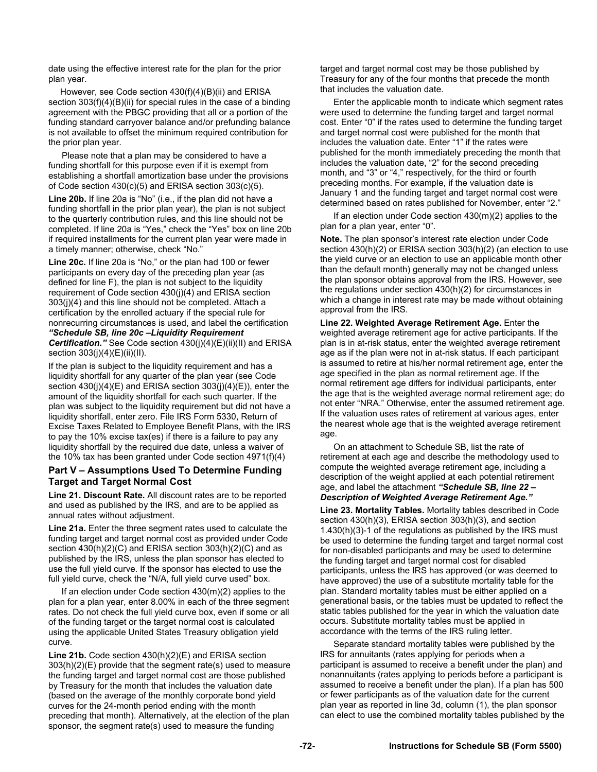date using the effective interest rate for the plan for the prior plan year.

 However, see Code section 430(f)(4)(B)(ii) and ERISA section  $303(f)(4)(B)(ii)$  for special rules in the case of a binding agreement with the PBGC providing that all or a portion of the funding standard carryover balance and/or prefunding balance is not available to offset the minimum required contribution for the prior plan year.

Please note that a plan may be considered to have a funding shortfall for this purpose even if it is exempt from establishing a shortfall amortization base under the provisions of Code section 430(c)(5) and ERISA section 303(c)(5).

**Line 20b.** If line 20a is "No" (i.e., if the plan did not have a funding shortfall in the prior plan year), the plan is not subject to the quarterly contribution rules, and this line should not be completed. If line 20a is "Yes," check the "Yes" box on line 20b if required installments for the current plan year were made in a timely manner; otherwise, check "No."

**Line 20c.** If line 20a is "No," or the plan had 100 or fewer participants on every day of the preceding plan year (as defined for line F), the plan is not subject to the liquidity requirement of Code section 430(j)(4) and ERISA section 303(j)(4) and this line should not be completed. Attach a certification by the enrolled actuary if the special rule for nonrecurring circumstances is used, and label the certification *"Schedule SB, line 20c –Liquidity Requirement Certification."* See Code section 430(j)(4)(E)(ii)(II) and ERISA section 303(j)(4)(E)(ii)(II).

If the plan is subject to the liquidity requirement and has a liquidity shortfall for any quarter of the plan year (see Code section 430(j)(4)(E) and ERISA section 303(j)(4)(E)), enter the amount of the liquidity shortfall for each such quarter. If the plan was subject to the liquidity requirement but did not have a liquidity shortfall, enter zero. File IRS Form 5330, Return of Excise Taxes Related to Employee Benefit Plans, with the IRS to pay the 10% excise tax(es) if there is a failure to pay any liquidity shortfall by the required due date, unless a waiver of the 10% tax has been granted under Code section 4971(f)(4)

### **Part V – Assumptions Used To Determine Funding Target and Target Normal Cost**

**Line 21. Discount Rate.** All discount rates are to be reported and used as published by the IRS, and are to be applied as annual rates without adjustment.

**Line 21a.** Enter the three segment rates used to calculate the funding target and target normal cost as provided under Code section 430(h)(2)(C) and ERISA section 303(h)(2)(C) and as published by the IRS, unless the plan sponsor has elected to use the full yield curve. If the sponsor has elected to use the full yield curve, check the "N/A, full yield curve used" box.

If an election under Code section 430(m)(2) applies to the plan for a plan year, enter 8.00% in each of the three segment rates. Do not check the full yield curve box, even if some or all of the funding target or the target normal cost is calculated using the applicable United States Treasury obligation yield curve.

**Line 21b.** Code section 430(h)(2)(E) and ERISA section 303(h)(2)(E) provide that the segment rate(s) used to measure the funding target and target normal cost are those published by Treasury for the month that includes the valuation date (based on the average of the monthly corporate bond yield curves for the 24-month period ending with the month preceding that month). Alternatively, at the election of the plan sponsor, the segment rate(s) used to measure the funding

target and target normal cost may be those published by Treasury for any of the four months that precede the month that includes the valuation date.

Enter the applicable month to indicate which segment rates were used to determine the funding target and target normal cost. Enter "0" if the rates used to determine the funding target and target normal cost were published for the month that includes the valuation date. Enter "1" if the rates were published for the month immediately preceding the month that includes the valuation date, "2" for the second preceding month, and "3" or "4," respectively, for the third or fourth preceding months. For example, if the valuation date is January 1 and the funding target and target normal cost were determined based on rates published for November, enter "2."

If an election under Code section 430(m)(2) applies to the plan for a plan year, enter "0".

**Note.** The plan sponsor's interest rate election under Code section 430(h)(2) or ERISA section 303(h)(2) (an election to use the yield curve or an election to use an applicable month other than the default month) generally may not be changed unless the plan sponsor obtains approval from the IRS. However, see the regulations under section 430(h)(2) for circumstances in which a change in interest rate may be made without obtaining approval from the IRS.

**Line 22. Weighted Average Retirement Age.** Enter the weighted average retirement age for active participants. If the plan is in at-risk status, enter the weighted average retirement age as if the plan were not in at-risk status. If each participant is assumed to retire at his/her normal retirement age, enter the age specified in the plan as normal retirement age. If the normal retirement age differs for individual participants, enter the age that is the weighted average normal retirement age; do not enter "NRA." Otherwise, enter the assumed retirement age. If the valuation uses rates of retirement at various ages, enter the nearest whole age that is the weighted average retirement age.

On an attachment to Schedule SB, list the rate of retirement at each age and describe the methodology used to compute the weighted average retirement age, including a description of the weight applied at each potential retirement age, and label the attachment *"Schedule SB, line 22 – Description of Weighted Average Retirement Age."* 

**Line 23. Mortality Tables.** Mortality tables described in Code section 430(h)(3), ERISA section 303(h)(3), and section 1.430(h)(3)-1 of the regulations as published by the IRS must be used to determine the funding target and target normal cost for non-disabled participants and may be used to determine the funding target and target normal cost for disabled participants, unless the IRS has approved (or was deemed to have approved) the use of a substitute mortality table for the plan. Standard mortality tables must be either applied on a generational basis, or the tables must be updated to reflect the static tables published for the year in which the valuation date occurs. Substitute mortality tables must be applied in accordance with the terms of the IRS ruling letter.

Separate standard mortality tables were published by the IRS for annuitants (rates applying for periods when a participant is assumed to receive a benefit under the plan) and nonannuitants (rates applying to periods before a participant is assumed to receive a benefit under the plan). If a plan has 500 or fewer participants as of the valuation date for the current plan year as reported in line 3d, column (1), the plan sponsor can elect to use the combined mortality tables published by the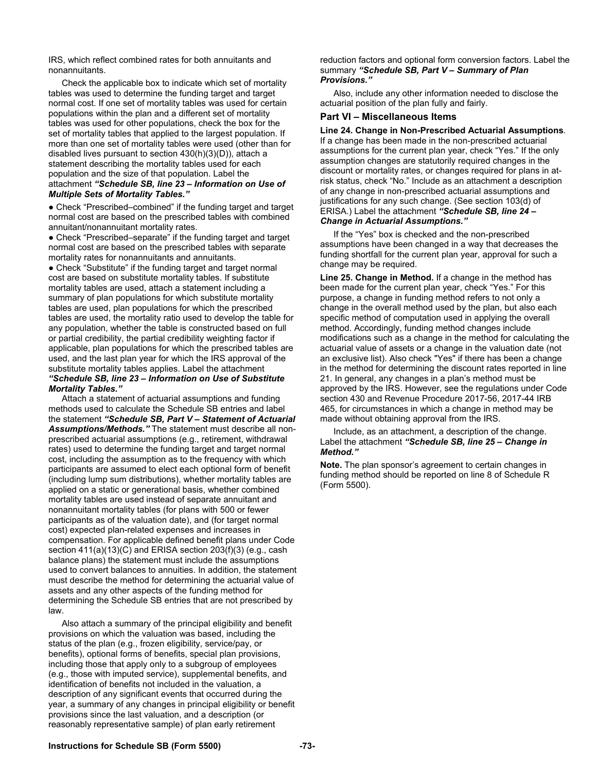IRS, which reflect combined rates for both annuitants and nonannuitants.

Check the applicable box to indicate which set of mortality tables was used to determine the funding target and target normal cost. If one set of mortality tables was used for certain populations within the plan and a different set of mortality tables was used for other populations, check the box for the set of mortality tables that applied to the largest population. If more than one set of mortality tables were used (other than for disabled lives pursuant to section 430(h)(3)(D)), attach a statement describing the mortality tables used for each population and the size of that population. Label the attachment *"Schedule SB, line 23 – Information on Use of Multiple Sets of Mortality Tables."* 

● Check "Prescribed–combined" if the funding target and target normal cost are based on the prescribed tables with combined annuitant/nonannuitant mortality rates.

• Check "Prescribed–separate" if the funding target and target normal cost are based on the prescribed tables with separate mortality rates for nonannuitants and annuitants.

• Check "Substitute" if the funding target and target normal cost are based on substitute mortality tables. If substitute mortality tables are used, attach a statement including a summary of plan populations for which substitute mortality tables are used, plan populations for which the prescribed tables are used, the mortality ratio used to develop the table for any population, whether the table is constructed based on full or partial credibility, the partial credibility weighting factor if applicable, plan populations for which the prescribed tables are used, and the last plan year for which the IRS approval of the substitute mortality tables applies. Label the attachment

#### *"Schedule SB, line 23 – Information on Use of Substitute Mortality Tables."*

Attach a statement of actuarial assumptions and funding methods used to calculate the Schedule SB entries and label the statement *"Schedule SB, Part V – Statement of Actuarial Assumptions/Methods."* The statement must describe all nonprescribed actuarial assumptions (e.g., retirement, withdrawal rates) used to determine the funding target and target normal cost, including the assumption as to the frequency with which participants are assumed to elect each optional form of benefit (including lump sum distributions), whether mortality tables are applied on a static or generational basis, whether combined mortality tables are used instead of separate annuitant and nonannuitant mortality tables (for plans with 500 or fewer participants as of the valuation date), and (for target normal cost) expected plan-related expenses and increases in compensation. For applicable defined benefit plans under Code section 411(a)(13)(C) and ERISA section 203(f)(3) (e.g., cash balance plans) the statement must include the assumptions used to convert balances to annuities. In addition, the statement must describe the method for determining the actuarial value of assets and any other aspects of the funding method for determining the Schedule SB entries that are not prescribed by law.

Also attach a summary of the principal eligibility and benefit provisions on which the valuation was based, including the status of the plan (e.g., frozen eligibility, service/pay, or benefits), optional forms of benefits, special plan provisions, including those that apply only to a subgroup of employees (e.g., those with imputed service), supplemental benefits, and identification of benefits not included in the valuation, a description of any significant events that occurred during the year, a summary of any changes in principal eligibility or benefit provisions since the last valuation, and a description (or reasonably representative sample) of plan early retirement

reduction factors and optional form conversion factors. Label the summary *"Schedule SB, Part V – Summary of Plan Provisions."* 

Also, include any other information needed to disclose the actuarial position of the plan fully and fairly.

# **Part VI – Miscellaneous Items**

**Line 24. Change in Non-Prescribed Actuarial Assumptions**. If a change has been made in the non-prescribed actuarial assumptions for the current plan year, check "Yes." If the only assumption changes are statutorily required changes in the discount or mortality rates, or changes required for plans in atrisk status, check "No." Include as an attachment a description of any change in non-prescribed actuarial assumptions and justifications for any such change. (See section 103(d) of ERISA.) Label the attachment *"Schedule SB, line 24 – Change in Actuarial Assumptions."* 

If the "Yes" box is checked and the non-prescribed assumptions have been changed in a way that decreases the funding shortfall for the current plan year, approval for such a change may be required.

**Line 25. Change in Method.** If a change in the method has been made for the current plan year, check "Yes." For this purpose, a change in funding method refers to not only a change in the overall method used by the plan, but also each specific method of computation used in applying the overall method. Accordingly, funding method changes include modifications such as a change in the method for calculating the actuarial value of assets or a change in the valuation date (not an exclusive list). Also check "Yes" if there has been a change in the method for determining the discount rates reported in line 21. In general, any changes in a plan's method must be approved by the IRS. However, see the regulations under Code section 430 and Revenue Procedure 2017-56, 2017-44 IRB 465, for circumstances in which a change in method may be made without obtaining approval from the IRS.

Include, as an attachment, a description of the change. Label the attachment *"Schedule SB, line 25 – Change in Method."* 

**Note.** The plan sponsor's agreement to certain changes in funding method should be reported on line 8 of Schedule R (Form 5500).

# **Instructions for Schedule SB (Form 5500) -73-**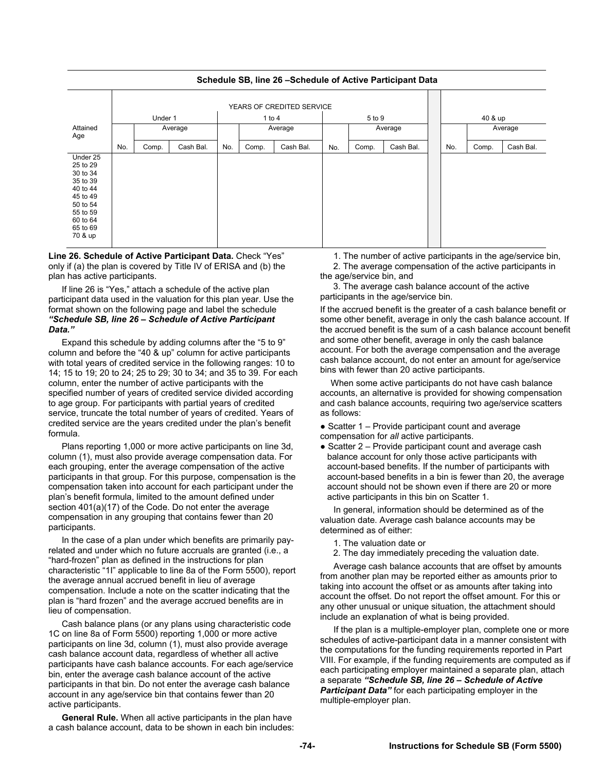

# **Schedule SB, line 26 –Schedule of Active Participant Data**

**Line 26. Schedule of Active Participant Data.** Check "Yes" only if (a) the plan is covered by Title IV of ERISA and (b) the plan has active participants.

If line 26 is "Yes," attach a schedule of the active plan participant data used in the valuation for this plan year. Use the format shown on the following page and label the schedule *"Schedule SB, line 26 – Schedule of Active Participant Data."* 

Expand this schedule by adding columns after the "5 to 9" column and before the "40 & up" column for active participants with total years of credited service in the following ranges: 10 to 14; 15 to 19; 20 to 24; 25 to 29; 30 to 34; and 35 to 39. For each column, enter the number of active participants with the specified number of years of credited service divided according to age group. For participants with partial years of credited service, truncate the total number of years of credited. Years of credited service are the years credited under the plan's benefit formula.

Plans reporting 1,000 or more active participants on line 3d, column (1), must also provide average compensation data. For each grouping, enter the average compensation of the active participants in that group. For this purpose, compensation is the compensation taken into account for each participant under the plan's benefit formula, limited to the amount defined under section 401(a)(17) of the Code. Do not enter the average compensation in any grouping that contains fewer than 20 participants.

In the case of a plan under which benefits are primarily payrelated and under which no future accruals are granted (i.e., a "hard-frozen" plan as defined in the instructions for plan characteristic "1I" applicable to line 8a of the Form 5500), report the average annual accrued benefit in lieu of average compensation. Include a note on the scatter indicating that the plan is "hard frozen" and the average accrued benefits are in lieu of compensation.

Cash balance plans (or any plans using characteristic code 1C on line 8a of Form 5500) reporting 1,000 or more active participants on line 3d, column (1), must also provide average cash balance account data, regardless of whether all active participants have cash balance accounts. For each age/service bin, enter the average cash balance account of the active participants in that bin. Do not enter the average cash balance account in any age/service bin that contains fewer than 20 active participants.

**General Rule.** When all active participants in the plan have a cash balance account, data to be shown in each bin includes:

1. The number of active participants in the age/service bin, 2. The average compensation of the active participants in the age/service bin, and

3. The average cash balance account of the active participants in the age/service bin.

If the accrued benefit is the greater of a cash balance benefit or some other benefit, average in only the cash balance account. If the accrued benefit is the sum of a cash balance account benefit and some other benefit, average in only the cash balance account. For both the average compensation and the average cash balance account, do not enter an amount for age/service bins with fewer than 20 active participants.

When some active participants do not have cash balance accounts, an alternative is provided for showing compensation and cash balance accounts, requiring two age/service scatters as follows:

- Scatter 1 Provide participant count and average compensation for *all* active participants.
- Scatter 2 Provide participant count and average cash balance account for only those active participants with account-based benefits. If the number of participants with account-based benefits in a bin is fewer than 20, the average account should not be shown even if there are 20 or more active participants in this bin on Scatter 1.

In general, information should be determined as of the valuation date. Average cash balance accounts may be determined as of either:

- 1. The valuation date or
- 2. The day immediately preceding the valuation date.

Average cash balance accounts that are offset by amounts from another plan may be reported either as amounts prior to taking into account the offset or as amounts after taking into account the offset. Do not report the offset amount. For this or any other unusual or unique situation, the attachment should include an explanation of what is being provided.

If the plan is a multiple-employer plan, complete one or more schedules of active-participant data in a manner consistent with the computations for the funding requirements reported in Part VIII. For example, if the funding requirements are computed as if each participating employer maintained a separate plan, attach a separate *"Schedule SB, line 26 – Schedule of Active Participant Data"* for each participating employer in the multiple-employer plan.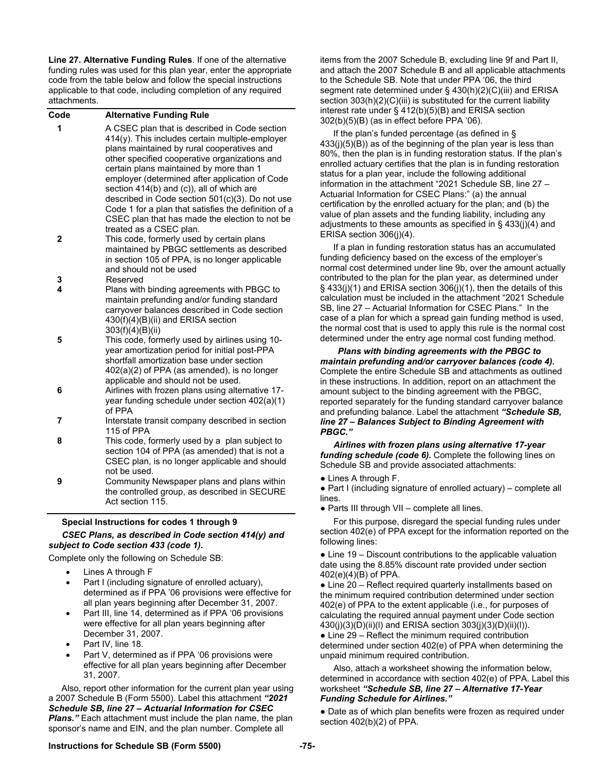**Line 27. Alternative Funding Rules**. If one of the alternative funding rules was used for this plan year, enter the appropriate code from the table below and follow the special instructions applicable to that code, including completion of any required attachments.

| Code         | <b>Alternative Funding Rule</b>                                                                                                                                                                                                                                                                                                                                                                                                                                                                                                   |
|--------------|-----------------------------------------------------------------------------------------------------------------------------------------------------------------------------------------------------------------------------------------------------------------------------------------------------------------------------------------------------------------------------------------------------------------------------------------------------------------------------------------------------------------------------------|
| 1            | A CSEC plan that is described in Code section<br>414(y). This includes certain multiple-employer<br>plans maintained by rural cooperatives and<br>other specified cooperative organizations and<br>certain plans maintained by more than 1<br>employer (determined after application of Code<br>section 414(b) and (c)), all of which are<br>described in Code section 501(c)(3). Do not use<br>Code 1 for a plan that satisfies the definition of a<br>CSEC plan that has made the election to not be<br>treated as a CSEC plan. |
| $\mathbf{2}$ | This code, formerly used by certain plans<br>maintained by PBGC settlements as described<br>in section 105 of PPA, is no longer applicable<br>and should not be used                                                                                                                                                                                                                                                                                                                                                              |
| 3<br>4       | Reserved                                                                                                                                                                                                                                                                                                                                                                                                                                                                                                                          |
| 5            | Plans with binding agreements with PBGC to<br>maintain prefunding and/or funding standard<br>carryover balances described in Code section<br>430(f)(4)(B)(ii) and ERISA section<br>303(f)(4)(B)(ii)<br>This code, formerly used by airlines using 10-<br>year amortization period for initial post-PPA<br>shortfall amortization base under section                                                                                                                                                                               |
| 6            | 402(a)(2) of PPA (as amended), is no longer<br>applicable and should not be used.<br>Airlines with frozen plans using alternative 17-<br>year funding schedule under section 402(a)(1)<br>of PPA                                                                                                                                                                                                                                                                                                                                  |
| 7            | Interstate transit company described in section<br>115 of PPA                                                                                                                                                                                                                                                                                                                                                                                                                                                                     |
| 8            | This code, formerly used by a plan subject to<br>section 104 of PPA (as amended) that is not a<br>CSEC plan, is no longer applicable and should<br>not be used.                                                                                                                                                                                                                                                                                                                                                                   |
| 9            | Community Newspaper plans and plans within<br>the controlled group, as described in SECURE<br>Act section 115.                                                                                                                                                                                                                                                                                                                                                                                                                    |

# **Special Instructions for codes 1 through 9**

# *CSEC Plans, as described in Code section 414(y) and subject to Code section 433 (code 1).*

Complete only the following on Schedule SB:

- Lines A through F
- Part I (including signature of enrolled actuary), determined as if PPA '06 provisions were effective for all plan years beginning after December 31, 2007.
- Part III, line 14, determined as if PPA '06 provisions were effective for all plan years beginning after December 31, 2007.
- Part IV, line 18.
- Part V, determined as if PPA '06 provisions were effective for all plan years beginning after December 31, 2007.

Also, report other information for the current plan year using a 2007 Schedule B (Form 5500). Label this attachment *"2021 Schedule SB, line 27 – Actuarial Information for CSEC Plans."* Each attachment must include the plan name, the plan sponsor's name and EIN, and the plan number. Complete all

items from the 2007 Schedule B, excluding line 9f and Part II, and attach the 2007 Schedule B and all applicable attachments to the Schedule SB. Note that under PPA '06, the third segment rate determined under § 430(h)(2)(C)(iii) and ERISA section 303(h)(2)(C)(iii) is substituted for the current liability interest rate under § 412(b)(5)(B) and ERISA section 302(b)(5)(B) (as in effect before PPA '06).

If the plan's funded percentage (as defined in §  $433(j)(5)(B)$ ) as of the beginning of the plan year is less than 80%, then the plan is in funding restoration status. If the plan's enrolled actuary certifies that the plan is in funding restoration status for a plan year, include the following additional information in the attachment "2021 Schedule SB, line 27 – Actuarial Information for CSEC Plans:" (a) the annual certification by the enrolled actuary for the plan; and (b) the value of plan assets and the funding liability, including any adjustments to these amounts as specified in § 433(j)(4) and ERISA section 306(j)(4).

If a plan in funding restoration status has an accumulated funding deficiency based on the excess of the employer's normal cost determined under line 9b, over the amount actually contributed to the plan for the plan year, as determined under § 433(j)(1) and ERISA section 306(j)(1), then the details of this calculation must be included in the attachment "2021 Schedule SB, line 27 – Actuarial Information for CSEC Plans." In the case of a plan for which a spread gain funding method is used, the normal cost that is used to apply this rule is the normal cost determined under the entry age normal cost funding method.

*Plans with binding agreements with the PBGC to maintain prefunding and/or carryover balances (code 4).*  Complete the entire Schedule SB and attachments as outlined in these instructions. In addition, report on an attachment the amount subject to the binding agreement with the PBGC, reported separately for the funding standard carryover balance and prefunding balance. Label the attachment *"Schedule SB, line 27 – Balances Subject to Binding Agreement with PBGC."* 

*Airlines with frozen plans using alternative 17-year funding schedule (code 6).* Complete the following lines on Schedule SB and provide associated attachments:

● Lines A through F.

● Part I (including signature of enrolled actuary) – complete all lines.

● Parts III through VII – complete all lines.

For this purpose, disregard the special funding rules under section 402(e) of PPA except for the information reported on the following lines:

● Line 19 – Discount contributions to the applicable valuation date using the 8.85% discount rate provided under section 402(e)(4)(B) of PPA.

• Line 20 – Reflect required quarterly installments based on the minimum required contribution determined under section 402(e) of PPA to the extent applicable (i.e., for purposes of calculating the required annual payment under Code section 430(j)(3)(D)(ii)(l) and ERISA section 303(j)(3)(D)(ii)(l)).

• Line 29 – Reflect the minimum required contribution determined under section 402(e) of PPA when determining the unpaid minimum required contribution.

Also, attach a worksheet showing the information below, determined in accordance with section 402(e) of PPA. Label this worksheet *"Schedule SB, line 27 – Alternative 17-Year Funding Schedule for Airlines."* 

● Date as of which plan benefits were frozen as required under section 402(b)(2) of PPA.

# **Instructions for Schedule SB (Form 5500) -75-**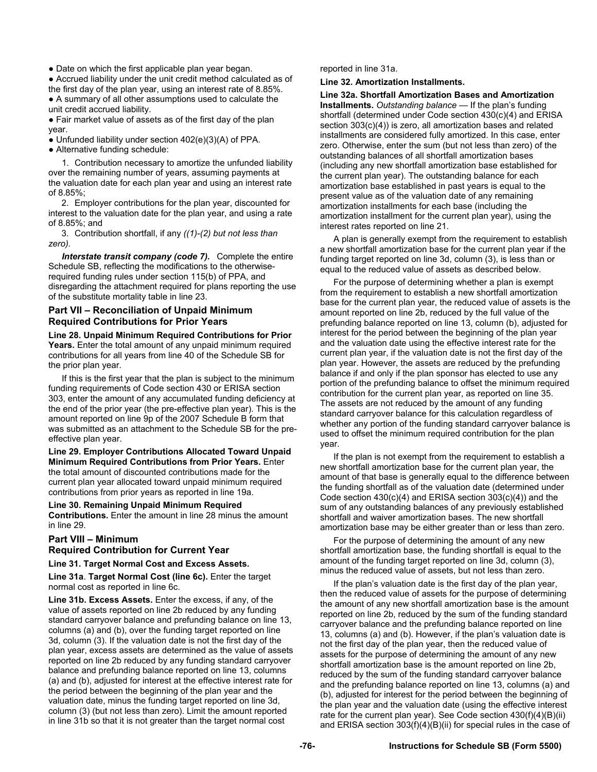• Date on which the first applicable plan year began.

● Accrued liability under the unit credit method calculated as of the first day of the plan year, using an interest rate of 8.85%.

● A summary of all other assumptions used to calculate the unit credit accrued liability.

• Fair market value of assets as of the first day of the plan year.

● Unfunded liability under section 402(e)(3)(A) of PPA.

● Alternative funding schedule:

1. Contribution necessary to amortize the unfunded liability over the remaining number of years, assuming payments at the valuation date for each plan year and using an interest rate of 8.85%;

2. Employer contributions for the plan year, discounted for interest to the valuation date for the plan year, and using a rate of 8.85%; and

3. Contribution shortfall, if any *((1)-(2) but not less than zero).*

*Interstate transit company (code 7).* Complete the entire Schedule SB, reflecting the modifications to the otherwiserequired funding rules under section 115(b) of PPA, and disregarding the attachment required for plans reporting the use of the substitute mortality table in line 23.

# **Part VII – Reconciliation of Unpaid Minimum Required Contributions for Prior Years**

**Line 28. Unpaid Minimum Required Contributions for Prior Years.** Enter the total amount of any unpaid minimum required contributions for all years from line 40 of the Schedule SB for the prior plan year.

If this is the first year that the plan is subject to the minimum funding requirements of Code section 430 or ERISA section 303, enter the amount of any accumulated funding deficiency at the end of the prior year (the pre-effective plan year). This is the amount reported on line 9p of the 2007 Schedule B form that was submitted as an attachment to the Schedule SB for the preeffective plan year.

**Line 29. Employer Contributions Allocated Toward Unpaid Minimum Required Contributions from Prior Years.** Enter the total amount of discounted contributions made for the current plan year allocated toward unpaid minimum required contributions from prior years as reported in line 19a.

**Line 30. Remaining Unpaid Minimum Required Contributions.** Enter the amount in line 28 minus the amount in line 29.

# **Part VIII – Minimum Required Contribution for Current Year**

# **Line 31. Target Normal Cost and Excess Assets.**

**Line 31a**. **Target Normal Cost (line 6c).** Enter the target normal cost as reported in line 6c.

**Line 31b. Excess Assets.** Enter the excess, if any, of the value of assets reported on line 2b reduced by any funding standard carryover balance and prefunding balance on line 13, columns (a) and (b), over the funding target reported on line 3d, column (3). If the valuation date is not the first day of the plan year, excess assets are determined as the value of assets reported on line 2b reduced by any funding standard carryover balance and prefunding balance reported on line 13, columns (a) and (b), adjusted for interest at the effective interest rate for the period between the beginning of the plan year and the valuation date, minus the funding target reported on line 3d, column (3) (but not less than zero). Limit the amount reported in line 31b so that it is not greater than the target normal cost

reported in line 31a.

**Line 32. Amortization Installments.**

**Line 32a. Shortfall Amortization Bases and Amortization Installments.** *Outstanding balance* — If the plan's funding shortfall (determined under Code section 430(c)(4) and ERISA section 303(c)(4)) is zero, all amortization bases and related installments are considered fully amortized. In this case, enter zero. Otherwise, enter the sum (but not less than zero) of the outstanding balances of all shortfall amortization bases (including any new shortfall amortization base established for the current plan year). The outstanding balance for each amortization base established in past years is equal to the present value as of the valuation date of any remaining amortization installments for each base (including the amortization installment for the current plan year), using the interest rates reported on line 21.

A plan is generally exempt from the requirement to establish a new shortfall amortization base for the current plan year if the funding target reported on line 3d, column (3), is less than or equal to the reduced value of assets as described below.

For the purpose of determining whether a plan is exempt from the requirement to establish a new shortfall amortization base for the current plan year, the reduced value of assets is the amount reported on line 2b, reduced by the full value of the prefunding balance reported on line 13, column (b), adjusted for interest for the period between the beginning of the plan year and the valuation date using the effective interest rate for the current plan year, if the valuation date is not the first day of the plan year. However, the assets are reduced by the prefunding balance if and only if the plan sponsor has elected to use any portion of the prefunding balance to offset the minimum required contribution for the current plan year, as reported on line 35. The assets are not reduced by the amount of any funding standard carryover balance for this calculation regardless of whether any portion of the funding standard carryover balance is used to offset the minimum required contribution for the plan year.

If the plan is not exempt from the requirement to establish a new shortfall amortization base for the current plan year, the amount of that base is generally equal to the difference between the funding shortfall as of the valuation date (determined under Code section 430(c)(4) and ERISA section 303(c)(4)) and the sum of any outstanding balances of any previously established shortfall and waiver amortization bases. The new shortfall amortization base may be either greater than or less than zero.

For the purpose of determining the amount of any new shortfall amortization base, the funding shortfall is equal to the amount of the funding target reported on line 3d, column (3), minus the reduced value of assets, but not less than zero.

If the plan's valuation date is the first day of the plan year, then the reduced value of assets for the purpose of determining the amount of any new shortfall amortization base is the amount reported on line 2b, reduced by the sum of the funding standard carryover balance and the prefunding balance reported on line 13, columns (a) and (b). However, if the plan's valuation date is not the first day of the plan year, then the reduced value of assets for the purpose of determining the amount of any new shortfall amortization base is the amount reported on line 2b, reduced by the sum of the funding standard carryover balance and the prefunding balance reported on line 13, columns (a) and (b), adjusted for interest for the period between the beginning of the plan year and the valuation date (using the effective interest rate for the current plan year). See Code section 430(f)(4)(B)(ii) and ERISA section 303(f)(4)(B)(ii) for special rules in the case of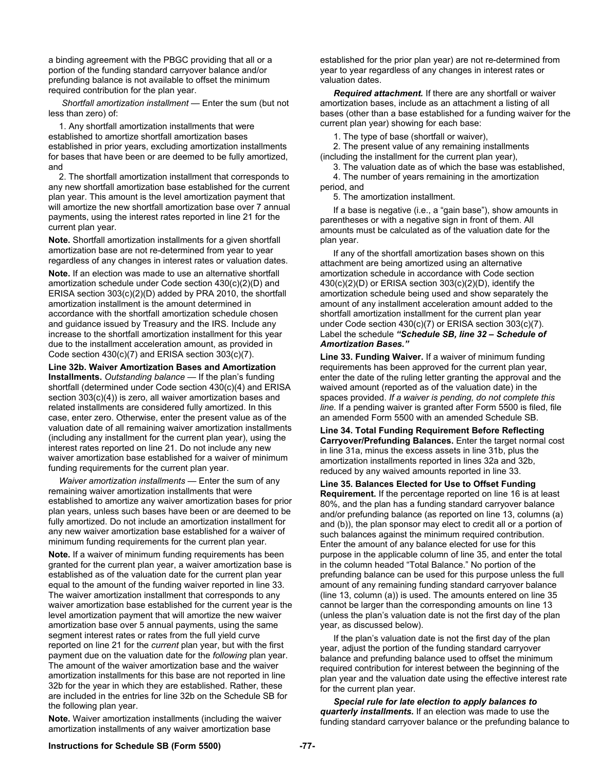a binding agreement with the PBGC providing that all or a portion of the funding standard carryover balance and/or prefunding balance is not available to offset the minimum required contribution for the plan year.

*Shortfall amortization installment —* Enter the sum (but not less than zero) of:

1. Any shortfall amortization installments that were established to amortize shortfall amortization bases established in prior years, excluding amortization installments for bases that have been or are deemed to be fully amortized, and

2. The shortfall amortization installment that corresponds to any new shortfall amortization base established for the current plan year. This amount is the level amortization payment that will amortize the new shortfall amortization base over 7 annual payments, using the interest rates reported in line 21 for the current plan year.

**Note.** Shortfall amortization installments for a given shortfall amortization base are not re-determined from year to year regardless of any changes in interest rates or valuation dates.

**Note.** If an election was made to use an alternative shortfall amortization schedule under Code section 430(c)(2)(D) and ERISA section 303(c)(2)(D) added by PRA 2010, the shortfall amortization installment is the amount determined in accordance with the shortfall amortization schedule chosen and guidance issued by Treasury and the IRS. Include any increase to the shortfall amortization installment for this year due to the installment acceleration amount, as provided in Code section 430(c)(7) and ERISA section 303(c)(7).

**Line 32b. Waiver Amortization Bases and Amortization Installments.** *Outstanding balance —* If the plan's funding shortfall (determined under Code section 430(c)(4) and ERISA section 303(c)(4)) is zero, all waiver amortization bases and related installments are considered fully amortized. In this case, enter zero. Otherwise, enter the present value as of the valuation date of all remaining waiver amortization installments (including any installment for the current plan year), using the interest rates reported on line 21. Do not include any new waiver amortization base established for a waiver of minimum funding requirements for the current plan year.

*Waiver amortization installments* — Enter the sum of any remaining waiver amortization installments that were established to amortize any waiver amortization bases for prior plan years, unless such bases have been or are deemed to be fully amortized. Do not include an amortization installment for any new waiver amortization base established for a waiver of minimum funding requirements for the current plan year.

**Note.** If a waiver of minimum funding requirements has been granted for the current plan year, a waiver amortization base is established as of the valuation date for the current plan year equal to the amount of the funding waiver reported in line 33. The waiver amortization installment that corresponds to any waiver amortization base established for the current year is the level amortization payment that will amortize the new waiver amortization base over 5 annual payments, using the same segment interest rates or rates from the full yield curve reported on line 21 for the *current* plan year, but with the first payment due on the valuation date for the *following* plan year. The amount of the waiver amortization base and the waiver amortization installments for this base are not reported in line 32b for the year in which they are established. Rather, these are included in the entries for line 32b on the Schedule SB for the following plan year.

**Note.** Waiver amortization installments (including the waiver amortization installments of any waiver amortization base

established for the prior plan year) are not re-determined from year to year regardless of any changes in interest rates or valuation dates.

*Required attachment.* If there are any shortfall or waiver amortization bases, include as an attachment a listing of all bases (other than a base established for a funding waiver for the current plan year) showing for each base:

1. The type of base (shortfall or waiver),

2. The present value of any remaining installments (including the installment for the current plan year),

3. The valuation date as of which the base was established, 4. The number of years remaining in the amortization period, and

5. The amortization installment.

 If a base is negative (i.e., a "gain base"), show amounts in parentheses or with a negative sign in front of them. All amounts must be calculated as of the valuation date for the plan year.

 If any of the shortfall amortization bases shown on this attachment are being amortized using an alternative amortization schedule in accordance with Code section 430(c)(2)(D) or ERISA section 303(c)(2)(D), identify the amortization schedule being used and show separately the amount of any installment acceleration amount added to the shortfall amortization installment for the current plan year under Code section 430(c)(7) or ERISA section 303(c)(7). Label the schedule *"Schedule SB, line 32 – Schedule of Amortization Bases."*

**Line 33. Funding Waiver.** If a waiver of minimum funding requirements has been approved for the current plan year, enter the date of the ruling letter granting the approval and the waived amount (reported as of the valuation date) in the spaces provided. *If a waiver is pending, do not complete this line.* If a pending waiver is granted after Form 5500 is filed, file an amended Form 5500 with an amended Schedule SB.

**Line 34. Total Funding Requirement Before Reflecting Carryover/Prefunding Balances.** Enter the target normal cost in line 31a, minus the excess assets in line 31b, plus the amortization installments reported in lines 32a and 32b, reduced by any waived amounts reported in line 33.

**Line 35. Balances Elected for Use to Offset Funding Requirement.** If the percentage reported on line 16 is at least 80%, and the plan has a funding standard carryover balance and/or prefunding balance (as reported on line 13, columns (a) and (b)), the plan sponsor may elect to credit all or a portion of such balances against the minimum required contribution. Enter the amount of any balance elected for use for this purpose in the applicable column of line 35, and enter the total in the column headed "Total Balance." No portion of the prefunding balance can be used for this purpose unless the full amount of any remaining funding standard carryover balance (line 13, column (a)) is used. The amounts entered on line 35 cannot be larger than the corresponding amounts on line 13 (unless the plan's valuation date is not the first day of the plan year, as discussed below).

If the plan's valuation date is not the first day of the plan year, adjust the portion of the funding standard carryover balance and prefunding balance used to offset the minimum required contribution for interest between the beginning of the plan year and the valuation date using the effective interest rate for the current plan year.

*Special rule for late election to apply balances to quarterly installments.* If an election was made to use the funding standard carryover balance or the prefunding balance to

# **Instructions for Schedule SB (Form 5500) -77-**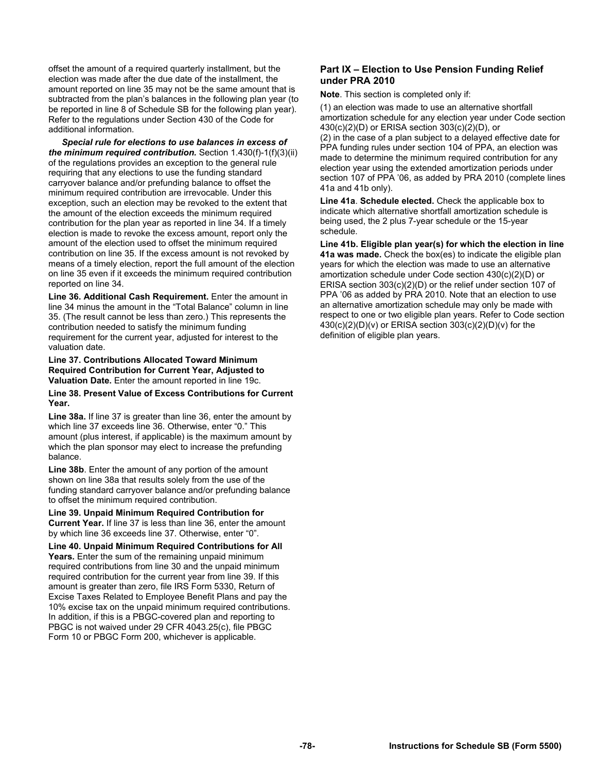offset the amount of a required quarterly installment, but the election was made after the due date of the installment, the amount reported on line 35 may not be the same amount that is subtracted from the plan's balances in the following plan year (to be reported in line 8 of Schedule SB for the following plan year). Refer to the regulations under Section 430 of the Code for additional information.

*Special rule for elections to use balances in excess of the minimum required contribution.* Section 1.430(f)-1(f)(3)(ii) of the regulations provides an exception to the general rule requiring that any elections to use the funding standard carryover balance and/or prefunding balance to offset the minimum required contribution are irrevocable. Under this exception, such an election may be revoked to the extent that the amount of the election exceeds the minimum required contribution for the plan year as reported in line 34. If a timely election is made to revoke the excess amount, report only the amount of the election used to offset the minimum required contribution on line 35. If the excess amount is not revoked by means of a timely election, report the full amount of the election on line 35 even if it exceeds the minimum required contribution reported on line 34.

**Line 36. Additional Cash Requirement.** Enter the amount in line 34 minus the amount in the "Total Balance" column in line 35. (The result cannot be less than zero.) This represents the contribution needed to satisfy the minimum funding requirement for the current year, adjusted for interest to the valuation date.

#### **Line 37. Contributions Allocated Toward Minimum Required Contribution for Current Year, Adjusted to Valuation Date.** Enter the amount reported in line 19c.

#### **Line 38. Present Value of Excess Contributions for Current Year.**

**Line 38a.** If line 37 is greater than line 36, enter the amount by which line 37 exceeds line 36. Otherwise, enter "0." This amount (plus interest, if applicable) is the maximum amount by which the plan sponsor may elect to increase the prefunding balance.

**Line 38b**. Enter the amount of any portion of the amount shown on line 38a that results solely from the use of the funding standard carryover balance and/or prefunding balance to offset the minimum required contribution.

**Line 39. Unpaid Minimum Required Contribution for Current Year.** If line 37 is less than line 36, enter the amount by which line 36 exceeds line 37. Otherwise, enter "0".

**Line 40. Unpaid Minimum Required Contributions for All Years.** Enter the sum of the remaining unpaid minimum required contributions from line 30 and the unpaid minimum required contribution for the current year from line 39. If this amount is greater than zero, file IRS Form 5330, Return of Excise Taxes Related to Employee Benefit Plans and pay the 10% excise tax on the unpaid minimum required contributions. In addition, if this is a PBGC-covered plan and reporting to PBGC is not waived under 29 CFR 4043.25(c), file PBGC Form 10 or PBGC Form 200, whichever is applicable.

# **Part IX – Election to Use Pension Funding Relief under PRA 2010**

**Note**. This section is completed only if:

(1) an election was made to use an alternative shortfall amortization schedule for any election year under Code section 430(c)(2)(D) or ERISA section 303(c)(2)(D), or (2) in the case of a plan subject to a delayed effective date for PPA funding rules under section 104 of PPA, an election was made to determine the minimum required contribution for any

election year using the extended amortization periods under section 107 of PPA '06, as added by PRA 2010 (complete lines 41a and 41b only).

**Line 41a**. **Schedule elected.** Check the applicable box to indicate which alternative shortfall amortization schedule is being used, the 2 plus 7-year schedule or the 15-year schedule.

**Line 41b. Eligible plan year(s) for which the election in line 41a was made.** Check the box(es) to indicate the eligible plan years for which the election was made to use an alternative amortization schedule under Code section 430(c)(2)(D) or ERISA section 303(c)(2)(D) or the relief under section 107 of PPA '06 as added by PRA 2010. Note that an election to use an alternative amortization schedule may only be made with respect to one or two eligible plan years. Refer to Code section 430(c)(2)(D)(v) or ERISA section 303(c)(2)(D)(v) for the definition of eligible plan years.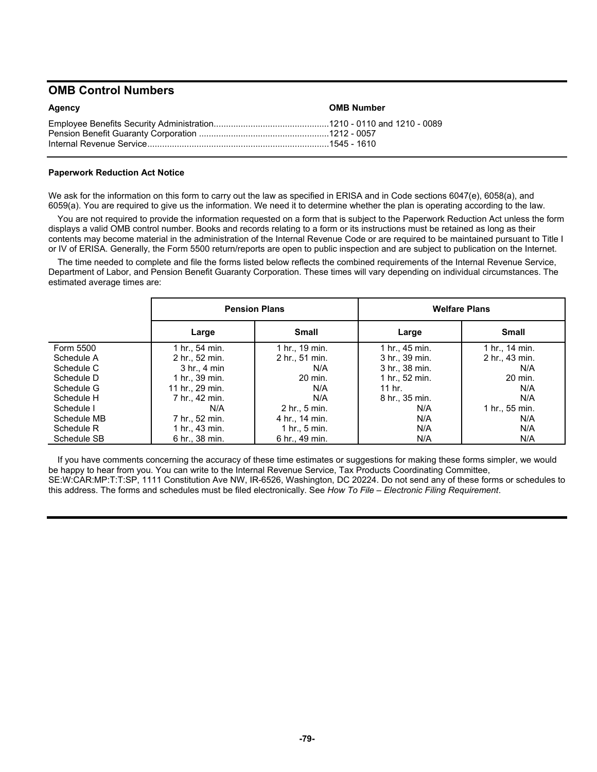# **OMB Control Numbers**

| Agency | <b>OMB Number</b> |
|--------|-------------------|
|        |                   |

# **Paperwork Reduction Act Notice**

We ask for the information on this form to carry out the law as specified in ERISA and in Code sections 6047(e), 6058(a), and 6059(a). You are required to give us the information. We need it to determine whether the plan is operating according to the law.

You are not required to provide the information requested on a form that is subject to the Paperwork Reduction Act unless the form displays a valid OMB control number. Books and records relating to a form or its instructions must be retained as long as their contents may become material in the administration of the Internal Revenue Code or are required to be maintained pursuant to Title I or IV of ERISA. Generally, the Form 5500 return/reports are open to public inspection and are subject to publication on the Internet.

The time needed to complete and file the forms listed below reflects the combined requirements of the Internal Revenue Service, Department of Labor, and Pension Benefit Guaranty Corporation. These times will vary depending on individual circumstances. The estimated average times are:

|             |                  | <b>Pension Plans</b> | <b>Welfare Plans</b> |                |  |
|-------------|------------------|----------------------|----------------------|----------------|--|
|             | Large            | <b>Small</b>         | Large                | <b>Small</b>   |  |
| Form 5500   | 1 hr., 54 min.   | 1 hr., 19 min.       | 1 hr., 45 min.       | 1 hr., 14 min. |  |
| Schedule A  | 2 hr., 52 min.   | 2 hr., 51 min.       | 3 hr., 39 min.       | 2 hr., 43 min. |  |
| Schedule C  | $3$ hr., $4$ min | N/A                  | 3 hr., 38 min.       | N/A            |  |
| Schedule D  | 1 hr., 39 min.   | 20 min.              | 1 hr., 52 min.       | 20 min.        |  |
| Schedule G  | 11 hr., 29 min.  | N/A                  | 11 hr.               | N/A            |  |
| Schedule H  | 7 hr., 42 min.   | N/A                  | 8 hr., 35 min.       | N/A            |  |
| Schedule I  | N/A              | 2 hr., 5 min.        | N/A                  | 1 hr., 55 min. |  |
| Schedule MB | 7 hr., 52 min.   | 4 hr., 14 min.       | N/A                  | N/A            |  |
| Schedule R  | 1 hr., 43 min.   | $1$ hr., $5$ min.    | N/A                  | N/A            |  |
| Schedule SB | 6 hr., 38 min.   | 6 hr., 49 min.       | N/A                  | N/A            |  |

If you have comments concerning the accuracy of these time estimates or suggestions for making these forms simpler, we would be happy to hear from you. You can write to the Internal Revenue Service, Tax Products Coordinating Committee, SE:W:CAR:MP:T:T:SP, 1111 Constitution Ave NW, IR-6526, Washington, DC 20224. Do not send any of these forms or schedules to this address. The forms and schedules must be filed electronically. See *How To File – Electronic Filing Requirement*.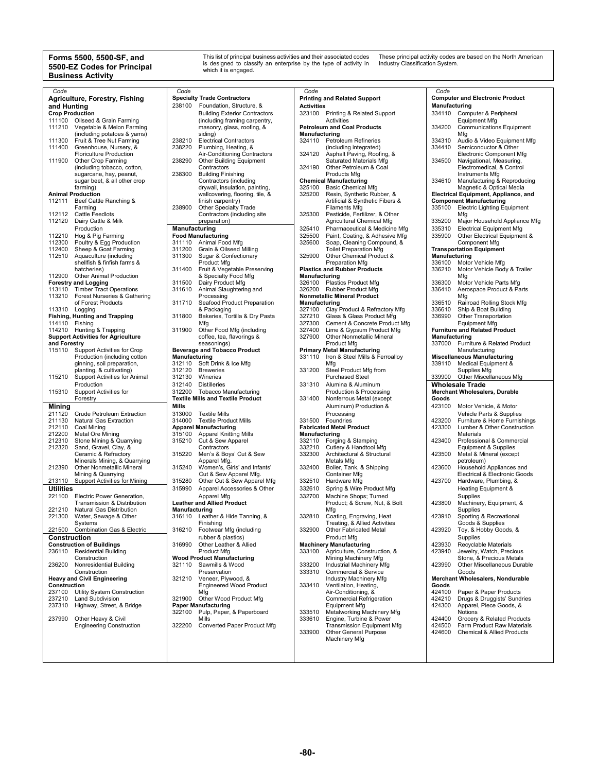#### **Forms 5500, 5500-SF, and 5500-EZ Codes for Principal Business Activity**

This list of principal business activities and their associated codes is designed to classify an enterprise by the type of activity in which it is engaged. These principal activity codes are based on the North American Industry Classification System.

| Code                   |                                           | Code                 |                                          | Code                 |                                     | Code          |                                        |
|------------------------|-------------------------------------------|----------------------|------------------------------------------|----------------------|-------------------------------------|---------------|----------------------------------------|
|                        |                                           |                      |                                          |                      |                                     |               |                                        |
|                        | Agriculture, Forestry, Fishing            |                      | <b>Specialty Trade Contractors</b>       |                      | <b>Printing and Related Support</b> |               | <b>Computer and Electronic Product</b> |
|                        |                                           | 238100               | Foundation, Structure, &                 | <b>Activities</b>    |                                     | Manufacturing |                                        |
| and Hunting            |                                           |                      |                                          |                      |                                     |               |                                        |
| <b>Crop Production</b> |                                           |                      | <b>Building Exterior Contractors</b>     | 323100               | Printing & Related Support          | 334110        | Computer & Peripheral                  |
|                        | 111100 Oilseed & Grain Farming            |                      | (including framing carpentry,            |                      | Activities                          |               | <b>Equipment Mfg</b>                   |
|                        |                                           |                      |                                          |                      |                                     |               |                                        |
| 111210                 | Vegetable & Melon Farming                 |                      | masonry, glass, roofing, &               |                      | <b>Petroleum and Coal Products</b>  | 334200        | <b>Communications Equipment</b>        |
|                        | (including potatoes & yams)               |                      | siding)                                  | Manufacturing        |                                     |               | Mfg                                    |
|                        | Fruit & Tree Nut Farming                  |                      |                                          |                      |                                     |               |                                        |
| 111300                 |                                           | 238210               | <b>Electrical Contractors</b>            |                      | 324110 Petroleum Refineries         | 334310        | Audio & Video Equipment Mfg            |
| 111400                 | Greenhouse, Nursery, &                    | 238220               | Plumbing, Heating, &                     |                      | (including integrated)              | 334410        | Semiconductor & Other                  |
|                        |                                           |                      |                                          | 324120               |                                     |               |                                        |
|                        | <b>Floriculture Production</b>            |                      | Air-Conditioning Contractors             |                      | Asphalt Paving, Roofing, &          |               | <b>Electronic Component Mfg</b>        |
| 111900                 | Other Crop Farming                        | 238290               | <b>Other Building Equipment</b>          |                      | Saturated Materials Mfg             | 334500        | Navigational, Measuring,               |
|                        |                                           |                      |                                          | 324190               |                                     |               |                                        |
|                        | (including tobacco, cotton,               |                      | Contractors                              |                      | Other Petroleum & Coal              |               | Electromedical, & Control              |
|                        | sugarcane, hay, peanut,                   | 238300               | <b>Building Finishing</b>                |                      | Products Mfg                        |               | Instruments Mfg                        |
|                        |                                           |                      |                                          |                      | <b>Chemical Manufacturing</b>       | 334610        |                                        |
|                        | sugar beet, & all other crop              |                      | Contractors (including                   |                      |                                     |               | Manufacturing & Reproducing            |
|                        | farming)                                  |                      | drywall, insulation, painting,           | 325100               | <b>Basic Chemical Mfg</b>           |               | Magnetic & Optical Media               |
|                        | <b>Animal Production</b>                  |                      | wallcovering, flooring, tile, &          | 325200               |                                     |               | Electrical Equipment, Appliance, and   |
|                        |                                           |                      |                                          |                      | Resin, Synthetic Rubber, &          |               |                                        |
|                        | 112111 Beef Cattle Ranching &             |                      | finish carpentry)                        |                      | Artificial & Synthetic Fibers &     |               | <b>Component Manufacturing</b>         |
|                        |                                           | 238900               | Other Specialty Trade                    |                      | <b>Filaments Mfg</b>                | 335100        | <b>Electric Lighting Equipment</b>     |
|                        | Farming                                   |                      |                                          |                      |                                     |               |                                        |
|                        | 112112 Cattle Feedlots                    |                      | Contractors (including site              | 325300               | Pesticide, Fertilizer, & Other      |               | Mfg                                    |
|                        | 112120 Dairy Cattle & Milk                |                      | preparation)                             |                      | Agricultural Chemical Mfg           | 335200        | Major Household Appliance Mfg          |
|                        |                                           |                      |                                          |                      |                                     |               |                                        |
|                        | Production                                | Manufacturing        |                                          | 325410               | Pharmaceutical & Medicine Mfg       | 335310        | <b>Electrical Equipment Mfg</b>        |
|                        |                                           |                      |                                          | 325500               |                                     | 335900        |                                        |
|                        | 112210 Hog & Pig Farming                  |                      | <b>Food Manufacturing</b>                |                      | Paint, Coating, & Adhesive Mfg      |               | Other Electrical Equipment &           |
| 112300                 | Poultry & Egg Production                  | 311110               | Animal Food Mfg                          | 325600               | Soap, Cleaning Compound, &          |               | Component Mfg                          |
| 112400                 | Sheep & Goat Farming                      | 311200               | Grain & Oilseed Milling                  |                      | <b>Toilet Preparation Mfg</b>       |               | <b>Transportation Equipment</b>        |
|                        |                                           |                      |                                          |                      |                                     |               |                                        |
| 112510                 | Aquaculture (including                    | 311300               | Sugar & Confectionary                    | 325900               | Other Chemical Product &            | Manufacturing |                                        |
|                        | shellfish & finfish farms &               |                      | Product Mfg                              |                      | Preparation Mfg                     | 336100        | Motor Vehicle Mfg                      |
|                        |                                           |                      |                                          |                      |                                     |               |                                        |
|                        | hatcheries)                               | 311400               | Fruit & Vegetable Preserving             |                      | <b>Plastics and Rubber Products</b> | 336210        | Motor Vehicle Body & Trailer           |
|                        | 112900 Other Animal Production            |                      | & Specialty Food Mfg                     | Manufacturing        |                                     |               | Mfg                                    |
|                        |                                           |                      |                                          |                      |                                     |               |                                        |
|                        | <b>Forestry and Logging</b>               | 311500               | Dairy Product Mfg                        |                      | 326100 Plastics Product Mfg         | 336300        | Motor Vehicle Parts Mfg                |
|                        | 113110 Timber Tract Operations            | 311610               | Animal Slaughtering and                  |                      | 326200 Rubber Product Mfg           | 336410        | Aerospace Product & Parts              |
|                        |                                           |                      |                                          |                      |                                     |               |                                        |
|                        | 113210 Forest Nurseries & Gathering       |                      | Processing                               |                      | <b>Nonmetallic Mineral Product</b>  |               | Mfg                                    |
|                        | of Forest Products                        | 311710               | Seafood Product Preparation              | <b>Manufacturing</b> |                                     | 336510        | Railroad Rolling Stock Mfg             |
|                        |                                           |                      |                                          |                      |                                     |               |                                        |
| 113310 Logging         |                                           |                      | & Packaging                              | 327100               | Clay Product & Refractory Mfg       | 336610        | Ship & Boat Building                   |
|                        | <b>Fishing, Hunting and Trapping</b>      | 311800               | Bakeries, Tortilla & Dry Pasta           | 327210               | Glass & Glass Product Mfg           | 336990        | Other Transportation                   |
|                        |                                           |                      |                                          |                      |                                     |               |                                        |
| 114110 Fishing         |                                           |                      | Mfg                                      | 327300               | Cement & Concrete Product Mfg       |               | <b>Equipment Mfg</b>                   |
|                        | 114210 Hunting & Trapping                 | 311900               | Other Food Mfg (including                | 327400               | Lime & Gypsum Product Mfg           |               | <b>Furniture and Related Product</b>   |
|                        |                                           |                      |                                          |                      |                                     |               |                                        |
|                        | <b>Support Activities for Agriculture</b> |                      | coffee, tea, flavorings &                | 327900               | Other Nonmetallic Mineral           | Manufacturing |                                        |
| and Forestry           |                                           |                      | seasonings)                              |                      | Product Mfg                         |               | 337000 Furniture & Related Product     |
|                        |                                           |                      |                                          |                      |                                     |               |                                        |
| 115110                 | Support Activities for Crop               |                      | <b>Beverage and Tobacco Product</b>      |                      | <b>Primary Metal Manufacturing</b>  |               | Manufacturing                          |
|                        | Production (including cotton              | <b>Manufacturing</b> |                                          | 331110               | Iron & Steel Mills & Ferroalloy     |               | <b>Miscellaneous Manufacturing</b>     |
|                        |                                           |                      |                                          |                      |                                     |               |                                        |
|                        |                                           |                      |                                          |                      |                                     |               |                                        |
|                        | ginning, soil preparation,                |                      | 312110 Soft Drink & Ice Mfg              |                      | Mfg                                 |               | 339110 Medical Equipment &             |
|                        |                                           |                      |                                          |                      |                                     |               |                                        |
|                        | planting, & cultivating)                  | 312120               | <b>Breweries</b>                         | 331200               | Steel Product Mfg from              |               | Supplies Mfg                           |
| 115210                 | Support Activities for Animal             | 312130               | Wineries                                 |                      | <b>Purchased Steel</b>              |               | 339900 Other Miscellaneous Mfg         |
|                        |                                           |                      |                                          |                      |                                     |               |                                        |
|                        | Production                                | 312140               | <b>Distilleries</b>                      | 331310               | Alumina & Aluminum                  |               | <b>Wholesale Trade</b>                 |
|                        |                                           |                      |                                          |                      |                                     |               |                                        |
| 115310                 | Support Activities for                    | 312200               | <b>Tobacco Manufacturing</b>             |                      | Production & Processing             |               | <b>Merchant Wholesalers, Durable</b>   |
|                        | Forestry                                  |                      | <b>Textile Mills and Textile Product</b> | 331400               | Nonferrous Metal (except            | Goods         |                                        |
|                        |                                           |                      |                                          |                      |                                     |               |                                        |
| Mining                 |                                           | Mills                |                                          |                      | Aluminum) Production &              | 423100        | Motor Vehicle, & Motor                 |
|                        |                                           | 313000               | Textile Mills                            |                      |                                     |               |                                        |
| 211120                 | Crude Petroleum Extraction                |                      |                                          |                      | Processing                          |               | Vehicle Parts & Supplies               |
| 211130                 | Natural Gas Extraction                    | 314000               | <b>Textile Product Mills</b>             |                      | 331500 Foundries                    | 423200        | Furniture & Home Furnishings           |
| 212110                 |                                           |                      |                                          |                      | <b>Fabricated Metal Product</b>     | 423300        | Lumber & Other Construction            |
|                        | Coal Mining                               |                      | <b>Apparel Manufacturing</b>             |                      |                                     |               |                                        |
| 212200                 | Metal Ore Mining                          |                      | 315100 Apparel Knitting Mills            | <b>Manufacturing</b> |                                     |               | Materials                              |
|                        |                                           |                      |                                          |                      |                                     | 423400        |                                        |
| 212310                 | Stone Mining & Quarrying                  |                      | 315210 Cut & Sew Apparel                 |                      | 332110 Forging & Stamping           |               | Professional & Commercial              |
| 212320                 | Sand, Gravel, Clay, &                     |                      | Contractors                              | 332210               | Cutlery & Handtool Mfg              |               | Equipment & Supplies                   |
|                        | Ceramic & Refractory                      | 315220               | Men's & Boys' Cut & Sew                  | 332300               | Architectural & Structural          | 423500        | Metal & Mineral (except                |
|                        |                                           |                      |                                          |                      |                                     |               |                                        |
|                        | Minerals Mining, & Quarrying              |                      | Apparel Mfg.                             |                      | Metals Mfg                          |               | petroleum)                             |
| 212390                 | Other Nonmetallic Mineral                 | 315240               | Women's, Girls' and Infants'             | 332400               | Boiler, Tank, & Shipping            | 423600        | Household Appliances and               |
|                        |                                           |                      |                                          |                      |                                     |               |                                        |
|                        | Mining & Quarrying                        |                      | Cut & Sew Apparel Mfg.                   |                      | Container Mfg                       |               | Electrical & Electronic Goods          |
| 213110                 | <b>Support Activities for Mining</b>      | 315280               | Other Cut & Sew Apparel Mfg              | 332510               | Hardware Mfg                        | 423700        | Hardware, Plumbing, &                  |
|                        |                                           |                      |                                          |                      |                                     |               |                                        |
| <b>Utilities</b>       |                                           | 315990               | Apparel Accessories & Other              | 332610               | Spring & Wire Product Mfg           |               | Heating Equipment &                    |
|                        | 221100 Electric Power Generation,         |                      | Apparel Mfg                              | 332700               | Machine Shops; Turned               |               | Supplies                               |
|                        |                                           |                      |                                          |                      |                                     |               |                                        |
|                        | Transmission & Distribution               |                      | <b>Leather and Allied Product</b>        |                      | Product; & Screw, Nut, & Bolt       | 423800        | Machinery, Equipment, &                |
| 221210                 | Natural Gas Distribution                  |                      |                                          |                      |                                     |               | Supplies                               |
|                        |                                           | Manufacturing        |                                          |                      | Mfg                                 |               |                                        |
| 221300                 | Water, Sewage & Other                     |                      | 316110 Leather & Hide Tanning, &         |                      | 332810 Coating, Engraving, Heat     |               | 423910 Sporting & Recreational         |
|                        |                                           |                      |                                          |                      |                                     |               |                                        |
|                        | Systems                                   |                      | Finishing                                |                      | Treating, & Allied Activities       |               | Goods & Supplies                       |
|                        | 221500 Combination Gas & Electric         |                      | 316210 Footwear Mfg (including           | 332900               | Other Fabricated Metal              |               | 423920 Toy, & Hobby Goods, &           |
|                        |                                           |                      |                                          |                      |                                     |               |                                        |
| Construction           |                                           |                      | rubber & plastics)                       |                      | Product Mfg                         |               | Supplies                               |
|                        | <b>Construction of Buildings</b>          | 316990               | Other Leather & Allied                   |                      | <b>Machinery Manufacturing</b>      | 423930        | Recyclable Materials                   |
|                        |                                           |                      |                                          |                      |                                     |               |                                        |
|                        | 236110 Residential Building               |                      | <b>Product Mfg</b>                       | 333100               | Agriculture, Construction, &        | 423940        | Jewelry, Watch, Precious               |
|                        | Construction                              |                      | <b>Wood Product Manufacturing</b>        |                      | Mining Machinery Mfg                |               | Stone, & Precious Metals               |
|                        |                                           |                      |                                          |                      |                                     |               |                                        |
| 236200                 | Nonresidential Building                   |                      | 321110 Sawmills & Wood                   | 333200               | Industrial Machinery Mfg            | 423990        | Other Miscellaneous Durable            |
|                        | Construction                              |                      | Preservation                             | 333310               | Commercial & Service                |               | Goods                                  |
|                        |                                           |                      |                                          |                      |                                     |               |                                        |
|                        | <b>Heavy and Civil Engineering</b>        | 321210               | Veneer, Plywood, &                       |                      | Industry Machinery Mfg              |               | Merchant Wholesalers, Nondurable       |
| Construction           |                                           |                      | <b>Engineered Wood Product</b>           | 333410               | Ventilation, Heating,               | Goods         |                                        |
|                        |                                           |                      |                                          |                      |                                     |               |                                        |
|                        | 237100 Utility System Construction        |                      | Mfg                                      |                      | Air-Conditioning, &                 | 424100        | Paper & Paper Products                 |
|                        | 237210 Land Subdivision                   |                      | 321900 Other Wood Product Mfg            |                      | <b>Commercial Refrigeration</b>     | 424210        | Drugs & Druggists' Sundries            |
|                        |                                           |                      |                                          |                      |                                     |               |                                        |
| 237310                 | Highway, Street, & Bridge                 |                      | <b>Paper Manufacturing</b>               |                      | <b>Equipment Mfg</b>                | 424300        | Apparel, Piece Goods, &                |
|                        |                                           | 322100               | Pulp, Paper, & Paperboard                | 333510               | Metalworking Machinery Mfg          |               | Notions                                |
|                        |                                           |                      |                                          |                      |                                     |               |                                        |
| 237990                 | Other Heavy & Civil                       |                      | Mills                                    | 333610               | Engine, Turbine & Power             | 424400        | Grocery & Related Products             |
|                        | <b>Engineering Construction</b>           | 322200               |                                          |                      | <b>Transmission Equipment Mfg</b>   | 424500        | Farm Product Raw Materials             |
|                        |                                           |                      | Converted Paper Product Mfg              |                      |                                     |               |                                        |
|                        |                                           |                      |                                          | 333900               | <b>Other General Purpose</b>        | 424600        | <b>Chemical &amp; Allied Products</b>  |
|                        |                                           |                      |                                          |                      |                                     |               |                                        |
|                        |                                           |                      |                                          |                      | Machinery Mfg                       |               |                                        |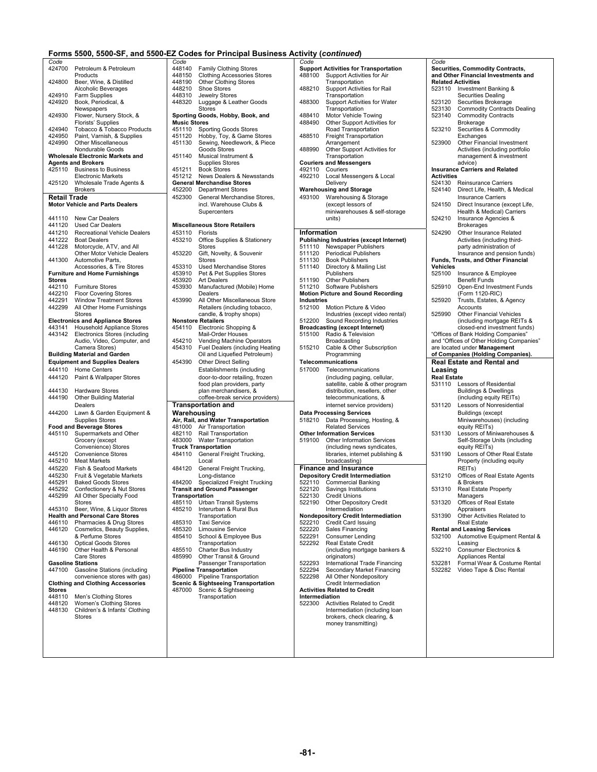| Code                |                                                                          | Code                          |                                                                                  | Code               |                                                                 |
|---------------------|--------------------------------------------------------------------------|-------------------------------|----------------------------------------------------------------------------------|--------------------|-----------------------------------------------------------------|
| 424700              | Petroleum & Petroleum                                                    | 448140                        | <b>Family Clothing Stores</b>                                                    |                    | <b>Support Activities for Transportation</b>                    |
|                     | Products                                                                 | 448150                        | <b>Clothing Accessories Stores</b>                                               | 488100             | Support Activities for Air                                      |
| 424800              | Beer, Wine, & Distilled<br>Alcoholic Beverages                           | 448190<br>448210              | <b>Other Clothing Stores</b><br>Shoe Stores                                      | 488210             | Transportation<br>Support Activities for Rail                   |
| 424910              | Farm Supplies                                                            | 448310                        | Jewelry Stores                                                                   |                    | Transportation                                                  |
| 424920              | Book, Periodical, &                                                      | 448320                        | Luggage & Leather Goods                                                          | 488300             | Support Activities for Water                                    |
|                     | Newspapers                                                               |                               | <b>Stores</b>                                                                    |                    | Transportation                                                  |
| 424930              | Flower, Nursery Stock, &                                                 |                               | Sporting Goods, Hobby, Book, and                                                 | 488410             | Motor Vehicle Towing                                            |
| 424940              | <b>Florists' Supplies</b><br>Tobacco & Tobacco Products                  | <b>Music Stores</b><br>451110 |                                                                                  | 488490             | Other Support Activities for<br>Road Transportation             |
| 424950              | Paint, Varnish, & Supplies                                               | 451120                        | <b>Sporting Goods Stores</b><br>Hobby, Toy, & Game Stores                        | 488510             | <b>Freight Transportation</b>                                   |
| 424990              | Other Miscellaneous                                                      | 451130                        | Sewing, Needlework, & Piece                                                      |                    | Arrangement                                                     |
|                     | Nondurable Goods                                                         |                               | Goods Stores                                                                     | 488990             | Other Support Activities for                                    |
|                     | <b>Wholesale Electronic Markets and</b>                                  | 451140                        | Musical Instrument &                                                             |                    | Transportation                                                  |
| 425110              | <b>Agents and Brokers</b><br><b>Business to Business</b>                 | 451211                        | <b>Supplies Stores</b><br><b>Book Stores</b>                                     |                    | <b>Couriers and Messengers</b><br>492110 Couriers               |
|                     | <b>Electronic Markets</b>                                                | 451212                        | <b>News Dealers &amp; Newsstands</b>                                             |                    | 492210 Local Messengers & Local                                 |
|                     | 425120 Wholesale Trade Agents &                                          |                               | <b>General Merchandise Stores</b>                                                |                    | Delivery                                                        |
|                     | <b>Brokers</b>                                                           | 452200                        | <b>Department Stores</b>                                                         |                    | <b>Warehousing and Storage</b>                                  |
| <b>Retail Trade</b> |                                                                          | 452300                        | General Merchandise Stores,                                                      | 493100             | Warehousing & Storage                                           |
|                     | <b>Motor Vehicle and Parts Dealers</b>                                   |                               | incl. Warehouse Clubs &                                                          |                    | (except lessors of                                              |
|                     |                                                                          |                               | Supercenters                                                                     |                    | miniwarehouses & self-storage                                   |
| 441110<br>441120    | New Car Dealers<br><b>Used Car Dealers</b>                               |                               | <b>Miscellaneous Store Retailers</b>                                             |                    | units)                                                          |
| 441210              | <b>Recreational Vehicle Dealers</b>                                      | 453110                        | <b>Florists</b>                                                                  | <b>Information</b> |                                                                 |
| 441222              | <b>Boat Dealers</b>                                                      | 453210                        | Office Supplies & Stationery                                                     |                    | Publishing Industries (except Internet                          |
| 441228              | Motorcycle, ATV, and All                                                 |                               | <b>Stores</b>                                                                    | 511110             | Newspaper Publishers                                            |
|                     | Other Motor Vehicle Dealers                                              | 453220                        | Gift, Novelty, & Souvenir                                                        | 511120             | <b>Periodical Publishers</b>                                    |
| 441300              | Automotive Parts.                                                        |                               | <b>Stores</b>                                                                    | 511130             | <b>Book Publishers</b>                                          |
|                     | Accessories, & Tire Stores                                               | 453310                        | Used Merchandise Stores                                                          | 511140             | Directory & Mailing List                                        |
| <b>Stores</b>       | <b>Furniture and Home Furnishings</b>                                    | 453910<br>453920              | Pet & Pet Supplies Stores<br><b>Art Dealers</b>                                  | 511190             | Publishers<br>Other Publishers                                  |
|                     | 442110 Furniture Stores                                                  | 453930                        | Manufactured (Mobile) Home                                                       |                    | 511210 Software Publishers                                      |
| 442210              | <b>Floor Covering Stores</b>                                             |                               | Dealers                                                                          |                    | <b>Motion Picture and Sound Recording</b>                       |
| 442291              | <b>Window Treatment Stores</b>                                           | 453990                        | All Other Miscellaneous Store                                                    | Industries         |                                                                 |
| 442299              | All Other Home Furnishings                                               |                               | Retailers (including tobacco,                                                    | 512100             | Motion Picture & Video                                          |
|                     | <b>Stores</b><br><b>Electronics and Appliance Stores</b>                 |                               | candle, & trophy shops)<br><b>Nonstore Retailers</b>                             | 512200             | Industries (except video rental<br>Sound Recording Industries   |
| 443141              | Household Appliance Stores                                               |                               | 454110 Electronic Shopping &                                                     |                    | <b>Broadcasting (except Internet)</b>                           |
| 443142              | <b>Electronics Stores (including</b>                                     |                               | <b>Mail-Order Houses</b>                                                         | 515100             | Radio & Television                                              |
|                     | Audio, Video, Computer, and                                              | 454210                        | Vending Machine Operators                                                        |                    | Broadcasting                                                    |
|                     | Camera Stores)                                                           | 454310                        | Fuel Dealers (including Heating                                                  | 515210             | Cable & Other Subscription                                      |
|                     |                                                                          |                               |                                                                                  |                    |                                                                 |
|                     | <b>Building Material and Garden</b>                                      |                               | Oil and Liquefied Petroleum)                                                     |                    | Programming                                                     |
|                     | <b>Equipment and Supplies Dealers</b>                                    | 454390                        | <b>Other Direct Selling</b>                                                      |                    | Telecommunications                                              |
|                     | 444110 Home Centers                                                      |                               | Establishments (including                                                        | 517000             | Telecommunications                                              |
|                     | 444120 Paint & Wallpaper Stores                                          |                               | door-to-door retailing, frozen                                                   |                    | (including paging, cellular,                                    |
| 444130              |                                                                          |                               | food plan providers, party                                                       |                    | satellite, cable & other prograr                                |
| 444190              | <b>Hardware Stores</b><br><b>Other Building Material</b>                 |                               | plan merchandisers, &<br>coffee-break service providers)                         |                    | distribution, resellers, other<br>telecommunications, &         |
|                     | Dealers                                                                  |                               | <b>Transportation and</b>                                                        |                    | internet service providers)                                     |
| 444200              | Lawn & Garden Equipment &                                                | Warehousing                   |                                                                                  |                    | <b>Data Processing Services</b>                                 |
|                     | <b>Supplies Stores</b>                                                   |                               | Air, Rail, and Water Transportation                                              | 518210             | Data Processing, Hosting, &                                     |
|                     | <b>Food and Beverage Stores</b>                                          |                               | 481000 Air Transportation                                                        |                    | <b>Related Services</b>                                         |
| 445110              | Supermarkets and Other                                                   |                               | 482110 Rail Transportation                                                       |                    | <b>Other Information Services</b>                               |
|                     | Grocery (except                                                          |                               | 483000 Water Transportation                                                      | 519100             | Other Information Services                                      |
| 445120              | Convenience) Stores<br><b>Convenience Stores</b>                         | 484110                        | <b>Truck Transportation</b><br>General Freight Trucking,                         |                    | (including news syndicates,<br>libraries, internet publishing & |
| 445210              | <b>Meat Markets</b>                                                      |                               | Local                                                                            |                    | broadcasting)                                                   |
| 445220              | Fish & Seafood Markets                                                   | 484120                        | General Freight Trucking,                                                        |                    | <b>Finance and Insurance</b>                                    |
| 445230              | Fruit & Vegetable Markets                                                |                               | Long-distance                                                                    |                    | Depository Credit Intermediation                                |
| 445291              | <b>Baked Goods Stores</b>                                                |                               | 484200 Specialized Freight Trucking                                              | 522110             | <b>Commercial Banking</b>                                       |
| 445292              | Confectionery & Nut Stores                                               |                               | <b>Transit and Ground Passenger</b>                                              | 522120             | Savings Institutions                                            |
| 445299              | All Other Specialty Food<br><b>Stores</b>                                | Transportation                | 485110 Urban Transit Systems                                                     | 522130<br>522190   | Credit Unions<br><b>Other Depository Credit</b>                 |
|                     | 445310 Beer, Wine, & Liquor Stores                                       | 485210                        | Interurban & Rural Bus                                                           |                    | Intermediation                                                  |
|                     | <b>Health and Personal Care Stores</b>                                   |                               | Transportation                                                                   |                    | <b>Nondepository Credit Intermediation</b>                      |
|                     | 446110 Pharmacies & Drug Stores                                          | 485310                        | <b>Taxi Service</b>                                                              | 522210             | Credit Card Issuing                                             |
| 446120              | Cosmetics, Beauty Supplies,                                              | 485320                        | Limousine Service                                                                | 522220             | Sales Financing                                                 |
| 446130              | & Perfume Stores<br><b>Optical Goods Stores</b>                          | 485410                        | School & Employee Bus<br>Transportation                                          | 522291<br>522292   | Consumer Lending<br><b>Real Estate Credit</b>                   |
| 446190              | Other Health & Personal                                                  | 485510                        | Charter Bus Industry                                                             |                    | (including mortgage bankers &                                   |
|                     | Care Stores                                                              | 485990                        | Other Transit & Ground                                                           |                    | originators)                                                    |
|                     | <b>Gasoline Stations</b>                                                 |                               | Passenger Transportation                                                         | 522293             | International Trade Financing                                   |
|                     | 447100 Gasoline Stations (including                                      |                               | <b>Pipeline Transportation</b>                                                   | 522294             | Secondary Market Financing                                      |
|                     | convenience stores with gas)<br><b>Clothing and Clothing Accessories</b> |                               | 486000 Pipeline Transportation<br><b>Scenic &amp; Sightseeing Transportation</b> | 522298             | All Other Nondepository<br>Credit Intermediation                |
| <b>Stores</b>       |                                                                          | 487000                        | Scenic & Sightseeing                                                             |                    | <b>Activities Related to Credit</b>                             |
| 448110              | Men's Clothing Stores                                                    |                               | Transportation                                                                   | Intermediation     |                                                                 |
| 448120              | Women's Clothing Stores                                                  |                               |                                                                                  | 522300             | Activities Related to Credit                                    |
| 448130              | Children's & Infants' Clothing<br><b>Stores</b>                          |                               |                                                                                  |                    | Intermediation (including loan                                  |
|                     |                                                                          |                               |                                                                                  |                    | brokers, check clearing, &<br>money transmitting)               |
|                     |                                                                          |                               |                                                                                  |                    |                                                                 |
|                     |                                                                          |                               |                                                                                  |                    |                                                                 |

| de           |                                        |
|--------------|----------------------------------------|
| 8140         | <b>Family Clothing Stores</b>          |
| 8150         | <b>Clothing Accessories Stores</b>     |
| 8190         | <b>Other Clothing Stores</b>           |
| 8210         | Shoe Stores                            |
|              |                                        |
| 8310         | Jewelry Stores                         |
| 8320         | Luggage & Leather Goods                |
|              | <b>Stores</b>                          |
|              | orting Goods, Hobby, Book, and         |
| ısic Stores  |                                        |
|              |                                        |
| 1110         | <b>Sporting Goods Stores</b>           |
| 1120         | Hobby, Toy, & Game Stores              |
| 1130         | Sewing, Needlework, & Piece            |
|              | Goods Stores                           |
| 1140         | Musical Instrument &                   |
|              |                                        |
|              | <b>Supplies Stores</b>                 |
| 1211         | <b>Book Stores</b>                     |
| 1212         | News Dealers & Newsstands              |
|              | neral Merchandise Stores               |
| 2200         | <b>Department Stores</b>               |
|              |                                        |
| 2300         | General Merchandise Stores,            |
|              | incl. Warehouse Clubs &                |
|              | Supercenters                           |
|              |                                        |
|              |                                        |
|              | scellaneous Store Retailers            |
| 3110         | Florists                               |
| 3210         | Office Supplies & Stationery           |
|              |                                        |
|              | <b>Stores</b>                          |
| 3220         | Gift, Novelty, & Souvenir              |
|              | Stores                                 |
| 3310         | <b>Used Merchandise Stores</b>         |
|              |                                        |
| 3910         | Pet & Pet Supplies Stores              |
| 3920         | <b>Art Dealers</b>                     |
| 3930         | Manufactured (Mobile) Home             |
|              | Dealers                                |
| 3990         | All Other Miscellaneous Store          |
|              |                                        |
|              | Retailers (including tobacco,          |
|              | candle, & trophy shops)                |
|              | nstore Retailers                       |
| 4110         | Electronic Shopping &                  |
|              |                                        |
|              | Mail-Order Houses                      |
| 4210         | Vending Machine Operators              |
| 4310         | <b>Fuel Dealers (including Heating</b> |
|              | Oil and Liquefied Petroleum)           |
| 4390         | <b>Other Direct Selling</b>            |
|              |                                        |
|              | Establishments (including              |
|              | door-to-door retailing, frozen         |
|              | food plan providers, party             |
|              |                                        |
|              | plan merchandisers, &                  |
|              | coffee-break service providers)        |
|              | ansportation and                       |
|              |                                        |
|              | arehousing                             |
|              | ,Rail, and Water Transportation        |
| 1000         | Air Transportation                     |
| 2110         | Rail Transportation                    |
|              |                                        |
| 3000         | <b>Water Transportation</b>            |
|              | <b>Jck Transportation</b>              |
| 4110         | General Freight Trucking,              |
|              | Local                                  |
|              |                                        |
| 4120         | General Freight Trucking,              |
|              | Long-distance                          |
| 4200         | Specialized Freight Trucking           |
|              | ansit and Ground Passenger             |
| ansportation |                                        |
|              |                                        |
| 5110         | <b>Urban Transit Systems</b>           |
| 5210         | Interurban & Rural Bus                 |
|              | Transportation                         |
| 5310         | Taxi Service                           |
| 5320         | Limousine Service                      |
|              |                                        |
| 5410         | School & Employee Bus                  |
|              | Transportation                         |
| 5510         | Charter Bus Industry                   |
| 5990         | Other Transit & Ground                 |
|              | Passenger Transportation               |
|              |                                        |
|              | veline Transportation                  |
| 6000         | Pipeline Transportation                |
|              | enic & Sightseeing Transportation      |
| 7000         | Scenic & Sightseeing                   |
|              |                                        |
|              |                                        |
|              | Transportation                         |
|              |                                        |

|                                      |                                          | Forms 5500, 5500-SF, and 5500-EZ Codes for Principal Business Activity (continued) |                                              |                                              |
|--------------------------------------|------------------------------------------|------------------------------------------------------------------------------------|----------------------------------------------|----------------------------------------------|
| Code                                 |                                          | Code                                                                               | Code                                         | Code                                         |
| 424700                               | Petroleum & Petroleum                    | 448140 Family Clothing Stores                                                      | <b>Support Activities for Transportation</b> | Securities, Commodity Contracts,             |
|                                      | Products                                 | 448150<br><b>Clothing Accessories Stores</b>                                       | 488100 Support Activities for Air            | and Other Financial Investments and          |
| 424800                               | Beer, Wine, & Distilled                  | Other Clothing Stores<br>448190                                                    | Transportation                               | <b>Related Activities</b>                    |
|                                      | Alcoholic Beverages                      | 448210<br>Shoe Stores                                                              | 488210<br>Support Activities for Rail        | 523110 Investment Banking &                  |
| 424910                               | Farm Supplies                            | 448310<br><b>Jewelry Stores</b>                                                    | Transportation                               | <b>Securities Dealing</b>                    |
| 424920                               | Book, Periodical, &                      | 448320<br>Luggage & Leather Goods                                                  | 488300<br>Support Activities for Water       | Securities Brokerage<br>523120               |
|                                      | Newspapers                               | <b>Stores</b>                                                                      | Transportation                               | <b>Commodity Contracts Dealing</b><br>523130 |
| 424930                               | Flower, Nursery Stock, &                 | Sporting Goods, Hobby, Book, and                                                   | 488410<br>Motor Vehicle Towing               | 523140<br><b>Commodity Contracts</b>         |
|                                      | Florists' Supplies                       | <b>Music Stores</b>                                                                | 488490<br>Other Support Activities for       | Brokerage                                    |
| 424940                               | Tobacco & Tobacco Products               | 451110<br><b>Sporting Goods Stores</b>                                             | Road Transportation                          | 523210<br>Securities & Commodity             |
| 424950                               | Paint, Varnish, & Supplies               | 451120<br>Hobby, Toy, & Game Stores                                                | 488510<br><b>Freight Transportation</b>      | Exchanges                                    |
| 424990                               | Other Miscellaneous                      | Sewing, Needlework, & Piece<br>451130                                              | Arrangement                                  | 523900<br>Other Financial Investment         |
|                                      | Nondurable Goods                         | Goods Stores                                                                       | 488990<br>Other Support Activities for       | Activities (including portfolio              |
|                                      | Wholesale Electronic Markets and         | Musical Instrument &<br>451140                                                     | Transportation                               | management & investment                      |
|                                      | <b>Agents and Brokers</b>                | <b>Supplies Stores</b>                                                             | <b>Couriers and Messengers</b>               | advice)                                      |
|                                      | 425110 Business to Business              | <b>Book Stores</b><br>451211                                                       | 492110<br>Couriers                           | <b>Insurance Carriers and Related</b>        |
|                                      | <b>Electronic Markets</b>                | News Dealers & Newsstands<br>451212                                                | Local Messengers & Local<br>492210           | <b>Activities</b>                            |
| 425120                               | Wholesale Trade Agents &                 | <b>General Merchandise Stores</b>                                                  | Delivery                                     | <b>Reinsurance Carriers</b><br>524130        |
|                                      | <b>Brokers</b>                           | 452200<br><b>Department Stores</b>                                                 | <b>Warehousing and Storage</b>               | 524140<br>Direct Life, Health, & Medical     |
| Retail Trade                         |                                          | 452300<br>General Merchandise Stores,                                              | Warehousing & Storage<br>493100              | <b>Insurance Carriers</b>                    |
|                                      | <b>Motor Vehicle and Parts Dealers</b>   | incl. Warehouse Clubs &                                                            | (except lessors of                           | 524150                                       |
|                                      |                                          |                                                                                    |                                              | Direct Insurance (except Life,               |
|                                      |                                          | Supercenters                                                                       | miniwarehouses & self-storage                | Health & Medical) Carriers                   |
|                                      | 441110 New Car Dealers                   |                                                                                    | units)                                       | 524210<br>Insurance Agencies &               |
| 441120                               | Used Car Dealers                         | <b>Miscellaneous Store Retailers</b>                                               |                                              | <b>Brokerages</b>                            |
| 441210                               | <b>Recreational Vehicle Dealers</b>      | 453110<br><b>Florists</b>                                                          | Information                                  | 524290<br>Other Insurance Related            |
| 441222                               | <b>Boat Dealers</b>                      | 453210<br>Office Supplies & Stationery                                             | Publishing Industries (except Internet)      | Activities (including third-                 |
| 441228                               | Motorcycle, ATV, and All                 | Stores                                                                             | 511110 Newspaper Publishers                  | party administration of                      |
|                                      | Other Motor Vehicle Dealers              | 453220<br>Gift, Novelty, & Souvenir                                                | 511120<br><b>Periodical Publishers</b>       | Insurance and pension funds)                 |
| 441300                               | Automotive Parts.                        | <b>Stores</b>                                                                      | 511130<br><b>Book Publishers</b>             | Funds, Trusts, and Other Financial           |
|                                      | Accessories, & Tire Stores               | 453310<br>Used Merchandise Stores                                                  | 511140<br>Directory & Mailing List           | Vehicles                                     |
|                                      | <b>Furniture and Home Furnishings</b>    | 453910<br>Pet & Pet Supplies Stores                                                | <b>Publishers</b>                            | 525100<br>Insurance & Employee               |
| Stores                               |                                          | 453920<br><b>Art Dealers</b>                                                       | Other Publishers<br>511190                   | <b>Benefit Funds</b>                         |
|                                      | 442110 Furniture Stores                  | 453930<br>Manufactured (Mobile) Home                                               | 511210 Software Publishers                   | Open-End Investment Funds<br>525910          |
| 442210                               | <b>Floor Covering Stores</b>             | Dealers                                                                            | <b>Motion Picture and Sound Recording</b>    | (Form 1120-RIC)                              |
| 442291                               | <b>Window Treatment Stores</b>           | 453990<br>All Other Miscellaneous Store                                            | Industries                                   | Trusts, Estates, & Agency<br>525920          |
| 442299                               | All Other Home Furnishings               | Retailers (including tobacco,                                                      | Motion Picture & Video<br>512100             | Accounts                                     |
|                                      | <b>Stores</b>                            | candle, & trophy shops)                                                            | Industries (except video rental)             | 525990<br><b>Other Financial Vehicles</b>    |
|                                      | <b>Electronics and Appliance Stores</b>  | <b>Nonstore Retailers</b>                                                          | 512200 Sound Recording Industries            | (including mortgage REITs &                  |
| 443141                               | Household Appliance Stores               | 454110 Electronic Shopping &                                                       | <b>Broadcasting (except Internet)</b>        | closed-end investment funds)                 |
| 443142                               | <b>Electronics Stores (including</b>     | Mail-Order Houses                                                                  | 515100 Radio & Television                    | "Offices of Bank Holding Companies"          |
|                                      | Audio, Video, Computer, and              | 454210<br>Vending Machine Operators                                                | Broadcasting                                 | and "Offices of Other Holding Companies"     |
|                                      |                                          |                                                                                    |                                              |                                              |
|                                      |                                          |                                                                                    |                                              |                                              |
|                                      | Camera Stores)                           | 454310<br>Fuel Dealers (including Heating                                          | 515210<br>Cable & Other Subscription         | are located under Management                 |
|                                      | <b>Building Material and Garden</b>      | Oil and Liquefied Petroleum)                                                       | Programming                                  | of Companies (Holding Companies).            |
|                                      | <b>Equipment and Supplies Dealers</b>    | 454390<br><b>Other Direct Selling</b>                                              | Telecommunications                           | <b>Real Estate and Rental and</b>            |
| 444110                               | <b>Home Centers</b>                      | Establishments (including                                                          | 517000<br>Telecommunications                 | Leasing                                      |
| 444120                               | Paint & Wallpaper Stores                 | door-to-door retailing, frozen                                                     | (including paging, cellular,                 | <b>Real Estate</b>                           |
|                                      |                                          | food plan providers, party                                                         | satellite, cable & other program             | 531110<br>Lessors of Residential             |
| 444130                               | <b>Hardware Stores</b>                   | plan merchandisers, &                                                              | distribution, resellers, other               | <b>Buildings &amp; Dwellings</b>             |
| 444190                               | <b>Other Building Material</b>           | coffee-break service providers)                                                    | telecommunications, &                        | (including equity REITs)                     |
|                                      | Dealers                                  |                                                                                    | internet service providers)                  | 531120<br>Lessors of Nonresidential          |
|                                      |                                          | <b>Transportation and</b>                                                          |                                              |                                              |
| 444200                               | Lawn & Garden Equipment &                | Warehousing                                                                        | <b>Data Processing Services</b>              | <b>Buildings (except</b>                     |
|                                      | <b>Supplies Stores</b>                   | Air, Rail, and Water Transportation                                                | 518210 Data Processing, Hosting, &           | Miniwarehouses) (including                   |
|                                      | <b>Food and Beverage Stores</b>          | 481000 Air Transportation                                                          | <b>Related Services</b>                      | equity REITs)                                |
|                                      | 445110 Supermarkets and Other            | 482110 Rail Transportation                                                         | <b>Other Information Services</b>            | 531130<br>Lessors of Miniwarehouses &        |
|                                      | Grocery (except                          | 483000 Water Transportation                                                        | 519100<br><b>Other Information Services</b>  | Self-Storage Units (including                |
|                                      | Convenience) Stores                      | <b>Truck Transportation</b>                                                        | (including news syndicates,                  | equity REITs)                                |
| 445120                               | <b>Convenience Stores</b>                | 484110<br>General Freight Trucking,                                                | libraries, internet publishing &             | Lessors of Other Real Estate<br>531190       |
|                                      | <b>Meat Markets</b>                      | Local                                                                              | broadcasting)                                | Property (including equity                   |
|                                      | Fish & Seafood Markets                   | 484120<br>General Freight Trucking,                                                | <b>Finance and Insurance</b>                 | REIT <sub>s</sub> )                          |
|                                      | Fruit & Vegetable Markets                | Long-distance                                                                      | <b>Depository Credit Intermediation</b>      | Offices of Real Estate Agents<br>531210      |
|                                      | <b>Baked Goods Stores</b>                | 484200<br><b>Specialized Freight Trucking</b>                                      | 522110 Commercial Banking                    | & Brokers                                    |
|                                      | 445292 Confectionery & Nut Stores        | <b>Transit and Ground Passenger</b>                                                | 522120 Savings Institutions                  | 531310<br>Real Estate Property               |
| 445210<br>445220<br>445230<br>445291 | 445299 All Other Specialty Food          | Transportation                                                                     | 522130 Credit Unions                         | Managers                                     |
|                                      | Stores                                   | 485110<br><b>Urban Transit Systems</b>                                             | 522190<br>Other Depository Credit            | Offices of Real Estate<br>531320             |
|                                      | 445310 Beer, Wine, & Liquor Stores       | 485210<br>Interurban & Rural Bus                                                   | Intermediation                               | Appraisers                                   |
|                                      | <b>Health and Personal Care Stores</b>   | Transportation                                                                     | Nondepository Credit Intermediation          | 531390<br>Other Activities Related to        |
|                                      | 446110 Pharmacies & Drug Stores          | 485310<br><b>Taxi Service</b>                                                      | <b>Credit Card Issuing</b><br>522210         | Real Estate                                  |
| 446120                               | Cosmetics, Beauty Supplies,              | 485320<br>Limousine Service                                                        | 522220<br>Sales Financing                    | <b>Rental and Leasing Services</b>           |
|                                      | & Perfume Stores                         | 485410<br>School & Employee Bus                                                    | <b>Consumer Lending</b><br>522291            | 532100<br>Automotive Equipment Rental &      |
| 446130                               | <b>Optical Goods Stores</b>              | Transportation                                                                     | 522292<br><b>Real Estate Credit</b>          | Leasing                                      |
| 446190                               | Other Health & Personal                  | 485510<br><b>Charter Bus Industry</b>                                              | (including mortgage bankers &                | 532210<br>Consumer Electronics &             |
|                                      | Care Stores                              | 485990<br>Other Transit & Ground                                                   | originators)                                 | Appliances Rental                            |
|                                      |                                          | Passenger Transportation                                                           | 522293<br>International Trade Financing      | 532281<br>Formal Wear & Costume Rental       |
|                                      | <b>Gasoline Stations (including</b>      | <b>Pipeline Transportation</b>                                                     | 522294<br>Secondary Market Financing         | 532282<br>Video Tape & Disc Rental           |
|                                      | convenience stores with gas)             | 486000<br><b>Pipeline Transportation</b>                                           | 522298<br>All Other Nondepository            |                                              |
| <b>Gasoline Stations</b><br>447100   | <b>Clothing and Clothing Accessories</b> | <b>Scenic &amp; Sightseeing Transportation</b>                                     | Credit Intermediation                        |                                              |
|                                      |                                          | 487000 Scenic & Sightseeing                                                        | <b>Activities Related to Credit</b>          |                                              |
|                                      | Men's Clothing Stores                    | Transportation                                                                     | Intermediation                               |                                              |
| Stores<br>448110<br>448120           | Women's Clothing Stores                  |                                                                                    | 522300<br>Activities Related to Credit       |                                              |
| 448130                               | Children's & Infants' Clothing           |                                                                                    | Intermediation (including loan               |                                              |
|                                      | Stores                                   |                                                                                    | brokers, check clearing, &                   |                                              |
|                                      |                                          |                                                                                    | money transmitting)                          |                                              |
|                                      |                                          |                                                                                    |                                              |                                              |
|                                      |                                          |                                                                                    |                                              |                                              |

|                               | <b>Securities, Commodity Contracts,</b><br>and Other Financial Investments and |
|-------------------------------|--------------------------------------------------------------------------------|
|                               | <b>Related Activities</b>                                                      |
| 523110                        | Investment Banking &<br><b>Securities Dealing</b>                              |
| 523120                        | Securities Brokerage                                                           |
| 523130                        | <b>Commodity Contracts Dealing</b>                                             |
| 523140                        | <b>Commodity Contracts</b><br>Brokerage                                        |
| 523210                        | Securities & Commodity                                                         |
| 523900                        | Exchanges<br>Other Financial Investment                                        |
|                               | Activities (including portfolio                                                |
|                               | management & investment                                                        |
|                               | advice)<br><b>Insurance Carriers and Related</b>                               |
| <b>Activities</b>             |                                                                                |
| 524130<br>524140              | <b>Reinsurance Carriers</b>                                                    |
|                               | Direct Life, Health, & Medical<br><b>Insurance Carriers</b>                    |
| 524150                        | Direct Insurance (except Life,                                                 |
|                               | Health & Medical) Carriers                                                     |
| 524210                        | Insurance Agencies &<br><b>Brokerages</b>                                      |
| 524290                        | Other Insurance Related                                                        |
|                               | Activities (including third-                                                   |
|                               | party administration of<br>Insurance and pension funds)                        |
|                               | Funds, Trusts, and Other Financial                                             |
| Vehicles<br>525100            |                                                                                |
|                               | Insurance & Employee<br><b>Benefit Funds</b>                                   |
| 525910                        | Open-End Investment Funds                                                      |
| 525920                        | (Form 1120-RIC)<br>Trusts, Estates, & Agency                                   |
|                               | Accounts                                                                       |
| 525990                        | <b>Other Financial Vehicles</b>                                                |
|                               | (including mortgage REITs &<br>closed-end investment funds)                    |
|                               | "Offices of Bank Holding Companies"                                            |
|                               | and "Offices of Other Holding Companies"<br>are located under Management       |
|                               | of Companies (Holding Companies).                                              |
|                               | <b>Real Estate and Rental and</b>                                              |
| Leasing<br><b>Real Estate</b> |                                                                                |
|                               |                                                                                |
| 531110                        | Lessors of Residential                                                         |
|                               | <b>Buildings &amp; Dwellings</b>                                               |
|                               | (including equity REITs)                                                       |
| 531120                        | Lessors of Nonresidential                                                      |
|                               | <b>Buildings (except</b><br>Miniwarehouses) (including                         |
|                               | equity REITs)                                                                  |
| 531130                        | Lessors of Miniwarehouses &<br>Self-Storage Units (including                   |
|                               | equity REITs)                                                                  |
| 531190                        | Lessors of Other Real Estate                                                   |
|                               | Property (including equity<br>REITs)                                           |
| 531210                        | Offices of Real Estate Agents                                                  |
|                               | & Brokers                                                                      |
| 531310                        | Real Estate Property<br>Managers                                               |
| 531320                        | Offices of Real Estate                                                         |
|                               | Appraisers                                                                     |
| 531390                        | Other Activities Related to<br><b>Real Estate</b>                              |
|                               | <b>Rental and Leasing Services</b>                                             |
| 532100                        | Automotive Equipment Rental &<br>Leasing                                       |
| 532210                        | Consumer Electronics &                                                         |
|                               | Appliances Rental                                                              |
| 532281<br>532282              | Formal Wear & Costume Rental<br>Video Tape & Disc Rental                       |
|                               |                                                                                |
|                               |                                                                                |
|                               |                                                                                |
|                               |                                                                                |
|                               |                                                                                |
|                               |                                                                                |
|                               |                                                                                |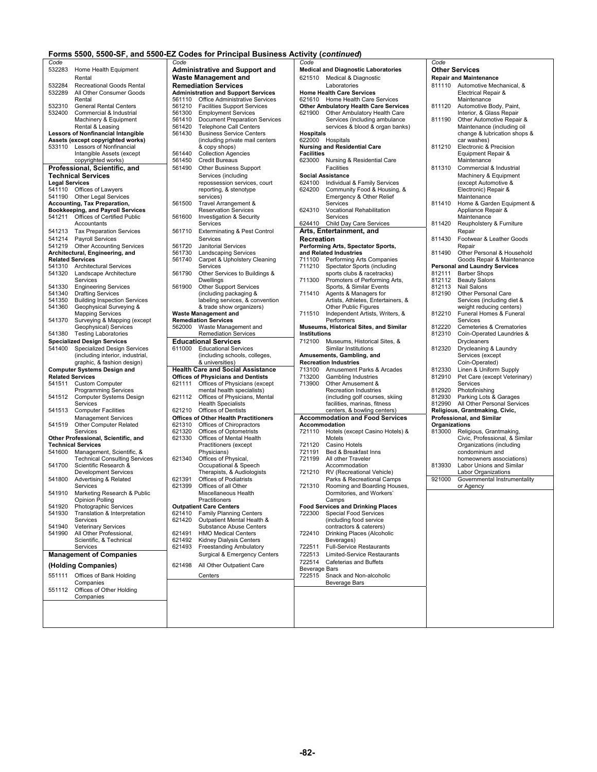|                       |                                                            |                  | Forms 5500, 5500-SF, and 5500-EZ Codes for Principal Business Activity (continued) |                     |                                                                                     |                |
|-----------------------|------------------------------------------------------------|------------------|------------------------------------------------------------------------------------|---------------------|-------------------------------------------------------------------------------------|----------------|
| Code                  |                                                            | Code             |                                                                                    | Code                |                                                                                     | Code           |
|                       | 532283 Home Health Equipment                               |                  | <b>Administrative and Support and</b>                                              |                     | <b>Medical and Diagnostic Laboratories</b>                                          | Othe           |
|                       | Rental                                                     |                  | <b>Waste Management and</b>                                                        |                     | 621510 Medical & Diagnostic                                                         | Repai          |
| 532284                | <b>Recreational Goods Rental</b>                           |                  | <b>Remediation Services</b>                                                        |                     | Laboratories                                                                        | 81111          |
| 532289                | All Other Consumer Goods                                   |                  | <b>Administration and Support Services</b>                                         |                     | <b>Home Health Care Services</b>                                                    |                |
|                       | Rental                                                     |                  | 561110 Office Administrative Services                                              |                     | 621610 Home Health Care Services                                                    |                |
| 532310                | <b>General Rental Centers</b><br>Commercial & Industrial   | 561210           | <b>Facilities Support Services</b>                                                 |                     | <b>Other Ambulatory Health Care Services</b><br>621900 Other Ambulatory Health Care | 81112          |
| 532400                | Machinery & Equipment                                      | 561300<br>561410 | <b>Employment Services</b><br><b>Document Preparation Services</b>                 |                     | Services (including ambulance                                                       | 81119          |
|                       | Rental & Leasing                                           | 561420           | <b>Telephone Call Centers</b>                                                      |                     | services & blood & organ banks)                                                     |                |
|                       | <b>Lessors of Nonfinancial Intangible</b>                  | 561430           | <b>Business Service Centers</b>                                                    | <b>Hospitals</b>    |                                                                                     |                |
|                       | Assets (except copyrighted works)                          |                  | (including private mail centers                                                    |                     | 622000 Hospitals                                                                    |                |
| 533110                | Lessors of Nonfinancial                                    |                  | & copy shops)                                                                      |                     | <b>Nursing and Residential Care</b>                                                 | 81121          |
|                       | Intangible Assets (except                                  | 561440           | <b>Collection Agencies</b>                                                         | <b>Facilities</b>   |                                                                                     |                |
|                       | copyrighted works)                                         | 561450<br>561490 | <b>Credit Bureaus</b>                                                              |                     | 623000 Nursing & Residential Care                                                   |                |
|                       | Professional, Scientific, and<br><b>Technical Services</b> |                  | <b>Other Business Support</b>                                                      |                     | Facilities<br><b>Social Assistance</b>                                              | 81131          |
| <b>Legal Services</b> |                                                            |                  | Services (including<br>repossession services, court                                |                     | 624100 Individual & Family Services                                                 |                |
|                       | 541110 Offices of Lawyers                                  |                  | reporting, & stenotype                                                             | 624200              | Community Food & Housing, &                                                         |                |
|                       | 541190 Other Legal Services                                |                  | services)                                                                          |                     | Emergency & Other Relief                                                            |                |
|                       | <b>Accounting, Tax Preparation,</b>                        | 561500           | Travel Arrangement &                                                               |                     | Services                                                                            | 81141          |
|                       | Bookkeeping, and Payroll Services                          |                  | <b>Reservation Services</b>                                                        | 624310              | Vocational Rehabilitation                                                           |                |
|                       | 541211 Offices of Certified Public                         | 561600           | Investigation & Security                                                           |                     | Services                                                                            | 81142          |
| 541213                | Accountants<br><b>Tax Preparation Services</b>             | 561710           | Services<br><b>Exterminating &amp; Pest Control</b>                                | 624410              | Child Day Care Services<br>Arts, Entertainment, and                                 |                |
| 541214                | <b>Payroll Services</b>                                    |                  | Services                                                                           |                     |                                                                                     | 81143          |
| 541219                | <b>Other Accounting Services</b>                           | 561720           | Janitorial Services                                                                | Recreation          | Performing Arts, Spectator Sports,                                                  |                |
|                       | Architectural, Engineering, and                            | 561730           | <b>Landscaping Services</b>                                                        |                     | and Related Industries                                                              | 81149          |
|                       | <b>Related Services</b>                                    | 561740           | Carpet & Upholstery Cleaning                                                       | 711100              | Performing Arts Companies                                                           |                |
| 541310                | <b>Architectural Services</b>                              |                  | Services                                                                           | 711210              | Spectator Sports (including                                                         | Perso          |
| 541320                | Landscape Architecture                                     | 561790           | Other Services to Buildings &                                                      |                     | sports clubs & racetracks)                                                          | 81211          |
|                       | Services                                                   | 561900           | <b>Dwellings</b>                                                                   | 711300              | Promoters of Performing Arts,                                                       | 81211          |
| 541330                | <b>Engineering Services</b><br>541340 Drafting Services    |                  | <b>Other Support Services</b><br>(including packaging &                            | 711410              | Sports, & Similar Events<br>Agents & Managers for                                   | 81211<br>81219 |
| 541350                | <b>Building Inspection Services</b>                        |                  | labeling services, & convention                                                    |                     | Artists, Athletes, Entertainers, &                                                  |                |
| 541360                | Geophysical Surveying &                                    |                  | & trade show organizers)                                                           |                     | Other Public Figures                                                                |                |
|                       | <b>Mapping Services</b>                                    |                  | <b>Waste Management and</b>                                                        | 711510              | Independent Artists, Writers, &                                                     | 81221          |
|                       | 541370 Surveying & Mapping (except                         |                  | <b>Remediation Services</b><br>562000 Waste Management and                         |                     | Performers                                                                          | 81222          |
|                       | Geophysical) Services<br>541380 Testing Laboratories       |                  | <b>Remediation Services</b>                                                        | <b>Institutions</b> | Museums, Historical Sites, and Similar                                              | 81231          |
|                       | <b>Specialized Design Services</b>                         |                  | <b>Educational Services</b>                                                        | 712100              | Museums, Historical Sites, &                                                        |                |
| 541400                | <b>Specialized Design Services</b>                         | 611000           | <b>Educational Services</b>                                                        |                     | Similar Institutions                                                                | 81232          |
|                       | (including interior, industrial,                           |                  | (including schools, colleges,                                                      |                     | Amusements, Gambling, and                                                           |                |
|                       | graphic, & fashion design)                                 |                  | & universities)                                                                    |                     | <b>Recreation Industries</b>                                                        |                |
|                       | <b>Computer Systems Design and</b>                         |                  | <b>Health Care and Social Assistance</b>                                           | 713100              | Amusement Parks & Arcades                                                           | 81233          |
| 541511                | <b>Related Services</b><br><b>Custom Computer</b>          | 621111           | <b>Offices of Physicians and Dentists</b><br>Offices of Physicians (except         | 713200<br>713900    | <b>Gambling Industries</b><br>Other Amusement &                                     | 81291          |
|                       | <b>Programming Services</b>                                |                  | mental health specialists)                                                         |                     | <b>Recreation Industries</b>                                                        | 81292          |
|                       | 541512 Computer Systems Design                             | 621112           | Offices of Physicians, Mental                                                      |                     | (including golf courses, skiing                                                     | 81293          |
|                       | Services                                                   |                  | <b>Health Specialists</b>                                                          |                     | facilities, marinas, fitness                                                        | 81299          |
| 541513                | <b>Computer Facilities</b>                                 |                  | 621210 Offices of Dentists                                                         |                     | centers, & bowling centers)                                                         | Religi         |
|                       | <b>Management Services</b>                                 |                  | <b>Offices of Other Health Practitioners</b>                                       |                     | <b>Accommodation and Food Services</b>                                              | <b>Profe</b>   |
| 541519                | <b>Other Computer Related</b>                              | 621310           | Offices of Chiropractors<br>Offices of Optometrists                                |                     | Accommodation                                                                       | Orgar          |
|                       | Services<br>Other Professional, Scientific, and            | 621320<br>621330 | Offices of Mental Health                                                           |                     | 721110 Hotels (except Casino Hotels) &<br>Motels                                    | 81300          |
|                       | <b>Technical Services</b>                                  |                  | Practitioners (except                                                              | 721120              | Casino Hotels                                                                       |                |
| 541600                | Management, Scientific, &                                  |                  | Physicians)                                                                        | 721191              | Bed & Breakfast Inns                                                                |                |
|                       | <b>Technical Consulting Services</b>                       | 621340           | Offices of Physical,                                                               | 721199              | All other Traveler                                                                  |                |
| 541700                | Scientific Research &                                      |                  | Occupational & Speech                                                              |                     | Accommodation                                                                       | 81393          |
|                       | <b>Development Services</b>                                |                  | Therapists, & Audiologists                                                         |                     | 721210 RV (Recreational Vehicle)                                                    |                |
| 541800                | Advertising & Related<br>Services                          | 621391           | <b>Offices of Podiatrists</b><br>621399 Offices of all Other                       |                     | Parks & Recreational Camps<br>721310 Rooming and Boarding Houses,                   | 92100          |
| 541910                | Marketing Research & Public                                |                  | Miscellaneous Health                                                               |                     | Dormitories, and Workers'                                                           |                |
|                       | Opinion Polling                                            |                  | <b>Practitioners</b>                                                               |                     | Camps                                                                               |                |
| 541920                | Photographic Services                                      |                  | <b>Outpatient Care Centers</b>                                                     |                     | <b>Food Services and Drinking Places</b>                                            |                |
| 541930                | Translation & Interpretation                               | 621410           | <b>Family Planning Centers</b>                                                     | 722300              | <b>Special Food Services</b>                                                        |                |
|                       | Services<br><b>Veterinary Services</b>                     | 621420           | Outpatient Mental Health &<br>Substance Abuse Centers                              |                     | (including food service                                                             |                |
| 541940<br>541990      | All Other Professional,                                    | 621491           | <b>HMO Medical Centers</b>                                                         | 722410              | contractors & caterers)<br>Drinking Places (Alcoholic                               |                |
|                       | Scientific, & Technical                                    | 621492           | <b>Kidney Dialysis Centers</b>                                                     |                     | Beverages)                                                                          |                |
|                       | Services                                                   | 621493           | <b>Freestanding Ambulatory</b>                                                     | 722511              | <b>Full-Service Restaurants</b>                                                     |                |
|                       | <b>Management of Companies</b>                             |                  | <b>Surgical &amp; Emergency Centers</b>                                            | 722513              | Limited-Service Restaurants                                                         |                |
|                       | (Holding Companies)                                        | 621498           | All Other Outpatient Care                                                          | 722514              | <b>Cafeterias and Buffets</b>                                                       |                |
| 551111                | Offices of Bank Holding                                    |                  | Centers                                                                            | Beverage Bars       | 722515 Snack and Non-alcoholic                                                      |                |
|                       | Companies                                                  |                  |                                                                                    |                     | <b>Beverage Bars</b>                                                                |                |
| 551112                | Offices of Other Holding                                   |                  |                                                                                    |                     |                                                                                     |                |
|                       | Companies                                                  |                  |                                                                                    |                     |                                                                                     |                |
|                       |                                                            |                  |                                                                                    |                     |                                                                                     |                |
|                       |                                                            |                  |                                                                                    |                     |                                                                                     |                |
|                       |                                                            |                  |                                                                                    |                     |                                                                                     |                |

| code: |                                                              |
|-------|--------------------------------------------------------------|
|       | <b>Administrative and Support and</b>                        |
|       | Vaste Management and                                         |
|       | <b>Remediation Services</b>                                  |
|       | <b>Administration and Support Services</b>                   |
| 61110 | Office Administrative Services                               |
| 61210 | <b>Facilities Support Services</b>                           |
| 61300 | <b>Employment Services</b>                                   |
| 61410 | Document Preparation Services                                |
| 61420 | <b>Telephone Call Centers</b>                                |
| 61430 | <b>Business Service Centers</b>                              |
|       | (including private mail centers                              |
|       | & copy shops)                                                |
| 61440 | <b>Collection Agencies</b>                                   |
| 61450 | Credit Bureaus                                               |
| 61490 | Other Business Support                                       |
|       | Services (including                                          |
|       | repossession services, court                                 |
|       | reporting, & stenotype                                       |
|       | services)                                                    |
| 61500 | Travel Arrangement &                                         |
|       | <b>Reservation Services</b>                                  |
| 61600 | <b>Investigation &amp; Security</b>                          |
|       | Services                                                     |
| 61710 | <b>Exterminating &amp; Pest Control</b>                      |
|       | Services                                                     |
| 61720 | Janitorial Services                                          |
| 61730 | <b>Landscaping Services</b>                                  |
| 61740 | Carpet & Upholstery Cleaning                                 |
| 61790 | Services                                                     |
|       | Other Services to Buildings &                                |
| 61900 | Dwellings<br><b>Other Support Services</b>                   |
|       | (including packaging &                                       |
|       | labeling services, & convention                              |
|       | & trade show organizers)                                     |
|       | Vaste Management and                                         |
|       | <b>Remediation Services</b>                                  |
| 62000 | Waste Management and                                         |
|       | <b>Remediation Services</b>                                  |
|       | Educational Services                                         |
|       |                                                              |
| 11000 | Educational Services                                         |
|       | (including schools, colleges,                                |
|       | & universities)                                              |
|       | lealth Care and Social Assistance                            |
|       | Offices of Physicians and Dentists                           |
| 21111 | Offices of Physicians (except                                |
|       | mental health specialists)                                   |
| 21112 | Offices of Physicians, Mental                                |
|       | <b>Health Specialists</b>                                    |
| 21210 | <b>Offices of Dentists</b>                                   |
|       | Offices of Other Health Practitioners                        |
| 21310 | Offices of Chiropractors                                     |
| 21320 | Offices of Optometrists                                      |
| 21330 | Offices of Mental Health                                     |
|       | Practitioners (except                                        |
|       | Physicians)                                                  |
| 21340 | Offices of Physical,                                         |
|       | Occupational & Speech                                        |
|       | Therapists, & Audiologists                                   |
| 21391 | Offices of Podiatrists                                       |
| 21399 | Offices of all Other                                         |
|       | Miscellaneous Health                                         |
|       | Practitioners                                                |
| 21410 | <b>Dutpatient Care Centers</b>                               |
| 21420 | <b>Family Planning Centers</b><br>Outpatient Mental Health & |
|       | Substance Abuse Centers                                      |
| 21491 | HMO Medical Centers                                          |
| 21492 | Kidney Dialysis Centers                                      |
| 21493 | <b>Freestanding Ambulatory</b>                               |
|       | Surgical & Emergency Centers                                 |
|       |                                                              |
| 21498 | All Other Outpatient Care                                    |
|       | Centers                                                      |
|       |                                                              |
|       |                                                              |
|       |                                                              |
|       |                                                              |

| Code                    |                                          | Code   |                                              | Code              |                                              | Code          |                                      |
|-------------------------|------------------------------------------|--------|----------------------------------------------|-------------------|----------------------------------------------|---------------|--------------------------------------|
| 532283                  | Home Health Equipment                    |        | <b>Administrative and Support and</b>        |                   | <b>Medical and Diagnostic Laboratories</b>   |               | <b>Other Services</b>                |
|                         |                                          |        |                                              |                   |                                              |               |                                      |
|                         | Rental                                   |        | <b>Waste Management and</b>                  | 621510            | Medical & Diagnostic                         |               | <b>Repair and Maintenance</b>        |
| 532284                  | <b>Recreational Goods Rental</b>         |        | <b>Remediation Services</b>                  |                   | Laboratories                                 |               | 811110 Automotive Mechanical, &      |
| 532289                  | All Other Consumer Goods                 |        | <b>Administration and Support Services</b>   |                   |                                              |               |                                      |
|                         |                                          |        |                                              |                   | <b>Home Health Care Services</b>             |               | Electrical Repair &                  |
|                         | Rental                                   | 561110 | Office Administrative Services               |                   | 621610 Home Health Care Services             |               | Maintenance                          |
| 532310                  | <b>General Rental Centers</b>            | 561210 | <b>Facilities Support Services</b>           |                   | <b>Other Ambulatory Health Care Services</b> | 811120        | Automotive Body, Paint,              |
| 532400                  | Commercial & Industrial                  | 561300 | <b>Employment Services</b>                   | 621900            | Other Ambulatory Health Care                 |               | Interior, & Glass Repair             |
|                         |                                          |        |                                              |                   |                                              |               |                                      |
|                         | Machinery & Equipment                    | 561410 | <b>Document Preparation Services</b>         |                   | Services (including ambulance                | 811190        | Other Automotive Repair &            |
|                         | Rental & Leasing                         | 561420 | <b>Telephone Call Centers</b>                |                   | services & blood & organ banks)              |               | Maintenance (including oil           |
|                         |                                          |        |                                              |                   |                                              |               |                                      |
|                         | Lessors of Nonfinancial Intangible       | 561430 | <b>Business Service Centers</b>              | <b>Hospitals</b>  |                                              |               | change & lubrication shops &         |
|                         | Assets (except copyrighted works)        |        | (including private mail centers              |                   | 622000 Hospitals                             |               | car washes)                          |
|                         | 533110 Lessors of Nonfinancial           |        | & copy shops)                                |                   | <b>Nursing and Residential Care</b>          | 811210        | Electronic & Precision               |
|                         |                                          |        |                                              | <b>Facilities</b> |                                              |               |                                      |
|                         | Intangible Assets (except                | 561440 | <b>Collection Agencies</b>                   |                   |                                              |               | Equipment Repair &                   |
|                         | copyrighted works)                       | 561450 | <b>Credit Bureaus</b>                        |                   | 623000 Nursing & Residential Care            |               | Maintenance                          |
|                         |                                          | 561490 | <b>Other Business Support</b>                |                   | Facilities                                   | 811310        | Commercial & Industrial              |
|                         | Professional, Scientific, and            |        |                                              |                   |                                              |               |                                      |
|                         | Technical Services                       |        | Services (including                          |                   | <b>Social Assistance</b>                     |               | Machinery & Equipment                |
| Legal Services          |                                          |        | repossession services, court                 | 624100            | Individual & Family Services                 |               | (except Automotive &                 |
|                         |                                          |        |                                              |                   |                                              |               |                                      |
|                         | 541110 Offices of Lawyers                |        | reporting, & stenotype                       | 624200            | Community Food & Housing, &                  |               | Electronic) Repair &                 |
|                         | 541190 Other Legal Services              |        | services)                                    |                   | Emergency & Other Relief                     |               | Maintenance                          |
|                         |                                          | 561500 |                                              |                   | Services                                     | 811410        |                                      |
|                         | <b>Accounting, Tax Preparation,</b>      |        | Travel Arrangement &                         |                   |                                              |               | Home & Garden Equipment &            |
|                         | <b>Bookkeeping, and Payroll Services</b> |        | <b>Reservation Services</b>                  | 624310            | Vocational Rehabilitation                    |               | Appliance Repair &                   |
|                         | 541211 Offices of Certified Public       | 561600 | Investigation & Security                     |                   | Services                                     |               | Maintenance                          |
|                         | Accountants                              |        | Services                                     |                   | 624410 Child Day Care Services               | 811420        | Reupholstery & Furniture             |
|                         |                                          |        |                                              |                   |                                              |               |                                      |
| 541213                  | <b>Tax Preparation Services</b>          | 561710 | <b>Exterminating &amp; Pest Control</b>      |                   | Arts, Entertainment, and                     |               | Repair                               |
|                         |                                          |        |                                              |                   |                                              |               |                                      |
| 541214                  | <b>Payroll Services</b>                  |        | Services                                     | Recreation        |                                              | 811430        | Footwear & Leather Goods             |
| 541219                  | <b>Other Accounting Services</b>         | 561720 | Janitorial Services                          |                   | Performing Arts, Spectator Sports,           |               | Repair                               |
|                         | Architectural, Engineering, and          | 561730 | <b>Landscaping Services</b>                  |                   | and Related Industries                       | 811490        | Other Personal & Household           |
|                         |                                          |        |                                              |                   |                                              |               |                                      |
| <b>Related Services</b> |                                          | 561740 | Carpet & Upholstery Cleaning                 | 711100            | Performing Arts Companies                    |               | Goods Repair & Maintenance           |
| 541310                  | <b>Architectural Services</b>            |        | Services                                     | 711210            | Spectator Sports (including                  |               | <b>Personal and Laundry Services</b> |
| 541320                  | Landscape Architecture                   | 561790 | Other Services to Buildings &                |                   | sports clubs & racetracks)                   |               | 812111 Barber Shops                  |
|                         |                                          |        |                                              |                   |                                              |               |                                      |
|                         | Services                                 |        | Dwellings                                    | 711300            | Promoters of Performing Arts,                | 812112        | <b>Beauty Salons</b>                 |
| 541330                  | <b>Engineering Services</b>              | 561900 | <b>Other Support Services</b>                |                   | Sports, & Similar Events                     | 812113        | Nail Salons                          |
| 541340                  | <b>Drafting Services</b>                 |        | (including packaging &                       | 711410            | Agents & Managers for                        | 812190        | Other Personal Care                  |
|                         |                                          |        |                                              |                   |                                              |               |                                      |
| 541350                  | <b>Building Inspection Services</b>      |        | labeling services, & convention              |                   | Artists, Athletes, Entertainers, &           |               | Services (including diet &           |
| 541360                  | Geophysical Surveying &                  |        | & trade show organizers)                     |                   | Other Public Figures                         |               | weight reducing centers)             |
|                         |                                          |        |                                              | 711510            |                                              | 812210        |                                      |
|                         | <b>Mapping Services</b>                  |        | <b>Waste Management and</b>                  |                   | Independent Artists, Writers, &              |               | Funeral Homes & Funeral              |
| 541370                  | Surveying & Mapping (except              |        | <b>Remediation Services</b>                  |                   | Performers                                   |               | Services                             |
|                         | Geophysical) Services                    | 562000 | Waste Management and                         |                   | Museums, Historical Sites, and Similar       | 812220        | Cemeteries & Crematories             |
|                         |                                          |        |                                              |                   |                                              |               |                                      |
| 541380                  | <b>Testing Laboratories</b>              |        | <b>Remediation Services</b>                  | Institutions      |                                              | 812310        | Coin-Operated Laundries &            |
|                         |                                          |        |                                              |                   |                                              |               |                                      |
|                         |                                          |        |                                              |                   |                                              |               |                                      |
|                         | <b>Specialized Design Services</b>       |        | <b>Educational Services</b>                  | 712100            | Museums, Historical Sites, &                 |               | Drycleaners                          |
|                         | 541400 Specialized Design Services       | 611000 | <b>Educational Services</b>                  |                   | Similar Institutions                         | 812320        | Drycleaning & Laundry                |
|                         |                                          |        |                                              |                   |                                              |               |                                      |
|                         | (including interior, industrial,         |        | (including schools, colleges,                |                   | Amusements, Gambling, and                    |               | Services (except                     |
|                         | graphic, & fashion design)               |        | & universities)                              |                   | <b>Recreation Industries</b>                 |               | Coin-Operated)                       |
|                         | <b>Computer Systems Design and</b>       |        |                                              | 713100            |                                              | 812330        | Linen & Uniform Supply               |
|                         |                                          |        | <b>Health Care and Social Assistance</b>     |                   | Amusement Parks & Arcades                    |               |                                      |
| <b>Related Services</b> |                                          |        | <b>Offices of Physicians and Dentists</b>    | 713200            | <b>Gambling Industries</b>                   | 812910        | Pet Care (except Veterinary)         |
| 541511                  | <b>Custom Computer</b>                   | 621111 | Offices of Physicians (except                | 713900            | Other Amusement &                            |               | Services                             |
|                         |                                          |        |                                              |                   |                                              | 812920        |                                      |
|                         | <b>Programming Services</b>              |        | mental health specialists)                   |                   | Recreation Industries                        |               | Photofinishing                       |
| 541512                  | <b>Computer Systems Design</b>           | 621112 | Offices of Physicians, Mental                |                   | (including golf courses, skiing              | 812930        | Parking Lots & Garages               |
|                         | Services                                 |        | <b>Health Specialists</b>                    |                   | facilities, marinas, fitness                 |               | 812990 All Other Personal Services   |
|                         |                                          |        |                                              |                   |                                              |               |                                      |
| 541513                  | <b>Computer Facilities</b>               |        | 621210 Offices of Dentists                   |                   | centers, & bowling centers)                  |               | Religious, Grantmaking, Civic,       |
|                         | <b>Management Services</b>               |        | <b>Offices of Other Health Practitioners</b> |                   | <b>Accommodation and Food Services</b>       |               | <b>Professional, and Similar</b>     |
| 541519                  | Other Computer Related                   | 621310 | Offices of Chiropractors                     |                   | Accommodation                                | Organizations |                                      |
|                         |                                          |        |                                              |                   |                                              |               |                                      |
|                         | Services                                 | 621320 | Offices of Optometrists                      | 721110            | Hotels (except Casino Hotels) &              | 813000        | Religious, Grantmaking,              |
|                         | Other Professional, Scientific, and      | 621330 | Offices of Mental Health                     |                   | Motels                                       |               | Civic, Professional, & Similar       |
|                         | <b>Technical Services</b>                |        | Practitioners (except                        | 721120            | Casino Hotels                                |               | Organizations (including             |
|                         |                                          |        |                                              |                   |                                              |               |                                      |
| 541600                  | Management, Scientific, &                |        | Physicians)                                  | 721191            | Bed & Breakfast Inns                         |               | condominium and                      |
|                         | <b>Technical Consulting Services</b>     | 621340 | Offices of Physical,                         | 721199            | All other Traveler                           |               | homeowners associations)             |
| 541700                  | Scientific Research &                    |        | Occupational & Speech                        |                   | Accommodation                                | 813930        | Labor Unions and Similar             |
|                         |                                          |        |                                              | 721210            |                                              |               | Labor Organizations                  |
|                         | <b>Development Services</b>              |        | Therapists, & Audiologists                   |                   | RV (Recreational Vehicle)                    |               |                                      |
| 541800                  | Advertising & Related                    | 621391 | <b>Offices of Podiatrists</b>                |                   | Parks & Recreational Camps                   | 921000        | Governmental Instrumentality         |
|                         | Services                                 | 621399 | Offices of all Other                         | 721310            |                                              |               |                                      |
|                         |                                          |        |                                              |                   | Rooming and Boarding Houses,                 |               | or Agency                            |
| 541910                  | Marketing Research & Public              |        | Miscellaneous Health                         |                   | Dormitories, and Workers'                    |               |                                      |
|                         | <b>Opinion Polling</b>                   |        | Practitioners                                |                   | Camps                                        |               |                                      |
|                         |                                          |        |                                              |                   |                                              |               |                                      |
| 541920                  | Photographic Services                    |        | <b>Outpatient Care Centers</b>               |                   | <b>Food Services and Drinking Places</b>     |               |                                      |
| 541930                  | Translation & Interpretation             | 621410 | <b>Family Planning Centers</b>               | 722300            | <b>Special Food Services</b>                 |               |                                      |
|                         | Services                                 | 621420 | Outpatient Mental Health &                   |                   | (including food service                      |               |                                      |
|                         |                                          |        |                                              |                   |                                              |               |                                      |
| 541940                  | <b>Veterinary Services</b>               |        | Substance Abuse Centers                      |                   | contractors & caterers)                      |               |                                      |
| 541990                  | All Other Professional,                  | 621491 | <b>HMO Medical Centers</b>                   | 722410            | Drinking Places (Alcoholic                   |               |                                      |
|                         | Scientific, & Technical                  | 621492 | <b>Kidney Dialysis Centers</b>               |                   | Beverages)                                   |               |                                      |
|                         |                                          |        |                                              |                   |                                              |               |                                      |
|                         | Services                                 | 621493 | <b>Freestanding Ambulatory</b>               | 722511            | <b>Full-Service Restaurants</b>              |               |                                      |
|                         | <b>Management of Companies</b>           |        | Surgical & Emergency Centers                 | 722513            | Limited-Service Restaurants                  |               |                                      |
|                         |                                          |        |                                              |                   |                                              |               |                                      |
|                         |                                          | 621498 | All Other Outpatient Care                    | 722514            | <b>Cafeterias and Buffets</b>                |               |                                      |
|                         | (Holding Companies)                      |        |                                              | Beverage Bars     |                                              |               |                                      |
|                         |                                          |        |                                              |                   |                                              |               |                                      |
|                         | 551111 Offices of Bank Holding           |        | Centers                                      |                   | 722515 Snack and Non-alcoholic               |               |                                      |
|                         | Companies                                |        |                                              |                   | <b>Beverage Bars</b>                         |               |                                      |
| 551112                  | Offices of Other Holding                 |        |                                              |                   |                                              |               |                                      |
|                         |                                          |        |                                              |                   |                                              |               |                                      |
|                         | Companies                                |        |                                              |                   |                                              |               |                                      |
|                         |                                          |        |                                              |                   |                                              |               |                                      |
|                         |                                          |        |                                              |                   |                                              |               |                                      |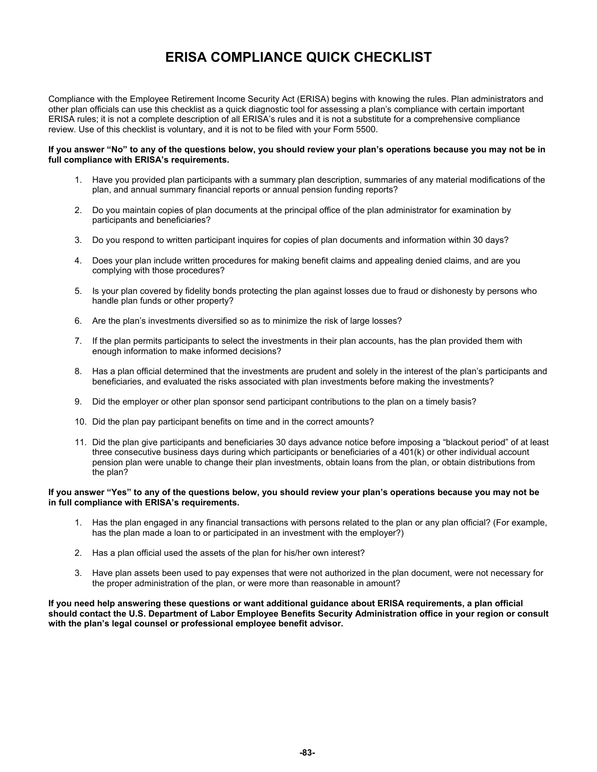# **ERISA COMPLIANCE QUICK CHECKLIST**

Compliance with the Employee Retirement Income Security Act (ERISA) begins with knowing the rules. Plan administrators and other plan officials can use this checklist as a quick diagnostic tool for assessing a plan's compliance with certain important ERISA rules; it is not a complete description of all ERISA's rules and it is not a substitute for a comprehensive compliance review. Use of this checklist is voluntary, and it is not to be filed with your Form 5500.

#### **If you answer "No" to any of the questions below, you should review your plan's operations because you may not be in full compliance with ERISA's requirements.**

- 1. Have you provided plan participants with a summary plan description, summaries of any material modifications of the plan, and annual summary financial reports or annual pension funding reports?
- 2. Do you maintain copies of plan documents at the principal office of the plan administrator for examination by participants and beneficiaries?
- 3. Do you respond to written participant inquires for copies of plan documents and information within 30 days?
- 4. Does your plan include written procedures for making benefit claims and appealing denied claims, and are you complying with those procedures?
- 5. Is your plan covered by fidelity bonds protecting the plan against losses due to fraud or dishonesty by persons who handle plan funds or other property?
- 6. Are the plan's investments diversified so as to minimize the risk of large losses?
- 7. If the plan permits participants to select the investments in their plan accounts, has the plan provided them with enough information to make informed decisions?
- 8. Has a plan official determined that the investments are prudent and solely in the interest of the plan's participants and beneficiaries, and evaluated the risks associated with plan investments before making the investments?
- 9. Did the employer or other plan sponsor send participant contributions to the plan on a timely basis?
- 10. Did the plan pay participant benefits on time and in the correct amounts?
- 11. Did the plan give participants and beneficiaries 30 days advance notice before imposing a "blackout period" of at least three consecutive business days during which participants or beneficiaries of a 401(k) or other individual account pension plan were unable to change their plan investments, obtain loans from the plan, or obtain distributions from the plan?

# **If you answer "Yes" to any of the questions below, you should review your plan's operations because you may not be in full compliance with ERISA's requirements.**

- 1. Has the plan engaged in any financial transactions with persons related to the plan or any plan official? (For example, has the plan made a loan to or participated in an investment with the employer?)
- 2. Has a plan official used the assets of the plan for his/her own interest?
- 3. Have plan assets been used to pay expenses that were not authorized in the plan document, were not necessary for the proper administration of the plan, or were more than reasonable in amount?

**If you need help answering these questions or want additional guidance about ERISA requirements, a plan official should contact the U.S. Department of Labor Employee Benefits Security Administration office in your region or consult with the plan's legal counsel or professional employee benefit advisor.**